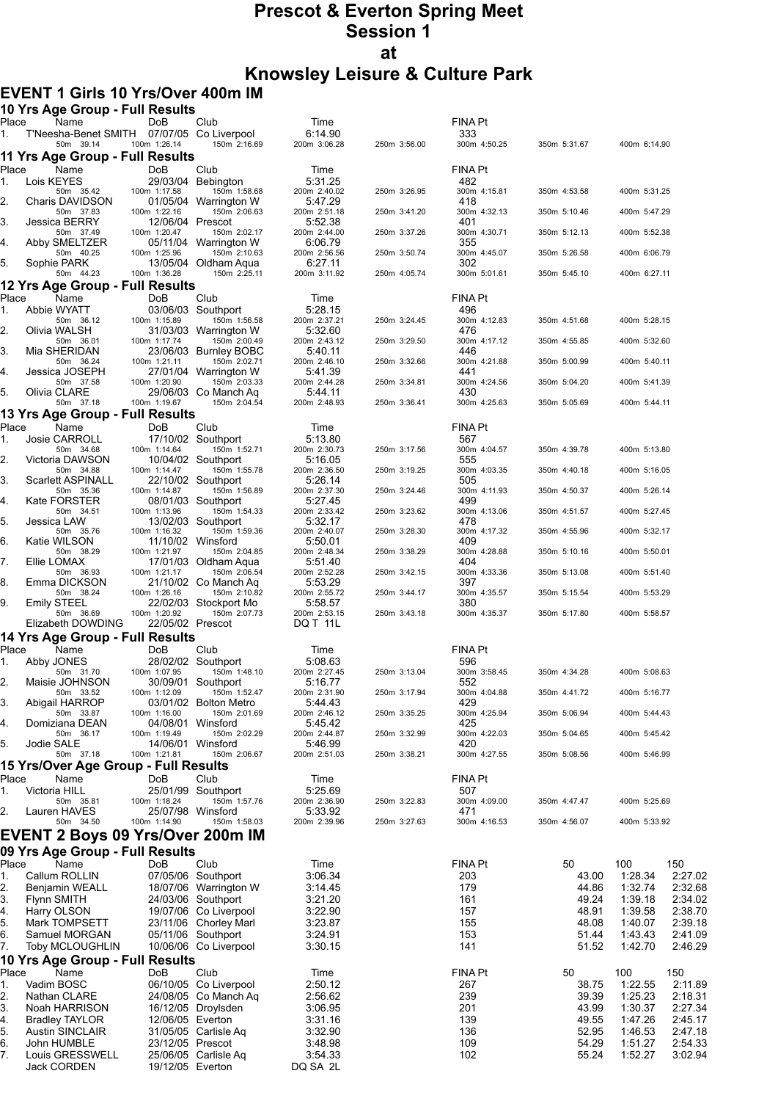# **Prescot & Everton Spring Meet Session 1 at Knowsley Leisure & Culture Park**

#### **EVENT 1 Girls 10 Yrs/Over 400m IM**

|             | 10 Yrs Age Group - Full Results                    |                                  |                                                |                         |              |                       |                |                    |                    |
|-------------|----------------------------------------------------|----------------------------------|------------------------------------------------|-------------------------|--------------|-----------------------|----------------|--------------------|--------------------|
| Place<br>1. | Name<br>T'Neesha-Benet SMITH 07/07/05 Co Liverpool | <b>DoB</b>                       | Club                                           | Time<br>6:14.90         |              | FINA Pt<br>333        |                |                    |                    |
|             | 50m 39.14                                          | 100m 1:26.14                     | 150m 2:16.69                                   | 200m 3:06.28            | 250m 3:56.00 | 300m 4:50.25          | 350m 5:31.67   | 400m 6:14.90       |                    |
| Place       | 11 Yrs Age Group - Full Results<br>Name            | DoB                              | Club                                           | Time                    |              | FINA Pt               |                |                    |                    |
| 1.          | Lois KEYES                                         |                                  | 29/03/04 Bebington                             | 5:31.25                 |              | 482                   |                |                    |                    |
| 2.          | 50m 35.42<br>Charis DAVIDSON                       | 100m 1:17.58                     | 150m 1:58.68<br>01/05/04 Warrington W          | 200m 2:40.02<br>5:47.29 | 250m 3:26.95 | 300m 4:15.81<br>418   | 350m 4:53.58   | 400m 5:31.25       |                    |
|             | 50m 37.83                                          | 100m 1:22.16                     | 150m 2:06.63                                   | 200m 2:51.18            | 250m 3:41.20 | 300m 4:32.13          | 350m 5:10.46   | 400m 5:47.29       |                    |
| 3.          | <b>Jessica BERRY</b><br>50m 37.49                  | 12/06/04 Prescot<br>100m 1:20.47 | 150m 2:02.17                                   | 5:52.38<br>200m 2:44.00 | 250m 3:37.26 | 401<br>300m 4:30.71   | 350m 5:12.13   | 400m 5:52.38       |                    |
| 4.          | Abby SMELTZER<br>50m 40.25                         | 100m 1:25.96                     | 05/11/04 Warrington W<br>150m 2:10.63          | 6:06.79<br>200m 2:56.56 | 250m 3:50.74 | 355<br>300m 4:45.07   | 350m 5:26.58   | 400m 6:06.79       |                    |
| 5.          | Sophie PARK                                        |                                  | 13/05/04 Oldham Aqua                           | 6:27.11                 |              | 302                   |                |                    |                    |
|             | 50m 44.23<br>12 Yrs Age Group - Full Results       | 100m 1:36.28                     | 150m 2:25.11                                   | 200m 3:11.92            | 250m 4:05.74 | 300m 5:01.61          | 350m 5:45.10   | 400m 6:27.11       |                    |
| Place       | Name                                               | DoB                              | Club                                           | Time                    |              | FINA Pt               |                |                    |                    |
| 1.          | Abbie WYATT                                        |                                  | 03/06/03 Southport                             | 5:28.15                 |              | 496                   |                |                    |                    |
| 2.          | 50m 36.12<br>Olivia WALSH                          | 100m 1:15.89                     | 150m 1:56.58<br>31/03/03 Warrington W          | 200m 2:37.21<br>5:32.60 | 250m 3:24.45 | 300m 4:12.83<br>476   | 350m 4:51.68   | 400m 5:28.15       |                    |
| 3.          | 50m 36.01<br>Mia SHERIDAN                          | 100m 1:17.74                     | 150m 2:00.49<br>23/06/03 Burnley BOBC          | 200m 2:43.12<br>5:40.11 | 250m 3:29.50 | 300m 4:17.12<br>446   | 350m 4:55.85   | 400m 5:32.60       |                    |
|             | 50m 36.24                                          | 100m 1:21.11                     | 150m 2:02.71                                   | 200m 2:46.10            | 250m 3:32.66 | 300m 4:21.88          | 350m 5:00.99   | 400m 5:40.11       |                    |
| 4.          | Jessica JOSEPH<br>50m 37.58                        | 100m 1:20.90                     | 27/01/04 Warrington W<br>150m 2:03.33          | 5:41.39<br>200m 2:44.28 | 250m 3:34.81 | 441<br>300m 4:24.56   | 350m 5:04.20   | 400m 5:41.39       |                    |
| 5.          | Olivia CLARE                                       |                                  | 29/06/03 Co Manch Ag                           | 5:44.11                 |              | 430                   |                |                    |                    |
|             | 50m 37.18<br>13 Yrs Age Group - Full Results       | 100m 1:19.67                     | 150m 2:04.54                                   | 200m 2:48.93            | 250m 3:36.41 | 300m 4:25.63          | 350m 5:05.69   | 400m 5:44.11       |                    |
| Place       | Name                                               | DoB                              | Club                                           | Time                    |              | FINA Pt               |                |                    |                    |
| 1.          | <b>Josie CARROLL</b><br>50m 34.68                  | 100m 1:14.64                     | 17/10/02 Southport<br>150m 1:52.71             | 5:13.80<br>200m 2:30.73 | 250m 3:17.56 | 567<br>300m 4:04.57   | 350m 4:39.78   | 400m 5:13.80       |                    |
| 2.          | Victoria DAWSON                                    |                                  | 10/04/02 Southport                             | 5:16.05                 |              | 555                   |                |                    |                    |
| 3.          | 50m 34.88<br><b>Scarlett ASPINALL</b>              | 100m 1:14.47                     | 150m 1:55.78<br>22/10/02 Southport             | 200m 2:36.50<br>5:26.14 | 250m 3:19.25 | 300m 4:03.35<br>505   | 350m 4:40.18   | 400m 5:16.05       |                    |
|             | 50m 35.36                                          | 100m 1:14.87                     | 150m 1:56.89                                   | 200m 2:37.30            | 250m 3:24.46 | 300m 4:11.93          | 350m 4:50.37   | 400m 5:26.14       |                    |
| 4.          | Kate FORSTER<br>50m 34.51                          | 100m 1:13.96                     | 08/01/03 Southport<br>150m 1:54.33             | 5:27.45<br>200m 2:33.42 | 250m 3:23.62 | 499<br>300m 4:13.06   | 350m 4:51.57   | 400m 5:27.45       |                    |
| 5.          | Jessica LAW<br>50m 35.76                           | 100m 1:16.32                     | 13/02/03 Southport<br>150m 1:59.36             | 5:32.17<br>200m 2:40.07 | 250m 3:28.30 | 478<br>300m 4:17.32   | 350m 4:55.96   | 400m 5:32.17       |                    |
| 6.          | Katie WILSON                                       |                                  | 11/10/02 Winsford                              | 5:50.01                 |              | 409                   |                |                    |                    |
| 7.          | 50m 38.29<br>Ellie LOMAX                           | 100m 1:21.97                     | 150m 2:04.85<br>17/01/03 Oldham Aqua           | 200m 2:48.34<br>5:51.40 | 250m 3:38.29 | 300m 4:28.88<br>404   | 350m 5:10.16   | 400m 5:50.01       |                    |
|             | 50m 36.93                                          | 100m 1:21.17                     | 150m 2:06.54                                   | 200m 2:52.28            | 250m 3:42.15 | 300m 4:33.36          | 350m 5:13.08   | 400m 5:51.40       |                    |
| 8.          | Emma DICKSON<br>50m 38.24                          | 100m 1:26.16                     | 21/10/02 Co Manch Aq<br>150m 2:10.82           | 5:53.29<br>200m 2:55.72 | 250m 3:44.17 | 397<br>300m 4:35.57   | 350m 5:15.54   | 400m 5:53.29       |                    |
| 9.          | Emily STEEL<br>50m 36.69                           | 100m 1:20.92                     | 22/02/03 Stockport Mo<br>150m 2:07.73          | 5:58.57<br>200m 2:53.15 | 250m 3:43.18 | 380<br>300m 4:35.37   | 350m 5:17.80   | 400m 5:58.57       |                    |
|             | Elizabeth DOWDING                                  | 22/05/02 Prescot                 |                                                | DQ T 11L                |              |                       |                |                    |                    |
|             | 14 Yrs Age Group - Full Results                    |                                  |                                                |                         |              |                       |                |                    |                    |
| Place<br>1. | Name<br>Abby JONES                                 | DoB                              | Club<br>28/02/02 Southport                     | Time<br>5:08.63         |              | <b>FINA Pt</b><br>596 |                |                    |                    |
|             | 50m 31.70                                          | 100m 1:07.95                     | 150m 1:48.10                                   | 200m 2:27.45            | 250m 3:13.04 | 300m 3:58.45          | 350m 4:34.28   | 400m 5:08.63       |                    |
| 2.          | Maisie JOHNSON<br>50m 33.52                        | 100m 1:12.09                     | 30/09/01 Southport<br>150m 1:52.47             | 5:16.77<br>200m 2:31.90 | 250m 3:17.94 | 552<br>300m 4:04.88   | 350m 4:41.72   | 400m 5:16.77       |                    |
| 3.          | Abigail HARROP<br>50m 33.87                        | 100m 1:16.00                     | 03/01/02 Bolton Metro<br>150m 2:01.69          | 5:44.43<br>200m 2:46.12 | 250m 3:35.25 | 429<br>300m 4:25.94   | 350m 5:06.94   | 400m 5:44.43       |                    |
| 4.          | Domiziana DEAN                                     | 04/08/01 Winsford                |                                                | 5 45 42                 |              | 425                   |                |                    |                    |
| 5.          | 50m 36.17<br>Jodie SALE                            | 100m 1:19.49                     | 150m 2:02.29<br>14/06/01 Winsford              | 200m 2:44.87<br>5:46.99 | 250m 3:32.99 | 300m 4:22.03<br>420   | 350m 5:04.65   | 400m 5:45.42       |                    |
|             | 50m 37.18                                          | 100m 1:21.81                     | 150m 2:06.67                                   | 200m 2:51.03            | 250m 3:38.21 | 300m 4:27.55          | 350m 5:08.56   | 400m 5:46.99       |                    |
| Place       | 15 Yrs/Over Age Group - Full Results<br>Name       | DoB                              | Club                                           | Time                    |              | FINA Pt               |                |                    |                    |
| 1.          | Victoria HILL                                      |                                  | 25/01/99 Southport                             | 5:25.69                 |              | 507                   |                |                    |                    |
| 2.          | 50m 35.81<br>Lauren HAVES                          | 100m 1:18.24                     | 150m 1:57.76<br>25/07/98 Winsford              | 200m 2:36.90<br>5.33.92 | 250m 3:22.83 | 300m 4:09.00<br>471   | 350m 4:47.47   | 400m 5:25.69       |                    |
|             | 50m 34.50                                          | 100m 1:14.90                     | 150m 1:58.03                                   | 200m 2:39.96            | 250m 3:27.63 | 300m 4:16.53          | 350m 4:56.07   | 400m 5:33.92       |                    |
|             | <b>EVENT 2 Boys 09 Yrs/Over 200m IM</b>            |                                  |                                                |                         |              |                       |                |                    |                    |
|             | 09 Yrs Age Group - Full Results                    |                                  |                                                |                         |              |                       |                |                    |                    |
| Place<br>1. | Name<br>Callum ROLLIN                              | DoB                              | Club<br>07/05/06 Southport                     | Time<br>3:06.34         |              | <b>FINA Pt</b><br>203 | 50<br>43.00    | 100<br>1:28.34     | 150<br>2:27.02     |
| 2.          | Benjamin WEALL                                     |                                  | 18/07/06 Warrington W                          | 3:14.45                 |              | 179                   | 44.86          | 1:32.74            | 2:32.68            |
| 3.          | <b>Flynn SMITH</b>                                 |                                  | 24/03/06 Southport                             | 3:21.20                 |              | 161                   | 49.24          | 1:39.18            | 2:34.02            |
| 4.<br>5.    | Harry OLSON<br>Mark TOMPSETT                       |                                  | 19/07/06 Co Liverpool<br>23/11/06 Chorley Marl | 3:22.90<br>3:23.87      |              | 157<br>155            | 48.91<br>48.08 | 1:39.58<br>1:40.07 | 2:38.70<br>2:39.18 |
| 6.          | Samuel MORGAN                                      |                                  | 05/11/06 Southport                             | 3:24.91                 |              | 153                   | 51.44          | 1:43.43            | 2:41.09            |
| 7.          | <b>Toby MCLOUGHLIN</b>                             |                                  | 10/06/06 Co Liverpool                          | 3:30.15                 |              | 141                   | 51.52          | 1:42.70            | 2:46.29            |
| Place       | 10 Yrs Age Group - Full Results                    |                                  |                                                |                         |              | <b>FINA Pt</b>        |                |                    |                    |
| 1.          | Name<br>Vadim BOSC                                 | DoB                              | Club<br>06/10/05 Co Liverpool                  | Time<br>2:50.12         |              | 267                   | 50<br>38.75    | 100<br>1:22.55     | 150<br>2:11.89     |
| 2.          | Nathan CLARE                                       |                                  | 24/08/05 Co Manch Aq                           | 2:56.62                 |              | 239                   | 39.39          | 1:25.23            | 2:18.31            |
| 3.          | Noah HARRISON                                      |                                  | 16/12/05 Droylsden                             | 3:06.95                 |              | 201                   | 43.99          | 1:30.37            | 2:27.34            |
| 4.          | <b>Bradley TAYLOR</b>                              | 12/06/05 Everton                 |                                                | 3:31.16                 |              | 139                   | 49.55          | 1:47.26            | 2:45.17            |
| 5.<br>6.    | <b>Austin SINCLAIR</b><br>John HUMBLE              | 23/12/05 Prescot                 | 31/05/05 Carlisle Aq                           | 3:32.90<br>3.48.98      |              | 136<br>109            | 52.95<br>54.29 | 1:46.53<br>1:51.27 | 2:47.18<br>2:54.33 |
| 7.          | Louis GRESSWELL                                    |                                  | 25/06/05 Carlisle Aq                           | 3:54.33                 |              | 102                   | 55.24          | 1:52.27            | 3:02.94            |
|             | Jack CORDEN                                        | 19/12/05 Everton                 |                                                | DQ SA 2L                |              |                       |                |                    |                    |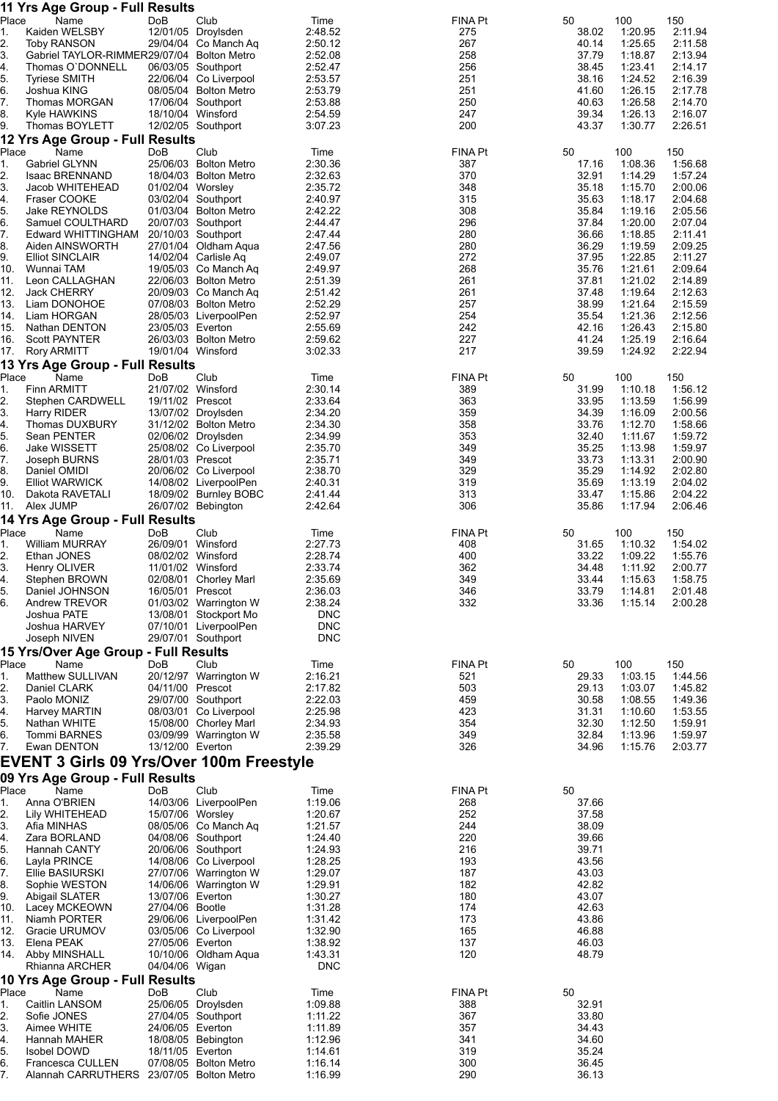|             | 11 Yrs Age Group - Full Results                              |                   |                                               |                          |                |                |                    |                    |
|-------------|--------------------------------------------------------------|-------------------|-----------------------------------------------|--------------------------|----------------|----------------|--------------------|--------------------|
| Place<br>1. | Name<br>Kaiden WELSBY                                        | DoB               | Club<br>12/01/05 Droylsden                    | Time<br>2:48.52          | FINA Pt<br>275 | 50<br>38.02    | 100<br>1:20.95     | 150<br>2:11.94     |
| 2.          | <b>Toby RANSON</b>                                           |                   | 29/04/04 Co Manch Ag                          | 2:50.12                  | 267            | 40.14          | 1:25.65            | 2:11.58            |
| 3.          | Gabriel TAYLOR-RIMMER29/07/04 Bolton Metro                   |                   |                                               | 2:52.08                  | 258            | 37.79          | 1:18.87            | 2:13.94            |
| 4.          | Thomas O'DONNELL<br><b>Tyriese SMITH</b>                     |                   | 06/03/05 Southport<br>22/06/04 Co Liverpool   | 2:52.47<br>2:53.57       | 256<br>251     | 38.45<br>38.16 | 1:23.41<br>1:24.52 | 2:14.17<br>2:16.39 |
| 5.<br>6.    | Joshua KING                                                  |                   | 08/05/04 Bolton Metro                         | 2:53.79                  | 251            | 41.60          | 1:26.15            | 2:17.78            |
| 7.          | Thomas MORGAN                                                |                   | 17/06/04 Southport                            | 2:53.88                  | 250            | 40.63          | 1:26.58            | 2:14.70            |
| 8.          | Kyle HAWKINS                                                 | 18/10/04 Winsford |                                               | 2:54.59                  | 247            | 39.34          | 1:26.13            | 2:16.07            |
| 9.          | Thomas BOYLETT<br>12 Yrs Age Group - Full Results            |                   | 12/02/05 Southport                            | 3:07.23                  | 200            | 43.37          | 1:30.77            | 2:26.51            |
| Place       | Name                                                         | DoB               | Club                                          | Time                     | FINA Pt        | 50             | 100                | 150                |
| 1.          | <b>Gabriel GLYNN</b>                                         |                   | 25/06/03 Bolton Metro                         | 2:30.36                  | 387            | 17.16          | 1:08.36            | 1:56.68            |
| 2.<br>3.    | <b>Isaac BRENNAND</b><br>Jacob WHITEHEAD                     |                   | 18/04/03 Bolton Metro                         | 2:32.63<br>2:35.72       | 370<br>348     | 32.91<br>35.18 | 1:14.29<br>1:15.70 | 1:57.24<br>2:00.06 |
| 4.          | Fraser COOKE                                                 | 01/02/04 Worsley  | 03/02/04 Southport                            | 2:40.97                  | 315            | 35.63          | 1:18.17            | 2:04.68            |
| 5.          | Jake REYNOLDS                                                |                   | 01/03/04 Bolton Metro                         | 2:42.22                  | 308            | 35.84          | 1:19.16            | 2:05.56            |
| 6.          | Samuel COULTHARD                                             |                   | 20/07/03 Southport                            | 2:44.47                  | 296            | 37.84          | 1:20.00            | 2:07.04            |
| 7.<br>8.    | Edward WHITTINGHAM<br>Aiden AINSWORTH                        |                   | 20/10/03 Southport<br>27/01/04 Oldham Aqua    | 2.47.44<br>2:47.56       | 280<br>280     | 36.66<br>36.29 | 1:18.85<br>1:19.59 | 2:11.41<br>2:09.25 |
| 9.          | <b>Elliot SINCLAIR</b>                                       |                   | 14/02/04 Carlisle Aq                          | 2:49.07                  | 272            | 37.95          | 1:22.85            | 2:11.27            |
| 10.         | Wunnai TAM                                                   |                   | 19/05/03 Co Manch Aq                          | 2:49.97                  | 268            | 35.76          | 1:21.61            | 2:09.64            |
| 11.         | Leon CALLAGHAN                                               |                   | 22/06/03 Bolton Metro                         | 2:51.39                  | 261            | 37.81          | 1:21.02            | 2:14.89            |
| 12.<br>13.  | <b>Jack CHERRY</b><br>Liam DONOHOE                           |                   | 20/09/03 Co Manch Aq<br>07/08/03 Bolton Metro | 2:51.42<br>2:52.29       | 261<br>257     | 37.48<br>38.99 | 1:19.64<br>1.21.64 | 2:12.63<br>2:15.59 |
| 14.         | Liam HORGAN                                                  |                   | 28/05/03 LiverpoolPen                         | 2:52.97                  | 254            | 35.54          | 1:21.36            | 2:12.56            |
| 15.         | Nathan DENTON                                                | 23/05/03 Everton  |                                               | 2:55.69                  | 242            | 42.16          | 1:26.43            | 2:15.80            |
| 16.         | Scott PAYNTER                                                |                   | 26/03/03 Bolton Metro                         | 2:59.62                  | 227            | 41.24          | 1:25.19            | 2:16.64            |
| 17.         | <b>Rory ARMITT</b><br><b>13 Yrs Age Group - Full Results</b> | 19/01/04 Winsford |                                               | 3:02.33                  | 217            | 39.59          | 1:24.92            | 2:22.94            |
| Place       | Name                                                         | DoB               | Club                                          | Time                     | FINA Pt        | 50             | 100                | 150                |
| 1.          | <b>Finn ARMITT</b>                                           | 21/07/02 Winsford |                                               | 2:30.14                  | 389            | 31.99          | 1:10.18            | 1:56.12            |
| 2.          | Stephen CARDWELL                                             | 19/11/02 Prescot  |                                               | 2:33.64                  | 363<br>359     | 33.95          | 1:13.59            | 1:56.99<br>2:00.56 |
| 3.<br>4.    | Harry RIDER<br>Thomas DUXBURY                                |                   | 13/07/02 Droylsden<br>31/12/02 Bolton Metro   | 2:34.20<br>2:34.30       | 358            | 34.39<br>33.76 | 1:16.09<br>1:12.70 | 1:58.66            |
| 5.          | Sean PENTER                                                  |                   | 02/06/02 Droylsden                            | 2:34.99                  | 353            | 32.40          | 1:11.67            | 1:59.72            |
| 6.          | <b>Jake WISSETT</b>                                          |                   | 25/08/02 Co Liverpool                         | 2:35.70                  | 349            | 35.25          | 1:13.98            | 1:59.97            |
| 7.<br>8.    | Joseph BURNS<br>Daniel OMIDI                                 | 28/01/03 Prescot  | 20/06/02 Co Liverpool                         | 2:35.71<br>2:38.70       | 349<br>329     | 33.73<br>35.29 | 1:13.31<br>1:14.92 | 2:00.90<br>2:02.80 |
| 9.          | <b>Elliot WARWICK</b>                                        |                   | 14/08/02 LiverpoolPen                         | 2:40.31                  | 319            | 35.69          | 1:13.19            | 2:04.02            |
| 10.         | Dakota RAVETALI                                              |                   | 18/09/02 Burnley BOBC                         | 2:41.44                  | 313            | 33.47          | 1:15.86            | 2:04.22            |
| 11.         | Alex JUMP                                                    |                   | 26/07/02 Bebington                            | 2:42.64                  | 306            | 35.86          | 1:17.94            | 2:06.46            |
| Place       | 14 Yrs Age Group - Full Results<br>Name                      | DoB               | Club                                          | Time                     | FINA Pt        | 50             | 100                | 150                |
| 1.          | <b>William MURRAY</b>                                        | 26/09/01 Winsford |                                               | 2:27.73                  | 408            | 31.65          | 1:10.32            | 1:54.02            |
| 2.          | Ethan JONES                                                  | 08/02/02 Winsford |                                               | 2:28.74                  | 400            | 33.22          | 1:09.22            | 1:55.76            |
| 3.          | Henry OLIVER                                                 | 11/01/02 Winsford |                                               | 2:33.74                  | 362            | 34.48          | 1:11.92            | 2:00.77            |
| 4.<br>5.    | Stephen BROWN<br>Daniel JOHNSON                              | 16/05/01 Prescot  | 02/08/01 Chorley Marl                         | 2:35.69<br>2:36.03       | 349<br>346     | 33.44<br>33.79 | 1:15.63<br>1:14.81 | 1:58.75<br>2:01.48 |
| 6.          | Andrew TREVOR                                                |                   | 01/03/02 Warrington W                         | 2:38.24                  | 332            | 33.36          | 1:15.14            | 2:00.28            |
|             | Joshua PATE                                                  |                   | 13/08/01 Stockport Mo                         | <b>DNC</b>               |                |                |                    |                    |
|             | Joshua HARVEY                                                |                   | 07/10/01 LiverpoolPen                         | <b>DNC</b><br><b>DNC</b> |                |                |                    |                    |
|             | Joseph NIVEN<br>15 Yrs/Over Age Group - Full Results         |                   | 29/07/01 Southport                            |                          |                |                |                    |                    |
| Place       | Name                                                         | DoB               | Club                                          | Time                     | FINA Pt        | 50             | 100                | 150                |
| 1.          | Matthew SULLIVAN                                             |                   | 20/12/97 Warrington W                         | 2:16.21                  | 521            | 29.33          | 1:03.15            | 1:44.56            |
| 2.          | Daniel CLARK                                                 | 04/11/00 Prescot  |                                               | 2:17.82                  | 503            | 29.13          | 1:03.07            | 1:45.82            |
| 3.<br>4.    | Paolo MONIZ<br>Harvey MARTIN                                 |                   | 29/07/00 Southport<br>08/03/01 Co Liverpool   | 2:22.03<br>2:25.98       | 459<br>423     | 30.58<br>31.31 | 1:08.55<br>1:10.60 | 1:49.36<br>1:53.55 |
| 5.          | Nathan WHITE                                                 |                   | 15/08/00 Chorley Marl                         | 2:34.93                  | 354            | 32.30          | 1:12.50            | 1:59.91            |
| 6.          | Tommi BARNES                                                 |                   | 03/09/99 Warrington W                         | 2:35.58                  | 349            | 32.84          | 1:13.96            | 1:59.97            |
| 7.          | Ewan DENTON                                                  | 13/12/00 Everton  |                                               | 2:39.29                  | 326            | 34.96          | 1:15.76            | 2:03.77            |
|             | EVENT 3 Girls 09 Yrs/Over 100m Freestyle                     |                   |                                               |                          |                |                |                    |                    |
| Place       | 09 Yrs Age Group - Full Results<br>Name                      | DoB               | Club                                          | Time                     | FINA Pt        | 50             |                    |                    |
| 1.          | Anna O'BRIEN                                                 |                   | 14/03/06 LiverpoolPen                         | 1:19.06                  | 268            | 37.66          |                    |                    |
| 2.          | Lily WHITEHEAD                                               | 15/07/06 Worsley  |                                               | 1:20.67                  | 252            | 37.58          |                    |                    |
| 3.          | Afia MINHAS<br>Zara BORLAND                                  |                   | 08/05/06 Co Manch Aq<br>04/08/06 Southport    | 1:21.57<br>1:24.40       | 244<br>220     | 38.09<br>39.66 |                    |                    |
| 4.<br>5.    | Hannah CANTY                                                 |                   | 20/06/06 Southport                            | 1:24.93                  | 216            | 39.71          |                    |                    |
| 6.          | Layla PRINCE                                                 |                   | 14/08/06 Co Liverpool                         | 1:28.25                  | 193            | 43.56          |                    |                    |
| 7.          | Ellie BASIURSKI                                              |                   | 27/07/06 Warrington W                         | 1:29.07                  | 187            | 43.03          |                    |                    |
| 8.<br>9.    | Sophie WESTON<br>Abigail SLATER                              | 13/07/06 Everton  | 14/06/06 Warrington W                         | 1:29.91<br>1:30.27       | 182<br>180     | 42.82<br>43.07 |                    |                    |
| 10.         | Lacey MCKEOWN                                                | 27/04/06 Bootle   |                                               | 1:31.28                  | 174            | 42.63          |                    |                    |
| 11.         | Niamh PORTER                                                 |                   | 29/06/06 LiverpoolPen                         | 1:31.42                  | 173            | 43.86          |                    |                    |
| 12.<br>13.  | Gracie URUMOV<br>Elena PEAK                                  |                   | 03/05/06 Co Liverpool                         | 1:32.90<br>1:38.92       | 165<br>137     | 46.88<br>46.03 |                    |                    |
| 14.         | <b>Abby MINSHALL</b>                                         | 27/05/06 Everton  | 10/10/06 Oldham Aqua                          | 1:43.31                  | 120            | 48.79          |                    |                    |
|             | Rhianna ARCHER                                               | 04/04/06 Wigan    |                                               | <b>DNC</b>               |                |                |                    |                    |
|             | 10 Yrs Age Group - Full Results                              |                   |                                               |                          |                |                |                    |                    |
| Place<br>1. | Name<br>Caitlin LANSOM                                       | DoB               | Club<br>25/06/05 Droylsden                    | Time<br>1:09.88          | FINA Pt<br>388 | 50<br>32.91    |                    |                    |
| 2.          | Sofie JONES                                                  |                   | 27/04/05 Southport                            | 1:11.22                  | 367            | 33.80          |                    |                    |
| З.          | Aimee WHITE                                                  | 24/06/05 Everton  |                                               | 1:11.89                  | 357            | 34.43          |                    |                    |
| 4.          | Hannah MAHER                                                 |                   | 18/08/05 Bebington                            | 1:12.96                  | 341            | 34.60          |                    |                    |
| 5.<br>6.    | <b>Isobel DOWD</b><br>Francesca CULLEN                       | 18/11/05 Everton  | 07/08/05 Bolton Metro                         | 1:14.61<br>1:16.14       | 319<br>300     | 35.24<br>36.45 |                    |                    |
| 7.          | Alannah CARRUTHERS 23/07/05 Bolton Metro                     |                   |                                               | 1:16.99                  | 290            | 36.13          |                    |                    |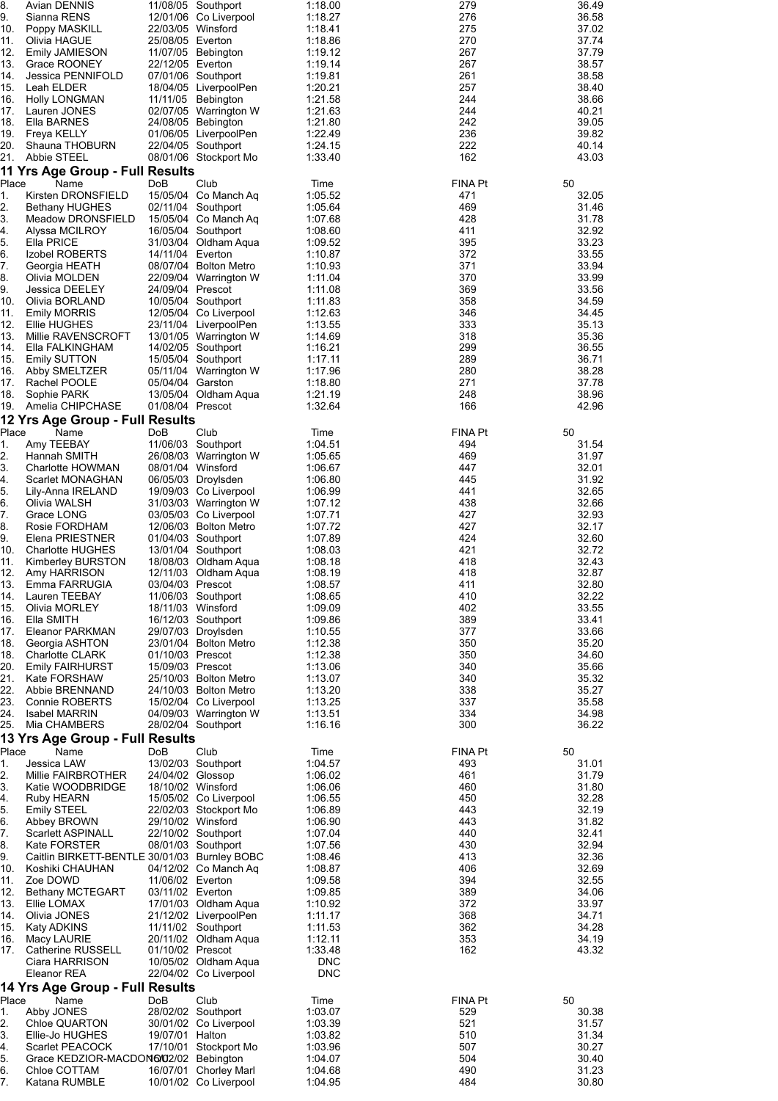| 8.<br>9.    | Avian DENNIS<br>Sianna RENS                              |                                       | 11/08/05 Southport<br>12/01/06 Co Liverpool    | 1:18.00<br>1:18.27    | 279<br>276     | 36.49<br>36.58 |
|-------------|----------------------------------------------------------|---------------------------------------|------------------------------------------------|-----------------------|----------------|----------------|
| 10.         | Poppy MASKILL                                            | 22/03/05 Winsford                     |                                                | 1:18.41               | 275            | 37.02          |
| 11.<br>12.  | Olivia HAGUE<br><b>Emily JAMIESON</b>                    | 25/08/05 Everton                      | 11/07/05 Bebington                             | 1:18.86<br>1:19.12    | 270<br>267     | 37.74<br>37.79 |
| 13.         | Grace ROONEY                                             | 22/12/05 Everton                      |                                                | 1:19.14               | 267            | 38.57          |
| 14.         | Jessica PENNIFOLD                                        |                                       | 07/01/06 Southport                             | 1:19.81               | 261            | 38.58          |
| 15.<br>16.  | Leah ELDER<br><b>Holly LONGMAN</b>                       |                                       | 18/04/05 LiverpoolPen<br>11/11/05 Bebington    | 1:20.21<br>1:21.58    | 257<br>244     | 38.40<br>38.66 |
| 17.         | Lauren JONES                                             |                                       | 02/07/05 Warrington W                          | 1:21.63               | 244            | 40.21          |
| 18.         | Ella BARNES                                              |                                       | 24/08/05 Bebington                             | 1:21.80               | 242<br>236     | 39.05          |
| 19.<br>20.  | Freya KELLY<br>Shauna THOBURN                            |                                       | 01/06/05 LiverpoolPen<br>22/04/05 Southport    | 1:22.49<br>1:24.15    | 222            | 39.82<br>40.14 |
| 21.         | <b>Abbie STEEL</b>                                       |                                       | 08/01/06 Stockport Mo                          | 1:33.40               | 162            | 43.03          |
|             | 11 Yrs Age Group - Full Results                          |                                       |                                                |                       |                |                |
| Place<br>1. | Name<br>Kirsten DRONSFIELD                               | DoB                                   | Club<br>15/05/04 Co Manch Aq                   | Time<br>1:05.52       | FINA Pt<br>471 | 50<br>32.05    |
| 2.          | <b>Bethany HUGHES</b>                                    |                                       | 02/11/04 Southport                             | 1:05.64               | 469            | 31.46          |
| 3.<br>4.    | Meadow DRONSFIELD<br>Alyssa MCILROY                      |                                       | 15/05/04 Co Manch Aq<br>16/05/04 Southport     | 1:07.68<br>1:08.60    | 428<br>411     | 31.78<br>32.92 |
| 5.          | Ella PRICE                                               |                                       | 31/03/04 Oldham Aqua                           | 1:09.52               | 395            | 33.23          |
| 6.<br>7.    | Izobel ROBERTS                                           | 14/11/04 Everton                      |                                                | 1:10.87               | 372            | 33.55          |
| 8.          | Georgia HEATH<br>Olivia MOLDEN                           |                                       | 08/07/04 Bolton Metro<br>22/09/04 Warrington W | 1:10.93<br>1:11.04    | 371<br>370     | 33.94<br>33.99 |
| 9.          | Jessica DEELEY                                           | 24/09/04 Prescot                      |                                                | 1:11.08               | 369            | 33.56          |
| 10.<br>11.  | Olivia BORLAND<br><b>Emily MORRIS</b>                    |                                       | 10/05/04 Southport<br>12/05/04 Co Liverpool    | 1:11.83<br>1:12.63    | 358<br>346     | 34.59<br>34.45 |
| 12.         | Ellie HUGHES                                             |                                       | 23/11/04 LiverpoolPen                          | 1:13.55               | 333            | 35.13          |
| 13.         | Millie RAVENSCROFT                                       |                                       | 13/01/05 Warrington W                          | 1:14.69               | 318            | 35.36          |
| 14.<br>15.  | Ella FALKINGHAM<br><b>Emily SUTTON</b>                   |                                       | 14/02/05 Southport<br>15/05/04 Southport       | 1:16.21<br>1:17.11    | 299<br>289     | 36.55<br>36.71 |
| 16.         | Abby SMELTZER                                            |                                       | 05/11/04 Warrington W                          | 1:17.96               | 280            | 38.28          |
| 17.<br>18.  | Rachel POOLE                                             | 05/04/04 Garston                      |                                                | 1:18.80               | 271<br>248     | 37.78          |
| 19.         | Sophie PARK<br>Amelia CHIPCHASE                          | 01/08/04 Prescot                      | 13/05/04 Oldham Aqua                           | 1:21.19<br>1:32.64    | 166            | 38.96<br>42.96 |
|             | 12 Yrs Age Group - Full Results                          |                                       |                                                |                       |                |                |
| Place       | Name                                                     | DoB                                   | Club                                           | Time                  | FINA Pt        | 50             |
| 1.<br>2.    | Amy TEEBAY<br>Hannah SMITH                               |                                       | 11/06/03 Southport<br>26/08/03 Warrington W    | 1:04.51<br>1:05.65    | 494<br>469     | 31.54<br>31.97 |
| 3.          | Charlotte HOWMAN                                         | 08/01/04 Winsford                     |                                                | 1:06.67               | 447            | 32.01          |
| 4.<br>5.    | Scarlet MONAGHAN<br>Lily-Anna IRELAND                    |                                       | 06/05/03 Droylsden<br>19/09/03 Co Liverpool    | 1:06.80<br>1:06.99    | 445<br>441     | 31.92<br>32.65 |
| 6.          | Olivia WALSH                                             |                                       | 31/03/03 Warrington W                          | 1:07.12               | 438            | 32.66          |
| 7.          | Grace LONG                                               |                                       | 03/05/03 Co Liverpool                          | 1:07.71               | 427            | 32.93          |
| 8.<br>9.    | Rosie FORDHAM<br>Elena PRIESTNER                         |                                       | 12/06/03 Bolton Metro<br>01/04/03 Southport    | 1:07.72<br>1:07.89    | 427<br>424     | 32.17<br>32.60 |
| 10.         | <b>Charlotte HUGHES</b>                                  |                                       | 13/01/04 Southport                             | 1:08.03               | 421            | 32.72          |
| 11.<br>12.  | Kimberley BURSTON<br>Amy HARRISON                        |                                       | 18/08/03 Oldham Aqua<br>12/11/03 Oldham Aqua   | 1:08.18<br>1:08.19    | 418<br>418     | 32.43<br>32.87 |
| 13.         | Emma FARRUGIA                                            | 03/04/03 Prescot                      |                                                | 1:08.57               | 411            | 32.80          |
| 14.         | Lauren TEEBAY                                            |                                       | 11/06/03 Southport                             | 1:08.65               | 410            | 32.22          |
| 15.<br>16.  | Olivia MORLEY<br>Ella SMITH                              | 18/11/03 Winsford                     | 16/12/03 Southport                             | 1:09.09<br>1:09.86    | 402<br>389     | 33.55<br>33.41 |
| 17.         | Eleanor PARKMAN                                          |                                       | 29/07/03 Droylsden                             | 1:10.55               | 377            | 33.66          |
| 18.<br>18.  | Georgia ASHTON<br><b>Charlotte CLARK</b>                 | 01/10/03 Prescot                      | 23/01/04 Bolton Metro                          | 1:12.38<br>1:12.38    | 350<br>350     | 35.20<br>34.60 |
| 20.         | <b>Emily FAIRHURST</b>                                   | 15/09/03 Prescot                      |                                                | 1:13.06               | 340            | 35.66          |
| 21.         | Kate FORSHAW                                             |                                       | 25/10/03 Bolton Metro                          | 1:13.07               | 340            | 35.32          |
| 22.<br>23.  | Abbie BRENNAND<br>Connie ROBERTS                         |                                       | 24/10/03 Bolton Metro<br>15/02/04 Co Liverpool | 1:13.20<br>1:13.25    | 338<br>337     | 35.27<br>35.58 |
| 24.         | <b>Isabel MARRIN</b>                                     |                                       | 04/09/03 Warrington W                          | 1:13.51               | 334            | 34.98          |
| 25.         | Mia CHAMBERS                                             |                                       | 28/02/04 Southport                             | 1:16.16               | 300            | 36.22          |
| Place       | 13 Yrs Age Group - Full Results<br>Name                  | <b>DoB</b>                            | Club                                           | Time                  | FINA Pt        | 50             |
| 1.          | Jessica LAW                                              |                                       | 13/02/03 Southport                             | 1:04.57               | 493            | 31.01          |
| 2.<br>3.    | Millie FAIRBROTHER                                       | 24/04/02 Glossop<br>18/10/02 Winsford |                                                | 1:06.02               | 461<br>460     | 31.79<br>31.80 |
| 4.          | Katie WOODBRIDGE<br>Ruby HEARN                           |                                       | 15/05/02 Co Liverpool                          | 1:06.06<br>1:06.55    | 450            | 32.28          |
| 5.          | <b>Emily STEEL</b>                                       |                                       | 22/02/03 Stockport Mo                          | 1:06.89               | 443            | 32.19          |
| 6.<br>7.    | Abbey BROWN<br><b>Scarlett ASPINALL</b>                  | 29/10/02 Winsford                     | 22/10/02 Southport                             | 1:06.90<br>1:07.04    | 443<br>440     | 31.82<br>32.41 |
| 8.          | <b>Kate FORSTER</b>                                      |                                       | 08/01/03 Southport                             | 1:07.56               | 430            | 32.94          |
| 9.          | Caitlin BIRKETT-BENTLE 30/01/03 Burnley BOBC             |                                       |                                                | 1:08.46               | 413            | 32.36          |
| 10.<br>11.  | Koshiki CHAUHAN<br>Zoe DOWD                              | 11/06/02 Everton                      | 04/12/02 Co Manch Ag                           | 1:08.87<br>1:09.58    | 406<br>394     | 32.69<br>32.55 |
| 12.         | Bethany MCTEGART                                         | 03/11/02 Everton                      |                                                | 1:09.85               | 389            | 34.06          |
| 13.<br>14.  | Ellie LOMAX<br>Olivia JONES                              |                                       | 17/01/03 Oldham Aqua<br>21/12/02 LiverpoolPen  | 1:10.92<br>1:11.17    | 372<br>368     | 33.97<br>34.71 |
| 15.         | Katy ADKINS                                              |                                       | 11/11/02 Southport                             | 1:11.53               | 362            | 34.28          |
| 16.         | Macy LAURIE                                              |                                       | 20/11/02 Oldham Aqua                           | 1:12.11               | 353            | 34.19          |
| 17.         | Catherine RUSSELL<br>Ciara HARRISON                      | 01/10/02 Prescot                      | 10/05/02 Oldham Aqua                           | 1:33.48<br><b>DNC</b> | 162            | 43.32          |
|             | Eleanor REA                                              |                                       | 22/04/02 Co Liverpool                          | <b>DNC</b>            |                |                |
|             | 14 Yrs Age Group - Full Results                          |                                       |                                                |                       |                |                |
| Place<br>1. | Name<br>Abby JONES                                       | DoB                                   | Club<br>28/02/02 Southport                     | Time<br>1:03.07       | FINA Pt<br>529 | 50<br>30.38    |
| 2.          | Chloe QUARTON                                            |                                       | 30/01/02 Co Liverpool                          | 1:03.39               | 521            | 31.57          |
| 3.          | Ellie-Jo HUGHES                                          | 19/07/01 Halton                       |                                                | 1:03.82               | 510            | 31.34          |
| 4.<br>5.    | Scarlet PEACOCK<br>Grace KEDZIOR-MACDON6/02/02 Bebington |                                       | 17/10/01 Stockport Mo                          | 1:03.96<br>1:04.07    | 507<br>504     | 30.27<br>30.40 |
| 6.          | Chloe COTTAM                                             |                                       | 16/07/01 Chorley Marl                          | 1:04.68               | 490            | 31.23          |
| 7.          | Katana RUMBLE                                            |                                       | 10/01/02 Co Liverpool                          | 1:04.95               | 484            | 30.80          |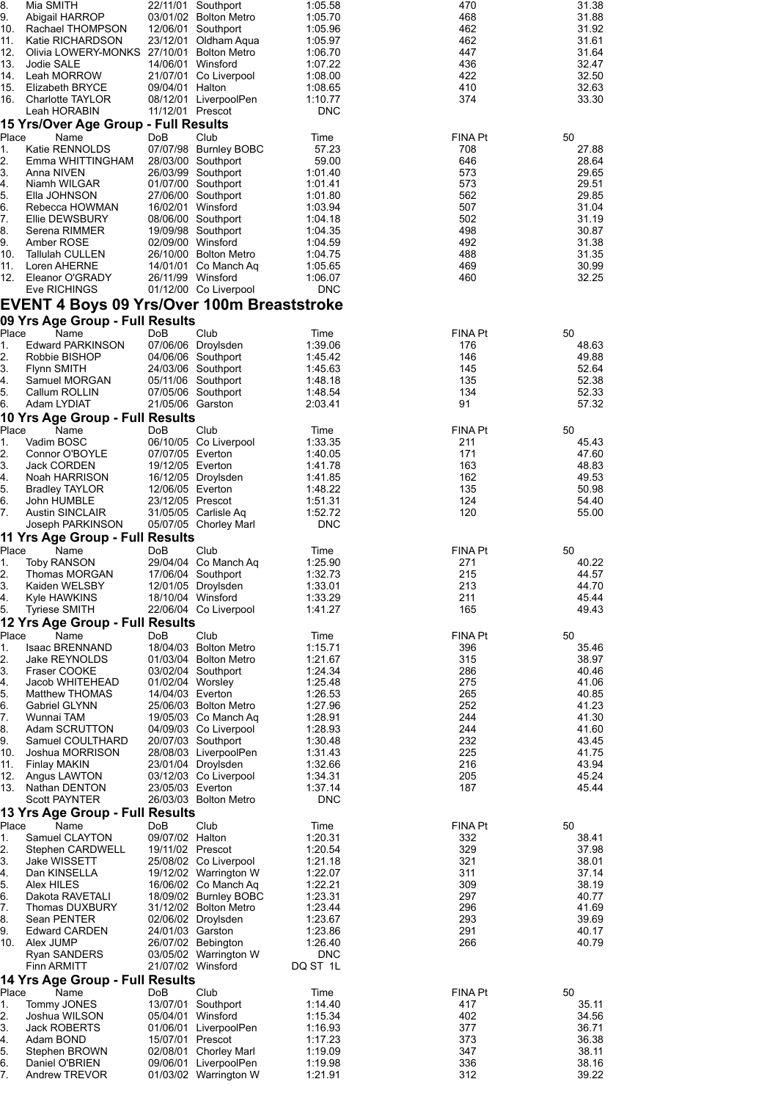| 8.         | Mia SMITH                                               |                                      | 22/11/01 Southport                             | 1:05.58               | 470            | 31.38          |
|------------|---------------------------------------------------------|--------------------------------------|------------------------------------------------|-----------------------|----------------|----------------|
| 9.<br>10.  | Abigail HARROP<br>Rachael THOMPSON                      |                                      | 03/01/02 Bolton Metro<br>12/06/01 Southport    | 1:05.70<br>1:05.96    | 468<br>462     | 31.88<br>31.92 |
| 11.        | Katie RICHARDSON                                        |                                      | 23/12/01 Oldham Aqua                           | 1:05.97               | 462            | 31.61          |
| 12.<br>13. | Olivia LOWERY-MONKS 27/10/01 Bolton Metro<br>Jodie SALE |                                      | 14/06/01 Winsford                              | 1:06.70<br>1:07.22    | 447<br>436     | 31.64<br>32.47 |
| 14.        | Leah MORROW                                             |                                      | 21/07/01 Co Liverpool                          | 1:08.00               | 422            | 32.50          |
| 15.        | Elizabeth BRYCE                                         | 09/04/01 Halton                      |                                                | 1:08.65               | 410            | 32.63          |
| 16.        | Charlotte TAYLOR<br>Leah HORABIN                        | 11/12/01 Prescot                     | 08/12/01 LiverpoolPen                          | 1:10.77<br><b>DNC</b> | 374            | 33.30          |
|            | 15 Yrs/Over Age Group - Full Results                    |                                      |                                                |                       |                |                |
| Place      | Name                                                    | DoB                                  | Club                                           | Time                  | FINA Pt        | 50             |
| 1.         | Katie RENNOLDS                                          |                                      | 07/07/98 Burnley BOBC                          | 57.23                 | 708            | 27.88          |
| 2.<br>3.   | Emma WHITTINGHAM<br>Anna NIVEN                          |                                      | 28/03/00 Southport<br>26/03/99 Southport       | 59.00<br>1:01.40      | 646<br>573     | 28.64<br>29.65 |
| 4.         | Niamh WILGAR                                            |                                      | 01/07/00 Southport                             | 1:01.41               | 573            | 29.51          |
| 5.         | Ella JOHNSON                                            |                                      | 27/06/00 Southport                             | 1:01.80               | 562            | 29.85          |
| 6.<br>7.   | Rebecca HOWMAN<br>Ellie DEWSBURY                        |                                      | 16/02/01 Winsford<br>08/06/00 Southport        | 1:03.94<br>1:04.18    | 507<br>502     | 31.04<br>31.19 |
| 8.         | Serena RIMMER                                           |                                      | 19/09/98 Southport                             | 1:04.35               | 498            | 30.87          |
| 9.         | Amber ROSE                                              |                                      | 02/09/00 Winsford                              | 1:04.59               | 492            | 31.38          |
| 10.<br>11. | Tallulah CULLEN<br>Loren AHERNE                         |                                      | 26/10/00 Bolton Metro<br>14/01/01 Co Manch Ag  | 1:04.75<br>1:05.65    | 488<br>469     | 31.35<br>30.99 |
| 12.        | Eleanor O'GRADY                                         |                                      | 26/11/99 Winsford                              | 1:06.07               | 460            | 32.25          |
|            | Eve RICHINGS                                            |                                      | 01/12/00 Co Liverpool                          | <b>DNC</b>            |                |                |
|            | <b>EVENT 4 Boys 09 Yrs/Over 100m Breaststroke</b>       |                                      |                                                |                       |                |                |
|            | 09 Yrs Age Group - Full Results                         |                                      |                                                |                       |                |                |
| Place      | Name                                                    | DoB                                  | Club<br>07/06/06 Droylsden                     | Time                  | FINA Pt        | 50             |
| 1.<br>2.   | <b>Edward PARKINSON</b><br>Robbie BISHOP                |                                      | 04/06/06 Southport                             | 1:39.06<br>1:45.42    | 176<br>146     | 48.63<br>49.88 |
| 3.         | <b>Flynn SMITH</b>                                      |                                      | 24/03/06 Southport                             | 1:45.63               | 145            | 52.64          |
| 4.         | Samuel MORGAN                                           |                                      | 05/11/06 Southport                             | 1:48.18               | 135            | 52.38          |
| 5.<br>6.   | Callum ROLLIN<br>Adam LYDIAT                            | 21/05/06 Garston                     | 07/05/06 Southport                             | 1:48.54<br>2:03.41    | 134<br>91      | 52.33<br>57.32 |
|            | 10 Yrs Age Group - Full Results                         |                                      |                                                |                       |                |                |
| Place      | Name                                                    | DoB                                  | Club                                           | Time                  | <b>FINA Pt</b> | 50             |
| 1.         | Vadim BOSC                                              |                                      | 06/10/05 Co Liverpool                          | 1:33.35               | 211            | 45.43          |
| 2.<br>3.   | Connor O'BOYLE<br>Jack CORDEN                           | 07/07/05 Everton<br>19/12/05 Everton |                                                | 1:40.05<br>1:41.78    | 171<br>163     | 47.60<br>48.83 |
| 4.         | Noah HARRISON                                           |                                      | 16/12/05 Droylsden                             | 1:41.85               | 162            | 49.53          |
| 5.         | Bradley TAYLOR                                          | 12/06/05 Everton                     |                                                | 1:48.22               | 135            | 50.98          |
| 6.<br>7.   | John HUMBLE<br><b>Austin SINCLAIR</b>                   | 23/12/05 Prescot                     | 31/05/05 Carlisle Aq                           | 1:51.31<br>1:52.72    | 124<br>120     | 54.40<br>55.00 |
|            | Joseph PARKINSON                                        |                                      | 05/07/05 Chorley Marl                          | <b>DNC</b>            |                |                |
|            | 11 Yrs Age Group - Full Results                         |                                      |                                                |                       |                |                |
| Place      | Name                                                    | DoB                                  | Club                                           | Time                  | <b>FINA Pt</b> | 50             |
| 1.<br>2.   | <b>Toby RANSON</b><br>Thomas MORGAN                     |                                      | 29/04/04 Co Manch Aq<br>17/06/04 Southport     | 1:25.90<br>1:32.73    | 271<br>215     | 40.22<br>44.57 |
| 3.         | Kaiden WELSBY                                           |                                      | 12/01/05 Droylsden                             | 1:33.01               | 213            | 44.70          |
| 4.         | Kyle HAWKINS                                            |                                      | 18/10/04 Winsford                              | 1:33.29               | 211            | 45.44          |
| 5.         | <b>Tyriese SMITH</b><br>12 Yrs Age Group - Full Results |                                      | 22/06/04 Co Liverpool                          | 1.41.27               | 165            | 49.43          |
| Place      | Name                                                    | <b>DoB</b>                           | Club                                           | Time                  | <b>FINA Pt</b> | 50             |
| 1.         | <b>Isaac BRENNAND</b>                                   |                                      | 18/04/03 Bolton Metro                          | 1:15.71               | 396            | 35.46          |
| 2.         | Jake REYNOLDS                                           |                                      | 01/03/04 Bolton Metro                          | 1:21.67               | 315            | 38.97          |
| 3.<br>4.   | Fraser COOKE<br>Jacob WHITEHEAD                         | 01/02/04 Worsley                     | 03/02/04 Southport                             | 1:24.34<br>1:25.48    | 286<br>275     | 40.46<br>41.06 |
| 5.         | <b>Matthew THOMAS</b>                                   | 14/04/03 Everton                     |                                                | 1:26.53               | 265            | 40.85          |
| 6.         | Gabriel GLYNN                                           |                                      | 25/06/03 Bolton Metro                          | 1:27.96               | 252            | 41.23          |
| 7.<br>8.   | Wunnai TAM<br>Adam SCRUTTON                             |                                      | 19/05/03 Co Manch Aq<br>04/09/03 Co Liverpool  | 1:28.91<br>1:28.93    | 244<br>244     | 41.30<br>41.60 |
| 9.         | Samuel COULTHARD                                        |                                      | 20/07/03 Southport                             | 1:30.48               | 232            | 43.45          |
| 10.        | Joshua MORRISON                                         |                                      | 28/08/03 LiverpoolPen                          | 1:31.43               | 225            | 41.75          |
| 11.<br>12. | <b>Finlay MAKIN</b><br>Angus LAWTON                     |                                      | 23/01/04 Droylsden<br>03/12/03 Co Liverpool    | 1:32.66<br>1:34.31    | 216<br>205     | 43.94<br>45.24 |
| 13.        | Nathan DENTON                                           | 23/05/03 Everton                     |                                                | 1:37.14               | 187            | 45.44          |
|            | <b>Scott PAYNTER</b>                                    |                                      | 26/03/03 Bolton Metro                          | <b>DNC</b>            |                |                |
|            |                                                         |                                      |                                                |                       |                |                |
| Place      | 13 Yrs Age Group - Full Results                         |                                      |                                                |                       |                |                |
|            | Name                                                    | DoB                                  | Club                                           | Time                  | <b>FINA Pt</b> | 50             |
| 1.<br>2.   | Samuel CLAYTON<br>Stephen CARDWELL                      | 09/07/02 Halton<br>19/11/02 Prescot  |                                                | 1:20.31<br>1:20.54    | 332<br>329     | 38.41<br>37.98 |
| 3.         | Jake WISSETT                                            |                                      | 25/08/02 Co Liverpool                          | 1:21.18               | 321            | 38.01          |
| 4.         | Dan KINSELLA                                            |                                      | 19/12/02 Warrington W                          | 1:22.07               | 311            | 37.14          |
| 5.<br>6.   | Alex HILES<br>Dakota RAVETALI                           |                                      | 16/06/02 Co Manch Aq<br>18/09/02 Burnley BOBC  | 1:22.21<br>1:23.31    | 309<br>297     | 38.19<br>40.77 |
| 7.         | Thomas DUXBURY                                          |                                      | 31/12/02 Bolton Metro                          | 1.23.44               | 296            | 41.69          |
| 8.         | Sean PENTER                                             |                                      | 02/06/02 Droylsden                             | 1:23.67               | 293            | 39.69          |
| 9.<br>10.  | <b>Edward CARDEN</b><br>Alex JUMP                       | 24/01/03 Garston                     | 26/07/02 Bebington                             | 1:23.86<br>1:26.40    | 291<br>266     | 40.17<br>40.79 |
|            | Ryan SANDERS                                            |                                      | 03/05/02 Warrington W                          | <b>DNC</b>            |                |                |
|            | <b>Finn ARMITT</b>                                      |                                      | 21/07/02 Winsford                              | DQ ST 1L              |                |                |
| Place      | 14 Yrs Age Group - Full Results<br>Name                 | DoB                                  | Club                                           | Time                  | <b>FINA Pt</b> | 50             |
| 1.         | Tommy JONES                                             |                                      | 13/07/01 Southport                             | 1:14.40               | 417            | 35.11          |
| 2.         | Joshua WILSON                                           | 05/04/01 Winsford                    |                                                | 1:15.34               | 402            | 34.56          |
| 3.<br>4.   | Jack ROBERTS<br>Adam BOND                               | 15/07/01 Prescot                     | 01/06/01 LiverpoolPen                          | 1:16.93<br>1:17.23    | 377<br>373     | 36.71<br>36.38 |
| 5.         | Stephen BROWN                                           |                                      | 02/08/01 Chorley Marl                          | 1:19.09               | 347            | 38.11          |
| 6.<br>7.   | Daniel O'BRIEN<br>Andrew TREVOR                         |                                      | 09/06/01 LiverpoolPen<br>01/03/02 Warrington W | 1:19.98<br>1.21.91    | 336<br>312     | 38.16<br>39.22 |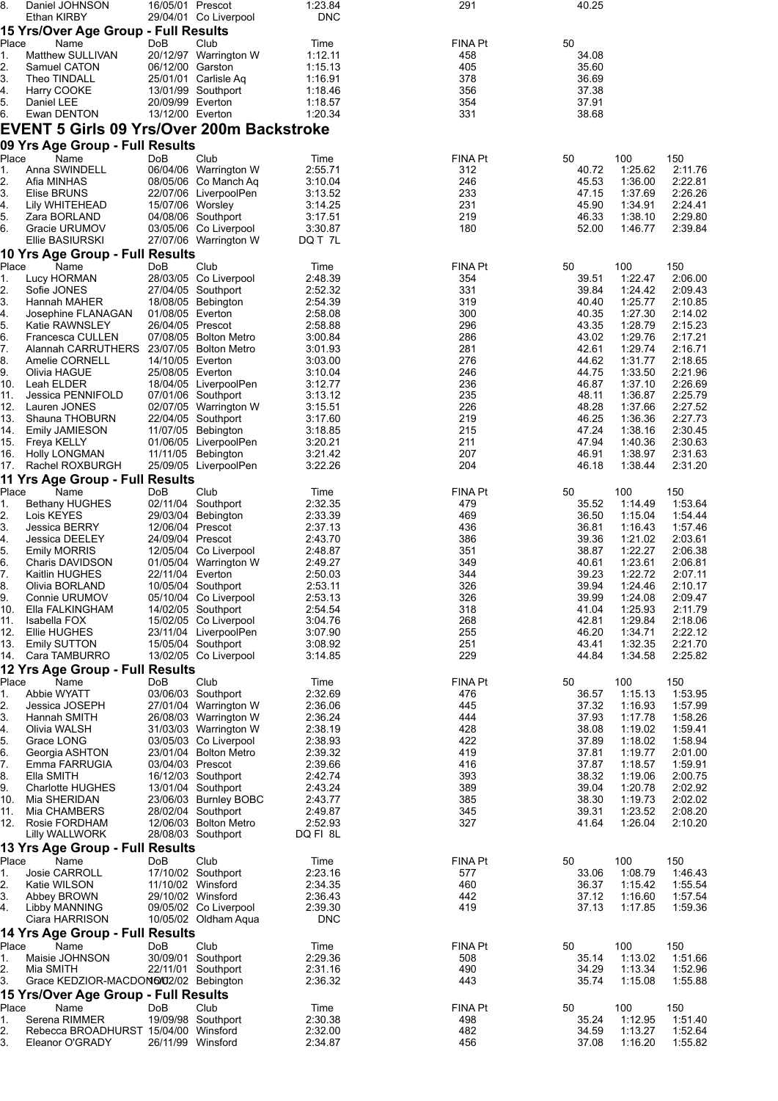| 8.          | Daniel JOHNSON                                      | 16/05/01 Prescot                     |                                                | 1:23.84            | 291            | 40.25          |                    |                    |
|-------------|-----------------------------------------------------|--------------------------------------|------------------------------------------------|--------------------|----------------|----------------|--------------------|--------------------|
|             | Ethan KIRBY<br>15 Yrs/Over Age Group - Full Results |                                      | 29/04/01 Co Liverpool                          | <b>DNC</b>         |                |                |                    |                    |
| Place       | Name                                                | DoB                                  | Club                                           | Time               | FINA Pt        | 50             |                    |                    |
| 1.          | Matthew SULLIVAN                                    |                                      | 20/12/97 Warrington W                          | 1:12.11            | 458            | 34.08          |                    |                    |
| 2.          | Samuel CATON                                        | 06/12/00 Garston                     |                                                | 1:15.13            | 405            | 35.60          |                    |                    |
| 3.<br>4.    | Theo TINDALL<br>Harry COOKE                         |                                      | 25/01/01 Carlisle Aq<br>13/01/99 Southport     | 1:16.91<br>1:18.46 | 378<br>356     | 36.69<br>37.38 |                    |                    |
| 5.          | Daniel LEE                                          | 20/09/99 Everton                     |                                                | 1:18.57            | 354            | 37.91          |                    |                    |
| 6.          | Ewan DENTON                                         | 13/12/00 Everton                     |                                                | 1:20.34            | 331            | 38.68          |                    |                    |
|             | <b>EVENT 5 Girls 09 Yrs/Over 200m Backstroke</b>    |                                      |                                                |                    |                |                |                    |                    |
|             | 09 Yrs Age Group - Full Results                     |                                      |                                                |                    |                |                |                    |                    |
| Place       | Name                                                | DoB                                  | Club                                           | Time               | FINA Pt        | 50             | 100                | 150                |
| 1.<br>2.    | Anna SWINDELL<br>Afia MINHAS                        |                                      | 06/04/06 Warrington W<br>08/05/06 Co Manch Aq  | 2:55.71<br>3:10.04 | 312<br>246     | 40.72<br>45.53 | 1:25.62<br>1:36.00 | 2:11.76<br>2:22.81 |
| 3.          | Elise BRUNS                                         |                                      | 22/07/06 LiverpoolPen                          | 3:13.52            | 233            | 47.15          | 1:37.69            | 2:26.26            |
| 4.          | Lily WHITEHEAD                                      | 15/07/06 Worsley                     |                                                | 3:14.25            | 231            | 45.90          | 1:34.91            | 2:24.41            |
| 5.          | Zara BORLAND                                        |                                      | 04/08/06 Southport                             | 3:17.51            | 219            | 46.33          | 1:38.10            | 2:29.80            |
| 6.          | Gracie URUMOV<br>Ellie BASIURSKI                    |                                      | 03/05/06 Co Liverpool<br>27/07/06 Warrington W | 3:30.87<br>DQ T 7L | 180            | 52.00          | 1:46.77            | 2:39.84            |
|             | 10 Yrs Age Group - Full Results                     |                                      |                                                |                    |                |                |                    |                    |
| Place       | Name                                                | DoB                                  | Club                                           | Time               | FINA Pt        | 50             | 100                | 150                |
| 1.          | Lucy HORMAN                                         |                                      | 28/03/05 Co Liverpool                          | 2:48.39            | 354            | 39.51          | 1:22.47            | 2:06.00            |
| 2.          | Sofie JONES                                         |                                      | 27/04/05 Southport                             | 2:52.32            | 331            | 39.84          | 1:24.42            | 2:09.43            |
| 3.<br>4.    | Hannah MAHER<br>Josephine FLANAGAN                  | 01/08/05 Everton                     | 18/08/05 Bebington                             | 2:54.39<br>2:58.08 | 319<br>300     | 40.40<br>40.35 | 1:25.77<br>1:27.30 | 2:10.85<br>2:14.02 |
| 5.          | Katie RAWNSLEY                                      | 26/04/05 Prescot                     |                                                | 2:58.88            | 296            | 43.35          | 1:28.79            | 2:15.23            |
| 6.          | Francesca CULLEN                                    |                                      | 07/08/05 Bolton Metro                          | 3:00.84            | 286            | 43.02          | 1:29.76            | 2:17.21            |
| 7.          | Alannah CARRUTHERS 23/07/05 Bolton Metro            |                                      |                                                | 3:01.93            | 281            | 42.61          | 1.29.74            | 2:16.71            |
| 8.<br>9.    | Amelie CORNELL<br>Olivia HAGUE                      | 14/10/05 Everton<br>25/08/05 Everton |                                                | 3:03.00<br>3:10.04 | 276<br>246     | 44.62<br>44.75 | 1:31.77<br>1:33.50 | 2:18.65<br>2:21.96 |
| 10.         | Leah ELDER                                          |                                      | 18/04/05 LiverpoolPen                          | 3:12.77            | 236            | 46.87          | 1:37.10            | 2:26.69            |
| 11.         | Jessica PENNIFOLD                                   |                                      | 07/01/06 Southport                             | 3:13.12            | 235            | 48.11          | 1:36.87            | 2:25.79            |
| 12.         | Lauren JONES                                        |                                      | 02/07/05 Warrington W                          | 3:15.51            | 226            | 48.28          | 1:37.66            | 2:27.52            |
| 13.<br>14.  | Shauna THOBURN<br>Emily JAMIESON                    |                                      | 22/04/05 Southport<br>11/07/05 Bebington       | 3:17.60<br>3:18.85 | 219<br>215     | 46.25<br>47.24 | 1:36.36<br>1:38.16 | 2:27.73<br>2:30.45 |
| 15.         | Freya KELLY                                         |                                      | 01/06/05 LiverpoolPen                          | 3:20.21            | 211            | 47.94          | 1:40.36            | 2:30.63            |
| 16.         | <b>Holly LONGMAN</b>                                |                                      | 11/11/05 Bebington                             | 3:21.42            | 207            | 46.91          | 1:38.97            | 2:31.63            |
| 17.         | Rachel ROXBURGH                                     |                                      | 25/09/05 LiverpoolPen                          | 3:22.26            | 204            | 46.18          | 1.38.44            | 2:31.20            |
|             | 11 Yrs Age Group - Full Results                     |                                      |                                                |                    |                |                |                    |                    |
| Place<br>1. | Name<br><b>Bethany HUGHES</b>                       | DoB                                  | Club<br>02/11/04 Southport                     | Time<br>2:32.35    | FINA Pt<br>479 | 50<br>35.52    | 100<br>1:14.49     | 150<br>1:53.64     |
| 2.          | Lois KEYES                                          |                                      | 29/03/04 Bebington                             | 2:33.39            | 469            | 36.50          | 1:15.04            | 1:54.44            |
| 3.          | Jessica BERRY                                       | 12/06/04 Prescot                     |                                                | 2:37.13            | 436            | 36.81          | 1:16.43            | 1:57.46            |
| 4.          | Jessica DEELEY                                      | 24/09/04 Prescot                     |                                                | 2:43.70            | 386            | 39.36<br>38.87 | 1:21.02<br>1:22.27 | 2:03.61<br>2:06.38 |
| 5.<br>6.    | <b>Emily MORRIS</b><br>Charis DAVIDSON              |                                      | 12/05/04 Co Liverpool<br>01/05/04 Warrington W | 2:48.87<br>2:49.27 | 351<br>349     | 40.61          | 1:23.61            | 2:06.81            |
| 7.          | Kaitlin HUGHES                                      | 22/11/04 Everton                     |                                                | 2:50.03            | 344            | 39.23          | 1:22.72            | 2:07.11            |
| 8.          | Olivia BORLAND                                      |                                      | 10/05/04 Southport                             | 2:53.11            | 326            | 39.94          | 1:24.46            | 2:10.17            |
| 9.<br>10.   | Connie URUMOV<br>Ella FALKINGHAM                    |                                      | 05/10/04 Co Liverpool<br>14/02/05 Southport    | 2:53.13<br>2:54.54 | 326            | 39.99<br>41.04 | 1:24.08<br>1:25.93 | 2:09.47<br>2:11.79 |
| 11.         | Isabella FOX                                        |                                      | 15/02/05 Co Liverpool                          | 3:04.76            | 318<br>268     | 42.81          | 1:29.84            | 2:18.06            |
| 12.         | Ellie HUGHES                                        |                                      | 23/11/04 LiverpoolPen                          | 3.07.90            | 255            | 46.20          | 1:34.71            | 2:22.12            |
| 13.         | Emily SUTTON                                        |                                      | 15/05/04 Southport                             | 3:08.92            | 251            | 43.41          | 1:32.35            | 2:21.70            |
| 14.         | Cara TAMBURRO                                       |                                      | 13/02/05 Co Liverpool                          | 3:14.85            | 229            | 44.84          | 1:34.58            | 2:25.82            |
| Place       | 12 Yrs Age Group - Full Results<br>Name             | DoB                                  | Club                                           |                    | FINA Pt        |                | 100                | 150                |
| 1.          | Abbie WYATT                                         |                                      | 03/06/03 Southport                             | Time<br>2:32.69    | 476            | 50<br>36.57    | 1:15.13            | 1:53.95            |
| 2.          | Jessica JOSEPH                                      |                                      | 27/01/04 Warrington W                          | 2:36.06            | 445            | 37.32          | 1:16.93            | 1:57.99            |
| 3.          | Hannah SMITH                                        |                                      | 26/08/03 Warrington W                          | 2:36.24            | 444            | 37.93          | 1:17.78            | 1:58.26            |
| 4.<br>5.    | Olivia WALSH                                        |                                      | 31/03/03 Warrington W<br>03/05/03 Co Liverpool | 2:38.19<br>2:38.93 | 428<br>422     | 38.08<br>37.89 | 1:19.02<br>1:18.02 | 1:59.41<br>1.58.94 |
| 6.          | Grace LONG<br>Georgia ASHTON                        |                                      | 23/01/04 Bolton Metro                          | 2:39.32            | 419            | 37.81          | 1:19.77            | 2:01.00            |
| 7.          | Emma FARRUGIA                                       | 03/04/03 Prescot                     |                                                | 2:39.66            | 416            | 37.87          | 1:18.57            | 1:59.91            |
| 8.          | Ella SMITH                                          |                                      | 16/12/03 Southport                             | 2:42.74            | 393            | 38.32          | 1:19.06            | 2:00.75            |
| 9.          | <b>Charlotte HUGHES</b>                             |                                      | 13/01/04 Southport                             | 2.43.24<br>2:43.77 | 389<br>385     | 39.04<br>38.30 | 1:20.78            | 2:02.92<br>2:02.02 |
| 10.<br>11.  | Mia SHERIDAN<br>Mia CHAMBERS                        |                                      | 23/06/03 Burnley BOBC<br>28/02/04 Southport    | 2:49.87            | 345            | 39.31          | 1:19.73<br>1:23.52 | 2:08.20            |
| 12.         | Rosie FORDHAM                                       |                                      | 12/06/03 Bolton Metro                          | 2:52.93            | 327            | 41.64          | 1:26.04            | 2:10.20            |
|             | <b>Lilly WALLWORK</b>                               |                                      | 28/08/03 Southport                             | DQ FI 8L           |                |                |                    |                    |
|             | 13 Yrs Age Group - Full Results                     |                                      |                                                |                    |                |                |                    |                    |
| Place       | Name                                                | DoB                                  | Club<br>17/10/02 Southport                     | Time<br>2:23.16    | FINA Pt<br>577 | 50<br>33.06    | 100<br>1:08.79     | 150<br>1:46.43     |
| 1.<br>2.    | Josie CARROLL<br>Katie WILSON                       |                                      | 11/10/02 Winsford                              | 2:34.35            | 460            | 36.37          | 1:15.42            | 1:55.54            |
| 3.          | Abbey BROWN                                         | 29/10/02 Winsford                    |                                                | 2:36.43            | 442            | 37.12          | 1:16.60            | 1:57.54            |
| 4.          | Libby MANNING                                       |                                      | 09/05/02 Co Liverpool                          | 2:39.30            | 419            | 37.13          | 1:17.85            | 1:59.36            |
|             | Ciara HARRISON                                      |                                      | 10/05/02 Oldham Aqua                           | <b>DNC</b>         |                |                |                    |                    |
| Place       | 14 Yrs Age Group - Full Results<br>Name             | DoB                                  | Club                                           | Time               | FINA Pt        | 50             | 100                | 150                |
| 1.          | Maisie JOHNSON                                      |                                      | 30/09/01 Southport                             | 2:29.36            | 508            | 35.14          | 1:13.02            | 1:51.66            |
| 2.          | Mia SMITH                                           |                                      | 22/11/01 Southport                             | 2:31.16            | 490            | 34.29          | 1:13.34            | 1:52.96            |
| 3.          | Grace KEDZIOR-MACDON6/02/02 Bebington               |                                      |                                                | 2:36.32            | 443            | 35.74          | 1:15.08            | 1:55.88            |
|             | 15 Yrs/Over Age Group - Full Results                |                                      |                                                |                    |                |                |                    |                    |
| Place<br>1. | Name<br>Serena RIMMER                               | DoB                                  | Club<br>19/09/98 Southport                     | Time<br>2:30.38    | FINA Pt<br>498 | 50<br>35.24    | 100<br>1:12.95     | 150<br>1:51.40     |
| 2.          | Rebecca BROADHURST 15/04/00 Winsford                |                                      |                                                | 2:32.00            | 482            | 34.59          | 1:13.27            | 1.52.64            |
| 3.          | Eleanor O'GRADY                                     | 26/11/99 Winsford                    |                                                | 2:34.87            | 456            | 37.08          | 1:16.20            | 1:55.82            |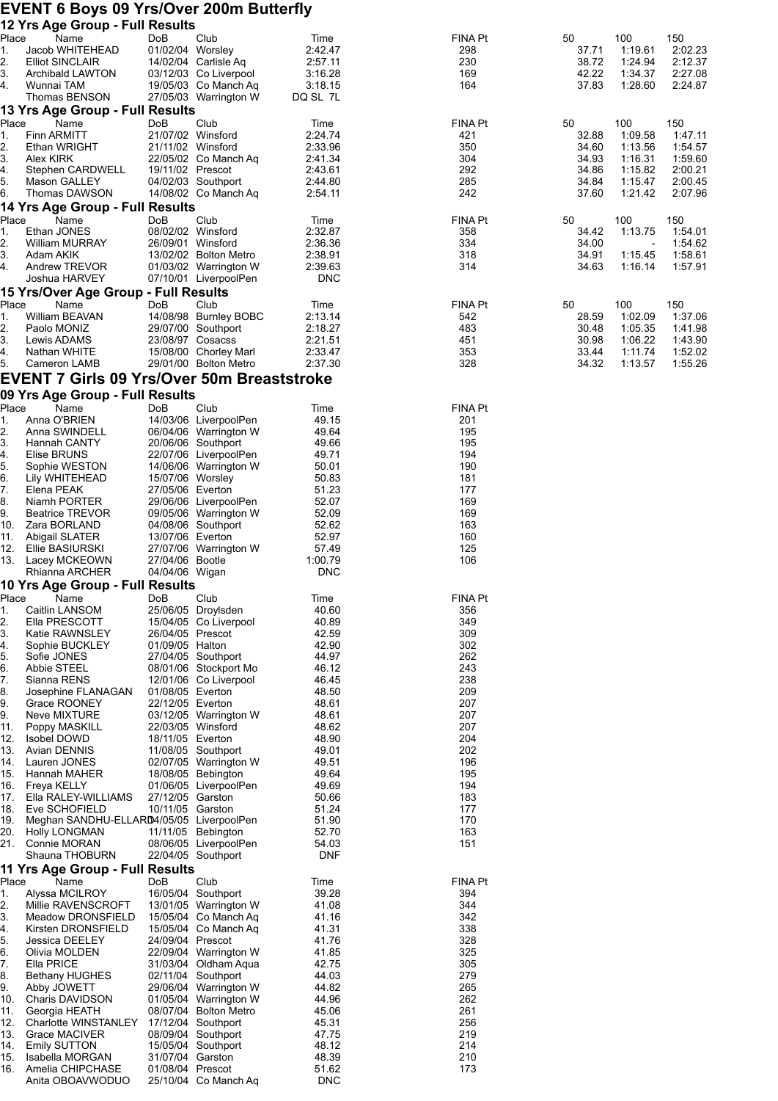#### **EVENT 6 Boys 09 Yrs/Over 200m Butterfly**

|             | 12 Yrs Age Group - Full Results                  |                                      |                                                |                     |                       |                |                          |                    |
|-------------|--------------------------------------------------|--------------------------------------|------------------------------------------------|---------------------|-----------------------|----------------|--------------------------|--------------------|
| Place<br>1. | Name<br>Jacob WHITEHEAD                          | DoB<br>01/02/04 Worsley              | Club                                           | Time<br>2:42.47     | <b>FINA Pt</b><br>298 | 50<br>37.71    | 100<br>1:19.61           | 150<br>2:02.23     |
| 2.          | <b>Elliot SINCLAIR</b>                           |                                      | 14/02/04 Carlisle Aq                           | 2:57.11             | 230                   | 38.72          | 1:24.94                  | 2:12.37            |
| 3.          | Archibald LAWTON                                 |                                      | 03/12/03 Co Liverpool                          | 3:16.28             | 169                   | 42.22          | 1:34.37                  | 2:27.08            |
| 4.          | Wunnai TAM                                       |                                      | 19/05/03 Co Manch Aq                           | 3:18.15             | 164                   | 37.83          | 1:28.60                  | 2:24.87            |
|             | Thomas BENSON<br>13 Yrs Age Group - Full Results |                                      | 27/05/03 Warrington W                          | DQ SL 7L            |                       |                |                          |                    |
| Place       | Name                                             | DoB                                  | Club                                           | Time                | <b>FINA Pt</b>        | 50             | 100                      | 150                |
| 1.          | <b>Finn ARMITT</b>                               | 21/07/02 Winsford                    |                                                | 2:24.74             | 421                   | 32.88          | 1:09.58                  | 1.47.11            |
| 2.          | Ethan WRIGHT                                     | 21/11/02 Winsford                    |                                                | 2:33.96             | 350                   | 34.60          | 1:13.56                  | 1:54.57<br>1:59.60 |
| 3.<br>4.    | Alex KIRK<br>Stephen CARDWELL                    | 19/11/02 Prescot                     | 22/05/02 Co Manch Aq                           | 2:41.34<br>2:43.61  | 304<br>292            | 34.93<br>34.86 | 1:16.31<br>1:15.82       | 2:00.21            |
| 5.          | Mason GALLEY                                     |                                      | 04/02/03 Southport                             | 2:44.80             | 285                   | 34.84          | 1:15.47                  | 2:00.45            |
| 6.          | Thomas DAWSON                                    |                                      | 14/08/02 Co Manch Aq                           | 2:54.11             | 242                   | 37.60          | 1:21.42                  | 2:07.96            |
| Place       | 14 Yrs Age Group - Full Results<br>Name          | DoB                                  | Club                                           | Time                | <b>FINA Pt</b>        | 50             | 100                      | 150                |
| 1.          | Ethan JONES                                      | 08/02/02 Winsford                    |                                                | 2:32.87             | 358                   | 34.42          | 1:13.75                  | 1:54.01            |
| 2.          | <b>William MURRAY</b>                            | 26/09/01 Winsford                    |                                                | 2:36.36             | 334                   | 34.00          | $\overline{\phantom{a}}$ | 1:54.62            |
| 3.<br>4.    | Adam AKIK<br>Andrew TREVOR                       |                                      | 13/02/02 Bolton Metro<br>01/03/02 Warrington W | 2:38.91<br>2:39.63  | 318<br>314            | 34.91<br>34.63 | 1:15.45<br>1:16.14       | 1:58.61<br>1:57.91 |
|             | Joshua HARVEY                                    |                                      | 07/10/01 LiverpoolPen                          | <b>DNC</b>          |                       |                |                          |                    |
|             | 15 Yrs/Over Age Group - Full Results             |                                      |                                                |                     |                       |                |                          |                    |
| Place       | Name                                             | DoB                                  | Club                                           | Time                | <b>FINA Pt</b>        | 50             | 100                      | 150                |
| 1.<br>2.    | William BEAVAN<br>Paolo MONIZ                    |                                      | 14/08/98 Burnley BOBC<br>29/07/00 Southport    | 2:13.14<br>2:18.27  | 542<br>483            | 28.59<br>30.48 | 1:02.09<br>1:05.35       | 1:37.06<br>1:41.98 |
| 3.          | Lewis ADAMS                                      | 23/08/97 Cosacss                     |                                                | 2:21.51             | 451                   | 30.98          | 1:06.22                  | 1:43.90            |
| 4.          | Nathan WHITE                                     |                                      | 15/08/00 Chorley Marl                          | 2:33.47             | 353                   | 33.44          | 1:11.74                  | 1:52.02            |
| 5.          | Cameron LAMB                                     |                                      | 29/01/00 Bolton Metro                          | 2:37.30             | 328                   | 34.32          | 1:13.57                  | 1:55.26            |
|             | EVENT 7 Girls 09 Yrs/Over 50m Breaststroke       |                                      |                                                |                     |                       |                |                          |                    |
| Place       | 09 Yrs Age Group - Full Results<br>Name          | DoB                                  | Club                                           | Time                | <b>FINA Pt</b>        |                |                          |                    |
| 1.          | Anna O'BRIEN                                     |                                      | 14/03/06 LiverpoolPen                          | 49.15               | 201                   |                |                          |                    |
| 2.          | Anna SWINDELL                                    |                                      | 06/04/06 Warrington W                          | 49.64               | 195                   |                |                          |                    |
| 3.          | Hannah CANTY                                     |                                      | 20/06/06 Southport                             | 49.66               | 195                   |                |                          |                    |
| 4.<br>5.    | Elise BRUNS<br>Sophie WESTON                     |                                      | 22/07/06 LiverpoolPen<br>14/06/06 Warrington W | 49.71<br>50.01      | 194<br>190            |                |                          |                    |
| 6.          | Lily WHITEHEAD                                   | 15/07/06 Worsley                     |                                                | 50.83               | 181                   |                |                          |                    |
| 7.          | Elena PEAK                                       | 27/05/06 Everton                     |                                                | 51.23               | 177                   |                |                          |                    |
| 8.<br>9.    | Niamh PORTER<br><b>Beatrice TREVOR</b>           |                                      | 29/06/06 LiverpoolPen<br>09/05/06 Warrington W | 52.07<br>52.09      | 169<br>169            |                |                          |                    |
| 10.         | Zara BORLAND                                     |                                      | 04/08/06 Southport                             | 52.62               | 163                   |                |                          |                    |
| 11.         | Abigail SLATER                                   | 13/07/06 Everton                     |                                                | 52.97               | 160                   |                |                          |                    |
| 12.<br>13.  | Ellie BASIURSKI<br>Lacey MCKEOWN                 | 27/04/06 Bootle                      | 27/07/06 Warrington W                          | 57.49<br>1:00.79    | 125<br>106            |                |                          |                    |
|             | Rhianna ARCHER                                   | 04/04/06 Wigan                       |                                                | <b>DNC</b>          |                       |                |                          |                    |
|             | 10 Yrs Age Group - Full Results                  |                                      |                                                |                     |                       |                |                          |                    |
| Place       | Name                                             | DoB                                  | Club                                           | Time<br>40.60       | <b>FINA Pt</b>        |                |                          |                    |
| 1.<br>2.    | Caitlin LANSOM<br>Ella PRESCOTT                  |                                      | 25/06/05 Droylsden<br>15/04/05 Co Liverpool    | 40.89               | 356<br>349            |                |                          |                    |
| 3.          | Katie RAWNSLEY                                   | 26/04/05 Prescot                     |                                                | 42.59               | 309                   |                |                          |                    |
| 4.          | Sophie BUCKLEY                                   | 01/09/05 Halton                      |                                                | 42.90               | 302                   |                |                          |                    |
| 5.<br>6.    | Sofie JONES<br>Abbie STEEL                       |                                      | 27/04/05 Southport<br>08/01/06 Stockport Mo    | 44.97<br>46.12      | 262<br>243            |                |                          |                    |
| 7.          | Sianna RENS                                      |                                      | 12/01/06 Co Liverpool                          | 46.45               | 238                   |                |                          |                    |
| 8.          | Josephine FLANAGAN                               | 01/08/05 Everton                     |                                                | 48.50               | 209                   |                |                          |                    |
| 9.<br>9.    | Grace ROONEY<br>Neve MIXTURE                     | 22/12/05 Everton                     | 03/12/05 Warrington W                          | 48.61<br>48.61      | 207<br>207            |                |                          |                    |
| 11.         | Poppy MASKILL                                    |                                      | 22/03/05 Winsford                              | 48.62               | 207                   |                |                          |                    |
| 12.         | <b>Isobel DOWD</b>                               | 18/11/05 Everton                     |                                                | 48.90               | 204                   |                |                          |                    |
| 13.<br>14.  | Avian DENNIS<br>Lauren JONES                     |                                      | 11/08/05 Southport<br>02/07/05 Warrington W    | 49.01<br>49.51      | 202<br>196            |                |                          |                    |
| 15.         | Hannah MAHER                                     |                                      | 18/08/05 Bebington                             | 49.64               | 195                   |                |                          |                    |
| 16.         | Freya KELLY                                      |                                      | 01/06/05 LiverpoolPen                          | 49.69               | 194                   |                |                          |                    |
| 17.<br>18.  | Ella RALEY-WILLIAMS<br>Eve SCHOFIELD             | 27/12/05 Garston<br>10/11/05 Garston |                                                | 50.66<br>51.24      | 183<br>177            |                |                          |                    |
| 19.         | Meghan SANDHU-ELLARD4/05/05 LiverpoolPen         |                                      |                                                | 51.90               | 170                   |                |                          |                    |
| 20.         | <b>Holly LONGMAN</b>                             |                                      | 11/11/05 Bebington                             | 52.70               | 163                   |                |                          |                    |
| 21.         | Connie MORAN<br>Shauna THOBURN                   |                                      | 08/06/05 LiverpoolPen<br>22/04/05 Southport    | 54.03<br><b>DNF</b> | 151                   |                |                          |                    |
|             | 11 Yrs Age Group - Full Results                  |                                      |                                                |                     |                       |                |                          |                    |
| Place       | Name                                             | DoB                                  | Club                                           | Time                | <b>FINA Pt</b>        |                |                          |                    |
| 1.<br>2.    | Alyssa MCILROY<br>Millie RAVENSCROFT             |                                      | 16/05/04 Southport<br>13/01/05 Warrington W    | 39.28<br>41.08      | 394<br>344            |                |                          |                    |
| 3.          | Meadow DRONSFIELD                                |                                      | 15/05/04 Co Manch Aq                           | 41.16               | 342                   |                |                          |                    |
| 4.          | Kirsten DRONSFIELD                               |                                      | 15/05/04 Co Manch Aq                           | 41.31               | 338                   |                |                          |                    |
| 5.          | Jessica DEELEY                                   | 24/09/04 Prescot                     |                                                | 41.76<br>41.85      | 328<br>325            |                |                          |                    |
| 6.<br>7.    | Olivia MOLDEN<br>Ella PRICE                      |                                      | 22/09/04 Warrington W<br>31/03/04 Oldham Aqua  | 42.75               | 305                   |                |                          |                    |
| 8.          | <b>Bethany HUGHES</b>                            |                                      | 02/11/04 Southport                             | 44.03               | 279                   |                |                          |                    |
| 9.          | Abby JOWETT                                      |                                      | 29/06/04 Warrington W                          | 44.82               | 265                   |                |                          |                    |
| 10.<br>11.  | Charis DAVIDSON<br>Georgia HEATH                 |                                      | 01/05/04 Warrington W<br>08/07/04 Bolton Metro | 44.96<br>45.06      | 262<br>261            |                |                          |                    |
| 12.         | Charlotte WINSTANLEY                             |                                      | 17/12/04 Southport                             | 45.31               | 256                   |                |                          |                    |
| 13.         | <b>Grace MACIVER</b>                             |                                      | 08/09/04 Southport                             | 47.75               | 219                   |                |                          |                    |
| 14.<br>15.  | Emily SUTTON<br>Isabella MORGAN                  | 31/07/04 Garston                     | 15/05/04 Southport                             | 48.12<br>48.39      | 214<br>210            |                |                          |                    |
| 16.         | Amelia CHIPCHASE                                 | 01/08/04 Prescot                     |                                                | 51.62               | 173                   |                |                          |                    |
|             | Anita OBOAVWODUO                                 |                                      | 25/10/04 Co Manch Aq                           | <b>DNC</b>          |                       |                |                          |                    |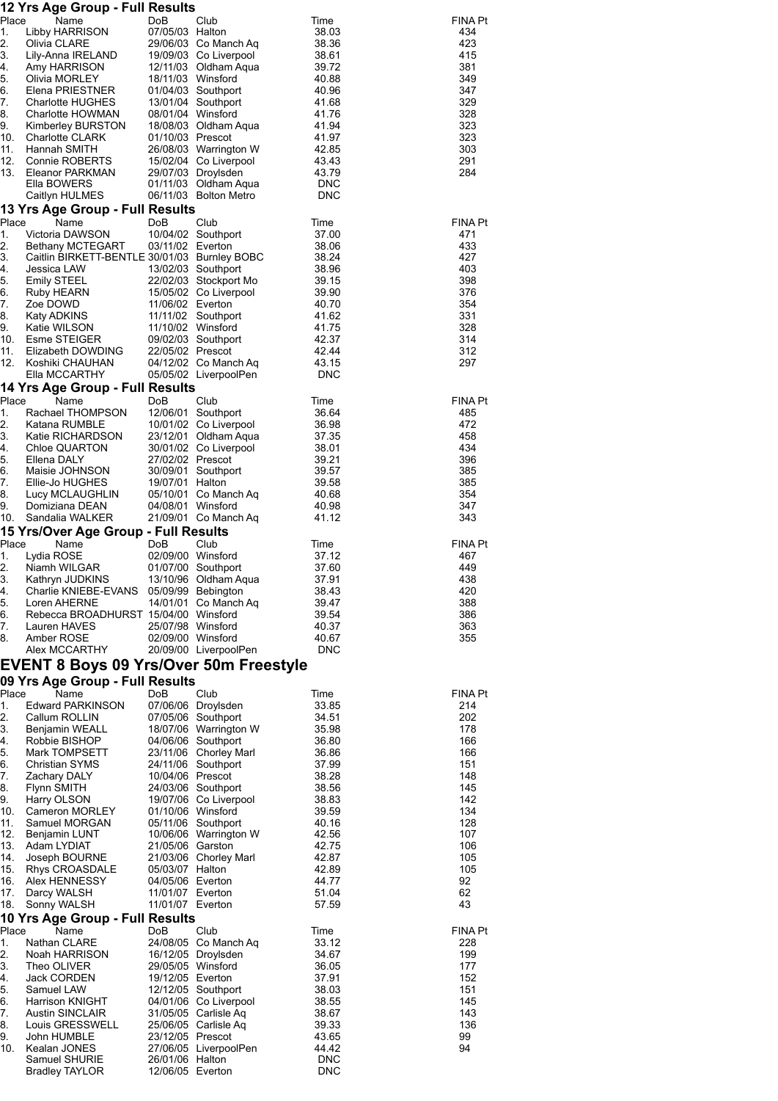| Place       | 12 Yrs Age Group - Full Results                  |                                     |                                               |                     |                       |
|-------------|--------------------------------------------------|-------------------------------------|-----------------------------------------------|---------------------|-----------------------|
| 1.          | Name<br>Libby HARRISON                           | DoB<br>07/05/03 Halton              | Club                                          | Time<br>38.03       | <b>FINA Pt</b><br>434 |
| 2.          | Olivia CLARE                                     |                                     | 29/06/03 Co Manch Aq                          | 38.36               | 423                   |
| 3.<br>4.    | Lily-Anna IRELAND<br>Amy HARRISON                |                                     | 19/09/03 Co Liverpool<br>12/11/03 Oldham Aqua | 38.61<br>39.72      | 415<br>381            |
| 5.          | Olivia MORLEY                                    | 18/11/03 Winsford                   |                                               | 40.88               | 349                   |
| 6.          | Elena PRIESTNER                                  |                                     | 01/04/03 Southport                            | 40.96               | 347                   |
| 7.          | <b>Charlotte HUGHES</b>                          |                                     | 13/01/04 Southport                            | 41.68               | 329                   |
| 8.<br>9.    | Charlotte HOWMAN<br>Kimberley BURSTON            | 08/01/04 Winsford                   | 18/08/03 Oldham Aqua                          | 41.76<br>41.94      | 328<br>323            |
| 10.         | <b>Charlotte CLARK</b>                           | 01/10/03 Prescot                    |                                               | 41.97               | 323                   |
| 11.         | Hannah SMITH                                     |                                     | 26/08/03 Warrington W                         | 42.85               | 303                   |
| 12.<br>13.  | Connie ROBERTS<br>Eleanor PARKMAN                |                                     | 15/02/04 Co Liverpool<br>29/07/03 Droylsden   | 43.43<br>43.79      | 291<br>284            |
|             | Ella BOWERS                                      |                                     | 01/11/03 Oldham Aqua                          | <b>DNC</b>          |                       |
|             | Caitlyn HULMES                                   |                                     | 06/11/03 Bolton Metro                         | <b>DNC</b>          |                       |
|             | 13 Yrs Age Group - Full Results                  |                                     |                                               |                     |                       |
| Place<br>1. | Name<br>Victoria DAWSON                          | DoB                                 | Club<br>10/04/02 Southport                    | Time<br>37.00       | <b>FINA Pt</b><br>471 |
| 2.          | Bethany MCTEGART                                 | 03/11/02 Everton                    |                                               | 38.06               | 433                   |
| 3.          | Caitlin BIRKETT-BENTLE 30/01/03 Burnley BOBC     |                                     |                                               | 38.24               | 427                   |
| 4.<br>5.    | Jessica LAW<br><b>Emily STEEL</b>                |                                     | 13/02/03 Southport<br>22/02/03 Stockport Mo   | 38.96<br>39.15      | 403<br>398            |
| 6.          | Ruby HEARN                                       |                                     | 15/05/02 Co Liverpool                         | 39.90               | 376                   |
| 7.          | Zoe DOWD                                         | 11/06/02 Everton                    |                                               | 40.70               | 354                   |
| 8.<br>9.    | Katy ADKINS                                      | 11/10/02 Winsford                   | 11/11/02 Southport                            | 41.62<br>41.75      | 331<br>328            |
| 10.         | Katie WILSON<br>Esme STEIGER                     |                                     | 09/02/03 Southport                            | 42.37               | 314                   |
| 11.         | Elizabeth DOWDING                                | 22/05/02 Prescot                    |                                               | 42.44               | 312                   |
| 12.         | Koshiki CHAUHAN                                  |                                     | 04/12/02 Co Manch Aq                          | 43.15               | 297                   |
|             | Ella MCCARTHY<br>14 Yrs Age Group - Full Results |                                     | 05/05/02 LiverpoolPen                         | <b>DNC</b>          |                       |
| Place       | Name                                             | DoB                                 | Club                                          | Time                | <b>FINA Pt</b>        |
| 1.          | Rachael THOMPSON                                 |                                     | 12/06/01 Southport                            | 36.64               | 485                   |
| 2.          | Katana RUMBLE                                    |                                     | 10/01/02 Co Liverpool                         | 36.98               | 472                   |
| 3.<br>4.    | Katie RICHARDSON<br>Chloe QUARTON                |                                     | 23/12/01 Oldham Aqua<br>30/01/02 Co Liverpool | 37.35<br>38.01      | 458<br>434            |
| 5.          | Ellena DALY                                      | 27/02/02 Prescot                    |                                               | 39.21               | 396                   |
| 6.          | Maisie JOHNSON                                   |                                     | 30/09/01 Southport                            | 39.57               | 385                   |
| 7.          | Ellie-Jo HUGHES<br>Lucy MCLAUGHLIN               | 19/07/01 Halton                     |                                               | 39.58               | 385<br>354            |
| 8.<br>9.    | Domiziana DEAN                                   | 04/08/01 Winsford                   | 05/10/01 Co Manch Aq                          | 40.68<br>40.98      | 347                   |
| 10.         | Sandalia WALKER                                  |                                     | 21/09/01 Co Manch Aq                          | 41.12               | 343                   |
|             | 15 Yrs/Over Age Group - Full Results             |                                     |                                               |                     |                       |
| Place<br>1. | Name<br>Lydia ROSE                               | <b>DoB</b><br>02/09/00 Winsford     | Club                                          | Time<br>37.12       | <b>FINA Pt</b><br>467 |
| 2.          | Niamh WILGAR                                     |                                     | 01/07/00 Southport                            | 37.60               | 449                   |
| 3.          | Kathryn JUDKINS                                  |                                     | 13/10/96 Oldham Aqua                          | 37.91               | 438                   |
| 4.<br>5.    | Charlie KNIEBE-EVANS<br>Loren AHERNE             |                                     | 05/09/99 Bebington<br>14/01/01 Co Manch Aq    | 38.43<br>39.47      | 420<br>388            |
| 6.          | Rebecca BROADHURST 15/04/00 Winsford             |                                     |                                               | 39.54               | 386                   |
| 7.          | Lauren HAVES                                     | 25/07/98 Winsford                   |                                               | 40.37               | 363                   |
| 8.          | Amber ROSE<br>Alex MCCARTHY                      | 02/09/00 Winsford                   | 20/09/00 LiverpoolPen                         | 40.67<br><b>DNC</b> | 355                   |
|             | <b>EVENT 8 Boys 09 Yrs/Over 50m Freestyle</b>    |                                     |                                               |                     |                       |
|             | 09 Yrs Age Group - Full Results                  |                                     |                                               |                     |                       |
| Place       | Name                                             | DoB                                 | Club                                          | Time                | <b>FINA Pt</b>        |
| 1.<br>2.    | <b>Edward PARKINSON</b><br>Callum ROLLIN         |                                     | 07/06/06 Droylsden<br>07/05/06 Southport      | 33.85<br>34.51      | 214<br>202            |
| 3.          | Benjamin WEALL                                   |                                     | 18/07/06 Warrington W                         | 35.98               | 178                   |
| 4.          | Robbie BISHOP                                    |                                     | 04/06/06 Southport                            | 36.80               | 166                   |
| 5.          | Mark TOMPSETT                                    |                                     | 23/11/06 Chorley Marl                         | 36.86               | 166                   |
| 6.<br>7.    | <b>Christian SYMS</b><br>Zachary DALY            | 10/04/06 Prescot                    | 24/11/06 Southport                            | 37.99<br>38.28      | 151<br>148            |
| 8.          | <b>Flynn SMITH</b>                               |                                     | 24/03/06 Southport                            | 38.56               | 145                   |
| 9.          | Harry OLSON                                      |                                     | 19/07/06 Co Liverpool                         | 38.83               | 142                   |
| 10.<br>11.  | <b>Cameron MORLEY</b><br>Samuel MORGAN           | 01/10/06 Winsford                   | 05/11/06 Southport                            | 39.59<br>40.16      | 134<br>128            |
| 12.         | Benjamin LUNT                                    |                                     | 10/06/06 Warrington W                         | 42.56               | 107                   |
| 13.         | Adam LYDIAT                                      | 21/05/06 Garston                    |                                               | 42.75               | 106                   |
| 14.         | Joseph BOURNE                                    |                                     | 21/03/06 Chorley Marl                         | 42.87               | 105                   |
| 15.<br>16.  | Rhys CROASDALE<br>Alex HENNESSY                  | 05/03/07 Halton<br>04/05/06 Everton |                                               | 42.89<br>44.77      | 105<br>92             |
| 17.         | Darcy WALSH                                      | 11/01/07 Everton                    |                                               | 51.04               | 62                    |
| 18.         | Sonny WALSH                                      | 11/01/07 Everton                    |                                               | 57.59               | 43                    |
| Place       | 10 Yrs Age Group - Full Results<br>Name          | DoB                                 |                                               |                     | <b>FINA Pt</b>        |
| 1.          | Nathan CLARE                                     |                                     | Club<br>24/08/05 Co Manch Aq                  | Time<br>33.12       | 228                   |
| 2.          | Noah HARRISON                                    |                                     | 16/12/05 Droylsden                            | 34.67               | 199                   |
| 3.          | Theo OLIVER                                      | 29/05/05 Winsford                   |                                               | 36.05               | 177                   |
| 4.<br>5.    | Jack CORDEN<br>Samuel LAW                        | 19/12/05 Everton                    | 12/12/05 Southport                            | 37.91<br>38.03      | 152<br>151            |
| 6.          | <b>Harrison KNIGHT</b>                           |                                     | 04/01/06 Co Liverpool                         | 38.55               | 145                   |
| 7.          | <b>Austin SINCLAIR</b>                           |                                     | 31/05/05 Carlisle Aq                          | 38.67               | 143                   |
| 8.          | Louis GRESSWELL                                  | 23/12/05 Prescot                    | 25/06/05 Carlisle Aq                          | 39.33               | 136<br>99             |
| 9.<br>10.   | John HUMBLE<br>Kealan JONES                      |                                     | 27/06/05 LiverpoolPen                         | 43.65<br>44.42      | 94                    |
|             | Samuel SHURIE                                    | 26/01/06 Halton                     |                                               | <b>DNC</b>          |                       |

Bradley TAYLOR 12/06/05 Everton DNC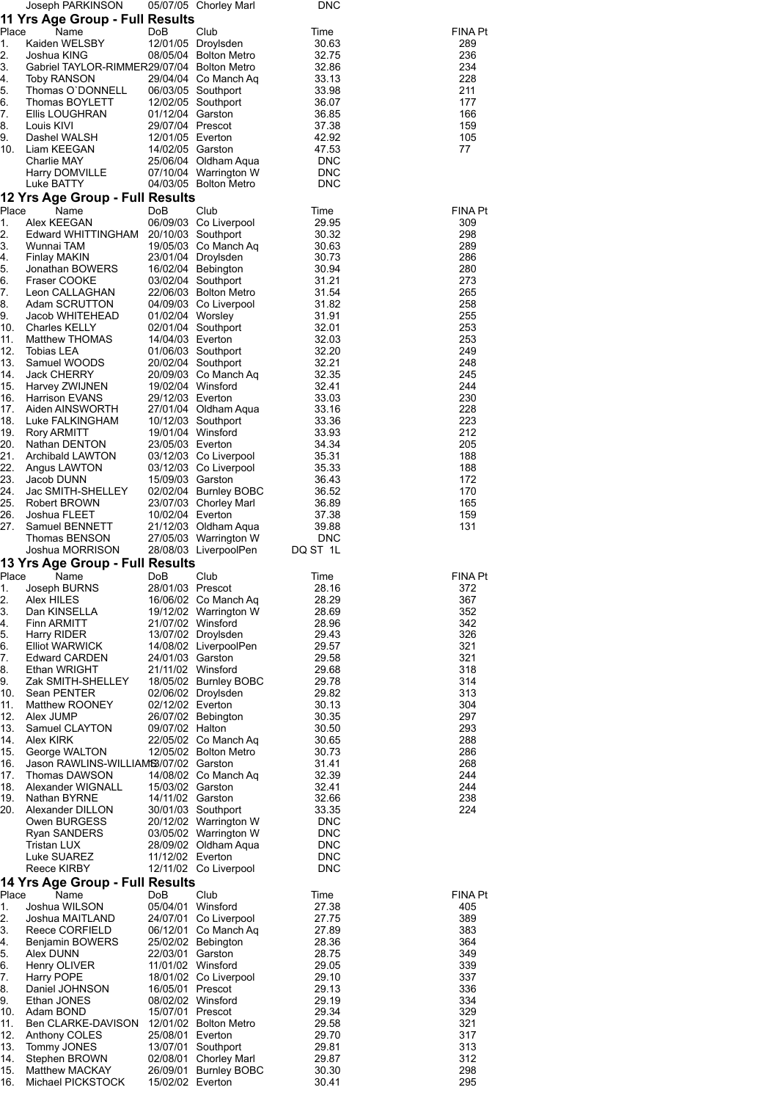|                                              | Joseph PARKINSON                              |                  | 05/07/05 Chorley Marl | <b>DNC</b>               |            |
|----------------------------------------------|-----------------------------------------------|------------------|-----------------------|--------------------------|------------|
|                                              | 11 Yrs Age Group - Full Results               |                  |                       |                          |            |
| Place                                        | Name                                          | DoB              | Club                  | Time                     | FINA Pt    |
| 1.                                           | Kaiden WELSBY                                 |                  | 12/01/05 Droylsden    | 30.63                    | 289        |
| 2.                                           | Joshua KING                                   |                  | 08/05/04 Bolton Metro | 32.75                    | 236        |
| 3.                                           | Gabriel TAYLOR-RIMMER29/07/04 Bolton Metro    |                  |                       | 32.86                    | 234        |
| 4.                                           | <b>Toby RANSON</b>                            |                  | 29/04/04 Co Manch Aq  | 33.13                    | 228        |
| 5.                                           | Thomas O'DONNELL                              |                  | 06/03/05 Southport    | 33.98                    | 211        |
| 6.<br>7.                                     | Thomas BOYLETT                                | 01/12/04 Garston | 12/02/05 Southport    | 36.07                    | 177<br>166 |
| 8.                                           | Ellis LOUGHRAN<br>Louis KIVI                  | 29/07/04 Prescot |                       | 36.85<br>37.38           | 159        |
| 9.                                           | Dashel WALSH                                  | 12/01/05 Everton |                       | 42.92                    | 105        |
| 10.                                          | Liam KEEGAN                                   | 14/02/05 Garston |                       | 47.53                    | 77         |
|                                              | Charlie MAY                                   |                  | 25/06/04 Oldham Aqua  | <b>DNC</b>               |            |
|                                              | Harry DOMVILLE                                |                  | 07/10/04 Warrington W | <b>DNC</b>               |            |
|                                              | Luke BATTY                                    |                  | 04/03/05 Bolton Metro | <b>DNC</b>               |            |
|                                              | 12 Yrs Age Group - Full Results               |                  |                       |                          |            |
| Place                                        | Name                                          | DoB              | Club                  | Time                     | FINA Pt    |
| 1.                                           | Alex KEEGAN                                   |                  | 06/09/03 Co Liverpool | 29.95                    | 309        |
| 2.                                           | Edward WHITTINGHAM 20/10/03 Southport         |                  |                       | 30.32                    | 298        |
| 3.                                           | Wunnai TAM                                    |                  | 19/05/03 Co Manch Aq  | 30.63                    | 289        |
| 4.                                           | Finlay MAKIN                                  |                  | 23/01/04 Droylsden    | 30.73                    | 286        |
| 5.                                           | Jonathan BOWERS                               |                  | 16/02/04 Bebington    | 30.94                    | 280        |
| 6.                                           | Fraser COOKE                                  |                  | 03/02/04 Southport    | 31.21                    | 273        |
| 7.                                           | Leon CALLAGHAN                                |                  | 22/06/03 Bolton Metro | 31.54                    | 265        |
| 8.                                           | Adam SCRUTTON                                 |                  | 04/09/03 Co Liverpool | 31.82                    | 258        |
| 9.<br>10.                                    | Jacob WHITEHEAD<br>Charles KELLY              | 01/02/04 Worsley | 02/01/04 Southport    | 31.91<br>32.01           | 255<br>253 |
| 11.                                          | <b>Matthew THOMAS</b>                         | 14/04/03 Everton |                       | 32.03                    | 253        |
| 12.                                          | Tobias LEA                                    |                  | 01/06/03 Southport    | 32.20                    | 249        |
| 13.                                          | Samuel WOODS                                  |                  | 20/02/04 Southport    | 32.21                    | 248        |
| 14.                                          | Jack CHERRY                                   |                  | 20/09/03 Co Manch Aq  | 32.35                    | 245        |
| 15.                                          | Harvey ZWIJNEN                                |                  | 19/02/04 Winsford     | 32.41                    | 244        |
| 16.                                          | Harrison EVANS                                | 29/12/03 Everton |                       | 33.03                    | 230        |
| 17.                                          | Aiden AINSWORTH                               |                  | 27/01/04 Oldham Aqua  | 33.16                    | 228        |
| 18.                                          | Luke FALKINGHAM                               |                  | 10/12/03 Southport    | 33.36                    | 223        |
| 19.                                          | <b>Rory ARMITT</b>                            |                  | 19/01/04 Winsford     | 33.93                    | 212        |
| 20.                                          | Nathan DENTON                                 | 23/05/03 Everton |                       | 34.34                    | 205        |
| 21.                                          | Archibald LAWTON                              |                  | 03/12/03 Co Liverpool | 35.31                    | 188        |
| 22.<br>23.                                   | Angus LAWTON                                  |                  | 03/12/03 Co Liverpool | 35.33                    | 188        |
| 24.                                          | Jacob DUNN<br>Jac SMITH-SHELLEY               | 15/09/03 Garston | 02/02/04 Burnley BOBC | 36.43<br>36.52           | 172<br>170 |
| 25.                                          | <b>Robert BROWN</b>                           |                  | 23/07/03 Chorley Marl | 36.89                    | 165        |
| 26.                                          | Joshua FLEET                                  | 10/02/04 Everton |                       | 37.38                    | 159        |
| 27.                                          | Samuel BENNETT                                |                  | 21/12/03 Oldham Aqua  | 39.88                    | 131        |
|                                              | Thomas BENSON                                 |                  | 27/05/03 Warrington W | <b>DNC</b>               |            |
|                                              | Joshua MORRISON                               |                  | 28/08/03 LiverpoolPen | DQ ST 1L                 |            |
|                                              | 13 Yrs Age Group - Full Results               |                  |                       |                          |            |
| Place                                        | Name                                          | DoB              | Club                  | Time                     | FINA Pt    |
| 1.                                           | Joseph BURNS                                  | 28/01/03 Prescot |                       | 28.16                    | 372        |
| 2.                                           | Alex HILES                                    |                  | 16/06/02 Co Manch Aq  | 28.29                    | 367        |
| 3.                                           | Dan KINSELLA                                  |                  | 19/12/02 Warrington W | 28.69                    | 352        |
| 4.                                           | Finn ARMITT                                   |                  | 21/07/02 Winsford     | 28.96                    | 342        |
| 5.                                           | Harry RIDER                                   |                  | 13/07/02 Droylsden    | 29.43                    | 326        |
| 6.<br>7.                                     | <b>Elliot WARWICK</b><br><b>Edward CARDEN</b> | 24/01/03 Garston | 14/08/02 LiverpoolPen | 29.57<br>29.58           | 321<br>321 |
| 8.                                           |                                               |                  |                       |                          |            |
|                                              |                                               |                  |                       |                          |            |
|                                              | Ethan WRIGHT                                  |                  | 21/11/02 Winsford     | 29.68                    | 318        |
|                                              | Zak SMITH-SHELLEY                             |                  | 18/05/02 Burnley BOBC | 29.78                    | 314        |
|                                              | Sean PENTER                                   |                  | 02/06/02 Droylsden    | 29.82                    | 313        |
|                                              | <b>Matthew ROONEY</b><br>Alex JUMP            | 02/12/02 Everton | 26/07/02 Bebington    | 30.13<br>30.35           | 304<br>297 |
|                                              | Samuel CLAYTON                                | 09/07/02 Halton  |                       | 30.50                    | 293        |
|                                              | Alex KIRK                                     |                  | 22/05/02 Co Manch Aq  | 30.65                    | 288        |
| 9.<br>10.<br>11.<br>12.<br>13.<br>14.<br>15. | George WALTON                                 |                  | 12/05/02 Bolton Metro | 30.73                    | 286        |
| 16.                                          | Jason RAWLINS-WILLIAMS3/07/02 Garston         |                  |                       | 31.41                    | 268        |
|                                              | Thomas DAWSON                                 |                  | 14/08/02 Co Manch Aq  | 32.39                    | 244        |
| 17.<br>18.                                   | Alexander WIGNALL                             | 15/03/02 Garston |                       | 32.41                    | 244        |
| 19.                                          | Nathan BYRNE                                  | 14/11/02 Garston |                       | 32.66                    | 238        |
|                                              | Alexander DILLON                              |                  | 30/01/03 Southport    | 33.35                    | 224        |
|                                              | Owen BURGESS                                  |                  | 20/12/02 Warrington W | <b>DNC</b>               |            |
|                                              | Ryan SANDERS                                  |                  | 03/05/02 Warrington W | <b>DNC</b>               |            |
|                                              | <b>Tristan LUX</b><br>Luke SUAREZ             | 11/12/02 Everton | 28/09/02 Oldham Aqua  | <b>DNC</b><br><b>DNC</b> |            |
|                                              | Reece KIRBY                                   |                  | 12/11/02 Co Liverpool | <b>DNC</b>               |            |
|                                              | 14 Yrs Age Group - Full Results               |                  |                       |                          |            |
| 20.<br>Place                                 | Name                                          | DoB              | Club                  | Time                     | FINA Pt    |
| 1.                                           | Joshua WILSON                                 |                  | 05/04/01 Winsford     | 27.38                    | 405        |
| 2.                                           | Joshua MAITLAND                               |                  | 24/07/01 Co Liverpool | 27.75                    | 389        |
| 3.                                           | Reece CORFIELD                                |                  | 06/12/01 Co Manch Aq  | 27.89                    | 383        |
| 4.                                           | Benjamin BOWERS                               |                  | 25/02/02 Bebington    | 28.36                    | 364        |
| 5.                                           | Alex DUNN                                     | 22/03/01 Garston |                       | 28.75                    | 349        |
| 6.                                           | Henry OLIVER                                  |                  | 11/01/02 Winsford     | 29.05                    | 339        |
| 7.                                           | Harry POPE                                    |                  | 18/01/02 Co Liverpool | 29.10                    | 337        |
| 8.                                           | Daniel JOHNSON                                | 16/05/01 Prescot |                       | 29.13                    | 336        |
| 9.<br>10.                                    | Ethan JONES<br>Adam BOND                      | 15/07/01 Prescot | 08/02/02 Winsford     | 29.19<br>29.34           | 334<br>329 |
| 11.                                          | Ben CLARKE-DAVISON                            |                  | 12/01/02 Bolton Metro | 29.58                    | 321        |
| 12.                                          | Anthony COLES                                 | 25/08/01 Everton |                       | 29.70                    | 317        |
| 13.                                          | Tommy JONES                                   |                  | 13/07/01 Southport    | 29.81                    | 313        |
| 14.                                          | Stephen BROWN                                 |                  | 02/08/01 Chorley Marl | 29.87                    | 312        |
| 15.<br>16.                                   | <b>Matthew MACKAY</b><br>Michael PICKSTOCK    | 15/02/02 Everton | 26/09/01 Burnley BOBC | 30.30<br>30.41           | 298<br>295 |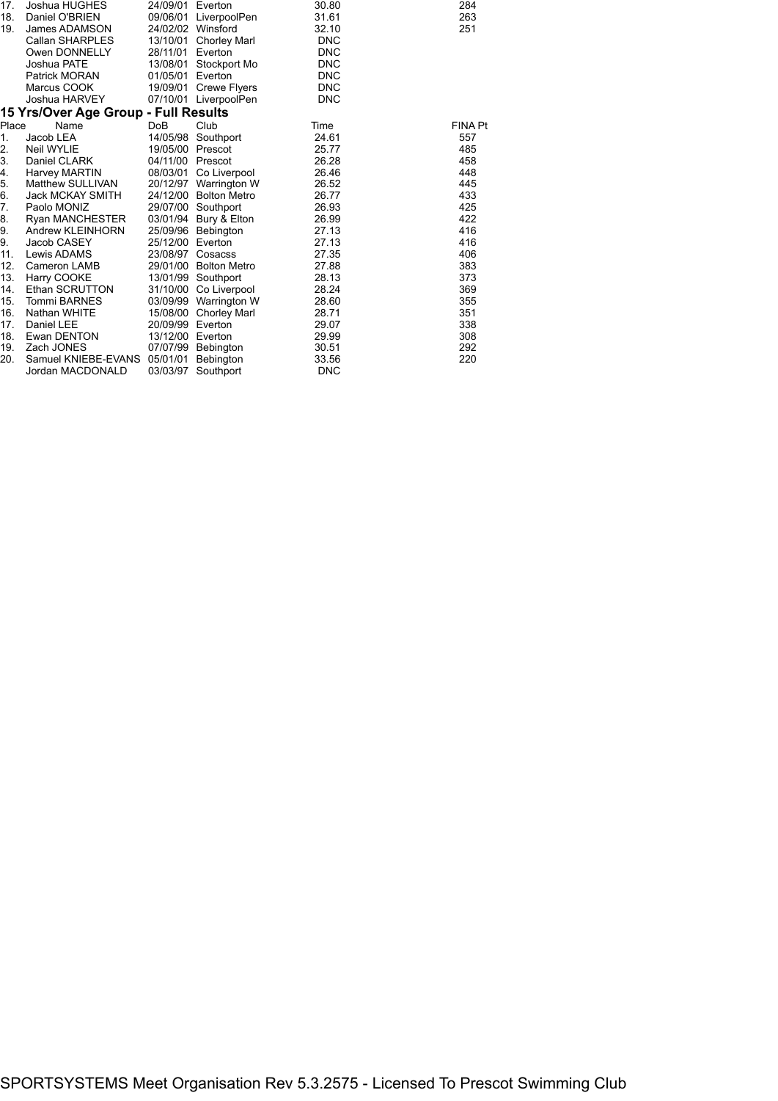| 17.   | Joshua HUGHES                        | 24/09/01         | Everton               | 30.80      | 284     |
|-------|--------------------------------------|------------------|-----------------------|------------|---------|
| 18.   | Daniel O'BRIEN                       | 09/06/01         | LiverpoolPen          | 31.61      | 263     |
| 19.   | James ADAMSON                        |                  | 24/02/02 Winsford     | 32.10      | 251     |
|       | Callan SHARPLES                      | 13/10/01         | <b>Chorley Marl</b>   | <b>DNC</b> |         |
|       | Owen DONNELLY                        | 28/11/01         | Everton               | <b>DNC</b> |         |
|       | Joshua PATE                          | 13/08/01         | Stockport Mo          | <b>DNC</b> |         |
|       | <b>Patrick MORAN</b>                 | 01/05/01         | Everton               | <b>DNC</b> |         |
|       | Marcus COOK                          | 19/09/01         | <b>Crewe Flyers</b>   | <b>DNC</b> |         |
|       | Joshua HARVEY                        |                  | 07/10/01 LiverpoolPen | <b>DNC</b> |         |
|       | 15 Yrs/Over Age Group - Full Results |                  |                       |            |         |
| Place | Name                                 | Do <sub>B</sub>  | Club                  | Time       | FINA Pt |
| 1.    | Jacob LEA                            | 14/05/98         | Southport             | 24.61      | 557     |
| 2.    | Neil WYLIE                           | 19/05/00 Prescot |                       | 25.77      | 485     |
| 3.    | Daniel CLARK                         | 04/11/00 Prescot |                       | 26.28      | 458     |
| 4.    | Harvey MARTIN                        | 08/03/01         | Co Liverpool          | 26.46      | 448     |
| 5.    | Matthew SULLIVAN                     | 20/12/97         | Warrington W          | 26.52      | 445     |
| 6.    | <b>Jack MCKAY SMITH</b>              |                  | 24/12/00 Bolton Metro | 26.77      | 433     |
| 7.    | Paolo MONIZ                          | 29/07/00         | Southport             | 26.93      | 425     |
| 8.    | <b>Ryan MANCHESTER</b>               | 03/01/94         | Bury & Elton          | 26.99      | 422     |
| 9.    | Andrew KLEINHORN                     |                  | 25/09/96 Bebington    | 27.13      | 416     |
| 9.    | Jacob CASEY                          | 25/12/00         | Everton               | 27.13      | 416     |
| 11.   | Lewis ADAMS                          | 23/08/97         | Cosacss               | 27.35      | 406     |
| 12.   | Cameron LAMB                         |                  | 29/01/00 Bolton Metro | 27.88      | 383     |
| 13.   | Harry COOKE                          |                  | 13/01/99 Southport    | 28.13      | 373     |
| 14.   | Ethan SCRUTTON                       | 31/10/00         | Co Liverpool          | 28.24      | 369     |
| 15.   | <b>Tommi BARNES</b>                  |                  | 03/09/99 Warrington W | 28.60      | 355     |
| 16.   | <b>Nathan WHITE</b>                  | 15/08/00         | <b>Chorley Marl</b>   | 28.71      | 351     |
| 17.   | <b>Daniel LEE</b>                    | 20/09/99         | Everton               | 29.07      | 338     |
| 18.   | Ewan DENTON                          | 13/12/00         | Everton               | 29.99      | 308     |
| 19.   | Zach JONES                           | 07/07/99         | Bebington             | 30.51      | 292     |
| 20.   | Samuel KNIEBE-EVANS                  | 05/01/01         | Bebington             | 33.56      | 220     |
|       | Jordan MACDONALD                     | 03/03/97         | Southport             | <b>DNC</b> |         |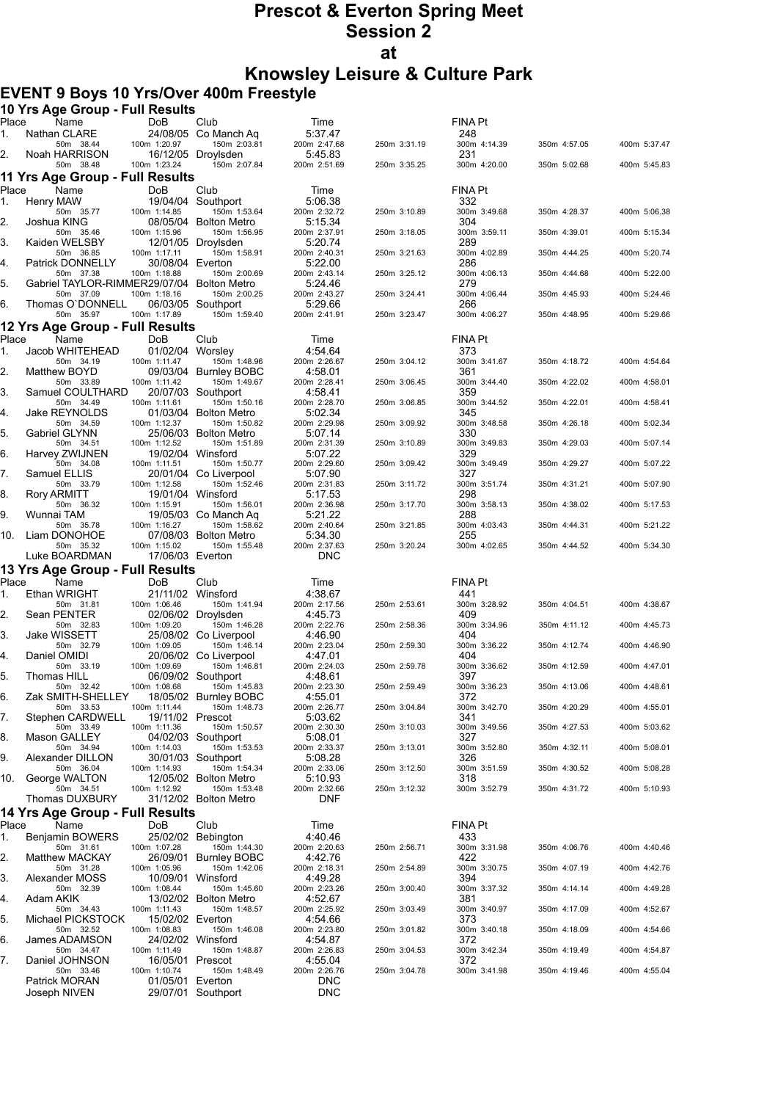# **Prescot & Everton Spring Meet Session 2 at**

**Knowsley Leisure & Culture Park**

## **EVENT 9 Boys 10 Yrs/Over 400m Freestyle**

|             | 10 Yrs Age Group - Full Results            |                                  |                                                            |                                    |              |                            |              |              |
|-------------|--------------------------------------------|----------------------------------|------------------------------------------------------------|------------------------------------|--------------|----------------------------|--------------|--------------|
| Place       | Name                                       | <b>DoB</b>                       | Club                                                       | Time                               |              | <b>FINA Pt</b>             |              |              |
| 1.<br>2.    | Nathan CLARE<br>50m 38.44<br>Noah HARRISON | 100m 1:20.97                     | 24/08/05 Co Manch Aq<br>150m 2:03.81<br>16/12/05 Droylsden | 5:37.47<br>200m 2:47.68<br>5:45.83 | 250m 3:31.19 | 248<br>300m 4:14.39<br>231 | 350m 4:57.05 | 400m 5:37.47 |
|             | 50m 38.48                                  | 100m 1:23.24                     | 150m 2:07.84                                               | 200m 2:51.69                       | 250m 3:35.25 | 300m 4:20.00               | 350m 5:02.68 | 400m 5:45.83 |
|             | 11 Yrs Age Group - Full Results            |                                  |                                                            |                                    |              |                            |              |              |
| Place       | Name                                       | DoB                              | Club                                                       | Time                               |              | <b>FINA Pt</b>             |              |              |
| 1.          | Henry MAW<br>50m 35.77                     | 100m 1:14.85                     | 19/04/04 Southport<br>150m 1:53.64                         | 5:06.38<br>200m 2:32.72            | 250m 3:10.89 | 332<br>300m 3:49.68        | 350m 4:28.37 | 400m 5:06.38 |
| 2.          | Joshua KING<br>50m 35.46                   | 100m 1:15.96                     | 08/05/04 Bolton Metro<br>150m 1:56.95                      | 5:15.34<br>200m 2:37.91            | 250m 3:18.05 | 304<br>300m 3:59.11        | 350m 4:39.01 | 400m 5:15.34 |
| 3.          | Kaiden WELSBY                              |                                  | 12/01/05 Droylsden                                         | 5.20.74                            |              | 289                        |              |              |
| 4.          | 50m 36.85<br>Patrick DONNELLY              | 100m 1:17.11<br>30/08/04 Everton | 150m 1:58.91                                               | 200m 2:40.31<br>5:22.00            | 250m 3:21.63 | 300m 4:02.89<br>286        | 350m 4:44.25 | 400m 5:20.74 |
| 5.          | 50m 37.38<br>Gabriel TAYLOR-RIMMER29/07/04 | 100m 1:18.88                     | 150m 2:00.69<br><b>Bolton Metro</b>                        | 200m 2:43.14<br>5:24.46            | 250m 3:25.12 | 300m 4:06.13<br>279        | 350m 4:44.68 | 400m 5:22.00 |
| 6.          | 50m 37.09<br>Thomas O'DONNELL              | 100m 1:18.16                     | 150m 2:00.25<br>06/03/05 Southport                         | 200m 2:43.27<br>5.29.66            | 250m 3:24.41 | 300m 4:06.44<br>266        | 350m 4:45.93 | 400m 5:24.46 |
|             | 50m 35.97                                  | 100m 1:17.89                     | 150m 1:59.40                                               | 200m 2:41.91                       | 250m 3:23.47 | 300m 4:06.27               | 350m 4:48.95 | 400m 5:29.66 |
| Place       | 12 Yrs Age Group - Full Results<br>Name    | DoB                              | Club                                                       | Time                               |              | FINA Pt                    |              |              |
| 1.          | Jacob WHITEHEAD                            | 01/02/04 Worsley                 |                                                            | 4 54 64                            |              | 373                        |              |              |
|             | 50m 34.19                                  | 100m 1:11.47                     | 150m 1:48.96                                               | 200m 2:26.67                       | 250m 3:04.12 | 300m 3:41.67               | 350m 4:18.72 | 400m 4:54.64 |
| 2.          | Matthew BOYD<br>50m 33.89                  | 100m 1:11.42                     | 09/03/04 Burnley BOBC<br>150m 1:49.67                      | 4:58.01<br>200m 2:28.41            | 250m 3:06.45 | 361<br>300m 3:44.40        | 350m 4:22.02 | 400m 4:58.01 |
| 3.          | Samuel COULTHARD<br>50m 34.49              | 100m 1:11.61                     | 20/07/03 Southport<br>150m 1:50.16                         | 4:58.41<br>200m 2:28.70            | 250m 3:06.85 | 359<br>300m 3:44.52        | 350m 4:22.01 | 400m 4:58.41 |
| 4.          | Jake REYNOLDS<br>50m 34.59                 | 100m 1:12.37                     | 01/03/04 Bolton Metro<br>150m 1:50.82                      | 5:02.34<br>200m 2:29.98            | 250m 3:09.92 | 345<br>300m 3:48.58        | 350m 4:26.18 | 400m 5:02.34 |
| 5.          | Gabriel GLYNN<br>50m 34.51                 | 100m 1:12.52                     | 25/06/03 Bolton Metro<br>150m 1:51.89                      | 5:07.14<br>200m 2:31.39            | 250m 3:10.89 | 330<br>300m 3:49.83        | 350m 4:29.03 | 400m 5:07.14 |
| 6.          | Harvey ZWIJNEN                             |                                  | 19/02/04 Winsford                                          | 5:07.22                            |              | 329                        |              |              |
| 7.          | 50m 34.08<br>Samuel ELLIS                  | 100m 1:11.51                     | 150m 1:50.77<br>20/01/04 Co Liverpool                      | 200m 2:29.60<br>5:07.90            | 250m 3:09.42 | 300m 3:49.49<br>327        | 350m 4:29.27 | 400m 5:07.22 |
| 8.          | 50m 33.79<br>Rory ARMITT                   | 100m 1:12.58                     | 150m 1:52.46<br>19/01/04 Winsford                          | 200m 2:31.83<br>5:17.53            | 250m 3:11.72 | 300m 3:51.74<br>298        | 350m 4:31.21 | 400m 5:07.90 |
| 9.          | 50m 36.32<br>Wunnai TAM                    | 100m 1:15.91                     | 150m 1:56.01<br>19/05/03 Co Manch Aq                       | 200m 2:36.98<br>5:21.22            | 250m 3:17.70 | 300m 3:58.13<br>288        | 350m 4:38.02 | 400m 5:17.53 |
| 10.         | 50m 35.78<br>Liam DONOHOE                  | 100m 1:16.27                     | 150m 1:58.62<br>07/08/03 Bolton Metro                      | 200m 2:40.64<br>5:34.30            | 250m 3:21.85 | 300m 4:03.43<br>255        | 350m 4:44.31 | 400m 5:21.22 |
|             | 50m 35.32<br>Luke BOARDMAN                 | 100m 1:15.02<br>17/06/03 Everton | 150m 1:55.48                                               | 200m 2:37.63<br><b>DNC</b>         | 250m 3:20.24 | 300m 4:02.65               | 350m 4:44.52 | 400m 5:34.30 |
|             | 13 Yrs Age Group - Full Results            |                                  |                                                            |                                    |              |                            |              |              |
| Place       | Name                                       | DoB                              | Club                                                       | Time                               |              | <b>FINA Pt</b>             |              |              |
| 1.          | Ethan WRIGHT<br>50m 31.81                  | 100m 1:06.46                     | 21/11/02 Winsford<br>150m 1:41.94                          | 4:38.67<br>200m 2:17.56            | 250m 2:53.61 | 441<br>300m 3:28.92        | 350m 4:04.51 | 400m 4:38.67 |
| 2.          | Sean PENTER                                |                                  | 02/06/02 Droylsden                                         | 4:45.73                            |              | 409                        |              |              |
| 3.          | 50m 32.83<br>Jake WISSETT                  | 100m 1:09.20                     | 150m 1:46.28<br>25/08/02 Co Liverpool                      | 200m 2:22.76<br>4:46.90            | 250m 2:58.36 | 300m 3:34.96<br>404        | 350m 4:11.12 | 400m 4:45.73 |
| 4.          | 50m 32.79<br>Daniel OMIDI                  | 100m 1:09.05                     | 150m 1:46.14<br>20/06/02 Co Liverpool                      | 200m 2:23.04<br>4:47.01            | 250m 2:59.30 | 300m 3:36.22<br>404        | 350m 4:12.74 | 400m 4:46.90 |
| 5.          | 50m 33.19<br>Thomas HILL                   | 100m 1:09.69                     | 150m 1:46.81<br>06/09/02 Southport                         | 200m 2:24.03<br>4:48.61            | 250m 2:59.78 | 300m 3:36.62<br>397        | 350m 4:12.59 | 400m 4:47.01 |
| 6.          | 50m 32.42<br>Zak SMITH-SHELLEY             | 100m 1:08.68                     | 150m 1:45.83<br>18/05/02 Burnley BOBC                      | 200m 2:23.30<br>4:55.01            | 250m 2:59.49 | 300m 3:36.23<br>372        | 350m 4:13.06 | 400m 4:48.61 |
| 7.          | 50m 33.53                                  | 100m 1:11.44                     | 150m 1:48.73                                               | 200m 2:26.77<br>5.03.62            | 250m 3:04.84 | 300m 3:42.70               | 350m 4:20.29 | 400m 4:55.01 |
|             | Stephen CARDWELL<br>50m 33.49              | 19/11/02 Prescot<br>100m 1:11.36 | 150m 1:50.57                                               | 200m 2:30.30                       | 250m 3:10.03 | 341<br>300m 3:49.56        | 350m 4:27.53 | 400m 5:03.62 |
| 8.          | Mason GALLEY<br>50m 34.94                  | 100m 1:14.03                     | 04/02/03 Southport<br>150m 1:53.53                         | 5:08.01<br>200m 2:33.37            | 250m 3:13.01 | 327<br>300m 3:52.80        | 350m 4:32.11 | 400m 5:08.01 |
| 9.          | Alexander DILLON<br>50m 36.04              | 100m 1:14.93                     | 30/01/03 Southport<br>150m 1:54.34                         | 5:08.28<br>200m 2:33.06            | 250m 3:12.50 | 326<br>300m 3:51.59        | 350m 4:30.52 | 400m 5:08.28 |
| 10.         | George WALTON<br>50m 34.51                 | 100m 1:12.92                     | 12/05/02 Bolton Metro<br>150m 1:53.48                      | 5:10.93<br>200m 2:32.66            | 250m 3:12.32 | 318<br>300m 3:52.79        | 350m 4:31.72 | 400m 5:10.93 |
|             | Thomas DUXBURY                             |                                  | 31/12/02 Bolton Metro                                      | <b>DNF</b>                         |              |                            |              |              |
|             | 14 Yrs Age Group - Full Results            |                                  |                                                            |                                    |              |                            |              |              |
| Place<br>1. | Name                                       | DoB                              | Club<br>25/02/02 Bebington                                 | Time<br>4:40.46                    |              | FINA Pt<br>433             |              |              |
|             | Benjamin BOWERS<br>50m 31.61               | 100m 1:07.28                     | 150m 1:44.30                                               | 200m 2:20.63                       | 250m 2:56.71 | 300m 3:31.98               | 350m 4:06.76 | 400m 4:40.46 |
| 2.          | <b>Matthew MACKAY</b><br>50m 31.28         | 26/09/01<br>100m 1:05.96         | <b>Burnley BOBC</b><br>150m 1:42.06                        | 4.42.76<br>200m 2:18.31            | 250m 2:54.89 | 422<br>300m 3:30.75        | 350m 4:07.19 | 400m 4:42.76 |
| 3.          | Alexander MOSS<br>50m 32.39                | 10/09/01<br>100m 1:08.44         | Winsford<br>150m 1:45.60                                   | 4 49 28<br>200m 2:23.26            | 250m 3:00.40 | 394<br>300m 3:37.32        | 350m 4:14.14 | 400m 4:49.28 |
| 4.          | Adam AKIK<br>50m 34.43                     | 100m 1:11.43                     | 13/02/02 Bolton Metro<br>150m 1:48.57                      | 4:52.67<br>200m 2:25.92            | 250m 3:03.49 | 381<br>300m 3:40.97        | 350m 4:17.09 | 400m 4:52.67 |
| 5.          | Michael PICKSTOCK<br>50m 32.52             | 15/02/02 Everton<br>100m 1:08.83 | 150m 1:46.08                                               | 4:54.66<br>200m 2:23.80            | 250m 3:01.82 | 373<br>300m 3:40.18        | 350m 4:18.09 | 400m 4:54.66 |
| 6.          | James ADAMSON<br>50m 34.47                 | 100m 1:11.49                     | 24/02/02 Winsford<br>150m 1:48.87                          | 4:54.87<br>200m 2:26.83            | 250m 3:04.53 | 372<br>300m 3:42.34        | 350m 4:19.49 | 400m 4:54.87 |
| 7.          | Daniel JOHNSON                             | 16/05/01 Prescot                 |                                                            | 4:55.04                            |              | 372                        |              |              |
|             | 50m 33.46<br>Patrick MORAN                 | 100m 1:10.74<br>01/05/01 Everton | 150m 1:48.49                                               | 200m 2:26.76<br><b>DNC</b>         | 250m 3:04.78 | 300m 3:41.98               | 350m 4:19.46 | 400m 4:55.04 |
|             | Joseph NIVEN                               |                                  | 29/07/01 Southport                                         | DNC                                |              |                            |              |              |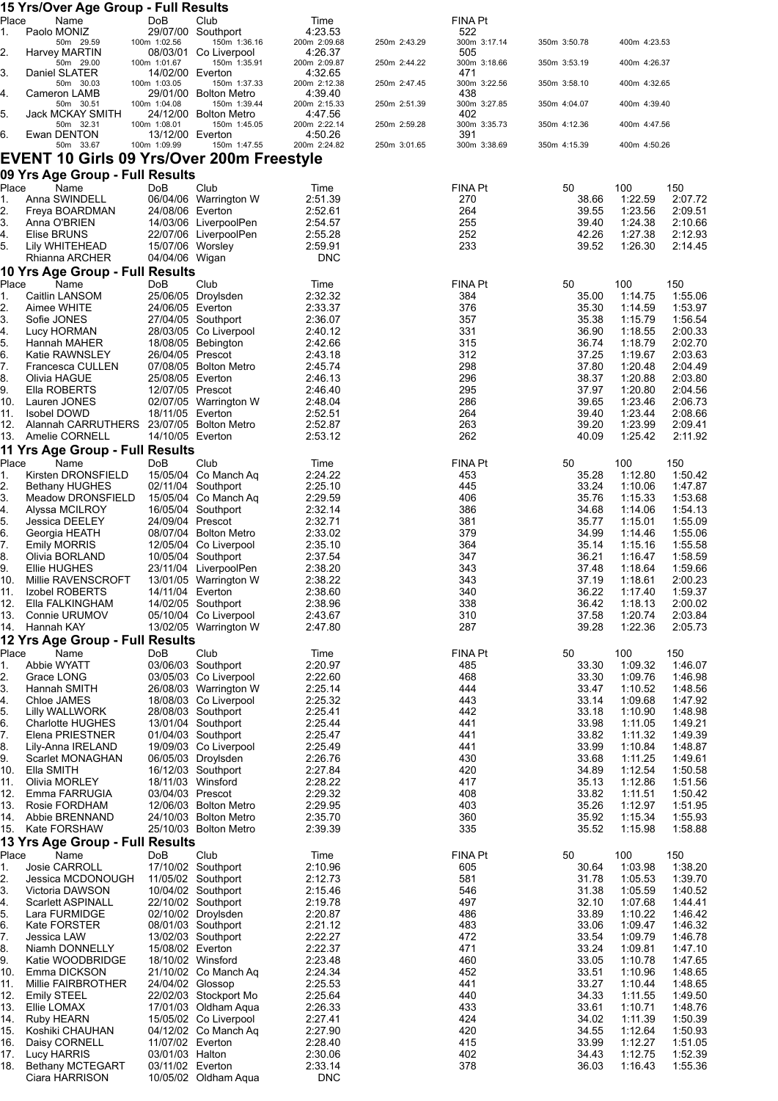|             | 15 Yrs/Over Age Group - Full Results                    |                                      |                                                |                         |              |                     |                |                    |                    |
|-------------|---------------------------------------------------------|--------------------------------------|------------------------------------------------|-------------------------|--------------|---------------------|----------------|--------------------|--------------------|
| Place<br>1. | Name<br>Paolo MONIZ                                     | DoB                                  | Club<br>29/07/00 Southport                     | Time<br>4:23.53         |              | FINA Pt<br>522      |                |                    |                    |
| 2.          | 50m 29.59<br>Harvey MARTIN                              | 100m 1:02.56                         | 150m 1:36.16<br>08/03/01 Co Liverpool          | 200m 2:09.68<br>4:26.37 | 250m 2:43.29 | 300m 3:17.14<br>505 | 350m 3:50.78   | 400m 4:23.53       |                    |
|             | 50m 29.00                                               | 100m 1:01.67                         | 150m 1:35.91                                   | 200m 2:09.87            | 250m 2:44.22 | 300m 3:18.66        | 350m 3:53.19   | 400m 4:26.37       |                    |
| 3.          | Daniel SLATER<br>50m 30.03                              | 14/02/00 Everton<br>100m 1:03.05     | 150m 1:37.33                                   | 4:32.65<br>200m 2:12.38 | 250m 2:47.45 | 471<br>300m 3:22.56 | 350m 3:58.10   | 400m 4:32.65       |                    |
| 4.          | Cameron LAMB                                            |                                      | 29/01/00 Bolton Metro                          | 4:39.40                 |              | 438                 |                | 400m 4:39.40       |                    |
| 5.          | 50m 30.51<br>Jack MCKAY SMITH                           | 100m 1:04.08                         | 150m 1:39.44<br>24/12/00 Bolton Metro          | 200m 2:15.33<br>4:47.56 | 250m 2:51.39 | 300m 3:27.85<br>402 | 350m 4:04.07   |                    |                    |
| 6.          | 50m 32.31<br>Ewan DENTON                                | 100m 1:08.01<br>13/12/00 Everton     | 150m 1:45.05                                   | 200m 2:22.14<br>4:50.26 | 250m 2:59.28 | 300m 3:35.73<br>391 | 350m 4:12.36   | 400m 4:47.56       |                    |
|             | 50m 33.67                                               | 100m 1:09.99                         | 150m 1:47.55                                   | 200m 2:24.82            | 250m 3:01.65 | 300m 3:38.69        | 350m 4:15.39   | 400m 4:50.26       |                    |
|             | <b>EVENT 10 Girls 09 Yrs/Over 200m Freestyle</b>        |                                      |                                                |                         |              |                     |                |                    |                    |
| Place       | 09 Yrs Age Group - Full Results<br>Name                 | <b>DoB</b>                           | Club                                           | Time                    |              | FINA Pt             | 50             | 100                | 150                |
| 1.          | Anna SWINDELL                                           |                                      | 06/04/06 Warrington W                          | 2:51.39                 |              | 270                 | 38.66          | 1:22.59            | 2:07.72            |
| 2.<br>3.    | Freya BOARDMAN                                          | 24/08/06 Everton                     |                                                | 2:52.61                 |              | 264<br>255          | 39.55          | 1:23.56            | 2:09.51            |
| 4.          | Anna O'BRIEN<br>Elise BRUNS                             |                                      | 14/03/06 LiverpoolPen<br>22/07/06 LiverpoolPen | 2:54.57<br>2:55.28      |              | 252                 | 39.40<br>42.26 | 1:24.38<br>1.27.38 | 2:10.66<br>2:12.93 |
| 5.          | Lily WHITEHEAD                                          | 15/07/06 Worsley                     |                                                | 2:59.91                 |              | 233                 | 39.52          | 1:26.30            | 2:14.45            |
|             | Rhianna ARCHER<br>10 Yrs Age Group - Full Results       | 04/04/06 Wigan                       |                                                | <b>DNC</b>              |              |                     |                |                    |                    |
| Place       | Name                                                    | DoB                                  | Club                                           | Time                    |              | FINA Pt             | 50             | 100                | 150                |
| 1.          | Caitlin LANSOM                                          |                                      | 25/06/05 Droylsden                             | 2:32.32                 |              | 384                 | 35.00          | 1:14.75            | 1:55.06            |
| 2.<br>3.    | Aimee WHITE<br>Sofie JONES                              | 24/06/05 Everton                     | 27/04/05 Southport                             | 2:33.37<br>2:36.07      |              | 376<br>357          | 35.30<br>35.38 | 1:14.59<br>1:15.79 | 1:53.97<br>1:56.54 |
| 4.          | Lucy HORMAN                                             |                                      | 28/03/05 Co Liverpool                          | 2:40.12                 |              | 331                 | 36.90          | 1:18.55            | 2:00.33            |
| 5.<br>6.    | Hannah MAHER<br>Katie RAWNSLEY                          | 26/04/05 Prescot                     | 18/08/05 Bebington                             | 2:42.66<br>2:43.18      |              | 315<br>312          | 36.74<br>37.25 | 1:18.79<br>1:19.67 | 2:02.70<br>2:03.63 |
| 7.          | Francesca CULLEN                                        |                                      | 07/08/05 Bolton Metro                          | 2:45.74                 |              | 298                 | 37.80          | 1:20.48            | 2:04.49            |
| 8.<br>9.    | Olivia HAGUE<br>Ella ROBERTS                            | 25/08/05 Everton<br>12/07/05 Prescot |                                                | 2:46.13<br>2:46.40      |              | 296<br>295          | 38.37<br>37.97 | 1:20.88<br>1:20.80 | 2:03.80<br>2:04.56 |
| 10.         | Lauren JONES                                            |                                      | 02/07/05 Warrington W                          | 2:48.04                 |              | 286                 | 39.65          | 1.23.46            | 2:06.73            |
| 11.<br>12.  | Isobel DOWD<br>Alannah CARRUTHERS 23/07/05 Bolton Metro | 18/11/05 Everton                     |                                                | 2:52.51<br>2:52.87      |              | 264<br>263          | 39.40<br>39.20 | 1:23.44<br>1:23.99 | 2:08.66<br>2:09.41 |
| 13.         | Amelie CORNELL                                          | 14/10/05 Everton                     |                                                | 2:53.12                 |              | 262                 | 40.09          | 1:25.42            | 2:11.92            |
|             | 11 Yrs Age Group - Full Results                         |                                      |                                                |                         |              |                     |                |                    |                    |
| Place<br>1. | Name<br>Kirsten DRONSFIELD                              | DoB                                  | Club<br>15/05/04 Co Manch Aq                   | Time<br>2:24.22         |              | FINA Pt<br>453      | 50<br>35.28    | 100<br>1:12.80     | 150<br>1:50.42     |
| 2.          | <b>Bethany HUGHES</b>                                   |                                      | 02/11/04 Southport                             | 2:25.10                 |              | 445                 | 33.24          | 1:10.06            | 1:47.87            |
| 3.<br>4.    | Meadow DRONSFIELD<br>Alyssa MCILROY                     |                                      | 15/05/04 Co Manch Aq<br>16/05/04 Southport     | 2:29.59<br>2:32.14      |              | 406<br>386          | 35.76<br>34.68 | 1:15.33<br>1:14.06 | 1:53.68<br>1:54.13 |
| 5.          | Jessica DEELEY                                          | 24/09/04 Prescot                     |                                                | 2:32.71                 |              | 381                 | 35.77          | 1:15.01            | 1:55.09            |
| 6.          | Georgia HEATH                                           |                                      | 08/07/04 Bolton Metro<br>12/05/04 Co Liverpool | 2:33.02                 |              | 379<br>364          | 34.99<br>35.14 | 1:14.46            | 1:55.06            |
| 7.<br>8.    | <b>Emily MORRIS</b><br>Olivia BORLAND                   |                                      | 10/05/04 Southport                             | 2:35.10<br>2:37.54      |              | 347                 | 36.21          | 1:15.16<br>1:16.47 | 1:55.58<br>1:58.59 |
| 9.          | Ellie HUGHES                                            |                                      | 23/11/04 LiverpoolPen                          | 2:38.20                 |              | 343                 | 37.48          | 1:18.64            | 1:59.66            |
| 10.<br>11.  | Millie RAVENSCROFT<br>Izobel ROBERTS                    | 14/11/04 Everton                     | 13/01/05 Warrington W                          | 2:38.22<br>2:38.60      |              | 343<br>340          | 37.19<br>36.22 | 1:18.61<br>1:17.40 | 2:00.23<br>1:59.37 |
| 12.         | Ella FALKINGHAM                                         |                                      | 14/02/05 Southport                             | 2:38.96                 |              | 338                 | 36.42          | 1:18.13            | 2:00.02            |
| 13.<br>14.  | Connie URUMOV<br>Hannah KAY                             |                                      | 05/10/04 Co Liverpool<br>13/02/05 Warrington W | 2:43.67<br>2:47.80      |              | 310<br>287          | 37.58<br>39.28 | 1:20.74<br>1:22.36 | 2:03.84<br>2:05.73 |
|             | 12 Yrs Age Group - Full Results                         |                                      |                                                |                         |              |                     |                |                    |                    |
| Place       | Name                                                    | DoB                                  | Club                                           | Time                    |              | FINA Pt             | 50             | 100                | 150                |
| 1.<br>2.    | Abbie WYATT<br>Grace LONG                               |                                      | 03/06/03 Southport<br>03/05/03 Co Liverpool    | 2:20.97<br>2:22.60      |              | 485<br>468          | 33.30<br>33.30 | 1:09.32<br>1:09.76 | 1:46.07<br>1:46.98 |
| 3.          | Hannah SMITH                                            |                                      | 26/08/03 Warrington W                          | 2:25.14                 |              | 444                 | 33.47          | 1:10.52            | 1:48.56            |
| 4.<br>5.    | Chloe JAMES<br><b>Lilly WALLWORK</b>                    |                                      | 18/08/03 Co Liverpool<br>28/08/03 Southport    | 2:25.32<br>2:25.41      |              | 443<br>442          | 33.14<br>33.18 | 1:09.68<br>1:10.90 | 1:47.92<br>1:48.98 |
| 6.          | <b>Charlotte HUGHES</b>                                 |                                      | 13/01/04 Southport                             | 2:25.44                 |              | 441                 | 33.98          | 1:11.05            | 1:49.21            |
| 7.<br>8.    | Elena PRIESTNER<br>Lily-Anna IRELAND                    |                                      | 01/04/03 Southport<br>19/09/03 Co Liverpool    | 2:25.47<br>2:25.49      |              | 441<br>441          | 33.82<br>33.99 | 1:11.32<br>1:10.84 | 1:49.39<br>1:48.87 |
| 9.          | Scarlet MONAGHAN                                        |                                      | 06/05/03 Droylsden                             | 2:26.76                 |              | 430                 | 33.68          | 1:11.25            | 1.49.61            |
| 10.<br>11.  | Ella SMITH                                              |                                      | 16/12/03 Southport<br>18/11/03 Winsford        | 2:27.84<br>2:28.22      |              | 420<br>417          | 34.89<br>35.13 | 1:12.54<br>1:12.86 | 1:50.58<br>1:51.56 |
| 12.         | Olivia MORLEY<br>Emma FARRUGIA                          | 03/04/03 Prescot                     |                                                | 2:29.32                 |              | 408                 | 33.82          | 1:11.51            | 1:50.42            |
| 13.         | Rosie FORDHAM                                           |                                      | 12/06/03 Bolton Metro                          | 2:29.95                 |              | 403                 | 35.26          | 1:12.97            | 1:51.95            |
| 14.<br>15.  | Abbie BRENNAND<br>Kate FORSHAW                          |                                      | 24/10/03 Bolton Metro<br>25/10/03 Bolton Metro | 2:35.70<br>2:39.39      |              | 360<br>335          | 35.92<br>35.52 | 1:15.34<br>1:15.98 | 1:55.93<br>1:58.88 |
|             | 13 Yrs Age Group - Full Results                         |                                      |                                                |                         |              |                     |                |                    |                    |
| Place<br>1. | Name<br><b>Josie CARROLL</b>                            | DoB                                  | Club<br>17/10/02 Southport                     | Time<br>2:10.96         |              | FINA Pt<br>605      | 50<br>30.64    | 100<br>1:03.98     | 150<br>1:38.20     |
| 2.          | Jessica MCDONOUGH                                       |                                      | 11/05/02 Southport                             | 2:12.73                 |              | 581                 | 31.78          | 1:05.53            | 1:39.70            |
| 3.          | Victoria DAWSON                                         |                                      | 10/04/02 Southport                             | 2:15.46                 |              | 546                 | 31.38          | 1:05.59            | 1:40.52            |
| 4.<br>5.    | <b>Scarlett ASPINALL</b><br>Lara FURMIDGE               |                                      | 22/10/02 Southport<br>02/10/02 Droylsden       | 2:19.78<br>2:20.87      |              | 497<br>486          | 32.10<br>33.89 | 1:07.68<br>1:10.22 | 1:44.41<br>1:46.42 |
| 6.          | Kate FORSTER                                            |                                      | 08/01/03 Southport                             | 2:21.12                 |              | 483                 | 33.06          | 1:09.47            | 1:46.32            |
| 7.<br>8.    | Jessica LAW<br>Niamh DONNELLY                           | 15/08/02 Everton                     | 13/02/03 Southport                             | 2:22.27<br>2:22.37      |              | 472<br>471          | 33.54<br>33.24 | 1:09.79<br>1:09.81 | 1:46.78<br>1:47.10 |
| 9.          | Katie WOODBRIDGE                                        |                                      | 18/10/02 Winsford                              | 2:23.48                 |              | 460                 | 33.05          | 1:10.78            | 1:47.65            |
| 10.<br>11.  | Emma DICKSON<br>Millie FAIRBROTHER                      | 24/04/02 Glossop                     | 21/10/02 Co Manch Aq                           | 2:24.34<br>2:25.53      |              | 452<br>441          | 33.51<br>33.27 | 1:10.96<br>1:10.44 | 1:48.65<br>1:48.65 |
| 12.         | <b>Emily STEEL</b>                                      |                                      | 22/02/03 Stockport Mo                          | 2:25.64                 |              | 440                 | 34.33          | 1:11.55            | 1:49.50            |
| 13.         | Ellie LOMAX                                             |                                      | 17/01/03 Oldham Aqua                           | 2:26.33                 |              | 433                 | 33.61          | 1:10.71            | 1:48.76            |
| 14.<br>15.  | <b>Ruby HEARN</b><br>Koshiki CHAUHAN                    |                                      | 15/05/02 Co Liverpool<br>04/12/02 Co Manch Aq  | 2:27.41<br>2:27.90      |              | 424<br>420          | 34.02<br>34.55 | 1:11.39<br>1:12.64 | 1:50.39<br>1:50.93 |
| 16.         | Daisy CORNELL                                           | 11/07/02 Everton                     |                                                | 2:28.40                 |              | 415                 | 33.99          | 1:12.27            | 1:51.05            |
| 17.<br>18.  | Lucy HARRIS<br><b>Bethany MCTEGART</b>                  | 03/01/03 Halton<br>03/11/02 Everton  |                                                | 2:30.06<br>2:33.14      |              | 402<br>378          | 34.43<br>36.03 | 1:12.75<br>1:16.43 | 1:52.39<br>1:55.36 |
|             | Ciara HARRISON                                          |                                      | 10/05/02 Oldham Aqua                           | <b>DNC</b>              |              |                     |                |                    |                    |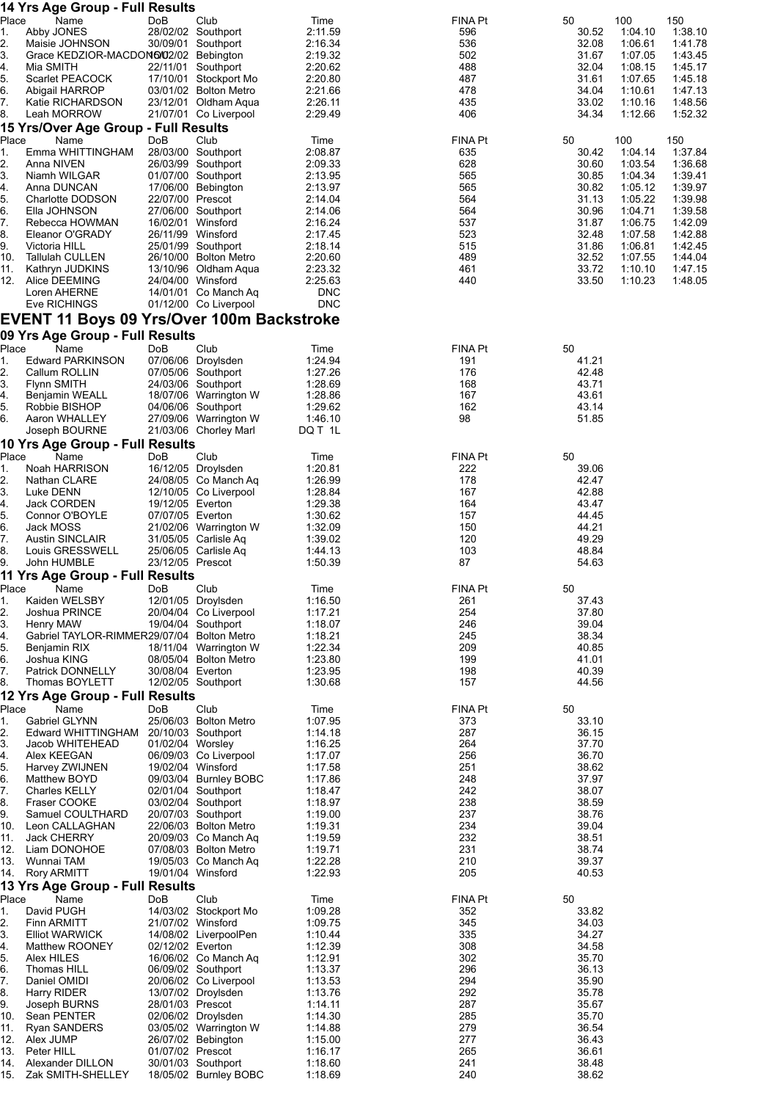|                | 14 Yrs Age Group - Full Results                            |                  |                                                |                    |                |                |                    |                    |
|----------------|------------------------------------------------------------|------------------|------------------------------------------------|--------------------|----------------|----------------|--------------------|--------------------|
| Place<br>1.    | Name<br>Abby JONES                                         | DoB              | Club<br>28/02/02 Southport                     | Time<br>2:11.59    | FINA Pt<br>596 | 50<br>30.52    | 100<br>1:04:10     | 150<br>1:38.10     |
| 2.             | Maisie JOHNSON                                             |                  | 30/09/01 Southport                             | 2:16.34            | 536            | 32.08          | 1:06.61            | 1:41.78            |
| 3.             | Grace KEDZIOR-MACDON6/02/02 Bebington                      |                  |                                                | 2:19.32            | 502            | 31.67          | 1:07.05            | 1:43.45            |
| 4.             | Mia SMITH                                                  |                  | 22/11/01 Southport                             | 2:20.62            | 488            | 32.04          | 1:08.15            | 1:45.17            |
| 5.<br>6.       | Scarlet PEACOCK<br>Abigail HARROP                          |                  | 17/10/01 Stockport Mo<br>03/01/02 Bolton Metro | 2:20.80<br>2:21.66 | 487<br>478     | 31.61<br>34.04 | 1:07.65<br>1:10.61 | 1:45.18<br>1:47.13 |
| 7.             | Katie RICHARDSON                                           |                  | 23/12/01 Oldham Aqua                           | 2:26.11            | 435            | 33.02          | 1:10.16            | 1:48.56            |
| 8.             | Leah MORROW                                                |                  | 21/07/01 Co Liverpool                          | 2:29.49            | 406            | 34.34          | 1:12.66            | 1:52.32            |
|                | 15 Yrs/Over Age Group - Full Results                       |                  |                                                |                    |                |                |                    |                    |
| Place          | Name                                                       | DoB              | Club                                           | Time               | FINA Pt        | 50             | 100                | 150                |
| 1.<br>2.       | Emma WHITTINGHAM<br>Anna NIVEN                             |                  | 28/03/00 Southport<br>26/03/99 Southport       | 2:08.87<br>2:09.33 | 635<br>628     | 30.42<br>30.60 | 1:04.14<br>1:03.54 | 1:37.84<br>1:36.68 |
| 3.             | Niamh WILGAR                                               |                  | 01/07/00 Southport                             | 2:13.95            | 565            | 30.85          | 1:04.34            | 1:39.41            |
| 4.             | Anna DUNCAN                                                |                  | 17/06/00 Bebington                             | 2:13.97            | 565            | 30.82          | 1:05.12            | 1:39.97            |
| 5.             | Charlotte DODSON                                           | 22/07/00 Prescot |                                                | 2:14.04            | 564            | 31.13          | 1:05.22            | 1:39.98            |
| 6.<br>7.       | Ella JOHNSON<br>Rebecca HOWMAN                             |                  | 27/06/00 Southport<br>16/02/01 Winsford        | 2:14.06<br>2:16.24 | 564<br>537     | 30.96<br>31.87 | 1:04.71<br>1:06.75 | 1:39.58<br>1:42.09 |
| 8.             | Eleanor O'GRADY                                            |                  | 26/11/99 Winsford                              | 2:17.45            | 523            | 32.48          | 1:07.58            | 1:42.88            |
| 9.             | Victoria HILL                                              |                  | 25/01/99 Southport                             | 2:18.14            | 515            | 31.86          | 1:06.81            | 1:42.45            |
| 10.            | <b>Tallulah CULLEN</b>                                     |                  | 26/10/00 Bolton Metro                          | 2:20.60            | 489            | 32.52          | 1:07.55            | 1:44.04            |
| 11.<br>12.     | Kathryn JUDKINS<br>Alice DEEMING                           |                  | 13/10/96 Oldham Aqua<br>24/04/00 Winsford      | 2:23.32<br>2:25.63 | 461<br>440     | 33.72<br>33.50 | 1:10.10<br>1:10.23 | 1:47.15<br>1:48.05 |
|                | Loren AHERNE                                               |                  | 14/01/01 Co Manch Aq                           | <b>DNC</b>         |                |                |                    |                    |
|                | Eve RICHINGS                                               |                  | 01/12/00 Co Liverpool                          | <b>DNC</b>         |                |                |                    |                    |
|                | <b>EVENT 11 Boys 09 Yrs/Over 100m Backstroke</b>           |                  |                                                |                    |                |                |                    |                    |
|                | 09 Yrs Age Group - Full Results                            |                  |                                                |                    |                |                |                    |                    |
| Place<br>1.    | Name<br>Edward PARKINSON                                   | DoB              | Club<br>07/06/06 Droylsden                     | Time<br>1:24.94    | FINA Pt<br>191 | 50<br>41.21    |                    |                    |
| 2.             | Callum ROLLIN                                              |                  | 07/05/06 Southport                             | 1:27.26            | 176            | 42.48          |                    |                    |
| 3.             | <b>Flynn SMITH</b>                                         |                  | 24/03/06 Southport                             | 1:28.69            | 168            | 43.71          |                    |                    |
| 4.             | Benjamin WEALL                                             |                  | 18/07/06 Warrington W                          | 1:28.86            | 167            | 43.61          |                    |                    |
| 5.<br>6.       | Robbie BISHOP<br>Aaron WHALLEY                             |                  | 04/06/06 Southport<br>27/09/06 Warrington W    | 1:29.62<br>1:46.10 | 162<br>98      | 43.14<br>51.85 |                    |                    |
|                | Joseph BOURNE                                              |                  | 21/03/06 Chorley Marl                          | DQ T 1L            |                |                |                    |                    |
|                | 10 Yrs Age Group - Full Results                            |                  |                                                |                    |                |                |                    |                    |
| Place          | Name                                                       | DoB              | Club                                           | Time               | FINA Pt        | 50             |                    |                    |
| 1.<br>2.       | Noah HARRISON                                              |                  | 16/12/05 Droylsden<br>24/08/05 Co Manch Aq     | 1:20.81<br>1:26.99 | 222<br>178     | 39.06<br>42.47 |                    |                    |
| 3.             | Nathan CLARE<br>Luke DENN                                  |                  | 12/10/05 Co Liverpool                          | 1:28.84            | 167            | 42.88          |                    |                    |
| 4.             | Jack CORDEN                                                | 19/12/05 Everton |                                                | 1:29.38            | 164            | 43.47          |                    |                    |
| 5.             | Connor O'BOYLE                                             | 07/07/05 Everton |                                                | 1:30.62            | 157            | 44.45          |                    |                    |
| 6.<br>7.       | Jack MOSS<br><b>Austin SINCLAIR</b>                        |                  | 21/02/06 Warrington W<br>31/05/05 Carlisle Aq  | 1:32.09<br>1:39.02 | 150<br>120     | 44.21<br>49.29 |                    |                    |
| 8.             | Louis GRESSWELL                                            |                  | 25/06/05 Carlisle Aq                           | 1:44.13            | 103            | 48.84          |                    |                    |
| 9.             | John HUMBLE                                                | 23/12/05 Prescot |                                                | 1:50.39            | 87             | 54.63          |                    |                    |
| Place          | 11 Yrs Age Group - Full Results                            | DoB              | Club                                           | Time               | FINA Pt        | 50             |                    |                    |
| 1.             | Name<br>Kaiden WELSBY                                      |                  | 12/01/05 Droylsden                             | 1:16.50            | 261            | 37.43          |                    |                    |
| 2.             | Joshua PRINCE                                              |                  | 20/04/04 Co Liverpool                          | 1:17.21            | 254            | 37.80          |                    |                    |
| 3.             | Henry MAW                                                  |                  | 19/04/04 Southport                             | 1:18.07            | 246            | 39.04          |                    |                    |
| 4.<br>5.       | Gabriel TAYLOR-RIMMER29/07/04 Bolton Metro<br>Benjamin RIX |                  | 18/11/04 Warrington W                          | 1:18.21<br>1:22.34 | 245<br>209     | 38.34<br>40.85 |                    |                    |
| 6.             | Joshua KING                                                |                  | 08/05/04 Bolton Metro                          | 1:23.80            | 199            | 41.01          |                    |                    |
| 7.             | Patrick DONNELLY                                           | 30/08/04 Everton |                                                | 1:23.95            | 198            | 40.39          |                    |                    |
| 8.             | Thomas BOYLETT                                             |                  | 12/02/05 Southport                             | 1:30.68            | 157            | 44.56          |                    |                    |
| Place          | 12 Yrs Age Group - Full Results<br>Name                    | DoB              | Club                                           | Time               | FINA Pt        | 50             |                    |                    |
| 1.             | Gabriel GLYNN                                              |                  | 25/06/03 Bolton Metro                          | 1:07.95            | 373            | 33.10          |                    |                    |
| 2.             | Edward WHITTINGHAM                                         |                  | 20/10/03 Southport                             | 1:14.18            | 287            | 36.15          |                    |                    |
| 3.<br>4.       | Jacob WHITEHEAD<br>Alex KEEGAN                             |                  | 01/02/04 Worsley<br>06/09/03 Co Liverpool      | 1:16.25<br>1:17.07 | 264<br>256     | 37.70<br>36.70 |                    |                    |
| 5.             | Harvey ZWIJNEN                                             |                  | 19/02/04 Winsford                              | 1:17.58            | 251            | 38.62          |                    |                    |
| 6.             | Matthew BOYD                                               |                  | 09/03/04 Burnley BOBC                          | 1:17.86            | 248            | 37.97          |                    |                    |
| 7.             | <b>Charles KELLY</b>                                       |                  | 02/01/04 Southport                             | 1:18.47            | 242            | 38.07          |                    |                    |
| 8.<br>9.       | Fraser COOKE<br>Samuel COULTHARD                           |                  | 03/02/04 Southport<br>20/07/03 Southport       | 1:18.97<br>1:19.00 | 238<br>237     | 38.59<br>38.76 |                    |                    |
| 10.            | Leon CALLAGHAN                                             |                  | 22/06/03 Bolton Metro                          | 1:19.31            | 234            | 39.04          |                    |                    |
| 11.            | <b>Jack CHERRY</b>                                         |                  | 20/09/03 Co Manch Aq                           | 1:19.59            | 232            | 38.51          |                    |                    |
| 12.<br>13.     | Liam DONOHOE<br>Wunnai TAM                                 |                  | 07/08/03 Bolton Metro<br>19/05/03 Co Manch Aq  | 1:19.71<br>1:22.28 | 231<br>210     | 38.74<br>39.37 |                    |                    |
| 14.            | <b>Rory ARMITT</b>                                         |                  | 19/01/04 Winsford                              | 1:22.93            | 205            | 40.53          |                    |                    |
|                | 13 Yrs Age Group - Full Results                            |                  |                                                |                    |                |                |                    |                    |
| Place          | Name<br>David PUGH                                         | DoB              | Club<br>14/03/02 Stockport Mo                  | Time<br>1:09.28    | FINA Pt<br>352 | 50<br>33.82    |                    |                    |
| 1.<br>2.       | Finn ARMITT                                                |                  | 21/07/02 Winsford                              | 1:09.75            | 345            | 34.03          |                    |                    |
| 3.             | <b>Elliot WARWICK</b>                                      |                  | 14/08/02 LiverpoolPen                          | 1:10.44            | 335            | 34.27          |                    |                    |
| 4.             | Matthew ROONEY                                             | 02/12/02 Everton |                                                | 1:12.39            | 308            | 34.58          |                    |                    |
| 5.<br>6.       | Alex HILES<br>Thomas HILL                                  |                  | 16/06/02 Co Manch Aq<br>06/09/02 Southport     | 1:12.91<br>1:13.37 | 302<br>296     | 35.70<br>36.13 |                    |                    |
| 7.             | Daniel OMIDI                                               |                  | 20/06/02 Co Liverpool                          | 1:13.53            | 294            | 35.90          |                    |                    |
| 8.             | Harry RIDER                                                |                  | 13/07/02 Droylsden                             | 1:13.76            | 292            | 35.78          |                    |                    |
| 9 <sub>1</sub> | Joseph BURNS                                               | 28/01/03 Prescot |                                                | 1:14.11            | 287            | 35.67          |                    |                    |
| 10.<br>11.     | Sean PENTER<br><b>Ryan SANDERS</b>                         |                  | 02/06/02 Droylsden<br>03/05/02 Warrington W    | 1:14.30<br>1:14.88 | 285<br>279     | 35.70<br>36.54 |                    |                    |
| 12.            | Alex JUMP                                                  |                  | 26/07/02 Bebington                             | 1:15.00            | 277            | 36.43          |                    |                    |
| 13.            | Peter HILL                                                 | 01/07/02 Prescot |                                                | 1:16.17            | 265            | 36.61          |                    |                    |
| 14.<br>15.     | Alexander DILLON<br>Zak SMITH-SHELLEY                      |                  | 30/01/03 Southport<br>18/05/02 Burnley BOBC    | 1:18.60<br>1:18.69 | 241<br>240     | 38.48<br>38.62 |                    |                    |
|                |                                                            |                  |                                                |                    |                |                |                    |                    |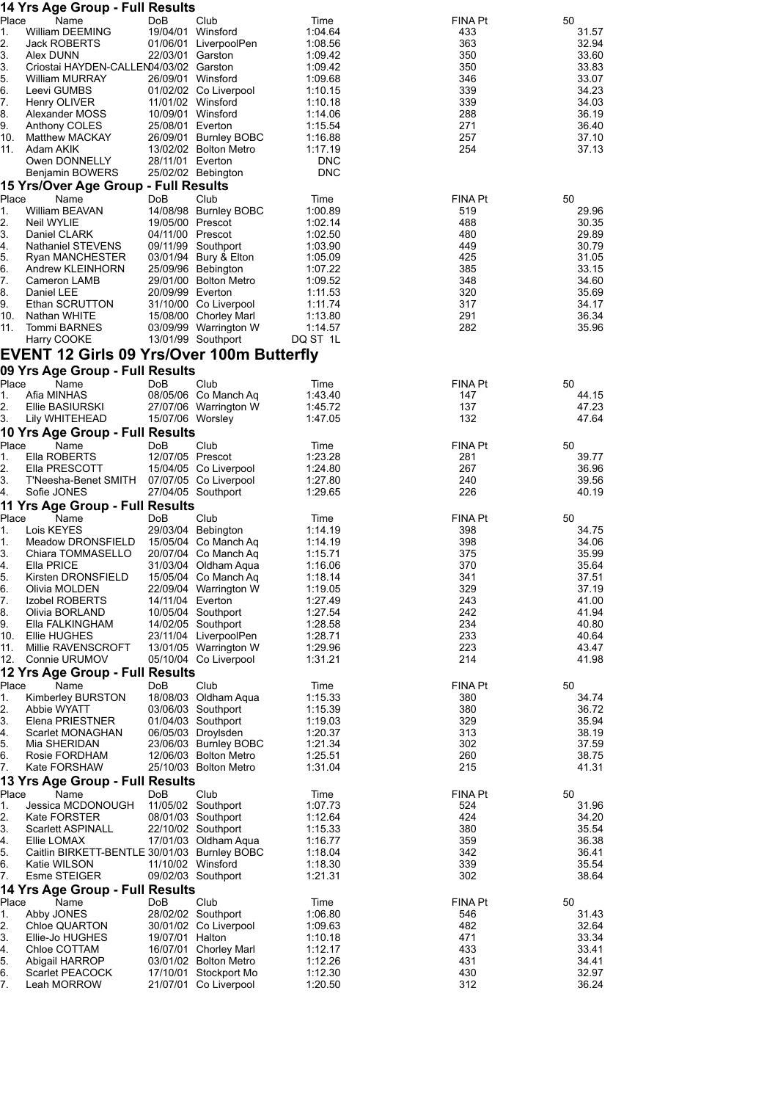| Place<br>19/04/01 Winsford<br>William DEEMING<br>1.04.64<br>433<br>31.57<br>1.<br>2.<br>Jack ROBERTS<br>01/06/01 LiverpoolPen<br>1:08.56<br>363<br>32.94<br>Alex DUNN<br>22/03/01 Garston<br>1:09.42<br>350<br>33.60<br>Criostai HAYDEN-CALLEN04/03/02 Garston<br>1:09.42<br>350<br>33.83<br>5.<br><b>William MURRAY</b><br>26/09/01 Winsford<br>346<br>33.07<br>1:09.68<br>6.<br>Leevi GUMBS<br>01/02/02 Co Liverpool<br>339<br>34.23<br>1:10.15<br>339<br>11/01/02 Winsford<br>34.03<br>Henry OLIVER<br>1:10.18<br>10/09/01 Winsford<br>288<br>36.19<br>Alexander MOSS<br>1:14.06<br>271<br>25/08/01 Everton<br>1:15.54<br>36.40<br>Anthony COLES<br>257<br>10.<br>26/09/01 Burnley BOBC<br>1:16.88<br>37.10<br>Matthew MACKAY<br>254<br>11.<br>Adam AKIK<br>13/02/02 Bolton Metro<br>1:17.19<br>37.13<br>Owen DONNELLY<br>28/11/01 Everton<br><b>DNC</b><br><b>DNC</b><br>25/02/02 Bebington<br>Benjamin BOWERS<br>15 Yrs/Over Age Group - Full Results<br>Place<br>50<br>Name<br>DoB<br>Club<br><b>FINA Pt</b><br>Time<br>William BEAVAN<br>14/08/98 Burnley BOBC<br>29.96<br>1.<br>1:00.89<br>519<br>2.<br>Neil WYLIE<br>19/05/00 Prescot<br>1:02.14<br>488<br>30.35<br>04/11/00 Prescot<br>1:02.50<br>480<br>29.89<br>Daniel CLARK<br>Nathaniel STEVENS<br>09/11/99 Southport<br>449<br>30.79<br>1:03.90<br>5.<br>03/01/94 Bury & Elton<br>425<br>31.05<br>Ryan MANCHESTER<br>1:05.09<br>6.<br>Andrew KLEINHORN<br>25/09/96 Bebington<br>1:07.22<br>385<br>33.15<br>7.<br>29/01/00 Bolton Metro<br>1:09.52<br>348<br>34.60<br>Cameron LAMB<br>20/09/99 Everton<br>320<br>Daniel LEE<br>1:11.53<br>35.69<br>Ethan SCRUTTON<br>31/10/00 Co Liverpool<br>317<br>1:11.74<br>34.17<br>291<br>10.<br>15/08/00 Chorley Marl<br>36.34<br>Nathan WHITE<br>1:13.80<br>282<br>11.<br>03/09/99 Warrington W<br>1:14.57<br>35.96<br>Tommi BARNES<br>13/01/99 Southport<br>DQ ST 1L<br>Harry COOKE<br><b>EVENT 12 Girls 09 Yrs/Over 100m Butterfly</b><br>09 Yrs Age Group - Full Results<br>Place<br><b>DoB</b><br>Club<br><b>FINA Pt</b><br>50<br>Name<br>Time<br>Afia MINHAS<br>08/05/06 Co Manch Aq<br>1:43.40<br>147<br>44.15<br>Ellie BASIURSKI<br>27/07/06 Warrington W<br>1:45.72<br>137<br>47.23<br>47.64<br>3.<br>Lily WHITEHEAD<br>15/07/06 Worsley<br>1:47.05<br>132<br>10 Yrs Age Group - Full Results<br>Place<br>Club<br>50<br>Name<br>DoB<br>FINA Pt<br>Time<br>Ella ROBERTS<br>12/07/05 Prescot<br>39.77<br>1:23.28<br>281<br>15/04/05 Co Liverpool<br>267<br>Ella PRESCOTT<br>1:24.80<br>36.96<br>3.<br>T'Neesha-Benet SMITH<br>07/07/05 Co Liverpool<br>240<br>39.56<br>1:27.80<br>Sofie JONES<br>27/04/05 Southport<br>226<br>40.19<br>4.<br>1:29.65<br>11 Yrs Age Group - Full Results<br>Place<br>Name<br>DoB<br>Club<br>FINA Pt<br>50<br>Time<br>Lois KEYES<br>29/03/04 Bebington<br>398<br>34.75<br>1:14.19<br>Meadow DRONSFIELD<br>15/05/04 Co Manch Aq<br>398<br>34.06<br>1:14.19<br>Chiara TOMMASELLO<br>20/07/04 Co Manch Aq<br>1:15.71<br>375<br>35.99<br>Ella PRICE<br>370<br>35.64<br>31/03/04 Oldham Aqua<br>1:16.06<br>Kirsten DRONSFIELD<br>15/05/04 Co Manch Ag<br>341<br>37.51<br>1:18.14<br>329<br>22/09/04 Warrington W<br>1:19.05<br>37.19<br>Olivia MOLDEN<br>Izobel ROBERTS<br>14/11/04 Everton<br>1:27.49<br>243<br>41.00<br>1.27.54<br>242<br>41.94<br>Olivia BORLAND<br>10/05/04 Southport<br>234<br>40.80<br>Ella FALKINGHAM<br>14/02/05 Southport<br>1:28.58<br>233<br>10.<br>Ellie HUGHES<br>23/11/04 LiverpoolPen<br>1:28.71<br>40.64<br>11.<br>223<br>Millie RAVENSCROFT<br>13/01/05 Warrington W<br>1:29.96<br>43.47<br>214<br>Connie URUMOV<br>05/10/04 Co Liverpool<br>1:31.21<br>41.98<br>12 Yrs Age Group - Full Results<br>Place<br><b>FINA Pt</b><br>Name<br>DoB<br>Club<br>Time<br>50<br>Kimberley BURSTON<br>1:15.33<br>34.74<br>18/08/03 Oldham Aqua<br>380<br>Abbie WYATT<br>03/06/03 Southport<br>1:15.39<br>380<br>36.72<br>329<br>Elena PRIESTNER<br>01/04/03 Southport<br>1:19.03<br>35.94<br>Scarlet MONAGHAN<br>06/05/03 Droylsden<br>1:20.37<br>313<br>38.19<br>302<br>37.59<br>Mia SHERIDAN<br>23/06/03 Burnley BOBC<br>1:21.34<br>1:25.51<br>260<br>38.75<br>Rosie FORDHAM<br>12/06/03 Bolton Metro<br>Kate FORSHAW<br>25/10/03 Bolton Metro<br>1:31.04<br>215<br>41.31<br>13 Yrs Age Group - Full Results<br>Place<br><b>FINA Pt</b><br>Name<br>DoB<br>Club<br>50<br>Time<br>Jessica MCDONOUGH<br>524<br>31.96<br>11/05/02 Southport<br>1:07.73<br>424<br>Kate FORSTER<br>08/01/03 Southport<br>1:12.64<br>34.20<br>380<br><b>Scarlett ASPINALL</b><br>22/10/02 Southport<br>1:15.33<br>35.54<br>359<br>36.38<br>Ellie LOMAX<br>17/01/03 Oldham Aqua<br>1:16.77<br>342<br>36.41<br>Caitlin BIRKETT-BENTLE 30/01/03 Burnley BOBC<br>1:18.04<br>339<br>35.54<br>Katie WILSON<br>11/10/02 Winsford<br>1:18.30<br>Esme STEIGER<br>302<br>38.64<br>09/02/03 Southport<br>1:21.31<br>14 Yrs Age Group - Full Results<br>Place<br><b>FINA Pt</b><br>Name<br>DoB<br>Club<br>Time<br>50<br>546<br>Abby JONES<br>28/02/02 Southport<br>1:06.80<br>31.43<br>482<br>32.64<br>Chloe QUARTON<br>30/01/02 Co Liverpool<br>1:09.63<br>Ellie-Jo HUGHES<br>19/07/01 Halton<br>471<br>33.34<br>1:10.18<br>433<br>33.41<br>Chloe COTTAM<br>16/07/01 Chorley Marl<br>1:12.17<br>431<br>Abigail HARROP<br>03/01/02 Bolton Metro<br>1:12.26<br>34.41<br>6.<br>430<br>32.97<br>Scarlet PEACOCK<br>17/10/01 Stockport Mo<br>1:12.30<br>36.24<br>7.<br>Leah MORROW<br>21/07/01 Co Liverpool<br>1:20.50<br>312 |                      | 14 Yrs Age Group - Full Results |     |      |      |                |    |
|---------------------------------------------------------------------------------------------------------------------------------------------------------------------------------------------------------------------------------------------------------------------------------------------------------------------------------------------------------------------------------------------------------------------------------------------------------------------------------------------------------------------------------------------------------------------------------------------------------------------------------------------------------------------------------------------------------------------------------------------------------------------------------------------------------------------------------------------------------------------------------------------------------------------------------------------------------------------------------------------------------------------------------------------------------------------------------------------------------------------------------------------------------------------------------------------------------------------------------------------------------------------------------------------------------------------------------------------------------------------------------------------------------------------------------------------------------------------------------------------------------------------------------------------------------------------------------------------------------------------------------------------------------------------------------------------------------------------------------------------------------------------------------------------------------------------------------------------------------------------------------------------------------------------------------------------------------------------------------------------------------------------------------------------------------------------------------------------------------------------------------------------------------------------------------------------------------------------------------------------------------------------------------------------------------------------------------------------------------------------------------------------------------------------------------------------------------------------------------------------------------------------------------------------------------------------------------------------------------------------------------------------------------------------------------------------------------------------------------------------------------------------------------------------------------------------------------------------------------------------------------------------------------------------------------------------------------------------------------------------------------------------------------------------------------------------------------------------------------------------------------------------------------------------------------------------------------------------------------------------------------------------------------------------------------------------------------------------------------------------------------------------------------------------------------------------------------------------------------------------------------------------------------------------------------------------------------------------------------------------------------------------------------------------------------------------------------------------------------------------------------------------------------------------------------------------------------------------------------------------------------------------------------------------------------------------------------------------------------------------------------------------------------------------------------------------------------------------------------------------------------------------------------------------------------------------------------------------------------------------------------------------------------------------------------------------------------------------------------------------------------------------------------------------------------------------------------------------------------------------------------------------------------------------------------------------------------------------------------------------------------------------------------------------------------------------------------------------------------------------------------------------------------------------------------------------------------------------------------------------------------------------------------------------------------------------------------------------------------------------------------------------------------------------------------------------------------------------------------------------------------------------------------------------------------------------------------------------------------------------------------------------------------------------------------------------------------------------------------------------------------------------------------------------------------------------------|----------------------|---------------------------------|-----|------|------|----------------|----|
|                                                                                                                                                                                                                                                                                                                                                                                                                                                                                                                                                                                                                                                                                                                                                                                                                                                                                                                                                                                                                                                                                                                                                                                                                                                                                                                                                                                                                                                                                                                                                                                                                                                                                                                                                                                                                                                                                                                                                                                                                                                                                                                                                                                                                                                                                                                                                                                                                                                                                                                                                                                                                                                                                                                                                                                                                                                                                                                                                                                                                                                                                                                                                                                                                                                                                                                                                                                                                                                                                                                                                                                                                                                                                                                                                                                                                                                                                                                                                                                                                                                                                                                                                                                                                                                                                                                                                                                                                                                                                                                                                                                                                                                                                                                                                                                                                                                                                                                                                                                                                                                                                                                                                                                                                                                                                                                                                                                                                                                   |                      | Name                            | DoB | Club | Time | <b>FINA Pt</b> | 50 |
|                                                                                                                                                                                                                                                                                                                                                                                                                                                                                                                                                                                                                                                                                                                                                                                                                                                                                                                                                                                                                                                                                                                                                                                                                                                                                                                                                                                                                                                                                                                                                                                                                                                                                                                                                                                                                                                                                                                                                                                                                                                                                                                                                                                                                                                                                                                                                                                                                                                                                                                                                                                                                                                                                                                                                                                                                                                                                                                                                                                                                                                                                                                                                                                                                                                                                                                                                                                                                                                                                                                                                                                                                                                                                                                                                                                                                                                                                                                                                                                                                                                                                                                                                                                                                                                                                                                                                                                                                                                                                                                                                                                                                                                                                                                                                                                                                                                                                                                                                                                                                                                                                                                                                                                                                                                                                                                                                                                                                                                   |                      |                                 |     |      |      |                |    |
|                                                                                                                                                                                                                                                                                                                                                                                                                                                                                                                                                                                                                                                                                                                                                                                                                                                                                                                                                                                                                                                                                                                                                                                                                                                                                                                                                                                                                                                                                                                                                                                                                                                                                                                                                                                                                                                                                                                                                                                                                                                                                                                                                                                                                                                                                                                                                                                                                                                                                                                                                                                                                                                                                                                                                                                                                                                                                                                                                                                                                                                                                                                                                                                                                                                                                                                                                                                                                                                                                                                                                                                                                                                                                                                                                                                                                                                                                                                                                                                                                                                                                                                                                                                                                                                                                                                                                                                                                                                                                                                                                                                                                                                                                                                                                                                                                                                                                                                                                                                                                                                                                                                                                                                                                                                                                                                                                                                                                                                   | 3.                   |                                 |     |      |      |                |    |
|                                                                                                                                                                                                                                                                                                                                                                                                                                                                                                                                                                                                                                                                                                                                                                                                                                                                                                                                                                                                                                                                                                                                                                                                                                                                                                                                                                                                                                                                                                                                                                                                                                                                                                                                                                                                                                                                                                                                                                                                                                                                                                                                                                                                                                                                                                                                                                                                                                                                                                                                                                                                                                                                                                                                                                                                                                                                                                                                                                                                                                                                                                                                                                                                                                                                                                                                                                                                                                                                                                                                                                                                                                                                                                                                                                                                                                                                                                                                                                                                                                                                                                                                                                                                                                                                                                                                                                                                                                                                                                                                                                                                                                                                                                                                                                                                                                                                                                                                                                                                                                                                                                                                                                                                                                                                                                                                                                                                                                                   | 3.                   |                                 |     |      |      |                |    |
|                                                                                                                                                                                                                                                                                                                                                                                                                                                                                                                                                                                                                                                                                                                                                                                                                                                                                                                                                                                                                                                                                                                                                                                                                                                                                                                                                                                                                                                                                                                                                                                                                                                                                                                                                                                                                                                                                                                                                                                                                                                                                                                                                                                                                                                                                                                                                                                                                                                                                                                                                                                                                                                                                                                                                                                                                                                                                                                                                                                                                                                                                                                                                                                                                                                                                                                                                                                                                                                                                                                                                                                                                                                                                                                                                                                                                                                                                                                                                                                                                                                                                                                                                                                                                                                                                                                                                                                                                                                                                                                                                                                                                                                                                                                                                                                                                                                                                                                                                                                                                                                                                                                                                                                                                                                                                                                                                                                                                                                   |                      |                                 |     |      |      |                |    |
|                                                                                                                                                                                                                                                                                                                                                                                                                                                                                                                                                                                                                                                                                                                                                                                                                                                                                                                                                                                                                                                                                                                                                                                                                                                                                                                                                                                                                                                                                                                                                                                                                                                                                                                                                                                                                                                                                                                                                                                                                                                                                                                                                                                                                                                                                                                                                                                                                                                                                                                                                                                                                                                                                                                                                                                                                                                                                                                                                                                                                                                                                                                                                                                                                                                                                                                                                                                                                                                                                                                                                                                                                                                                                                                                                                                                                                                                                                                                                                                                                                                                                                                                                                                                                                                                                                                                                                                                                                                                                                                                                                                                                                                                                                                                                                                                                                                                                                                                                                                                                                                                                                                                                                                                                                                                                                                                                                                                                                                   | 7.                   |                                 |     |      |      |                |    |
|                                                                                                                                                                                                                                                                                                                                                                                                                                                                                                                                                                                                                                                                                                                                                                                                                                                                                                                                                                                                                                                                                                                                                                                                                                                                                                                                                                                                                                                                                                                                                                                                                                                                                                                                                                                                                                                                                                                                                                                                                                                                                                                                                                                                                                                                                                                                                                                                                                                                                                                                                                                                                                                                                                                                                                                                                                                                                                                                                                                                                                                                                                                                                                                                                                                                                                                                                                                                                                                                                                                                                                                                                                                                                                                                                                                                                                                                                                                                                                                                                                                                                                                                                                                                                                                                                                                                                                                                                                                                                                                                                                                                                                                                                                                                                                                                                                                                                                                                                                                                                                                                                                                                                                                                                                                                                                                                                                                                                                                   | 8.                   |                                 |     |      |      |                |    |
|                                                                                                                                                                                                                                                                                                                                                                                                                                                                                                                                                                                                                                                                                                                                                                                                                                                                                                                                                                                                                                                                                                                                                                                                                                                                                                                                                                                                                                                                                                                                                                                                                                                                                                                                                                                                                                                                                                                                                                                                                                                                                                                                                                                                                                                                                                                                                                                                                                                                                                                                                                                                                                                                                                                                                                                                                                                                                                                                                                                                                                                                                                                                                                                                                                                                                                                                                                                                                                                                                                                                                                                                                                                                                                                                                                                                                                                                                                                                                                                                                                                                                                                                                                                                                                                                                                                                                                                                                                                                                                                                                                                                                                                                                                                                                                                                                                                                                                                                                                                                                                                                                                                                                                                                                                                                                                                                                                                                                                                   | 9.                   |                                 |     |      |      |                |    |
|                                                                                                                                                                                                                                                                                                                                                                                                                                                                                                                                                                                                                                                                                                                                                                                                                                                                                                                                                                                                                                                                                                                                                                                                                                                                                                                                                                                                                                                                                                                                                                                                                                                                                                                                                                                                                                                                                                                                                                                                                                                                                                                                                                                                                                                                                                                                                                                                                                                                                                                                                                                                                                                                                                                                                                                                                                                                                                                                                                                                                                                                                                                                                                                                                                                                                                                                                                                                                                                                                                                                                                                                                                                                                                                                                                                                                                                                                                                                                                                                                                                                                                                                                                                                                                                                                                                                                                                                                                                                                                                                                                                                                                                                                                                                                                                                                                                                                                                                                                                                                                                                                                                                                                                                                                                                                                                                                                                                                                                   |                      |                                 |     |      |      |                |    |
|                                                                                                                                                                                                                                                                                                                                                                                                                                                                                                                                                                                                                                                                                                                                                                                                                                                                                                                                                                                                                                                                                                                                                                                                                                                                                                                                                                                                                                                                                                                                                                                                                                                                                                                                                                                                                                                                                                                                                                                                                                                                                                                                                                                                                                                                                                                                                                                                                                                                                                                                                                                                                                                                                                                                                                                                                                                                                                                                                                                                                                                                                                                                                                                                                                                                                                                                                                                                                                                                                                                                                                                                                                                                                                                                                                                                                                                                                                                                                                                                                                                                                                                                                                                                                                                                                                                                                                                                                                                                                                                                                                                                                                                                                                                                                                                                                                                                                                                                                                                                                                                                                                                                                                                                                                                                                                                                                                                                                                                   |                      |                                 |     |      |      |                |    |
|                                                                                                                                                                                                                                                                                                                                                                                                                                                                                                                                                                                                                                                                                                                                                                                                                                                                                                                                                                                                                                                                                                                                                                                                                                                                                                                                                                                                                                                                                                                                                                                                                                                                                                                                                                                                                                                                                                                                                                                                                                                                                                                                                                                                                                                                                                                                                                                                                                                                                                                                                                                                                                                                                                                                                                                                                                                                                                                                                                                                                                                                                                                                                                                                                                                                                                                                                                                                                                                                                                                                                                                                                                                                                                                                                                                                                                                                                                                                                                                                                                                                                                                                                                                                                                                                                                                                                                                                                                                                                                                                                                                                                                                                                                                                                                                                                                                                                                                                                                                                                                                                                                                                                                                                                                                                                                                                                                                                                                                   |                      |                                 |     |      |      |                |    |
|                                                                                                                                                                                                                                                                                                                                                                                                                                                                                                                                                                                                                                                                                                                                                                                                                                                                                                                                                                                                                                                                                                                                                                                                                                                                                                                                                                                                                                                                                                                                                                                                                                                                                                                                                                                                                                                                                                                                                                                                                                                                                                                                                                                                                                                                                                                                                                                                                                                                                                                                                                                                                                                                                                                                                                                                                                                                                                                                                                                                                                                                                                                                                                                                                                                                                                                                                                                                                                                                                                                                                                                                                                                                                                                                                                                                                                                                                                                                                                                                                                                                                                                                                                                                                                                                                                                                                                                                                                                                                                                                                                                                                                                                                                                                                                                                                                                                                                                                                                                                                                                                                                                                                                                                                                                                                                                                                                                                                                                   |                      |                                 |     |      |      |                |    |
|                                                                                                                                                                                                                                                                                                                                                                                                                                                                                                                                                                                                                                                                                                                                                                                                                                                                                                                                                                                                                                                                                                                                                                                                                                                                                                                                                                                                                                                                                                                                                                                                                                                                                                                                                                                                                                                                                                                                                                                                                                                                                                                                                                                                                                                                                                                                                                                                                                                                                                                                                                                                                                                                                                                                                                                                                                                                                                                                                                                                                                                                                                                                                                                                                                                                                                                                                                                                                                                                                                                                                                                                                                                                                                                                                                                                                                                                                                                                                                                                                                                                                                                                                                                                                                                                                                                                                                                                                                                                                                                                                                                                                                                                                                                                                                                                                                                                                                                                                                                                                                                                                                                                                                                                                                                                                                                                                                                                                                                   |                      |                                 |     |      |      |                |    |
|                                                                                                                                                                                                                                                                                                                                                                                                                                                                                                                                                                                                                                                                                                                                                                                                                                                                                                                                                                                                                                                                                                                                                                                                                                                                                                                                                                                                                                                                                                                                                                                                                                                                                                                                                                                                                                                                                                                                                                                                                                                                                                                                                                                                                                                                                                                                                                                                                                                                                                                                                                                                                                                                                                                                                                                                                                                                                                                                                                                                                                                                                                                                                                                                                                                                                                                                                                                                                                                                                                                                                                                                                                                                                                                                                                                                                                                                                                                                                                                                                                                                                                                                                                                                                                                                                                                                                                                                                                                                                                                                                                                                                                                                                                                                                                                                                                                                                                                                                                                                                                                                                                                                                                                                                                                                                                                                                                                                                                                   |                      |                                 |     |      |      |                |    |
|                                                                                                                                                                                                                                                                                                                                                                                                                                                                                                                                                                                                                                                                                                                                                                                                                                                                                                                                                                                                                                                                                                                                                                                                                                                                                                                                                                                                                                                                                                                                                                                                                                                                                                                                                                                                                                                                                                                                                                                                                                                                                                                                                                                                                                                                                                                                                                                                                                                                                                                                                                                                                                                                                                                                                                                                                                                                                                                                                                                                                                                                                                                                                                                                                                                                                                                                                                                                                                                                                                                                                                                                                                                                                                                                                                                                                                                                                                                                                                                                                                                                                                                                                                                                                                                                                                                                                                                                                                                                                                                                                                                                                                                                                                                                                                                                                                                                                                                                                                                                                                                                                                                                                                                                                                                                                                                                                                                                                                                   | 3.                   |                                 |     |      |      |                |    |
|                                                                                                                                                                                                                                                                                                                                                                                                                                                                                                                                                                                                                                                                                                                                                                                                                                                                                                                                                                                                                                                                                                                                                                                                                                                                                                                                                                                                                                                                                                                                                                                                                                                                                                                                                                                                                                                                                                                                                                                                                                                                                                                                                                                                                                                                                                                                                                                                                                                                                                                                                                                                                                                                                                                                                                                                                                                                                                                                                                                                                                                                                                                                                                                                                                                                                                                                                                                                                                                                                                                                                                                                                                                                                                                                                                                                                                                                                                                                                                                                                                                                                                                                                                                                                                                                                                                                                                                                                                                                                                                                                                                                                                                                                                                                                                                                                                                                                                                                                                                                                                                                                                                                                                                                                                                                                                                                                                                                                                                   | 4.                   |                                 |     |      |      |                |    |
|                                                                                                                                                                                                                                                                                                                                                                                                                                                                                                                                                                                                                                                                                                                                                                                                                                                                                                                                                                                                                                                                                                                                                                                                                                                                                                                                                                                                                                                                                                                                                                                                                                                                                                                                                                                                                                                                                                                                                                                                                                                                                                                                                                                                                                                                                                                                                                                                                                                                                                                                                                                                                                                                                                                                                                                                                                                                                                                                                                                                                                                                                                                                                                                                                                                                                                                                                                                                                                                                                                                                                                                                                                                                                                                                                                                                                                                                                                                                                                                                                                                                                                                                                                                                                                                                                                                                                                                                                                                                                                                                                                                                                                                                                                                                                                                                                                                                                                                                                                                                                                                                                                                                                                                                                                                                                                                                                                                                                                                   |                      |                                 |     |      |      |                |    |
|                                                                                                                                                                                                                                                                                                                                                                                                                                                                                                                                                                                                                                                                                                                                                                                                                                                                                                                                                                                                                                                                                                                                                                                                                                                                                                                                                                                                                                                                                                                                                                                                                                                                                                                                                                                                                                                                                                                                                                                                                                                                                                                                                                                                                                                                                                                                                                                                                                                                                                                                                                                                                                                                                                                                                                                                                                                                                                                                                                                                                                                                                                                                                                                                                                                                                                                                                                                                                                                                                                                                                                                                                                                                                                                                                                                                                                                                                                                                                                                                                                                                                                                                                                                                                                                                                                                                                                                                                                                                                                                                                                                                                                                                                                                                                                                                                                                                                                                                                                                                                                                                                                                                                                                                                                                                                                                                                                                                                                                   |                      |                                 |     |      |      |                |    |
|                                                                                                                                                                                                                                                                                                                                                                                                                                                                                                                                                                                                                                                                                                                                                                                                                                                                                                                                                                                                                                                                                                                                                                                                                                                                                                                                                                                                                                                                                                                                                                                                                                                                                                                                                                                                                                                                                                                                                                                                                                                                                                                                                                                                                                                                                                                                                                                                                                                                                                                                                                                                                                                                                                                                                                                                                                                                                                                                                                                                                                                                                                                                                                                                                                                                                                                                                                                                                                                                                                                                                                                                                                                                                                                                                                                                                                                                                                                                                                                                                                                                                                                                                                                                                                                                                                                                                                                                                                                                                                                                                                                                                                                                                                                                                                                                                                                                                                                                                                                                                                                                                                                                                                                                                                                                                                                                                                                                                                                   | 8.                   |                                 |     |      |      |                |    |
|                                                                                                                                                                                                                                                                                                                                                                                                                                                                                                                                                                                                                                                                                                                                                                                                                                                                                                                                                                                                                                                                                                                                                                                                                                                                                                                                                                                                                                                                                                                                                                                                                                                                                                                                                                                                                                                                                                                                                                                                                                                                                                                                                                                                                                                                                                                                                                                                                                                                                                                                                                                                                                                                                                                                                                                                                                                                                                                                                                                                                                                                                                                                                                                                                                                                                                                                                                                                                                                                                                                                                                                                                                                                                                                                                                                                                                                                                                                                                                                                                                                                                                                                                                                                                                                                                                                                                                                                                                                                                                                                                                                                                                                                                                                                                                                                                                                                                                                                                                                                                                                                                                                                                                                                                                                                                                                                                                                                                                                   | 9.                   |                                 |     |      |      |                |    |
|                                                                                                                                                                                                                                                                                                                                                                                                                                                                                                                                                                                                                                                                                                                                                                                                                                                                                                                                                                                                                                                                                                                                                                                                                                                                                                                                                                                                                                                                                                                                                                                                                                                                                                                                                                                                                                                                                                                                                                                                                                                                                                                                                                                                                                                                                                                                                                                                                                                                                                                                                                                                                                                                                                                                                                                                                                                                                                                                                                                                                                                                                                                                                                                                                                                                                                                                                                                                                                                                                                                                                                                                                                                                                                                                                                                                                                                                                                                                                                                                                                                                                                                                                                                                                                                                                                                                                                                                                                                                                                                                                                                                                                                                                                                                                                                                                                                                                                                                                                                                                                                                                                                                                                                                                                                                                                                                                                                                                                                   |                      |                                 |     |      |      |                |    |
|                                                                                                                                                                                                                                                                                                                                                                                                                                                                                                                                                                                                                                                                                                                                                                                                                                                                                                                                                                                                                                                                                                                                                                                                                                                                                                                                                                                                                                                                                                                                                                                                                                                                                                                                                                                                                                                                                                                                                                                                                                                                                                                                                                                                                                                                                                                                                                                                                                                                                                                                                                                                                                                                                                                                                                                                                                                                                                                                                                                                                                                                                                                                                                                                                                                                                                                                                                                                                                                                                                                                                                                                                                                                                                                                                                                                                                                                                                                                                                                                                                                                                                                                                                                                                                                                                                                                                                                                                                                                                                                                                                                                                                                                                                                                                                                                                                                                                                                                                                                                                                                                                                                                                                                                                                                                                                                                                                                                                                                   |                      |                                 |     |      |      |                |    |
|                                                                                                                                                                                                                                                                                                                                                                                                                                                                                                                                                                                                                                                                                                                                                                                                                                                                                                                                                                                                                                                                                                                                                                                                                                                                                                                                                                                                                                                                                                                                                                                                                                                                                                                                                                                                                                                                                                                                                                                                                                                                                                                                                                                                                                                                                                                                                                                                                                                                                                                                                                                                                                                                                                                                                                                                                                                                                                                                                                                                                                                                                                                                                                                                                                                                                                                                                                                                                                                                                                                                                                                                                                                                                                                                                                                                                                                                                                                                                                                                                                                                                                                                                                                                                                                                                                                                                                                                                                                                                                                                                                                                                                                                                                                                                                                                                                                                                                                                                                                                                                                                                                                                                                                                                                                                                                                                                                                                                                                   |                      |                                 |     |      |      |                |    |
|                                                                                                                                                                                                                                                                                                                                                                                                                                                                                                                                                                                                                                                                                                                                                                                                                                                                                                                                                                                                                                                                                                                                                                                                                                                                                                                                                                                                                                                                                                                                                                                                                                                                                                                                                                                                                                                                                                                                                                                                                                                                                                                                                                                                                                                                                                                                                                                                                                                                                                                                                                                                                                                                                                                                                                                                                                                                                                                                                                                                                                                                                                                                                                                                                                                                                                                                                                                                                                                                                                                                                                                                                                                                                                                                                                                                                                                                                                                                                                                                                                                                                                                                                                                                                                                                                                                                                                                                                                                                                                                                                                                                                                                                                                                                                                                                                                                                                                                                                                                                                                                                                                                                                                                                                                                                                                                                                                                                                                                   |                      |                                 |     |      |      |                |    |
|                                                                                                                                                                                                                                                                                                                                                                                                                                                                                                                                                                                                                                                                                                                                                                                                                                                                                                                                                                                                                                                                                                                                                                                                                                                                                                                                                                                                                                                                                                                                                                                                                                                                                                                                                                                                                                                                                                                                                                                                                                                                                                                                                                                                                                                                                                                                                                                                                                                                                                                                                                                                                                                                                                                                                                                                                                                                                                                                                                                                                                                                                                                                                                                                                                                                                                                                                                                                                                                                                                                                                                                                                                                                                                                                                                                                                                                                                                                                                                                                                                                                                                                                                                                                                                                                                                                                                                                                                                                                                                                                                                                                                                                                                                                                                                                                                                                                                                                                                                                                                                                                                                                                                                                                                                                                                                                                                                                                                                                   |                      |                                 |     |      |      |                |    |
|                                                                                                                                                                                                                                                                                                                                                                                                                                                                                                                                                                                                                                                                                                                                                                                                                                                                                                                                                                                                                                                                                                                                                                                                                                                                                                                                                                                                                                                                                                                                                                                                                                                                                                                                                                                                                                                                                                                                                                                                                                                                                                                                                                                                                                                                                                                                                                                                                                                                                                                                                                                                                                                                                                                                                                                                                                                                                                                                                                                                                                                                                                                                                                                                                                                                                                                                                                                                                                                                                                                                                                                                                                                                                                                                                                                                                                                                                                                                                                                                                                                                                                                                                                                                                                                                                                                                                                                                                                                                                                                                                                                                                                                                                                                                                                                                                                                                                                                                                                                                                                                                                                                                                                                                                                                                                                                                                                                                                                                   | 1.                   |                                 |     |      |      |                |    |
|                                                                                                                                                                                                                                                                                                                                                                                                                                                                                                                                                                                                                                                                                                                                                                                                                                                                                                                                                                                                                                                                                                                                                                                                                                                                                                                                                                                                                                                                                                                                                                                                                                                                                                                                                                                                                                                                                                                                                                                                                                                                                                                                                                                                                                                                                                                                                                                                                                                                                                                                                                                                                                                                                                                                                                                                                                                                                                                                                                                                                                                                                                                                                                                                                                                                                                                                                                                                                                                                                                                                                                                                                                                                                                                                                                                                                                                                                                                                                                                                                                                                                                                                                                                                                                                                                                                                                                                                                                                                                                                                                                                                                                                                                                                                                                                                                                                                                                                                                                                                                                                                                                                                                                                                                                                                                                                                                                                                                                                   | 2.                   |                                 |     |      |      |                |    |
|                                                                                                                                                                                                                                                                                                                                                                                                                                                                                                                                                                                                                                                                                                                                                                                                                                                                                                                                                                                                                                                                                                                                                                                                                                                                                                                                                                                                                                                                                                                                                                                                                                                                                                                                                                                                                                                                                                                                                                                                                                                                                                                                                                                                                                                                                                                                                                                                                                                                                                                                                                                                                                                                                                                                                                                                                                                                                                                                                                                                                                                                                                                                                                                                                                                                                                                                                                                                                                                                                                                                                                                                                                                                                                                                                                                                                                                                                                                                                                                                                                                                                                                                                                                                                                                                                                                                                                                                                                                                                                                                                                                                                                                                                                                                                                                                                                                                                                                                                                                                                                                                                                                                                                                                                                                                                                                                                                                                                                                   |                      |                                 |     |      |      |                |    |
|                                                                                                                                                                                                                                                                                                                                                                                                                                                                                                                                                                                                                                                                                                                                                                                                                                                                                                                                                                                                                                                                                                                                                                                                                                                                                                                                                                                                                                                                                                                                                                                                                                                                                                                                                                                                                                                                                                                                                                                                                                                                                                                                                                                                                                                                                                                                                                                                                                                                                                                                                                                                                                                                                                                                                                                                                                                                                                                                                                                                                                                                                                                                                                                                                                                                                                                                                                                                                                                                                                                                                                                                                                                                                                                                                                                                                                                                                                                                                                                                                                                                                                                                                                                                                                                                                                                                                                                                                                                                                                                                                                                                                                                                                                                                                                                                                                                                                                                                                                                                                                                                                                                                                                                                                                                                                                                                                                                                                                                   |                      |                                 |     |      |      |                |    |
|                                                                                                                                                                                                                                                                                                                                                                                                                                                                                                                                                                                                                                                                                                                                                                                                                                                                                                                                                                                                                                                                                                                                                                                                                                                                                                                                                                                                                                                                                                                                                                                                                                                                                                                                                                                                                                                                                                                                                                                                                                                                                                                                                                                                                                                                                                                                                                                                                                                                                                                                                                                                                                                                                                                                                                                                                                                                                                                                                                                                                                                                                                                                                                                                                                                                                                                                                                                                                                                                                                                                                                                                                                                                                                                                                                                                                                                                                                                                                                                                                                                                                                                                                                                                                                                                                                                                                                                                                                                                                                                                                                                                                                                                                                                                                                                                                                                                                                                                                                                                                                                                                                                                                                                                                                                                                                                                                                                                                                                   | 1.                   |                                 |     |      |      |                |    |
|                                                                                                                                                                                                                                                                                                                                                                                                                                                                                                                                                                                                                                                                                                                                                                                                                                                                                                                                                                                                                                                                                                                                                                                                                                                                                                                                                                                                                                                                                                                                                                                                                                                                                                                                                                                                                                                                                                                                                                                                                                                                                                                                                                                                                                                                                                                                                                                                                                                                                                                                                                                                                                                                                                                                                                                                                                                                                                                                                                                                                                                                                                                                                                                                                                                                                                                                                                                                                                                                                                                                                                                                                                                                                                                                                                                                                                                                                                                                                                                                                                                                                                                                                                                                                                                                                                                                                                                                                                                                                                                                                                                                                                                                                                                                                                                                                                                                                                                                                                                                                                                                                                                                                                                                                                                                                                                                                                                                                                                   | 2.                   |                                 |     |      |      |                |    |
|                                                                                                                                                                                                                                                                                                                                                                                                                                                                                                                                                                                                                                                                                                                                                                                                                                                                                                                                                                                                                                                                                                                                                                                                                                                                                                                                                                                                                                                                                                                                                                                                                                                                                                                                                                                                                                                                                                                                                                                                                                                                                                                                                                                                                                                                                                                                                                                                                                                                                                                                                                                                                                                                                                                                                                                                                                                                                                                                                                                                                                                                                                                                                                                                                                                                                                                                                                                                                                                                                                                                                                                                                                                                                                                                                                                                                                                                                                                                                                                                                                                                                                                                                                                                                                                                                                                                                                                                                                                                                                                                                                                                                                                                                                                                                                                                                                                                                                                                                                                                                                                                                                                                                                                                                                                                                                                                                                                                                                                   |                      |                                 |     |      |      |                |    |
|                                                                                                                                                                                                                                                                                                                                                                                                                                                                                                                                                                                                                                                                                                                                                                                                                                                                                                                                                                                                                                                                                                                                                                                                                                                                                                                                                                                                                                                                                                                                                                                                                                                                                                                                                                                                                                                                                                                                                                                                                                                                                                                                                                                                                                                                                                                                                                                                                                                                                                                                                                                                                                                                                                                                                                                                                                                                                                                                                                                                                                                                                                                                                                                                                                                                                                                                                                                                                                                                                                                                                                                                                                                                                                                                                                                                                                                                                                                                                                                                                                                                                                                                                                                                                                                                                                                                                                                                                                                                                                                                                                                                                                                                                                                                                                                                                                                                                                                                                                                                                                                                                                                                                                                                                                                                                                                                                                                                                                                   |                      |                                 |     |      |      |                |    |
|                                                                                                                                                                                                                                                                                                                                                                                                                                                                                                                                                                                                                                                                                                                                                                                                                                                                                                                                                                                                                                                                                                                                                                                                                                                                                                                                                                                                                                                                                                                                                                                                                                                                                                                                                                                                                                                                                                                                                                                                                                                                                                                                                                                                                                                                                                                                                                                                                                                                                                                                                                                                                                                                                                                                                                                                                                                                                                                                                                                                                                                                                                                                                                                                                                                                                                                                                                                                                                                                                                                                                                                                                                                                                                                                                                                                                                                                                                                                                                                                                                                                                                                                                                                                                                                                                                                                                                                                                                                                                                                                                                                                                                                                                                                                                                                                                                                                                                                                                                                                                                                                                                                                                                                                                                                                                                                                                                                                                                                   |                      |                                 |     |      |      |                |    |
|                                                                                                                                                                                                                                                                                                                                                                                                                                                                                                                                                                                                                                                                                                                                                                                                                                                                                                                                                                                                                                                                                                                                                                                                                                                                                                                                                                                                                                                                                                                                                                                                                                                                                                                                                                                                                                                                                                                                                                                                                                                                                                                                                                                                                                                                                                                                                                                                                                                                                                                                                                                                                                                                                                                                                                                                                                                                                                                                                                                                                                                                                                                                                                                                                                                                                                                                                                                                                                                                                                                                                                                                                                                                                                                                                                                                                                                                                                                                                                                                                                                                                                                                                                                                                                                                                                                                                                                                                                                                                                                                                                                                                                                                                                                                                                                                                                                                                                                                                                                                                                                                                                                                                                                                                                                                                                                                                                                                                                                   |                      |                                 |     |      |      |                |    |
|                                                                                                                                                                                                                                                                                                                                                                                                                                                                                                                                                                                                                                                                                                                                                                                                                                                                                                                                                                                                                                                                                                                                                                                                                                                                                                                                                                                                                                                                                                                                                                                                                                                                                                                                                                                                                                                                                                                                                                                                                                                                                                                                                                                                                                                                                                                                                                                                                                                                                                                                                                                                                                                                                                                                                                                                                                                                                                                                                                                                                                                                                                                                                                                                                                                                                                                                                                                                                                                                                                                                                                                                                                                                                                                                                                                                                                                                                                                                                                                                                                                                                                                                                                                                                                                                                                                                                                                                                                                                                                                                                                                                                                                                                                                                                                                                                                                                                                                                                                                                                                                                                                                                                                                                                                                                                                                                                                                                                                                   | 1.                   |                                 |     |      |      |                |    |
|                                                                                                                                                                                                                                                                                                                                                                                                                                                                                                                                                                                                                                                                                                                                                                                                                                                                                                                                                                                                                                                                                                                                                                                                                                                                                                                                                                                                                                                                                                                                                                                                                                                                                                                                                                                                                                                                                                                                                                                                                                                                                                                                                                                                                                                                                                                                                                                                                                                                                                                                                                                                                                                                                                                                                                                                                                                                                                                                                                                                                                                                                                                                                                                                                                                                                                                                                                                                                                                                                                                                                                                                                                                                                                                                                                                                                                                                                                                                                                                                                                                                                                                                                                                                                                                                                                                                                                                                                                                                                                                                                                                                                                                                                                                                                                                                                                                                                                                                                                                                                                                                                                                                                                                                                                                                                                                                                                                                                                                   | 1.                   |                                 |     |      |      |                |    |
|                                                                                                                                                                                                                                                                                                                                                                                                                                                                                                                                                                                                                                                                                                                                                                                                                                                                                                                                                                                                                                                                                                                                                                                                                                                                                                                                                                                                                                                                                                                                                                                                                                                                                                                                                                                                                                                                                                                                                                                                                                                                                                                                                                                                                                                                                                                                                                                                                                                                                                                                                                                                                                                                                                                                                                                                                                                                                                                                                                                                                                                                                                                                                                                                                                                                                                                                                                                                                                                                                                                                                                                                                                                                                                                                                                                                                                                                                                                                                                                                                                                                                                                                                                                                                                                                                                                                                                                                                                                                                                                                                                                                                                                                                                                                                                                                                                                                                                                                                                                                                                                                                                                                                                                                                                                                                                                                                                                                                                                   | 3.                   |                                 |     |      |      |                |    |
|                                                                                                                                                                                                                                                                                                                                                                                                                                                                                                                                                                                                                                                                                                                                                                                                                                                                                                                                                                                                                                                                                                                                                                                                                                                                                                                                                                                                                                                                                                                                                                                                                                                                                                                                                                                                                                                                                                                                                                                                                                                                                                                                                                                                                                                                                                                                                                                                                                                                                                                                                                                                                                                                                                                                                                                                                                                                                                                                                                                                                                                                                                                                                                                                                                                                                                                                                                                                                                                                                                                                                                                                                                                                                                                                                                                                                                                                                                                                                                                                                                                                                                                                                                                                                                                                                                                                                                                                                                                                                                                                                                                                                                                                                                                                                                                                                                                                                                                                                                                                                                                                                                                                                                                                                                                                                                                                                                                                                                                   |                      |                                 |     |      |      |                |    |
|                                                                                                                                                                                                                                                                                                                                                                                                                                                                                                                                                                                                                                                                                                                                                                                                                                                                                                                                                                                                                                                                                                                                                                                                                                                                                                                                                                                                                                                                                                                                                                                                                                                                                                                                                                                                                                                                                                                                                                                                                                                                                                                                                                                                                                                                                                                                                                                                                                                                                                                                                                                                                                                                                                                                                                                                                                                                                                                                                                                                                                                                                                                                                                                                                                                                                                                                                                                                                                                                                                                                                                                                                                                                                                                                                                                                                                                                                                                                                                                                                                                                                                                                                                                                                                                                                                                                                                                                                                                                                                                                                                                                                                                                                                                                                                                                                                                                                                                                                                                                                                                                                                                                                                                                                                                                                                                                                                                                                                                   |                      |                                 |     |      |      |                |    |
|                                                                                                                                                                                                                                                                                                                                                                                                                                                                                                                                                                                                                                                                                                                                                                                                                                                                                                                                                                                                                                                                                                                                                                                                                                                                                                                                                                                                                                                                                                                                                                                                                                                                                                                                                                                                                                                                                                                                                                                                                                                                                                                                                                                                                                                                                                                                                                                                                                                                                                                                                                                                                                                                                                                                                                                                                                                                                                                                                                                                                                                                                                                                                                                                                                                                                                                                                                                                                                                                                                                                                                                                                                                                                                                                                                                                                                                                                                                                                                                                                                                                                                                                                                                                                                                                                                                                                                                                                                                                                                                                                                                                                                                                                                                                                                                                                                                                                                                                                                                                                                                                                                                                                                                                                                                                                                                                                                                                                                                   | 4.<br>5.<br>6.<br>7. |                                 |     |      |      |                |    |
|                                                                                                                                                                                                                                                                                                                                                                                                                                                                                                                                                                                                                                                                                                                                                                                                                                                                                                                                                                                                                                                                                                                                                                                                                                                                                                                                                                                                                                                                                                                                                                                                                                                                                                                                                                                                                                                                                                                                                                                                                                                                                                                                                                                                                                                                                                                                                                                                                                                                                                                                                                                                                                                                                                                                                                                                                                                                                                                                                                                                                                                                                                                                                                                                                                                                                                                                                                                                                                                                                                                                                                                                                                                                                                                                                                                                                                                                                                                                                                                                                                                                                                                                                                                                                                                                                                                                                                                                                                                                                                                                                                                                                                                                                                                                                                                                                                                                                                                                                                                                                                                                                                                                                                                                                                                                                                                                                                                                                                                   | 8.                   |                                 |     |      |      |                |    |
|                                                                                                                                                                                                                                                                                                                                                                                                                                                                                                                                                                                                                                                                                                                                                                                                                                                                                                                                                                                                                                                                                                                                                                                                                                                                                                                                                                                                                                                                                                                                                                                                                                                                                                                                                                                                                                                                                                                                                                                                                                                                                                                                                                                                                                                                                                                                                                                                                                                                                                                                                                                                                                                                                                                                                                                                                                                                                                                                                                                                                                                                                                                                                                                                                                                                                                                                                                                                                                                                                                                                                                                                                                                                                                                                                                                                                                                                                                                                                                                                                                                                                                                                                                                                                                                                                                                                                                                                                                                                                                                                                                                                                                                                                                                                                                                                                                                                                                                                                                                                                                                                                                                                                                                                                                                                                                                                                                                                                                                   | 9.                   |                                 |     |      |      |                |    |
|                                                                                                                                                                                                                                                                                                                                                                                                                                                                                                                                                                                                                                                                                                                                                                                                                                                                                                                                                                                                                                                                                                                                                                                                                                                                                                                                                                                                                                                                                                                                                                                                                                                                                                                                                                                                                                                                                                                                                                                                                                                                                                                                                                                                                                                                                                                                                                                                                                                                                                                                                                                                                                                                                                                                                                                                                                                                                                                                                                                                                                                                                                                                                                                                                                                                                                                                                                                                                                                                                                                                                                                                                                                                                                                                                                                                                                                                                                                                                                                                                                                                                                                                                                                                                                                                                                                                                                                                                                                                                                                                                                                                                                                                                                                                                                                                                                                                                                                                                                                                                                                                                                                                                                                                                                                                                                                                                                                                                                                   |                      |                                 |     |      |      |                |    |
|                                                                                                                                                                                                                                                                                                                                                                                                                                                                                                                                                                                                                                                                                                                                                                                                                                                                                                                                                                                                                                                                                                                                                                                                                                                                                                                                                                                                                                                                                                                                                                                                                                                                                                                                                                                                                                                                                                                                                                                                                                                                                                                                                                                                                                                                                                                                                                                                                                                                                                                                                                                                                                                                                                                                                                                                                                                                                                                                                                                                                                                                                                                                                                                                                                                                                                                                                                                                                                                                                                                                                                                                                                                                                                                                                                                                                                                                                                                                                                                                                                                                                                                                                                                                                                                                                                                                                                                                                                                                                                                                                                                                                                                                                                                                                                                                                                                                                                                                                                                                                                                                                                                                                                                                                                                                                                                                                                                                                                                   | 12.                  |                                 |     |      |      |                |    |
|                                                                                                                                                                                                                                                                                                                                                                                                                                                                                                                                                                                                                                                                                                                                                                                                                                                                                                                                                                                                                                                                                                                                                                                                                                                                                                                                                                                                                                                                                                                                                                                                                                                                                                                                                                                                                                                                                                                                                                                                                                                                                                                                                                                                                                                                                                                                                                                                                                                                                                                                                                                                                                                                                                                                                                                                                                                                                                                                                                                                                                                                                                                                                                                                                                                                                                                                                                                                                                                                                                                                                                                                                                                                                                                                                                                                                                                                                                                                                                                                                                                                                                                                                                                                                                                                                                                                                                                                                                                                                                                                                                                                                                                                                                                                                                                                                                                                                                                                                                                                                                                                                                                                                                                                                                                                                                                                                                                                                                                   |                      |                                 |     |      |      |                |    |
|                                                                                                                                                                                                                                                                                                                                                                                                                                                                                                                                                                                                                                                                                                                                                                                                                                                                                                                                                                                                                                                                                                                                                                                                                                                                                                                                                                                                                                                                                                                                                                                                                                                                                                                                                                                                                                                                                                                                                                                                                                                                                                                                                                                                                                                                                                                                                                                                                                                                                                                                                                                                                                                                                                                                                                                                                                                                                                                                                                                                                                                                                                                                                                                                                                                                                                                                                                                                                                                                                                                                                                                                                                                                                                                                                                                                                                                                                                                                                                                                                                                                                                                                                                                                                                                                                                                                                                                                                                                                                                                                                                                                                                                                                                                                                                                                                                                                                                                                                                                                                                                                                                                                                                                                                                                                                                                                                                                                                                                   |                      |                                 |     |      |      |                |    |
|                                                                                                                                                                                                                                                                                                                                                                                                                                                                                                                                                                                                                                                                                                                                                                                                                                                                                                                                                                                                                                                                                                                                                                                                                                                                                                                                                                                                                                                                                                                                                                                                                                                                                                                                                                                                                                                                                                                                                                                                                                                                                                                                                                                                                                                                                                                                                                                                                                                                                                                                                                                                                                                                                                                                                                                                                                                                                                                                                                                                                                                                                                                                                                                                                                                                                                                                                                                                                                                                                                                                                                                                                                                                                                                                                                                                                                                                                                                                                                                                                                                                                                                                                                                                                                                                                                                                                                                                                                                                                                                                                                                                                                                                                                                                                                                                                                                                                                                                                                                                                                                                                                                                                                                                                                                                                                                                                                                                                                                   | 1.                   |                                 |     |      |      |                |    |
|                                                                                                                                                                                                                                                                                                                                                                                                                                                                                                                                                                                                                                                                                                                                                                                                                                                                                                                                                                                                                                                                                                                                                                                                                                                                                                                                                                                                                                                                                                                                                                                                                                                                                                                                                                                                                                                                                                                                                                                                                                                                                                                                                                                                                                                                                                                                                                                                                                                                                                                                                                                                                                                                                                                                                                                                                                                                                                                                                                                                                                                                                                                                                                                                                                                                                                                                                                                                                                                                                                                                                                                                                                                                                                                                                                                                                                                                                                                                                                                                                                                                                                                                                                                                                                                                                                                                                                                                                                                                                                                                                                                                                                                                                                                                                                                                                                                                                                                                                                                                                                                                                                                                                                                                                                                                                                                                                                                                                                                   | 2.<br>3.             |                                 |     |      |      |                |    |
|                                                                                                                                                                                                                                                                                                                                                                                                                                                                                                                                                                                                                                                                                                                                                                                                                                                                                                                                                                                                                                                                                                                                                                                                                                                                                                                                                                                                                                                                                                                                                                                                                                                                                                                                                                                                                                                                                                                                                                                                                                                                                                                                                                                                                                                                                                                                                                                                                                                                                                                                                                                                                                                                                                                                                                                                                                                                                                                                                                                                                                                                                                                                                                                                                                                                                                                                                                                                                                                                                                                                                                                                                                                                                                                                                                                                                                                                                                                                                                                                                                                                                                                                                                                                                                                                                                                                                                                                                                                                                                                                                                                                                                                                                                                                                                                                                                                                                                                                                                                                                                                                                                                                                                                                                                                                                                                                                                                                                                                   | 4.                   |                                 |     |      |      |                |    |
|                                                                                                                                                                                                                                                                                                                                                                                                                                                                                                                                                                                                                                                                                                                                                                                                                                                                                                                                                                                                                                                                                                                                                                                                                                                                                                                                                                                                                                                                                                                                                                                                                                                                                                                                                                                                                                                                                                                                                                                                                                                                                                                                                                                                                                                                                                                                                                                                                                                                                                                                                                                                                                                                                                                                                                                                                                                                                                                                                                                                                                                                                                                                                                                                                                                                                                                                                                                                                                                                                                                                                                                                                                                                                                                                                                                                                                                                                                                                                                                                                                                                                                                                                                                                                                                                                                                                                                                                                                                                                                                                                                                                                                                                                                                                                                                                                                                                                                                                                                                                                                                                                                                                                                                                                                                                                                                                                                                                                                                   | 5.                   |                                 |     |      |      |                |    |
|                                                                                                                                                                                                                                                                                                                                                                                                                                                                                                                                                                                                                                                                                                                                                                                                                                                                                                                                                                                                                                                                                                                                                                                                                                                                                                                                                                                                                                                                                                                                                                                                                                                                                                                                                                                                                                                                                                                                                                                                                                                                                                                                                                                                                                                                                                                                                                                                                                                                                                                                                                                                                                                                                                                                                                                                                                                                                                                                                                                                                                                                                                                                                                                                                                                                                                                                                                                                                                                                                                                                                                                                                                                                                                                                                                                                                                                                                                                                                                                                                                                                                                                                                                                                                                                                                                                                                                                                                                                                                                                                                                                                                                                                                                                                                                                                                                                                                                                                                                                                                                                                                                                                                                                                                                                                                                                                                                                                                                                   | 6.                   |                                 |     |      |      |                |    |
|                                                                                                                                                                                                                                                                                                                                                                                                                                                                                                                                                                                                                                                                                                                                                                                                                                                                                                                                                                                                                                                                                                                                                                                                                                                                                                                                                                                                                                                                                                                                                                                                                                                                                                                                                                                                                                                                                                                                                                                                                                                                                                                                                                                                                                                                                                                                                                                                                                                                                                                                                                                                                                                                                                                                                                                                                                                                                                                                                                                                                                                                                                                                                                                                                                                                                                                                                                                                                                                                                                                                                                                                                                                                                                                                                                                                                                                                                                                                                                                                                                                                                                                                                                                                                                                                                                                                                                                                                                                                                                                                                                                                                                                                                                                                                                                                                                                                                                                                                                                                                                                                                                                                                                                                                                                                                                                                                                                                                                                   | 7.                   |                                 |     |      |      |                |    |
|                                                                                                                                                                                                                                                                                                                                                                                                                                                                                                                                                                                                                                                                                                                                                                                                                                                                                                                                                                                                                                                                                                                                                                                                                                                                                                                                                                                                                                                                                                                                                                                                                                                                                                                                                                                                                                                                                                                                                                                                                                                                                                                                                                                                                                                                                                                                                                                                                                                                                                                                                                                                                                                                                                                                                                                                                                                                                                                                                                                                                                                                                                                                                                                                                                                                                                                                                                                                                                                                                                                                                                                                                                                                                                                                                                                                                                                                                                                                                                                                                                                                                                                                                                                                                                                                                                                                                                                                                                                                                                                                                                                                                                                                                                                                                                                                                                                                                                                                                                                                                                                                                                                                                                                                                                                                                                                                                                                                                                                   |                      |                                 |     |      |      |                |    |
|                                                                                                                                                                                                                                                                                                                                                                                                                                                                                                                                                                                                                                                                                                                                                                                                                                                                                                                                                                                                                                                                                                                                                                                                                                                                                                                                                                                                                                                                                                                                                                                                                                                                                                                                                                                                                                                                                                                                                                                                                                                                                                                                                                                                                                                                                                                                                                                                                                                                                                                                                                                                                                                                                                                                                                                                                                                                                                                                                                                                                                                                                                                                                                                                                                                                                                                                                                                                                                                                                                                                                                                                                                                                                                                                                                                                                                                                                                                                                                                                                                                                                                                                                                                                                                                                                                                                                                                                                                                                                                                                                                                                                                                                                                                                                                                                                                                                                                                                                                                                                                                                                                                                                                                                                                                                                                                                                                                                                                                   | 1.                   |                                 |     |      |      |                |    |
|                                                                                                                                                                                                                                                                                                                                                                                                                                                                                                                                                                                                                                                                                                                                                                                                                                                                                                                                                                                                                                                                                                                                                                                                                                                                                                                                                                                                                                                                                                                                                                                                                                                                                                                                                                                                                                                                                                                                                                                                                                                                                                                                                                                                                                                                                                                                                                                                                                                                                                                                                                                                                                                                                                                                                                                                                                                                                                                                                                                                                                                                                                                                                                                                                                                                                                                                                                                                                                                                                                                                                                                                                                                                                                                                                                                                                                                                                                                                                                                                                                                                                                                                                                                                                                                                                                                                                                                                                                                                                                                                                                                                                                                                                                                                                                                                                                                                                                                                                                                                                                                                                                                                                                                                                                                                                                                                                                                                                                                   | 2.                   |                                 |     |      |      |                |    |
|                                                                                                                                                                                                                                                                                                                                                                                                                                                                                                                                                                                                                                                                                                                                                                                                                                                                                                                                                                                                                                                                                                                                                                                                                                                                                                                                                                                                                                                                                                                                                                                                                                                                                                                                                                                                                                                                                                                                                                                                                                                                                                                                                                                                                                                                                                                                                                                                                                                                                                                                                                                                                                                                                                                                                                                                                                                                                                                                                                                                                                                                                                                                                                                                                                                                                                                                                                                                                                                                                                                                                                                                                                                                                                                                                                                                                                                                                                                                                                                                                                                                                                                                                                                                                                                                                                                                                                                                                                                                                                                                                                                                                                                                                                                                                                                                                                                                                                                                                                                                                                                                                                                                                                                                                                                                                                                                                                                                                                                   | 3.                   |                                 |     |      |      |                |    |
|                                                                                                                                                                                                                                                                                                                                                                                                                                                                                                                                                                                                                                                                                                                                                                                                                                                                                                                                                                                                                                                                                                                                                                                                                                                                                                                                                                                                                                                                                                                                                                                                                                                                                                                                                                                                                                                                                                                                                                                                                                                                                                                                                                                                                                                                                                                                                                                                                                                                                                                                                                                                                                                                                                                                                                                                                                                                                                                                                                                                                                                                                                                                                                                                                                                                                                                                                                                                                                                                                                                                                                                                                                                                                                                                                                                                                                                                                                                                                                                                                                                                                                                                                                                                                                                                                                                                                                                                                                                                                                                                                                                                                                                                                                                                                                                                                                                                                                                                                                                                                                                                                                                                                                                                                                                                                                                                                                                                                                                   |                      |                                 |     |      |      |                |    |
|                                                                                                                                                                                                                                                                                                                                                                                                                                                                                                                                                                                                                                                                                                                                                                                                                                                                                                                                                                                                                                                                                                                                                                                                                                                                                                                                                                                                                                                                                                                                                                                                                                                                                                                                                                                                                                                                                                                                                                                                                                                                                                                                                                                                                                                                                                                                                                                                                                                                                                                                                                                                                                                                                                                                                                                                                                                                                                                                                                                                                                                                                                                                                                                                                                                                                                                                                                                                                                                                                                                                                                                                                                                                                                                                                                                                                                                                                                                                                                                                                                                                                                                                                                                                                                                                                                                                                                                                                                                                                                                                                                                                                                                                                                                                                                                                                                                                                                                                                                                                                                                                                                                                                                                                                                                                                                                                                                                                                                                   |                      |                                 |     |      |      |                |    |
|                                                                                                                                                                                                                                                                                                                                                                                                                                                                                                                                                                                                                                                                                                                                                                                                                                                                                                                                                                                                                                                                                                                                                                                                                                                                                                                                                                                                                                                                                                                                                                                                                                                                                                                                                                                                                                                                                                                                                                                                                                                                                                                                                                                                                                                                                                                                                                                                                                                                                                                                                                                                                                                                                                                                                                                                                                                                                                                                                                                                                                                                                                                                                                                                                                                                                                                                                                                                                                                                                                                                                                                                                                                                                                                                                                                                                                                                                                                                                                                                                                                                                                                                                                                                                                                                                                                                                                                                                                                                                                                                                                                                                                                                                                                                                                                                                                                                                                                                                                                                                                                                                                                                                                                                                                                                                                                                                                                                                                                   | 4.<br>5.<br>6.<br>7. |                                 |     |      |      |                |    |
|                                                                                                                                                                                                                                                                                                                                                                                                                                                                                                                                                                                                                                                                                                                                                                                                                                                                                                                                                                                                                                                                                                                                                                                                                                                                                                                                                                                                                                                                                                                                                                                                                                                                                                                                                                                                                                                                                                                                                                                                                                                                                                                                                                                                                                                                                                                                                                                                                                                                                                                                                                                                                                                                                                                                                                                                                                                                                                                                                                                                                                                                                                                                                                                                                                                                                                                                                                                                                                                                                                                                                                                                                                                                                                                                                                                                                                                                                                                                                                                                                                                                                                                                                                                                                                                                                                                                                                                                                                                                                                                                                                                                                                                                                                                                                                                                                                                                                                                                                                                                                                                                                                                                                                                                                                                                                                                                                                                                                                                   |                      |                                 |     |      |      |                |    |
|                                                                                                                                                                                                                                                                                                                                                                                                                                                                                                                                                                                                                                                                                                                                                                                                                                                                                                                                                                                                                                                                                                                                                                                                                                                                                                                                                                                                                                                                                                                                                                                                                                                                                                                                                                                                                                                                                                                                                                                                                                                                                                                                                                                                                                                                                                                                                                                                                                                                                                                                                                                                                                                                                                                                                                                                                                                                                                                                                                                                                                                                                                                                                                                                                                                                                                                                                                                                                                                                                                                                                                                                                                                                                                                                                                                                                                                                                                                                                                                                                                                                                                                                                                                                                                                                                                                                                                                                                                                                                                                                                                                                                                                                                                                                                                                                                                                                                                                                                                                                                                                                                                                                                                                                                                                                                                                                                                                                                                                   |                      |                                 |     |      |      |                |    |
|                                                                                                                                                                                                                                                                                                                                                                                                                                                                                                                                                                                                                                                                                                                                                                                                                                                                                                                                                                                                                                                                                                                                                                                                                                                                                                                                                                                                                                                                                                                                                                                                                                                                                                                                                                                                                                                                                                                                                                                                                                                                                                                                                                                                                                                                                                                                                                                                                                                                                                                                                                                                                                                                                                                                                                                                                                                                                                                                                                                                                                                                                                                                                                                                                                                                                                                                                                                                                                                                                                                                                                                                                                                                                                                                                                                                                                                                                                                                                                                                                                                                                                                                                                                                                                                                                                                                                                                                                                                                                                                                                                                                                                                                                                                                                                                                                                                                                                                                                                                                                                                                                                                                                                                                                                                                                                                                                                                                                                                   | 1.<br>2.             |                                 |     |      |      |                |    |
|                                                                                                                                                                                                                                                                                                                                                                                                                                                                                                                                                                                                                                                                                                                                                                                                                                                                                                                                                                                                                                                                                                                                                                                                                                                                                                                                                                                                                                                                                                                                                                                                                                                                                                                                                                                                                                                                                                                                                                                                                                                                                                                                                                                                                                                                                                                                                                                                                                                                                                                                                                                                                                                                                                                                                                                                                                                                                                                                                                                                                                                                                                                                                                                                                                                                                                                                                                                                                                                                                                                                                                                                                                                                                                                                                                                                                                                                                                                                                                                                                                                                                                                                                                                                                                                                                                                                                                                                                                                                                                                                                                                                                                                                                                                                                                                                                                                                                                                                                                                                                                                                                                                                                                                                                                                                                                                                                                                                                                                   | 3.                   |                                 |     |      |      |                |    |
|                                                                                                                                                                                                                                                                                                                                                                                                                                                                                                                                                                                                                                                                                                                                                                                                                                                                                                                                                                                                                                                                                                                                                                                                                                                                                                                                                                                                                                                                                                                                                                                                                                                                                                                                                                                                                                                                                                                                                                                                                                                                                                                                                                                                                                                                                                                                                                                                                                                                                                                                                                                                                                                                                                                                                                                                                                                                                                                                                                                                                                                                                                                                                                                                                                                                                                                                                                                                                                                                                                                                                                                                                                                                                                                                                                                                                                                                                                                                                                                                                                                                                                                                                                                                                                                                                                                                                                                                                                                                                                                                                                                                                                                                                                                                                                                                                                                                                                                                                                                                                                                                                                                                                                                                                                                                                                                                                                                                                                                   | 4.                   |                                 |     |      |      |                |    |
|                                                                                                                                                                                                                                                                                                                                                                                                                                                                                                                                                                                                                                                                                                                                                                                                                                                                                                                                                                                                                                                                                                                                                                                                                                                                                                                                                                                                                                                                                                                                                                                                                                                                                                                                                                                                                                                                                                                                                                                                                                                                                                                                                                                                                                                                                                                                                                                                                                                                                                                                                                                                                                                                                                                                                                                                                                                                                                                                                                                                                                                                                                                                                                                                                                                                                                                                                                                                                                                                                                                                                                                                                                                                                                                                                                                                                                                                                                                                                                                                                                                                                                                                                                                                                                                                                                                                                                                                                                                                                                                                                                                                                                                                                                                                                                                                                                                                                                                                                                                                                                                                                                                                                                                                                                                                                                                                                                                                                                                   | 5.                   |                                 |     |      |      |                |    |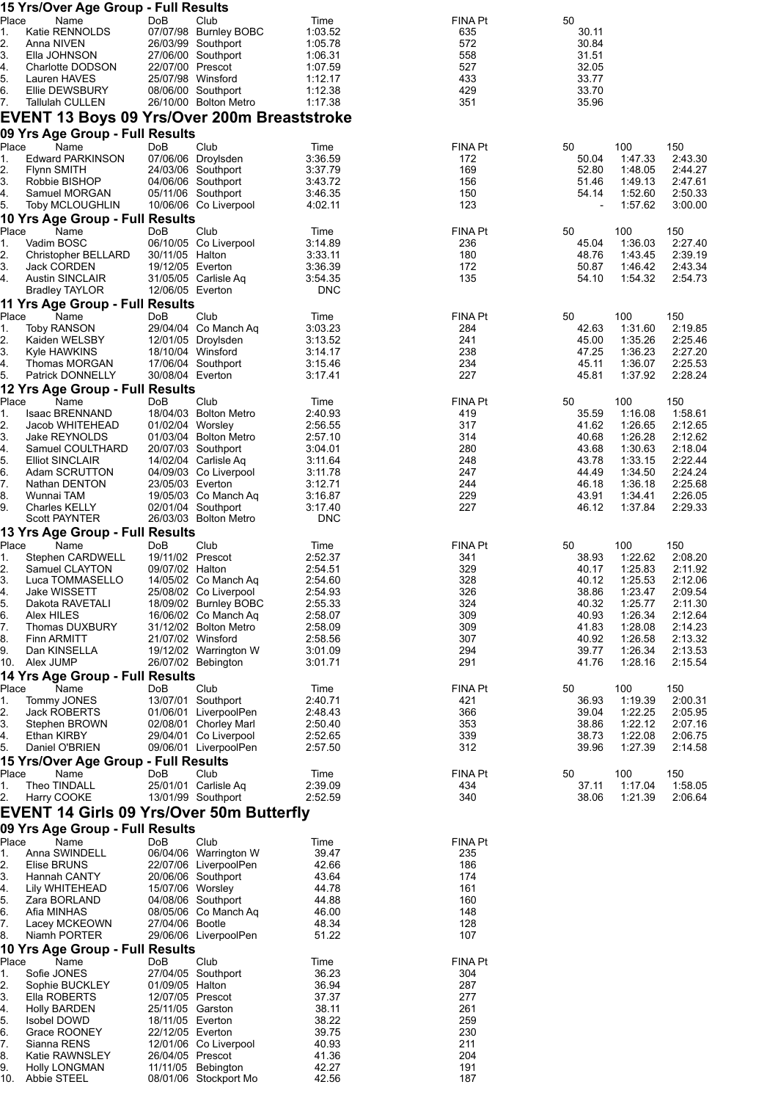|             | 15 Yrs/Over Age Group - Full Results             |                                      |                                               |                    |                |                |                    |                    |
|-------------|--------------------------------------------------|--------------------------------------|-----------------------------------------------|--------------------|----------------|----------------|--------------------|--------------------|
| Place<br>1. | Name<br>Katie RENNOLDS                           | DoB                                  | Club<br>07/07/98 Burnley BOBC                 | Time<br>1:03.52    | FINA Pt<br>635 | 50<br>30.11    |                    |                    |
| 2.          | Anna NIVEN                                       |                                      | 26/03/99 Southport                            | 1:05.78            | 572            | 30.84          |                    |                    |
| 3.          | Ella JOHNSON                                     |                                      | 27/06/00 Southport                            | 1:06.31            | 558            | 31.51          |                    |                    |
| 4.          | Charlotte DODSON                                 | 22/07/00 Prescot                     |                                               | 1:07.59            | 527            | 32.05          |                    |                    |
| 5.          | Lauren HAVES                                     | 25/07/98 Winsford                    |                                               | 1:12.17            | 433            | 33.77          |                    |                    |
| 6.<br>7.    | Ellie DEWSBURY<br><b>Tallulah CULLEN</b>         |                                      | 08/06/00 Southport<br>26/10/00 Bolton Metro   | 1:12.38<br>1:17.38 | 429<br>351     | 33.70<br>35.96 |                    |                    |
|             | EVENT 13 Boys 09 Yrs/Over 200m Breaststroke      |                                      |                                               |                    |                |                |                    |                    |
|             | 09 Yrs Age Group - Full Results                  |                                      |                                               |                    |                |                |                    |                    |
| Place       | Name                                             | DoB                                  | Club                                          | Time               | FINA Pt        | 50             | 100                | 150                |
| 1.          | <b>Edward PARKINSON</b>                          |                                      | 07/06/06 Droylsden                            | 3:36.59            | 172            | 50.04          | 1:47.33            | 2:43.30            |
| 2.          | <b>Flynn SMITH</b>                               |                                      | 24/03/06 Southport                            | 3:37.79            | 169            | 52.80          | 1:48.05            | 2:44.27            |
| 3.          | Robbie BISHOP                                    |                                      | 04/06/06 Southport                            | 3:43.72            | 156            | 51.46          | 1:49.13            | 2:47.61            |
| 4.          | Samuel MORGAN                                    |                                      | 05/11/06 Southport                            | 3:46.35            | 150            | 54.14          | 1:52.60            | 2:50.33            |
| 5.          | <b>Toby MCLOUGHLIN</b>                           |                                      | 10/06/06 Co Liverpool                         | 4:02.11            | 123            |                | 1:57.62            | 3:00.00            |
|             | 10 Yrs Age Group - Full Results                  |                                      |                                               |                    |                |                |                    |                    |
| Place<br>1. | Name<br>Vadim BOSC                               | DoB                                  | Club<br>06/10/05 Co Liverpool                 | Time<br>3:14.89    | FINA Pt<br>236 | 50<br>45.04    | 100<br>1:36.03     | 150<br>2:27.40     |
| 2.          | Christopher BELLARD                              | 30/11/05 Halton                      |                                               | 3:33.11            | 180            | 48.76          | 1:43.45            | 2:39.19            |
| 3.          | Jack CORDEN                                      | 19/12/05 Everton                     |                                               | 3:36.39            | 172            | 50.87          | 1:46.42            | 2:43.34            |
| 4.          | <b>Austin SINCLAIR</b>                           |                                      | 31/05/05 Carlisle Aq                          | 3:54.35            | 135            | 54.10          | 1:54.32            | 2:54.73            |
|             | <b>Bradley TAYLOR</b>                            | 12/06/05 Everton                     |                                               | <b>DNC</b>         |                |                |                    |                    |
|             | 11 Yrs Age Group - Full Results                  |                                      |                                               |                    |                |                |                    |                    |
| Place       | Name                                             | DoB                                  | Club                                          | Time               | FINA Pt        | 50             | 100                | 150                |
| 1.<br>2.    | <b>Toby RANSON</b><br>Kaiden WELSBY              |                                      | 29/04/04 Co Manch Aq<br>12/01/05 Droylsden    | 3:03.23<br>3:13.52 | 284<br>241     | 42.63<br>45.00 | 1:31.60<br>1:35.26 | 2:19.85<br>2:25.46 |
| 3.          | Kyle HAWKINS                                     | 18/10/04 Winsford                    |                                               | 3:14.17            | 238            | 47.25          | 1:36.23            | 2:27.20            |
| 4.          | Thomas MORGAN                                    |                                      | 17/06/04 Southport                            | 3:15.46            | 234            | 45.11          | 1:36.07            | 2:25.53            |
| 5.          | Patrick DONNELLY                                 | 30/08/04 Everton                     |                                               | 3:17.41            | 227            | 45.81          | 1:37.92            | 2:28.24            |
|             | 12 Yrs Age Group - Full Results                  |                                      |                                               |                    |                |                |                    |                    |
| Place       | Name                                             | DoB                                  | Club                                          | Time               | FINA Pt        | 50             | 100                | 150                |
| 1.          | Isaac BRENNAND                                   |                                      | 18/04/03 Bolton Metro                         | 2:40.93            | 419            | 35.59          | 1:16.08            | 1:58.61            |
| 2.          | Jacob WHITEHEAD                                  | 01/02/04 Worsley                     |                                               | 2:56.55            | 317            | 41.62          | 1:26.65            | 2:12.65            |
| 3.<br>4.    | Jake REYNOLDS<br>Samuel COULTHARD                |                                      | 01/03/04 Bolton Metro<br>20/07/03 Southport   | 2:57.10<br>3:04.01 | 314<br>280     | 40.68<br>43.68 | 1:26.28<br>1:30.63 | 2:12.62<br>2:18.04 |
| 5.          | <b>Elliot SINCLAIR</b>                           |                                      | 14/02/04 Carlisle Aq                          | 3:11.64            | 248            | 43.78          | 1:33.15            | 2:22.44            |
| 6.          | Adam SCRUTTON                                    |                                      | 04/09/03 Co Liverpool                         | 3:11.78            | 247            | 44.49          | 1:34.50            | 2:24.24            |
| 7.          | Nathan DENTON                                    | 23/05/03 Everton                     |                                               | 3:12.71            | 244            | 46.18          | 1:36.18            | 2:25.68            |
| 8.          | Wunnai TAM                                       |                                      | 19/05/03 Co Manch Aq                          | 3:16.87            | 229            | 43.91          | 1:34.41            | 2:26.05            |
| 9.          | Charles KELLY                                    |                                      | 02/01/04 Southport<br>26/03/03 Bolton Metro   | 3:17.40            | 227            | 46.12          | 1:37.84            | 2:29.33            |
|             | Scott PAYNTER<br>13 Yrs Age Group - Full Results |                                      |                                               | <b>DNC</b>         |                |                |                    |                    |
| Place       | Name                                             | DoB                                  | Club                                          | Time               | FINA Pt        | 50             | 100                | 150                |
| 1.          | Stephen CARDWELL                                 | 19/11/02 Prescot                     |                                               | 2:52.37            | 341            | 38.93          | 1:22.62            | 2:08.20            |
| 2.          | Samuel CLAYTON                                   | 09/07/02 Halton                      |                                               | 2:54.51            | 329            | 40.17          | 1:25.83            | 2:11.92            |
| 3.          | Luca TOMMASELLO                                  |                                      | 14/05/02 Co Manch Aq                          | 2:54.60            | 328            | 40.12          | 1:25.53            | 2:12.06            |
| 4.          | Jake WISSETT                                     |                                      | 25/08/02 Co Liverpool                         | 2:54.93            | 326            | 38.86          | 1:23.47            | 2:09.54            |
| 5.          | Dakota RAVETALI                                  |                                      | 18/09/02 Burnley BOBC                         | 2:55.33<br>2:58.07 | 324<br>309     | 40.32          | 1:25.77            | 2:11.30            |
| 6.<br>7.    | Alex HILES<br>Thomas DUXBURY                     |                                      | 16/06/02 Co Manch Aq<br>31/12/02 Bolton Metro | 2:58.09            | 309            | 40.93<br>41.83 | 1:26.34<br>1:28.08 | 2:12.64<br>2:14.23 |
| 8.          | <b>Finn ARMITT</b>                               | 21/07/02 Winsford                    |                                               | 2:58.56            | 307            | 40.92          | 1:26.58            | 2:13.32            |
| 9.          | Dan KINSELLA                                     |                                      | 19/12/02 Warrington W                         | 3:01.09            | 294            | 39.77          | 1:26.34            | 2:13.53            |
| 10.         | Alex JUMP                                        |                                      | 26/07/02 Bebington                            | 3:01.71            | 291            | 41.76          | 1:28.16            | 2:15.54            |
|             | 14 Yrs Age Group - Full Results                  |                                      |                                               |                    |                |                |                    |                    |
| Place       | Name                                             | DoB                                  | Club                                          | Time               | FINA Pt        | 50             | 100                | 150                |
| 1.<br>2.    | Tommy JONES<br><b>Jack ROBERTS</b>               |                                      | 13/07/01 Southport<br>01/06/01 LiverpoolPen   | 2:40.71<br>2:48.43 | 421<br>366     | 36.93<br>39.04 | 1:19.39<br>1:22.25 | 2:00.31<br>2:05.95 |
| 3.          | Stephen BROWN                                    |                                      | 02/08/01 Chorley Marl                         | 2:50.40            | 353            | 38.86          | 1:22.12            | 2:07.16            |
| 4.          | Ethan KIRBY                                      |                                      | 29/04/01 Co Liverpool                         | 2:52.65            | 339            | 38.73          | 1:22.08            | 2:06.75            |
| 5.          | Daniel O'BRIEN                                   |                                      | 09/06/01 LiverpoolPen                         | 2:57.50            | 312            | 39.96          | 1:27.39            | 2:14.58            |
|             | 15 Yrs/Over Age Group - Full Results             |                                      |                                               |                    |                |                |                    |                    |
| Place       | Name                                             | DoB                                  | Club                                          | Time               | FINA Pt        | 50             | 100                | 150                |
| 1.<br>2.    | Theo TINDALL<br>Harry COOKE                      |                                      | 25/01/01 Carlisle Aq<br>13/01/99 Southport    | 2:39.09<br>2:52.59 | 434<br>340     | 37.11<br>38.06 | 1:17.04<br>1:21.39 | 1:58.05<br>2:06.64 |
|             | <b>EVENT 14 Girls 09 Yrs/Over 50m Butterfly</b>  |                                      |                                               |                    |                |                |                    |                    |
|             |                                                  |                                      |                                               |                    |                |                |                    |                    |
| Place       | 09 Yrs Age Group - Full Results<br>Name          | DoB                                  | Club                                          | Time               | FINA Pt        |                |                    |                    |
| 1.          | Anna SWINDELL                                    |                                      | 06/04/06 Warrington W                         | 39.47              | 235            |                |                    |                    |
| 2.          | Elise BRUNS                                      |                                      | 22/07/06 LiverpoolPen                         | 42.66              | 186            |                |                    |                    |
| 3.          | Hannah CANTY                                     |                                      | 20/06/06 Southport                            | 43.64              | 174            |                |                    |                    |
| 4.          | Lily WHITEHEAD                                   | 15/07/06 Worsley                     |                                               | 44.78              | 161            |                |                    |                    |
| 5.          | Zara BORLAND                                     |                                      | 04/08/06 Southport                            | 44.88              | 160            |                |                    |                    |
| 6.          | Afia MINHAS                                      |                                      | 08/05/06 Co Manch Aq                          | 46.00              | 148            |                |                    |                    |
| 7.<br>8.    | Lacey MCKEOWN<br>Niamh PORTER                    | 27/04/06 Bootle                      | 29/06/06 LiverpoolPen                         | 48.34<br>51.22     | 128<br>107     |                |                    |                    |
|             | 10 Yrs Age Group - Full Results                  |                                      |                                               |                    |                |                |                    |                    |
| Place       | Name                                             | DoB                                  | Club                                          | Time               | FINA Pt        |                |                    |                    |
| 1.          | Sofie JONES                                      |                                      | 27/04/05 Southport                            | 36.23              | 304            |                |                    |                    |
| 2.          | Sophie BUCKLEY                                   | 01/09/05 Halton                      |                                               | 36.94              | 287            |                |                    |                    |
| 3.          | Ella ROBERTS                                     | 12/07/05 Prescot                     |                                               | 37.37              | 277            |                |                    |                    |
| 4.<br>5.    | <b>Holly BARDEN</b><br><b>Isobel DOWD</b>        | 25/11/05 Garston<br>18/11/05 Everton |                                               | 38.11<br>38.22     | 261<br>259     |                |                    |                    |
| 6.          | Grace ROONEY                                     | 22/12/05 Everton                     |                                               | 39.75              | 230            |                |                    |                    |
| 7.          | Sianna RENS                                      |                                      | 12/01/06 Co Liverpool                         | 40.93              | 211            |                |                    |                    |
| 8.          | Katie RAWNSLEY                                   | 26/04/05 Prescot                     |                                               | 41.36              | 204            |                |                    |                    |
| 9.          | <b>Holly LONGMAN</b>                             |                                      | 11/11/05 Bebington                            | 42.27              | 191            |                |                    |                    |
| 10.         | Abbie STEEL                                      |                                      | 08/01/06 Stockport Mo                         | 42.56              | 187            |                |                    |                    |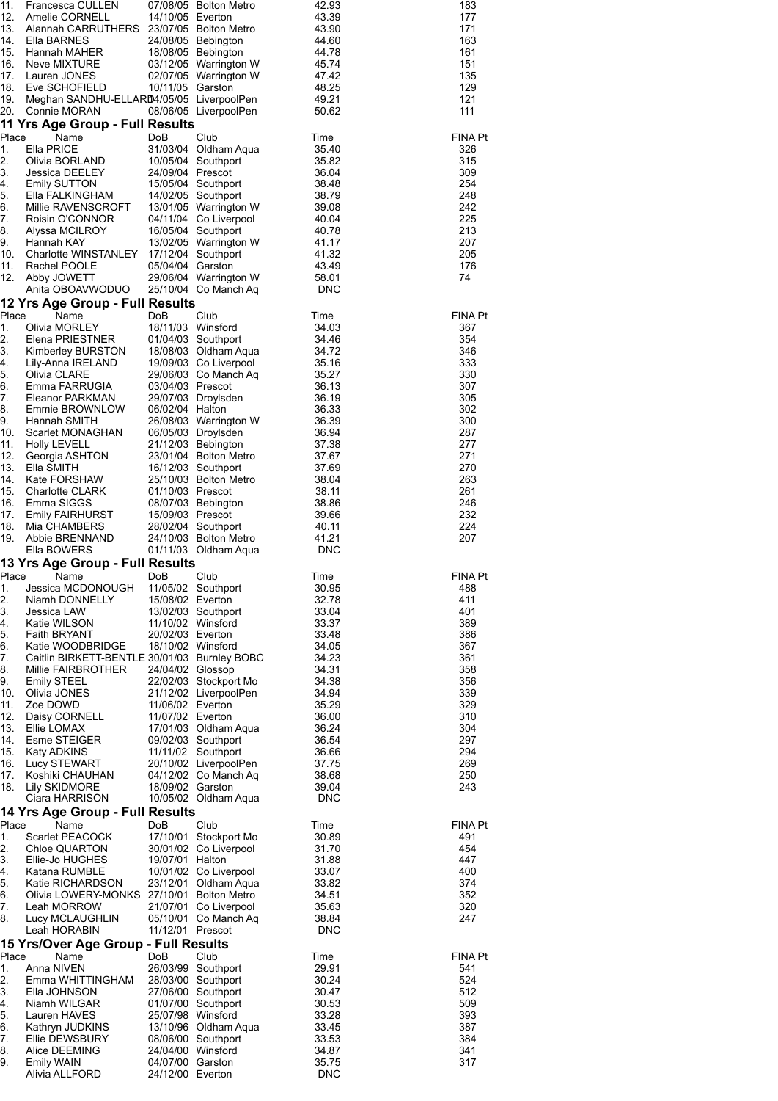| 183<br>177<br>171<br>163<br>161<br>151<br>135<br>129<br>121<br>111                                                                                                                                                                                            | <b>FINA Pt</b><br>326<br>315<br>309<br>254<br>248<br>242<br>225<br>213<br>207<br>205<br>176<br>74                                                                                                                                                                                | <b>FINA Pt</b><br>367<br>354<br>346<br>333<br>330<br>307<br>305<br>302<br>300<br>287<br>277<br>271<br>270<br>263<br>261<br>246<br>232<br>224<br>207                                                                                                                                                                                                                                                                | <b>FINA Pt</b><br>488<br>411<br>401<br>389<br>386<br>367<br>361<br>358<br>356<br>339<br>329<br>310<br>304<br>297<br>294<br>269<br>250<br>243                                                                                                                                                                                                                                                                   | <b>FINA Pt</b><br>491<br>454<br>447<br>400<br>374<br>352<br>320<br>247                                                                                                                                                                  | <b>FINA Pt</b><br>541<br>524<br>512<br>509<br>393<br>387<br>384<br>341<br>317                                                                                                       |
|---------------------------------------------------------------------------------------------------------------------------------------------------------------------------------------------------------------------------------------------------------------|----------------------------------------------------------------------------------------------------------------------------------------------------------------------------------------------------------------------------------------------------------------------------------|--------------------------------------------------------------------------------------------------------------------------------------------------------------------------------------------------------------------------------------------------------------------------------------------------------------------------------------------------------------------------------------------------------------------|----------------------------------------------------------------------------------------------------------------------------------------------------------------------------------------------------------------------------------------------------------------------------------------------------------------------------------------------------------------------------------------------------------------|-----------------------------------------------------------------------------------------------------------------------------------------------------------------------------------------------------------------------------------------|-------------------------------------------------------------------------------------------------------------------------------------------------------------------------------------|
| 42.93<br>43.39<br>43.90<br>44.60<br>44.78<br>45.74<br>47.42<br>48.25<br>49.21<br>50.62                                                                                                                                                                        | Time<br>35.40<br>35.82<br>36.04<br>38.48<br>38.79<br>39.08<br>40.04<br>40.78<br>41.17<br>41.32<br>43.49<br>58.01<br><b>DNC</b>                                                                                                                                                   | Time<br>34.03<br>34.46<br>34.72<br>35.16<br>35.27<br>36.13<br>36.19<br>36.33<br>36.39<br>36.94<br>37.38<br>37.67<br>37.69<br>38.04<br>38.11<br>38.86<br>39.66<br>40.11<br>41.21<br><b>DNC</b>                                                                                                                                                                                                                      | Time<br>30.95<br>32.78<br>33.04<br>33.37<br>33.48<br>34.05<br>34.23<br>34.31<br>34.38<br>34.94<br>35.29<br>36.00<br>36.24<br>36.54<br>36.66<br>37.75<br>38.68<br>39.04<br><b>DNC</b>                                                                                                                                                                                                                           | Time<br>30.89<br>31.70<br>31.88<br>33.07<br>33.82<br>34.51<br>35.63<br>38.84<br><b>DNC</b>                                                                                                                                              | Time<br>29.91<br>30.24<br>30.47<br>30.53<br>33.28<br>33.45<br>33.53<br>34.87<br>35.75<br><b>DNC</b>                                                                                 |
| 07/08/05 Bolton Metro<br>24/08/05 Bebington<br>18/08/05 Bebington<br>03/12/05 Warrington W<br>02/07/05 Warrington W<br>08/06/05 LiverpoolPen                                                                                                                  | Club<br>31/03/04 Oldham Aqua<br>10/05/04 Southport<br>15/05/04 Southport<br>14/02/05 Southport<br>13/01/05 Warrington W<br>04/11/04 Co Liverpool<br>16/05/04 Southport<br>13/02/05 Warrington W<br>17/12/04 Southport<br>29/06/04 Warrington W<br>25/10/04 Co Manch Aq           | Club<br>01/04/03 Southport<br>18/08/03 Oldham Aqua<br>19/09/03 Co Liverpool<br>29/06/03 Co Manch Aq<br>29/07/03 Droylsden<br>26/08/03 Warrington W<br>06/05/03 Droylsden<br>21/12/03 Bebington<br>23/01/04 Bolton Metro<br>16/12/03 Southport<br>25/10/03 Bolton Metro<br>08/07/03 Bebington<br>28/02/04 Southport<br>24/10/03 Bolton Metro<br>01/11/03 Oldham Aqua                                                | Club<br>11/05/02 Southport<br>13/02/03 Southport<br>22/02/03 Stockport Mo<br>21/12/02 LiverpoolPen<br>17/01/03 Oldham Aqua<br>09/02/03 Southport<br>11/11/02 Southport<br>20/10/02 LiverpoolPen<br>04/12/02 Co Manch Aq<br>10/05/02 Oldham Aqua                                                                                                                                                                | Club<br>17/10/01 Stockport Mo<br>30/01/02 Co Liverpool<br>10/01/02 Co Liverpool<br>23/12/01 Oldham Aqua<br>21/07/01 Co Liverpool<br>05/10/01 Co Manch Aq                                                                                | Club<br>26/03/99 Southport<br>28/03/00 Southport<br>27/06/00 Southport<br>01/07/00 Southport<br>13/10/96 Oldham Aqua<br>08/06/00 Southport                                          |
| 14/10/05 Everton<br>10/11/05 Garston                                                                                                                                                                                                                          | DoB<br>24/09/04 Prescot<br>05/04/04 Garston                                                                                                                                                                                                                                      | <b>DoB</b><br>18/11/03 Winsford<br>03/04/03 Prescot<br>06/02/04 Halton<br>01/10/03 Prescot<br>15/09/03 Prescot                                                                                                                                                                                                                                                                                                     | DoB<br>15/08/02 Everton<br>11/10/02 Winsford<br>20/02/03 Everton<br>18/10/02 Winsford<br>24/04/02 Glossop<br>11/06/02 Everton<br>11/07/02 Everton<br>18/09/02 Garston                                                                                                                                                                                                                                          | DoB<br>19/07/01 Halton<br>11/12/01 Prescot                                                                                                                                                                                              | DoB<br>25/07/98 Winsford<br>24/04/00 Winsford<br>04/07/00 Garston<br>24/12/00 Everton                                                                                               |
| Francesca CULLEN<br>Amelie CORNELL<br>Alannah CARRUTHERS 23/07/05 Bolton Metro<br>Ella BARNES<br>Hannah MAHER<br>Neve MIXTURE<br>Lauren JONES<br>Eve SCHOFIELD<br>Meghan SANDHU-ELLARD4/05/05 LiverpoolPen<br>Connie MORAN<br>11 Yrs Age Group - Full Results | Name<br>Ella PRICE<br>Olivia BORLAND<br>Jessica DEELEY<br>Emily SUTTON<br>Ella FALKINGHAM<br>Millie RAVENSCROFT<br>Roisin O'CONNOR<br>Alyssa MCILROY<br>Hannah KAY<br>Charlotte WINSTANLEY<br>Rachel POOLE<br>Abby JOWETT<br>Anita OBOAVWODUO<br>12 Yrs Age Group - Full Results | Name<br>Olivia MORLEY<br>Elena PRIESTNER<br>Kimberley BURSTON<br>Lily-Anna IRELAND<br>Olivia CLARE<br>Emma FARRUGIA<br>Eleanor PARKMAN<br>Emmie BROWNLOW<br>Hannah SMITH<br>Scarlet MONAGHAN<br>Holly LEVELL<br>Georgia ASHTON<br>Ella SMITH<br>Kate FORSHAW<br><b>Charlotte CLARK</b><br>Emma SIGGS<br><b>Emily FAIRHURST</b><br>Mia CHAMBERS<br>Abbie BRENNAND<br>Ella BOWERS<br>13 Yrs Age Group - Full Results | Name<br>Jessica MCDONOUGH<br>Niamh DONNELLY<br>Jessica LAW<br>Katie WILSON<br><b>Faith BRYANT</b><br>Katie WOODBRIDGE<br>Caitlin BIRKETT-BENTLE 30/01/03 Burnley BOBC<br>Millie FAIRBROTHER<br>Emily STEEL<br>Olivia JONES<br>Zoe DOWD<br>Daisy CORNELL<br>Ellie LOMAX<br>Esme STEIGER<br>Katy ADKINS<br>Lucy STEWART<br>Koshiki CHAUHAN<br>Lily SKIDMORE<br>Ciara HARRISON<br>14 Yrs Age Group - Full Results | Name<br>Scarlet PEACOCK<br>Chloe QUARTON<br>Ellie-Jo HUGHES<br>Katana RUMBLE<br>Katie RICHARDSON<br>Olivia LOWERY-MONKS 27/10/01 Bolton Metro<br>Leah MORROW<br>Lucy MCLAUGHLIN<br>Leah HORABIN<br>15 Yrs/Over Age Group - Full Results | Name<br>Anna NIVEN<br>Emma WHITTINGHAM<br>Ella JOHNSON<br>Niamh WILGAR<br>Lauren HAVES<br>Kathryn JUDKINS<br>Ellie DEWSBURY<br>Alice DEEMING<br><b>Emily WAIN</b><br>Alivia ALLFORD |
| 11.<br>12.<br>13.<br>14.<br>15.<br>16.<br>17.<br>18.<br>19.<br>20.                                                                                                                                                                                            | Place<br>1.<br>2.<br>3.<br>4.<br>5.<br>6.<br>7.<br>8.<br>9.<br>10.<br>11.<br>12.                                                                                                                                                                                                 | Place<br>1.<br>2.<br>3.<br>4.<br>5.<br>6.<br>7.<br>8.<br>9.<br>10.<br>11.<br>12.<br>13.<br>14.<br>15.<br>16.<br>17.<br>18.<br>19.                                                                                                                                                                                                                                                                                  | Place<br>1.<br>2.<br>3.<br>4.<br>5.<br>6.<br>7.<br>8.<br>9.<br>10.<br>11.<br>12.<br>13.<br>14.<br>15.<br>16.<br>17.<br>18.                                                                                                                                                                                                                                                                                     | Place<br>1.<br>2.<br>3.<br>4.<br>5.<br>6.<br>7.<br>8.                                                                                                                                                                                   | Place<br>1.<br>2.<br>3.<br>4.<br>5.<br>6.<br>7.<br>8.<br>9.                                                                                                                         |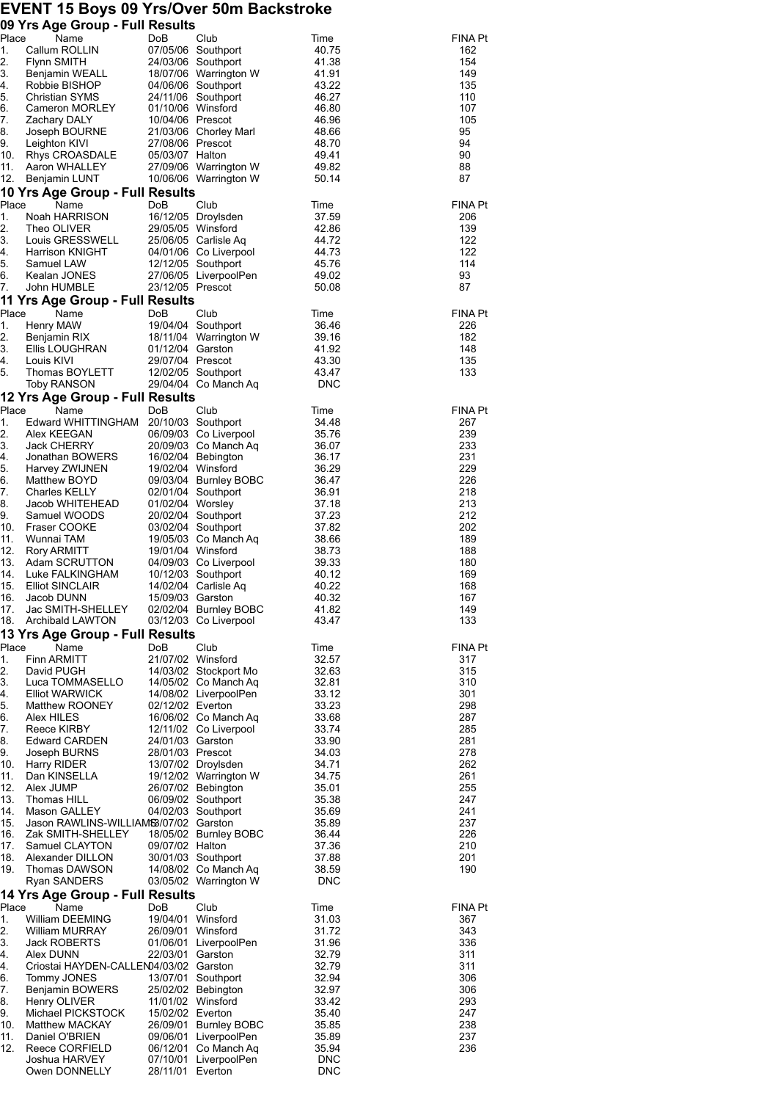## **EVENT 15 Boys 09 Yrs/Over 50m Backstroke**

|             | 09 Yrs Age Group - Full Results                       |                                      |                                               |                |                       |
|-------------|-------------------------------------------------------|--------------------------------------|-----------------------------------------------|----------------|-----------------------|
| Place<br>1. | Name                                                  | DoB                                  | Club                                          | Time           | <b>FINA Pt</b><br>162 |
| 2.          | Callum ROLLIN<br>Flynn SMITH                          |                                      | 07/05/06 Southport<br>24/03/06 Southport      | 40.75<br>41.38 | 154                   |
| 3.          | Benjamin WEALL                                        |                                      | 18/07/06 Warrington W                         | 41.91          | 149                   |
| 4.          | Robbie BISHOP                                         |                                      | 04/06/06 Southport                            | 43.22          | 135                   |
| 5.          | Christian SYMS                                        |                                      | 24/11/06 Southport                            | 46.27          | 110                   |
| 6.          | Cameron MORLEY                                        | 01/10/06 Winsford                    |                                               | 46.80          | 107                   |
| 7.<br>8.    | Zachary DALY<br>Joseph BOURNE                         | 10/04/06 Prescot                     | 21/03/06 Chorley Marl                         | 46.96<br>48.66 | 105<br>95             |
| 9.          | Leighton KIVI                                         | 27/08/06 Prescot                     |                                               | 48.70          | 94                    |
| 10.         | Rhys CROASDALE                                        | 05/03/07 Halton                      |                                               | 49.41          | 90                    |
| 11.         | Aaron WHALLEY                                         |                                      | 27/09/06 Warrington W                         | 49.82          | 88                    |
| 12.         | Benjamin LUNT                                         |                                      | 10/06/06 Warrington W                         | 50.14          | 87                    |
|             | 10 Yrs Age Group - Full Results                       |                                      |                                               |                |                       |
| Place<br>1. | Name<br>Noah HARRISON                                 | <b>DoB</b>                           | Club<br>16/12/05 Droylsden                    | Time<br>37.59  | <b>FINA Pt</b><br>206 |
| 2.          | Theo OLIVER                                           | 29/05/05 Winsford                    |                                               | 42.86          | 139                   |
| 3.          | Louis GRESSWELL                                       |                                      | 25/06/05 Carlisle Aq                          | 44.72          | 122                   |
| 4.          | Harrison KNIGHT                                       |                                      | 04/01/06 Co Liverpool                         | 44.73          | 122                   |
| 5.          | Samuel LAW                                            |                                      | 12/12/05 Southport                            | 45.76          | 114                   |
| 6.<br>7.    | Kealan JONES<br>John HUMBLE                           | 23/12/05 Prescot                     | 27/06/05 LiverpoolPen                         | 49.02<br>50.08 | 93<br>87              |
|             | 11 Yrs Age Group - Full Results                       |                                      |                                               |                |                       |
| Place       | Name                                                  | DoB                                  | Club                                          | Time           | <b>FINA Pt</b>        |
| 1.          | Henry MAW                                             |                                      | 19/04/04 Southport                            | 36.46          | 226                   |
| 2.          | Benjamin RIX                                          |                                      | 18/11/04 Warrington W                         | 39.16          | 182                   |
| 3.          | Ellis LOUGHRAN                                        | 01/12/04 Garston                     |                                               | 41.92          | 148                   |
| 4.<br>5.    | Louis KIVI<br>Thomas BOYLETT                          | 29/07/04 Prescot                     | 12/02/05 Southport                            | 43.30<br>43.47 | 135<br>133            |
|             | Toby RANSON                                           |                                      | 29/04/04 Co Manch Aq                          | <b>DNC</b>     |                       |
|             | 12 Yrs Age Group - Full Results                       |                                      |                                               |                |                       |
| Place       | Name                                                  | DoB                                  | Club                                          | Time           | <b>FINA Pt</b>        |
| 1.          | Edward WHITTINGHAM 20/10/03 Southport                 |                                      |                                               | 34.48          | 267                   |
| 2.          | Alex KEEGAN                                           |                                      | 06/09/03 Co Liverpool                         | 35.76          | 239                   |
| 3.          | Jack CHERRY                                           |                                      | 20/09/03 Co Manch Aq                          | 36.07          | 233                   |
| 4.<br>5.    | Jonathan BOWERS<br>Harvey ZWIJNEN                     | 19/02/04 Winsford                    | 16/02/04 Bebington                            | 36.17<br>36.29 | 231<br>229            |
| 6.          | Matthew BOYD                                          |                                      | 09/03/04 Burnley BOBC                         | 36.47          | 226                   |
| 7.          | <b>Charles KELLY</b>                                  |                                      | 02/01/04 Southport                            | 36.91          | 218                   |
| 8.          | Jacob WHITEHEAD                                       | 01/02/04 Worsley                     |                                               | 37.18          | 213                   |
| 9.<br>10.   | Samuel WOODS<br>Fraser COOKE                          |                                      | 20/02/04 Southport<br>03/02/04 Southport      | 37.23<br>37.82 | 212<br>202            |
| 11.         | Wunnai TAM                                            |                                      | 19/05/03 Co Manch Aq                          | 38.66          | 189                   |
| 12.         | Rory ARMITT                                           | 19/01/04 Winsford                    |                                               | 38.73          | 188                   |
| 13.         | Adam SCRUTTON                                         |                                      | 04/09/03 Co Liverpool                         | 39.33          | 180                   |
| 14.         | Luke FALKINGHAM                                       |                                      | 10/12/03 Southport                            | 40.12          | 169                   |
| 15.<br>16.  | <b>Elliot SINCLAIR</b><br>Jacob DUNN                  | 15/09/03 Garston                     | 14/02/04 Carlisle Aq                          | 40.22<br>40.32 | 168<br>167            |
| 17.         | Jac SMITH-SHELLEY                                     |                                      | 02/02/04 Burnley BOBC                         | 41.82          | 149                   |
| 18.         | <b>Archibald LAWTON</b>                               |                                      | 03/12/03 Co Liverpool                         | 43.47          | 133                   |
|             | 13 Yrs Age Group - Full Results                       |                                      |                                               |                |                       |
| Place       | Name                                                  | DoB                                  | Club                                          | Time           | <b>FINA Pt</b>        |
| 1.          | <b>Finn ARMITT</b>                                    | 21/07/02 Winsford                    |                                               | 32.57          | 317                   |
| 2.<br>3.    | David PUGH<br>Luca TOMMASELLO                         |                                      | 14/03/02 Stockport Mo<br>14/05/02 Co Manch Ag | 32.63<br>32.81 | 315<br>310            |
| 4.          | <b>Elliot WARWICK</b>                                 |                                      | 14/08/02 LiverpoolPen                         | 33.12          | 301                   |
| 5.          | Matthew ROONEY                                        | 02/12/02 Everton                     |                                               | 33.23          | 298                   |
| 6.          | Alex HILES                                            |                                      | 16/06/02 Co Manch Aq                          | 33.68          | 287                   |
| 7.          | Reece KIRBY                                           |                                      | 12/11/02 Co Liverpool                         | 33.74          | 285                   |
| 8.<br>9.    | <b>Edward CARDEN</b><br>Joseph BURNS                  | 24/01/03 Garston<br>28/01/03 Prescot |                                               | 33.90<br>34.03 | 281<br>278            |
| 10.         | Harry RIDER                                           |                                      | 13/07/02 Droylsden                            | 34.71          | 262                   |
| 11.         | Dan KINSELLA                                          |                                      | 19/12/02 Warrington W                         | 34.75          | 261                   |
| 12.         | Alex JUMP                                             |                                      | 26/07/02 Bebington                            | 35.01          | 255                   |
| 13.         | Thomas HILL                                           |                                      | 06/09/02 Southport                            | 35.38          | 247                   |
| 14.<br>15.  | Mason GALLEY<br>Jason RAWLINS-WILLIAMS3/07/02 Garston |                                      | 04/02/03 Southport                            | 35.69<br>35.89 | 241<br>237            |
| 16.         | Zak SMITH-SHELLEY                                     |                                      | 18/05/02 Burnley BOBC                         | 36.44          | 226                   |
| 17.         | Samuel CLAYTON                                        | 09/07/02 Halton                      |                                               | 37.36          | 210                   |
| 18.         | Alexander DILLON                                      |                                      | 30/01/03 Southport                            | 37.88          | 201                   |
| 19.         | Thomas DAWSON                                         |                                      | 14/08/02 Co Manch Aq                          | 38.59          | 190                   |
|             | Ryan SANDERS                                          |                                      | 03/05/02 Warrington W                         | <b>DNC</b>     |                       |
| Place       | 14 Yrs Age Group - Full Results<br>Name               | DoB                                  | Club                                          | Time           | FINA Pt               |
| 1.          | William DEEMING                                       | 19/04/01 Winsford                    |                                               | 31.03          | 367                   |
| 2.          | William MURRAY                                        | 26/09/01 Winsford                    |                                               | 31.72          | 343                   |
| 3.          | <b>Jack ROBERTS</b>                                   |                                      | 01/06/01 LiverpoolPen                         | 31.96          | 336                   |
| 4.          | Alex DUNN                                             | 22/03/01 Garston                     |                                               | 32.79          | 311                   |
| 4.<br>6.    | Criostai HAYDEN-CALLEN04/03/02 Garston<br>Tommy JONES |                                      | 13/07/01 Southport                            | 32.79<br>32.94 | 311<br>306            |
| 7.          | Benjamin BOWERS                                       |                                      | 25/02/02 Bebington                            | 32.97          | 306                   |
| 8.          | Henry OLIVER                                          |                                      | 11/01/02 Winsford                             | 33.42          | 293                   |
| 9.          | Michael PICKSTOCK                                     | 15/02/02 Everton                     |                                               | 35.40          | 247                   |
| 10.         | <b>Matthew MACKAY</b>                                 |                                      | 26/09/01 Burnley BOBC                         | 35.85          | 238                   |
| 11.<br>12.  | Daniel O'BRIEN<br><b>Reece CORFIELD</b>               |                                      | 09/06/01 LiverpoolPen<br>06/12/01 Co Manch Ag | 35.89<br>35.94 | 237<br>236            |
|             | Joshua HARVEY                                         |                                      | 07/10/01 LiverpoolPen                         | <b>DNC</b>     |                       |
|             | Owen DONNELLY                                         | 28/11/01 Everton                     |                                               | <b>DNC</b>     |                       |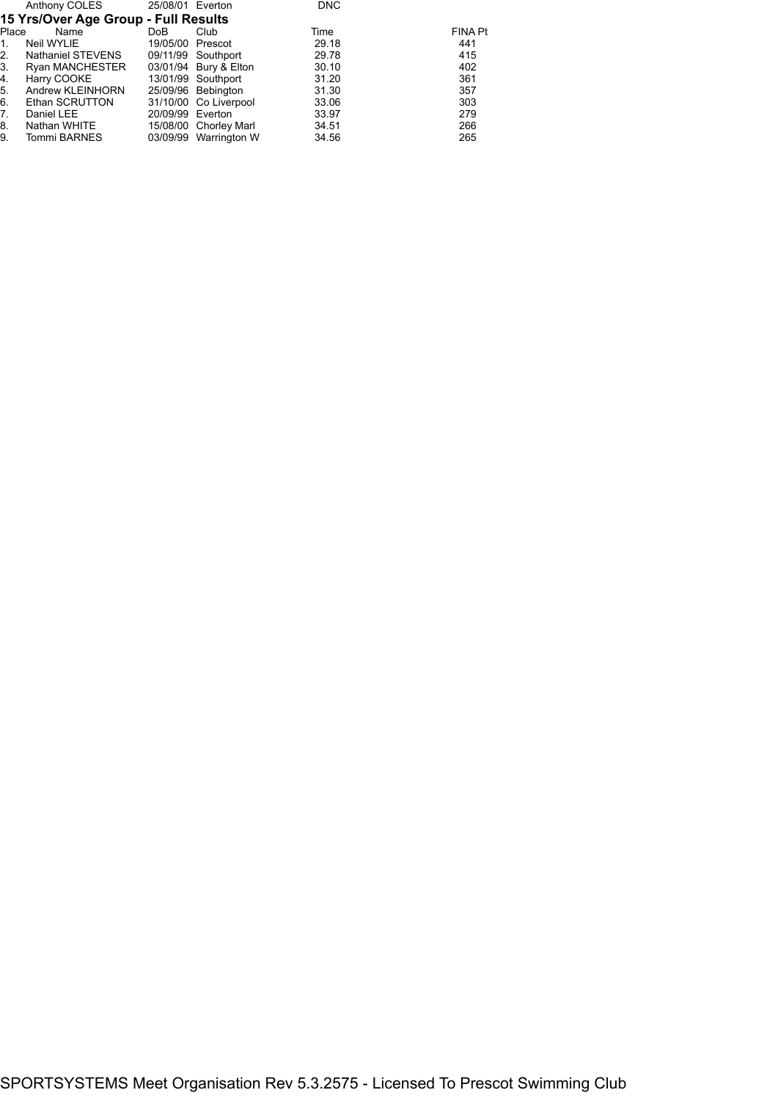|       | Anthony COLES                        | 25/08/01 Everton |                       | <b>DNC</b> |         |
|-------|--------------------------------------|------------------|-----------------------|------------|---------|
|       | 15 Yrs/Over Age Group - Full Results |                  |                       |            |         |
| Place | Name                                 | DoB              | Club                  | Time       | FINA Pt |
| 1.    | Neil WYLIE                           | 19/05/00 Prescot |                       | 29.18      | 441     |
| 2.    | Nathaniel STEVENS                    |                  | 09/11/99 Southport    | 29.78      | 415     |
| 3.    | <b>Ryan MANCHESTER</b>               |                  | 03/01/94 Bury & Elton | 30.10      | 402     |
| 4.    | Harry COOKE                          |                  | 13/01/99 Southport    | 31.20      | 361     |
| 5.    | Andrew KLEINHORN                     |                  | 25/09/96 Bebington    | 31.30      | 357     |
| 6.    | Ethan SCRUTTON                       |                  | 31/10/00 Co Liverpool | 33.06      | 303     |
| 7.    | Daniel LEE                           | 20/09/99 Everton |                       | 33.97      | 279     |
| 8.    | Nathan WHITE                         |                  | 15/08/00 Chorley Marl | 34.51      | 266     |
| 9.    | Tommi BARNES                         |                  | 03/09/99 Warrington W | 34.56      | 265     |
|       |                                      |                  |                       |            |         |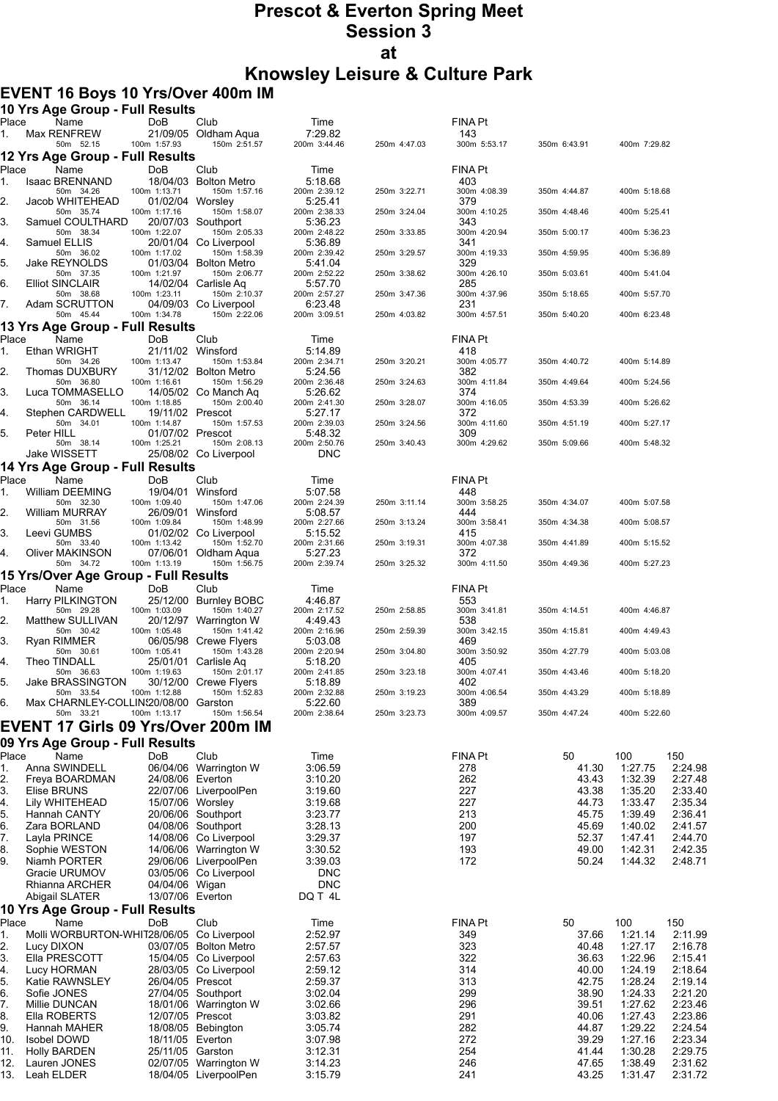# **Prescot & Everton Spring Meet Session 3 at Knowsley Leisure & Culture Park**

#### **EVENT 16 Boys 10 Yrs/Over 400m IM**

|             | 10 Yrs Age Group - Full Results                   |                                  |                                                |                            |              |                       |                |                    |                    |
|-------------|---------------------------------------------------|----------------------------------|------------------------------------------------|----------------------------|--------------|-----------------------|----------------|--------------------|--------------------|
| Place<br>1. | Name<br>Max RENFREW                               | <b>DoB</b>                       | Club<br>21/09/05 Oldham Aqua                   | Time<br>7:29.82            |              | <b>FINA Pt</b><br>143 |                |                    |                    |
|             | 50m 52.15                                         | 100m 1:57.93                     | 150m 2:51.57                                   | 200m 3:44.46               | 250m 4:47.03 | 300m 5:53.17          | 350m 6:43.91   | 400m 7:29.82       |                    |
|             | 12 Yrs Age Group - Full Results                   |                                  |                                                |                            |              |                       |                |                    |                    |
| Place<br>1. | Name<br><b>Isaac BRENNAND</b>                     | DoB                              | Club<br>18/04/03 Bolton Metro                  | Time<br>5:18.68            |              | <b>FINA Pt</b><br>403 |                |                    |                    |
|             | 50m 34.26                                         | 100m 1:13.71                     | 150m 1:57.16                                   | 200m 2:39.12               | 250m 3:22.71 | 300m 4:08.39          | 350m 4:44.87   | 400m 5:18.68       |                    |
| 2.          | Jacob WHITEHEAD<br>50m 35.74                      | 01/02/04 Worsley<br>100m 1:17.16 | 150m 1:58.07                                   | 5:25.41<br>200m 2:38.33    | 250m 3:24.04 | 379<br>300m 4:10.25   | 350m 4:48.46   | 400m 5:25.41       |                    |
| 3.          | Samuel COULTHARD<br>50m 38.34                     | 100m 1:22.07                     | 20/07/03 Southport<br>150m 2:05.33             | 5:36.23<br>200m 2:48.22    | 250m 3:33.85 | 343<br>300m 4:20.94   | 350m 5:00.17   | 400m 5:36.23       |                    |
| 4.          | Samuel ELLIS                                      |                                  | 20/01/04 Co Liverpool                          | 5:36.89                    |              | 341                   |                |                    |                    |
| 5.          | 50m 36.02<br>Jake REYNOLDS                        | 100m 1:17.02                     | 150m 1:58.39<br>01/03/04 Bolton Metro          | 200m 2:39.42<br>5:41.04    | 250m 3:29.57 | 300m 4:19.33<br>329   | 350m 4:59.95   | 400m 5:36.89       |                    |
|             | 50m 37.35                                         | 100m 1:21.97                     | 150m 2:06.77<br>14/02/04 Carlisle Aq           | 200m 2:52.22               | 250m 3:38.62 | 300m 4:26.10<br>285   | 350m 5:03.61   | 400m 5:41.04       |                    |
| 6.          | <b>Elliot SINCLAIR</b><br>50m 38.68               | 100m 1:23.11                     | 150m 2:10.37                                   | 5:57.70<br>200m 2:57.27    | 250m 3:47.36 | 300m 4:37.96          | 350m 5:18.65   | 400m 5:57.70       |                    |
| 7.          | Adam SCRUTTON<br>50m 45.44                        | 100m 1:34.78                     | 04/09/03 Co Liverpool<br>150m 2:22.06          | 6:23.48<br>200m 3:09.51    | 250m 4:03.82 | 231<br>300m 4:57.51   | 350m 5:40.20   | 400m 6:23.48       |                    |
|             | 13 Yrs Age Group - Full Results                   |                                  |                                                |                            |              |                       |                |                    |                    |
| Place       | Name                                              | DoB                              | Club                                           | Time                       |              | FINA Pt               |                |                    |                    |
| 1.          | Ethan WRIGHT<br>50m 34.26                         | 100m 1:13.47                     | 21/11/02 Winsford<br>150m 1:53.84              | 5:14.89<br>200m 2:34.71    | 250m 3:20.21 | 418<br>300m 4:05.77   | 350m 4:40.72   | 400m 5:14.89       |                    |
| 2.          | Thomas DUXBURY                                    |                                  | 31/12/02 Bolton Metro                          | 5:24.56                    |              | 382                   |                |                    |                    |
| 3.          | 50m 36.80<br>Luca TOMMASELLO                      | 100m 1:16.61                     | 150m 1:56.29<br>14/05/02 Co Manch Aq           | 200m 2:36.48<br>5:26.62    | 250m 3:24.63 | 300m 4:11.84<br>374   | 350m 4:49.64   | 400m 5:24.56       |                    |
|             | 50m 36.14                                         | 100m 1:18.85                     | 150m 2:00.40                                   | 200m 2:41.30               | 250m 3:28.07 | 300m 4:16.05          | 350m 4:53.39   | 400m 5:26.62       |                    |
| 4.          | Stephen CARDWELL<br>50m 34.01                     | 19/11/02 Prescot<br>100m 1:14.87 | 150m 1:57.53                                   | 5:27.17<br>200m 2:39.03    | 250m 3:24.56 | 372<br>300m 4:11.60   | 350m 4:51.19   | 400m 5:27.17       |                    |
| 5.          | Peter HILL                                        | 01/07/02 Prescot                 |                                                | 5:48.32                    |              | 309                   |                |                    |                    |
|             | 50m 38.14<br>Jake WISSETT                         | 100m 1:25.21                     | 150m 2:08.13<br>25/08/02 Co Liverpool          | 200m 2:50.76<br><b>DNC</b> | 250m 3:40.43 | 300m 4:29.62          | 350m 5:09.66   | 400m 5:48.32       |                    |
|             | 14 Yrs Age Group - Full Results                   |                                  |                                                |                            |              |                       |                |                    |                    |
| Place       | Name                                              | DoB                              | Club                                           | Time                       |              | FINA Pt               |                |                    |                    |
| 1.          | William DEEMING<br>50m 32.30                      | 100m 1:09.40                     | 19/04/01 Winsford<br>150m 1:47.06              | 5:07.58<br>200m 2:24.39    | 250m 3:11.14 | 448<br>300m 3:58.25   | 350m 4:34.07   | 400m 5:07.58       |                    |
| 2.          | <b>William MURRAY</b>                             | 26/09/01 Winsford                |                                                | 5:08.57                    |              | 444                   |                |                    |                    |
| 3.          | 50m 31.56<br>Leevi GUMBS                          | 100m 1:09.84                     | 150m 1:48.99<br>01/02/02 Co Liverpool          | 200m 2:27.66<br>5:15.52    | 250m 3:13.24 | 300m 3:58.41<br>415   | 350m 4:34.38   | 400m 5:08.57       |                    |
|             | 50m 33.40                                         | 100m 1:13.42                     | 150m 1:52.70                                   | 200m 2:31.66               | 250m 3:19.31 | 300m 4:07.38          | 350m 4:41.89   | 400m 5:15.52       |                    |
| 4.          | Oliver MAKINSON<br>50m 34.72                      | 100m 1:13.19                     | 07/06/01 Oldham Aqua<br>150m 1:56.75           | 5:27.23<br>200m 2:39.74    | 250m 3:25.32 | 372<br>300m 4:11.50   | 350m 4:49.36   | 400m 5:27.23       |                    |
|             | 15 Yrs/Over Age Group - Full Results              |                                  |                                                |                            |              |                       |                |                    |                    |
| Place       | Name                                              | DoB                              | Club                                           | Time                       |              | <b>FINA Pt</b>        |                |                    |                    |
| 1.          | Harry PILKINGTON<br>50m 29.28                     | 100m 1:03.09                     | 25/12/00 Burnley BOBC<br>150m 1:40.27          | 4:46.87<br>200m 2:17.52    | 250m 2:58.85 | 553<br>300m 3:41.81   | 350m 4:14.51   | 400m 4:46.87       |                    |
| 2.          | Matthew SULLIVAN                                  |                                  | 20/12/97 Warrington W                          | 4:49.43                    |              | 538                   |                |                    |                    |
| 3.          | 50m 30.42<br>Ryan RIMMER                          | 100m 1:05.48                     | 150m 1:41.42<br>06/05/98 Crewe Flyers          | 200m 2:16.96<br>5:03.08    | 250m 2:59.39 | 300m 3:42.15<br>469   | 350m 4:15.81   | 400m 4:49.43       |                    |
|             | 50m 30.61                                         | 100m 1:05.41                     | 150m 1:43.28                                   | 200m 2:20.94               | 250m 3:04.80 | 300m 3:50.92          | 350m 4:27.79   | 400m 5:03.08       |                    |
| 4.          | Theo TINDALL<br>50m 36.63                         | 100m 1:19.63                     | 25/01/01 Carlisle Aq<br>150m 2:01.17           | 5:18.20<br>200m 2:41.85    | 250m 3:23.18 | 405<br>300m 4:07.41   | 350m 4:43.46   | 400m 5:18.20       |                    |
| 5.          | Jake BRASSINGTON<br>50m 33.54                     | 100m 1:12.88                     | 30/12/00 Crewe Flyers<br>150m 1:52.83          | 5:18.89<br>200m 2:32.88    | 250m 3:19.23 | 402<br>300m 4:06.54   | 350m 4:43.29   | 400m 5:18.89       |                    |
| 6.          | Max CHARNLEY-COLLIN20/08/00 Garston               |                                  |                                                | 5:22.60                    |              | 389                   |                |                    |                    |
|             | 50m 33.21                                         | 100m 1:13.17                     | 150m 1:56.54                                   | 200m 2:38.64               | 250m 3:23.73 | 300m 4:09.57          | 350m 4:47.24   | 400m 5:22.60       |                    |
|             | <b>EVENT 17 Girls 09 Yrs/Over 200m IM</b>         |                                  |                                                |                            |              |                       |                |                    |                    |
| Place       | 09 Yrs Age Group - Full Results<br>Name           | DoB                              | Club                                           |                            |              | FINA Pt               | 50             |                    | 150                |
| 1.          | Anna SWINDELL                                     |                                  | 06/04/06 Warrington W                          | Time<br>3:06.59            |              | 278                   | 41.30          | 100<br>1:27.75     | 2:24.98            |
| 2.          | Freya BOARDMAN                                    | 24/08/06 Everton                 |                                                | 3:10.20                    |              | 262                   | 43.43          | 1:32.39            | 2:27.48            |
| 3.          | Elise BRUNS<br>Lily WHITEHEAD                     | 15/07/06 Worsley                 | 22/07/06 LiverpoolPen                          | 3:19.60<br>3:19.68         |              | 227<br>227            | 43.38<br>44.73 | 1:35.20<br>1:33.47 | 2:33.40<br>2:35.34 |
| 4.<br>5.    | Hannah CANTY                                      |                                  | 20/06/06 Southport                             | 3:23.77                    |              | 213                   | 45.75          | 1:39.49            | 2:36.41            |
| 6.          | Zara BORLAND                                      |                                  | 04/08/06 Southport                             | 3:28.13                    |              | 200                   | 45.69          | 1:40.02            | 2:41.57            |
| 7.          | Layla PRINCE                                      |                                  | 14/08/06 Co Liverpool                          | 3:29.37<br>3:30.52         |              | 197<br>193            | 52.37<br>49.00 | 1:47.41<br>1:42.31 | 2:44.70<br>2:42.35 |
| 8.<br>9.    | Sophie WESTON<br>Niamh PORTER                     |                                  | 14/06/06 Warrington W<br>29/06/06 LiverpoolPen | 3:39.03                    |              | 172                   | 50.24          | 1:44.32            | 2:48.71            |
|             | Gracie URUMOV                                     |                                  | 03/05/06 Co Liverpool                          | DNC                        |              |                       |                |                    |                    |
|             | Rhianna ARCHER                                    | 04/04/06 Wigan                   |                                                | <b>DNC</b><br>DQ T 4L      |              |                       |                |                    |                    |
|             | Abigail SLATER<br>10 Yrs Age Group - Full Results | 13/07/06 Everton                 |                                                |                            |              |                       |                |                    |                    |
| Place       | Name                                              | DoB                              | Club                                           | Time                       |              | FINA Pt               | 50             | 100                | 150                |
| 1.          | Molli WORBURTON-WHIT28/06/05 Co Liverpool         |                                  |                                                | 2:52.97                    |              | 349                   | 37.66          | 1.21.14            | 2:11.99            |
| 2.<br>3.    | Lucy DIXON<br>Ella PRESCOTT                       |                                  | 03/07/05 Bolton Metro                          | 2:57.57<br>2:57.63         |              | 323<br>322            | 40.48          | 1:27.17<br>1:22.96 | 2:16.78            |
| 4.          | Lucy HORMAN                                       |                                  | 15/04/05 Co Liverpool<br>28/03/05 Co Liverpool | 2:59.12                    |              | 314                   | 36.63<br>40.00 | 1:24.19            | 2:15.41<br>2:18.64 |
| 5.          | <b>Katie RAWNSLEY</b>                             | 26/04/05 Prescot                 |                                                | 2:59.37                    |              | 313                   | 42.75          | 1:28.24            | 2:19.14            |
| 6.          | Sofie JONES                                       |                                  | 27/04/05 Southport                             | 3:02.04                    |              | 299                   | 38.90          | 1:24.33            | 2:21.20            |
| 7.<br>8.    | Millie DUNCAN<br>Ella ROBERTS                     | 12/07/05 Prescot                 | 18/01/06 Warrington W                          | 3:02.66<br>3:03.82         |              | 296<br>291            | 39.51<br>40.06 | 1:27.62<br>1:27.43 | 2:23.46<br>2:23.86 |
| 9.          | Hannah MAHER                                      |                                  | 18/08/05 Bebington                             | 3:05.74                    |              | 282                   | 44.87          | 1:29.22            | 2:24.54            |
| 10.         | <b>Isobel DOWD</b>                                | 18/11/05 Everton                 |                                                | 3:07.98                    |              | 272                   | 39.29          | 1:27.16            | 2:23.34            |
| 11.<br>12.  | <b>Holly BARDEN</b><br>Lauren JONES               | 25/11/05 Garston                 | 02/07/05 Warrington W                          | 3:12.31<br>3:14.23         |              | 254<br>246            | 41.44<br>47.65 | 1:30.28<br>1:38.49 | 2:29.75<br>2:31.62 |
| 13.         | Leah ELDER                                        |                                  | 18/04/05 LiverpoolPen                          | 3:15.79                    |              | 241                   | 43.25          | 1:31.47            | 2:31.72            |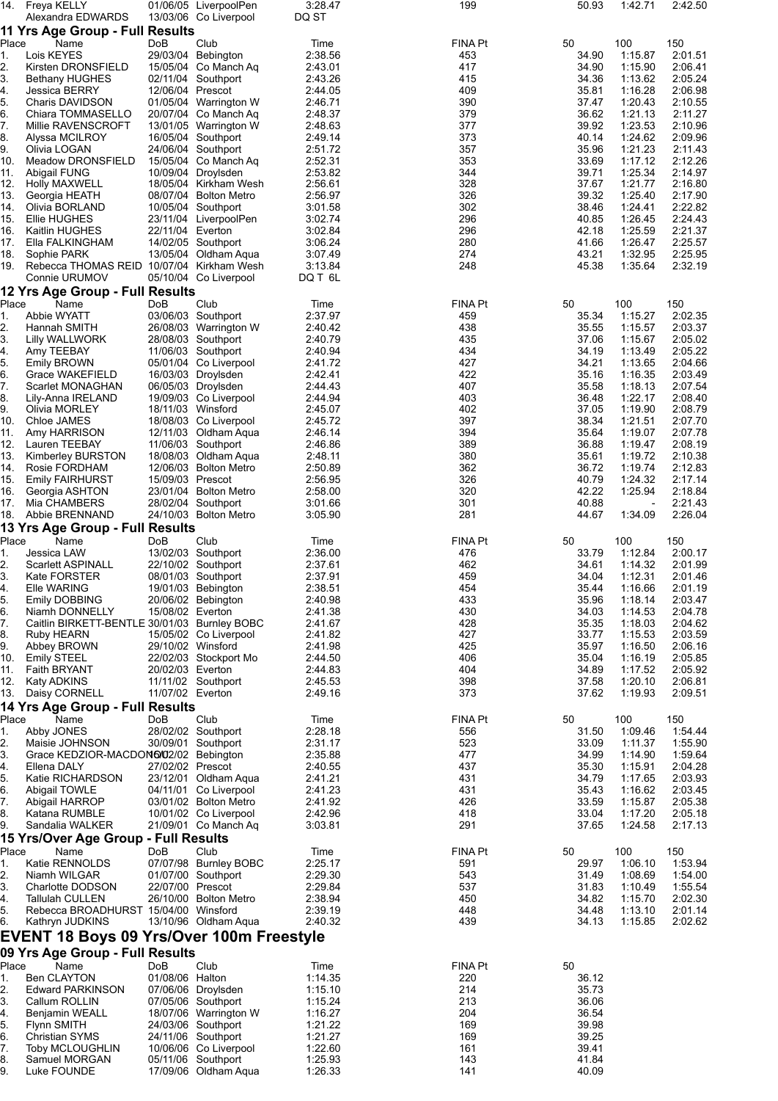| 14.                                     | Freya KELLY                                              |                   | 01/06/05 LiverpoolPen                          | 3:28.47            | 199            | 50.93          | 1:42.71            | 2:42.50            |
|-----------------------------------------|----------------------------------------------------------|-------------------|------------------------------------------------|--------------------|----------------|----------------|--------------------|--------------------|
|                                         | Alexandra EDWARDS<br>11 Yrs Age Group - Full Results     |                   | 13/03/06 Co Liverpool                          | DQ ST              |                |                |                    |                    |
| Place                                   | Name                                                     | DoB               | Club                                           | Time               | <b>FINA Pt</b> | 50             | 100                | 150                |
| 1.                                      | Lois KEYES                                               |                   | 29/03/04 Bebington                             | 2:38.56            | 453            | 34.90          | 1:15.87            | 2:01.51            |
| 2.                                      | Kirsten DRONSFIELD                                       |                   | 15/05/04 Co Manch Aq                           | 2:43.01            | 417            | 34.90          | 1:15.90            | 2:06.41            |
| 3.                                      | <b>Bethany HUGHES</b>                                    |                   | 02/11/04 Southport                             | 2:43.26            | 415            | 34.36          | 1:13.62            | 2:05.24            |
| 4.<br>5.                                | <b>Jessica BERRY</b>                                     | 12/06/04 Prescot  |                                                | 2:44.05            | 409<br>390     | 35.81          | 1:16.28            | 2:06.98            |
| 6.                                      | Charis DAVIDSON<br>Chiara TOMMASELLO                     |                   | 01/05/04 Warrington W<br>20/07/04 Co Manch Aq  | 2:46.71<br>2:48.37 | 379            | 37.47<br>36.62 | 1:20.43<br>1:21.13 | 2:10.55<br>2:11.27 |
| 7.                                      | Millie RAVENSCROFT                                       |                   | 13/01/05 Warrington W                          | 2:48.63            | 377            | 39.92          | 1:23.53            | 2:10.96            |
| 8.                                      | Alyssa MCILROY                                           |                   | 16/05/04 Southport                             | 2:49.14            | 373            | 40.14          | 1:24.62            | 2:09.96            |
| 9.                                      | Olivia LOGAN                                             |                   | 24/06/04 Southport                             | 2:51.72            | 357            | 35.96          | 1:21.23            | 2:11.43            |
| 10.                                     | Meadow DRONSFIELD                                        |                   | 15/05/04 Co Manch Ag                           | 2:52.31            | 353            | 33.69          | 1:17.12            | 2:12.26            |
| 11.<br>12.                              | <b>Abigail FUNG</b><br><b>Holly MAXWELL</b>              |                   | 10/09/04 Droylsden                             | 2:53.82            | 344<br>328     | 39.71<br>37.67 | 1:25.34            | 2:14.97            |
| 13.                                     | Georgia HEATH                                            |                   | 18/05/04 Kirkham Wesh<br>08/07/04 Bolton Metro | 2:56.61<br>2:56.97 | 326            | 39.32          | 1:21.77<br>1:25.40 | 2:16.80<br>2:17.90 |
| 14.                                     | Olivia BORLAND                                           |                   | 10/05/04 Southport                             | 3:01.58            | 302            | 38.46          | 1:24.41            | 2:22.82            |
| 15.                                     | Ellie HUGHES                                             |                   | 23/11/04 LiverpoolPen                          | 3:02.74            | 296            | 40.85          | 1:26.45            | 2:24.43            |
| 16.                                     | Kaitlin HUGHES                                           | 22/11/04 Everton  |                                                | 3:02.84            | 296            | 42.18          | 1:25.59            | 2:21.37            |
| 17.                                     | Ella FALKINGHAM                                          |                   | 14/02/05 Southport                             | 3:06.24            | 280            | 41.66          | 1:26.47            | 2:25.57            |
| 18.<br>19.                              | Sophie PARK<br>Rebecca THOMAS REID 10/07/04 Kirkham Wesh |                   | 13/05/04 Oldham Aqua                           | 3:07.49<br>3:13.84 | 274<br>248     | 43.21<br>45.38 | 1:32.95<br>1:35.64 | 2:25.95<br>2:32.19 |
|                                         | Connie URUMOV                                            |                   | 05/10/04 Co Liverpool                          | DQ T 6L            |                |                |                    |                    |
|                                         | 12 Yrs Age Group - Full Results                          |                   |                                                |                    |                |                |                    |                    |
| Place                                   | Name                                                     | DoB               | Club                                           | Time               | FINA Pt        | 50             | 100                | 150                |
| 1.                                      | Abbie WYATT                                              |                   | 03/06/03 Southport                             | 2:37.97            | 459            | 35.34          | 1:15.27            | 2:02.35            |
| 2.                                      | Hannah SMITH                                             |                   | 26/08/03 Warrington W                          | 2:40.42            | 438            | 35.55          | 1:15.57            | 2:03.37            |
| 3.                                      | Lilly WALLWORK                                           |                   | 28/08/03 Southport                             | 2:40.79            | 435            | 37.06          | 1:15.67            | 2:05.02            |
| 4.                                      | Amy TEEBAY                                               |                   | 11/06/03 Southport                             | 2:40.94            | 434            | 34.19          | 1:13.49            | 2:05.22            |
| 5.<br>6.                                | Emily BROWN<br>Grace WAKEFIELD                           |                   | 05/01/04 Co Liverpool<br>16/03/03 Droylsden    | 2:41.72<br>2:42.41 | 427<br>422     | 34.21<br>35.16 | 1:13.65<br>1:16.35 | 2:04.66<br>2:03.49 |
| 7.                                      | Scarlet MONAGHAN                                         |                   | 06/05/03 Droylsden                             | 2:44.43            | 407            | 35.58          | 1:18.13            | 2:07.54            |
| 8.                                      | Lily-Anna IRELAND                                        |                   | 19/09/03 Co Liverpool                          | 2:44.94            | 403            | 36.48          | 1:22.17            | 2:08.40            |
| 9.                                      | Olivia MORLEY                                            |                   | 18/11/03 Winsford                              | 2:45.07            | 402            | 37.05          | 1:19.90            | 2:08.79            |
| 10.                                     | Chloe JAMES                                              |                   | 18/08/03 Co Liverpool                          | 2:45.72            | 397            | 38.34          | 1:21.51            | 2:07.70            |
| 11.                                     | Amy HARRISON                                             |                   | 12/11/03 Oldham Aqua                           | 2:46.14            | 394            | 35.64          | 1:19.07            | 2:07.78            |
| 12.                                     | Lauren TEEBAY                                            |                   | 11/06/03 Southport                             | 2:46.86            | 389            | 36.88          | 1:19.47            | 2:08.19            |
| 13.                                     | Kimberley BURSTON                                        |                   | 18/08/03 Oldham Aqua                           | 2:48.11            | 380            | 35.61          | 1:19.72            | 2:10.38            |
| 14.<br>15.                              | Rosie FORDHAM<br><b>Emily FAIRHURST</b>                  | 15/09/03 Prescot  | 12/06/03 Bolton Metro                          | 2:50.89<br>2:56.95 | 362<br>326     | 36.72<br>40.79 | 1:19.74<br>1:24.32 | 2:12.83<br>2:17.14 |
| 16.                                     | Georgia ASHTON                                           |                   | 23/01/04 Bolton Metro                          | 2:58.00            | 320            | 42.22          | 1:25.94            | 2:18.84            |
| 17.                                     | Mia CHAMBERS                                             |                   | 28/02/04 Southport                             | 3:01.66            | 301            | 40.88          |                    | 2:21.43            |
| 18.                                     | Abbie BRENNAND                                           |                   | 24/10/03 Bolton Metro                          | 3:05.90            | 281            | 44.67          | 1:34.09            | 2:26.04            |
|                                         | 13 Yrs Age Group - Full Results                          |                   |                                                |                    |                |                |                    |                    |
| Place                                   | Name                                                     | DoB               | Club                                           | Time               | FINA Pt        | 50             | 100                | 150                |
| 1.<br>2.                                | Jessica LAW<br>Scarlett ASPINALL                         |                   | 13/02/03 Southport<br>22/10/02 Southport       | 2:36.00<br>2:37.61 | 476<br>462     | 33.79<br>34.61 | 1:12.84<br>1:14.32 | 2:00.17<br>2:01.99 |
| 3.                                      | Kate FORSTER                                             |                   | 08/01/03 Southport                             | 2:37.91            | 459            | 34.04          | 1:12.31            | 2:01.46            |
| 4.                                      | Elle WARING                                              |                   | 19/01/03 Bebington                             | 2:38.51            | 454            | 35.44          | 1:16.66            | 2:01.19            |
| 5.                                      | Emily DOBBING                                            |                   | 20/06/02 Bebington                             | 2:40.98            | 433            | 35.96          | 1:18.14            | 2:03.47            |
| 6.                                      | Niamh DONNELLY                                           | 15/08/02 Everton  |                                                | 2:41.38            | 430            | 34.03          | 1:14.53            | 2:04.78            |
| 7.                                      | Caitlin BIRKETT-BENTLE 30/01/03 Burnley BOBC             |                   |                                                | 2:41.67            | 428            | 35.35          | 1:18.03            | 2:04.62            |
| 8.                                      | Ruby HEARN                                               |                   | 15/05/02 Co Liverpool                          | 2:41.82<br>2:41.98 | 427<br>425     | 33.77<br>35.97 | 1:15.53            | 2:03.59            |
| 9.<br>10.                               | Abbey BROWN<br>Emily STEEL                               | 29/10/02 Winsford | 22/02/03 Stockport Mo                          | 2:44.50            | 406            | 35.04          | 1:16.50<br>1:16.19 | 2:06.16<br>2:05.85 |
| 11.                                     | Faith BRYANT                                             | 20/02/03 Everton  |                                                | 2:44.83            | 404            | 34.89          | 1:17.52            | 2:05.92            |
| 12.                                     | Katy ADKINS                                              |                   | 11/11/02 Southport                             | 2:45.53            | 398            | 37.58          | 1:20.10            | 2:06.81            |
| 13.                                     | Daisy CORNELL                                            | 11/07/02 Everton  |                                                | 2:49.16            | 373            | 37.62          | 1:19.93            | 2:09.51            |
|                                         | 14 Yrs Age Group - Full Results                          |                   |                                                |                    |                |                |                    |                    |
| Place                                   | Name                                                     | <b>DoB</b>        | Club                                           | Time               | <b>FINA Pt</b> | 50             | 100                | 150                |
| 1.                                      | Abby JONES                                               |                   | 28/02/02 Southport                             | 2:28.18            | 556            | 31.50          | 1:09.46            | 1:54.44            |
| 2.<br>3.                                | Maisie JOHNSON<br>Grace KEDZIOR-MACDON6/02/02 Bebington  |                   | 30/09/01 Southport                             | 2:31.17<br>2:35.88 | 523<br>477     | 33.09<br>34.99 | 1:11.37<br>1:14.90 | 1:55.90<br>1:59.64 |
| 4.                                      | Ellena DALY                                              | 27/02/02 Prescot  |                                                | 2:40.55            | 437            | 35.30          | 1:15.91            | 2:04.28            |
| $\overline{6}$ .                        | Katie RICHARDSON                                         |                   | 23/12/01 Oldham Aqua                           | 2.41.21            | 431            | 34.79          | 1:17.65            | 2:03.93            |
| $\begin{array}{c} 6. \\ 7. \end{array}$ | Abigail TOWLE                                            |                   | 04/11/01 Co Liverpool                          | 2:41.23            | 431            | 35.43          | 1:16.62            | 2:03.45            |
|                                         | Abigail HARROP                                           |                   | 03/01/02 Bolton Metro                          | 2:41.92            | 426            | 33.59          | 1:15.87            | 2:05.38            |
| 8.                                      | Katana RUMBLE                                            |                   | 10/01/02 Co Liverpool                          | 2:42.96            | 418            | 33.04          | 1:17.20            | 2:05.18            |
| 9.                                      | Sandalia WALKER                                          |                   | 21/09/01 Co Manch Aq                           | 3:03.81            | 291            | 37.65          | 1:24.58            | 2:17.13            |
| Place                                   | 15 Yrs/Over Age Group - Full Results<br>Name             | DoB               | Club                                           | Time               | FINA Pt        | 50             | 100                | 150                |
| 1.                                      | Katie RENNOLDS                                           |                   | 07/07/98 Burnley BOBC                          | 2:25.17            | 591            | 29.97          | 1:06.10            | 1:53.94            |
| 2.                                      | Niamh WILGAR                                             |                   | 01/07/00 Southport                             | 2:29.30            | 543            | 31.49          | 1:08.69            | 1:54.00            |
| $\overline{3}$ .                        | Charlotte DODSON                                         | 22/07/00 Prescot  |                                                | 2:29.84            | 537            | 31.83          | 1:10.49            | 1:55.54            |
| 4.                                      | <b>Tallulah CULLEN</b>                                   |                   | 26/10/00 Bolton Metro                          | 2:38.94            | 450            | 34.82          | 1:15.70            | 2:02.30            |
| 5.                                      | Rebecca BROADHURST 15/04/00 Winsford                     |                   |                                                | 2:39.19            | 448            | 34.48          | 1:13.10            | 2:01.14            |
| 6.                                      | Kathryn JUDKINS                                          |                   | 13/10/96 Oldham Aqua                           | 2:40.32            | 439            | 34.13          | 1:15.85            | 2:02.62            |
|                                         | EVENT 18 Boys 09 Yrs/Over 100m Freestyle                 |                   |                                                |                    |                |                |                    |                    |
|                                         | 09 Yrs Age Group - Full Results                          |                   |                                                |                    |                |                |                    |                    |
| Place                                   | Name                                                     | DoB               | Club                                           | Time               | FINA Pt        | 50             |                    |                    |
| 1.                                      | <b>Ben CLAYTON</b>                                       | 01/08/06 Halton   |                                                | 1:14.35            | 220<br>214     | 36.12<br>35.73 |                    |                    |
| $\frac{2}{3}$ .                         | <b>Edward PARKINSON</b><br>Callum ROLLIN                 |                   | 07/06/06 Droylsden<br>07/05/06 Southport       | 1:15.10<br>1:15.24 | 213            | 36.06          |                    |                    |
| 4.                                      | Benjamin WEALL                                           |                   | 18/07/06 Warrington W                          | 1:16.27            | 204            | 36.54          |                    |                    |
| 5.                                      | Flynn SMITH                                              |                   | 24/03/06 Southport                             | 1:21.22            | 169            | 39.98          |                    |                    |
| 6.                                      | Christian SYMS                                           |                   | 24/11/06 Southport                             | 1.21.27            | 169            | 39.25          |                    |                    |
| 7.                                      | <b>Toby MCLOUGHLIN</b>                                   |                   | 10/06/06 Co Liverpool                          | 1:22.60            | 161            | 39.41          |                    |                    |
| 8.                                      | Samuel MORGAN                                            |                   | 05/11/06 Southport                             | 1:25.93            | 143            | 41.84          |                    |                    |
| 9.                                      | Luke FOUNDE                                              |                   | 17/09/06 Oldham Aqua                           | 1.26.33            | 141            | 40.09          |                    |                    |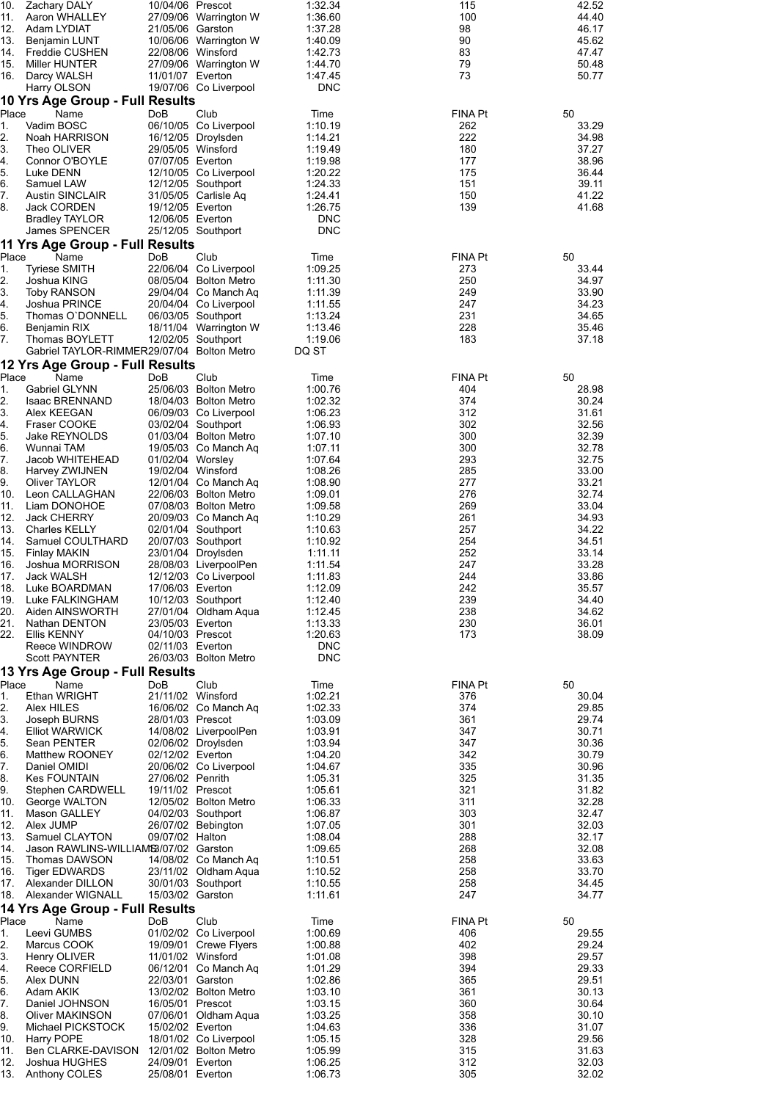| 10.<br>11. | <b>Zachary DALY</b><br>Aaron WHALLEY                                          | 10/04/06 Prescot                     | 27/09/06 Warrington W                          | 1:32.34<br>1:36.60       | 115<br>100     | 42.52<br>44.40 |
|------------|-------------------------------------------------------------------------------|--------------------------------------|------------------------------------------------|--------------------------|----------------|----------------|
| 12.        | Adam LYDIAT                                                                   | 21/05/06 Garston                     |                                                | 1:37.28                  | 98             | 46.17          |
| 13.        | Benjamin LUNT                                                                 |                                      | 10/06/06 Warrington W                          | 1:40.09                  | 90<br>83       | 45.62          |
| 14.<br>15. | Freddie CUSHEN<br>Miller HUNTER                                               | 22/08/06 Winsford                    | 27/09/06 Warrington W                          | 1:42.73<br>1:44.70       | 79             | 47.47<br>50.48 |
| 16.        | Darcy WALSH                                                                   | 11/01/07 Everton                     |                                                | 1:47.45                  | 73             | 50.77          |
|            | Harry OLSON<br>10 Yrs Age Group - Full Results                                |                                      | 19/07/06 Co Liverpool                          | <b>DNC</b>               |                |                |
| Place      | Name                                                                          | DoB                                  | Club                                           | Time                     | <b>FINA Pt</b> | 50             |
| 1.         | Vadim BOSC                                                                    |                                      | 06/10/05 Co Liverpool                          | 1:10.19                  | 262            | 33.29          |
| 2.<br>3.   | Noah HARRISON<br>Theo OLIVER                                                  | 29/05/05 Winsford                    | 16/12/05 Droylsden                             | 1:14.21<br>1:19.49       | 222<br>180     | 34.98<br>37.27 |
| 4.         | Connor O'BOYLE                                                                | 07/07/05 Everton                     |                                                | 1:19.98                  | 177            | 38.96          |
| 5.<br>6.   | Luke DENN<br>Samuel LAW                                                       |                                      | 12/10/05 Co Liverpool<br>12/12/05 Southport    | 1:20.22<br>1:24.33       | 175<br>151     | 36.44<br>39.11 |
| 7.         | <b>Austin SINCLAIR</b>                                                        |                                      | 31/05/05 Carlisle Aq                           | 1:24.41                  | 150            | 41.22          |
| 8.         | Jack CORDEN                                                                   | 19/12/05 Everton                     |                                                | 1:26.75                  | 139            | 41.68          |
|            | <b>Bradley TAYLOR</b><br>James SPENCER                                        | 12/06/05 Everton                     | 25/12/05 Southport                             | <b>DNC</b><br><b>DNC</b> |                |                |
|            | 11 Yrs Age Group - Full Results                                               |                                      |                                                |                          |                |                |
| Place      | Name                                                                          | DoB                                  | Club                                           | Time                     | FINA Pt        | 50             |
| 1.<br>2.   | <b>Tyriese SMITH</b><br>Joshua KING                                           |                                      | 22/06/04 Co Liverpool<br>08/05/04 Bolton Metro | 1:09.25<br>1:11.30       | 273<br>250     | 33.44<br>34.97 |
| 3.         | Toby RANSON                                                                   |                                      | 29/04/04 Co Manch Aq                           | 1:11.39                  | 249            | 33.90          |
| 4.<br>5.   | Joshua PRINCE<br>Thomas O'DONNELL                                             |                                      | 20/04/04 Co Liverpool<br>06/03/05 Southport    | 1:11.55<br>1:13.24       | 247<br>231     | 34.23<br>34.65 |
| 6.         | Benjamin RIX                                                                  |                                      | 18/11/04 Warrington W                          | 1:13.46                  | 228            | 35.46          |
| 7.         | Thomas BOYLETT                                                                |                                      | 12/02/05 Southport                             | 1:19.06                  | 183            | 37.18          |
|            | Gabriel TAYLOR-RIMMER29/07/04 Bolton Metro<br>12 Yrs Age Group - Full Results |                                      |                                                | DQ ST                    |                |                |
| Place      | Name                                                                          | DoB                                  | Club                                           | Time                     | <b>FINA Pt</b> | 50             |
| 1.         | Gabriel GLYNN                                                                 |                                      | 25/06/03 Bolton Metro                          | 1:00.76                  | 404            | 28.98          |
| 2.<br>3.   | <b>Isaac BRENNAND</b><br>Alex KEEGAN                                          |                                      | 18/04/03 Bolton Metro<br>06/09/03 Co Liverpool | 1:02.32<br>1:06.23       | 374<br>312     | 30.24<br>31.61 |
| 4.         | Fraser COOKE                                                                  |                                      | 03/02/04 Southport                             | 1:06.93                  | 302            | 32.56          |
| 5.<br>6.   | Jake REYNOLDS<br>Wunnai TAM                                                   |                                      | 01/03/04 Bolton Metro<br>19/05/03 Co Manch Aq  | 1:07.10<br>1:07.11       | 300<br>300     | 32.39<br>32.78 |
| 7.         | Jacob WHITEHEAD                                                               | 01/02/04 Worsley                     |                                                | 1:07.64                  | 293            | 32.75          |
| 8.         | Harvey ZWIJNEN                                                                | 19/02/04 Winsford                    |                                                | 1:08.26                  | 285            | 33.00          |
| 9.<br>10.  | Oliver TAYLOR<br>Leon CALLAGHAN                                               |                                      | 12/01/04 Co Manch Aq<br>22/06/03 Bolton Metro  | 1:08.90<br>1:09.01       | 277<br>276     | 33.21<br>32.74 |
| 11.        | Liam DONOHOE                                                                  |                                      | 07/08/03 Bolton Metro                          | 1:09.58                  | 269            | 33.04          |
| 12.<br>13. | <b>Jack CHERRY</b><br><b>Charles KELLY</b>                                    |                                      | 20/09/03 Co Manch Aq<br>02/01/04 Southport     | 1:10.29<br>1:10.63       | 261<br>257     | 34.93<br>34.22 |
| 14.        | Samuel COULTHARD                                                              |                                      | 20/07/03 Southport                             | 1:10.92                  | 254            | 34.51          |
| 15.        | <b>Finlay MAKIN</b>                                                           |                                      | 23/01/04 Droylsden                             | 1:11.11                  | 252            | 33.14          |
| 16.<br>17. | Joshua MORRISON<br>Jack WALSH                                                 |                                      | 28/08/03 LiverpoolPen<br>12/12/03 Co Liverpool | 1:11.54<br>1:11.83       | 247<br>244     | 33.28<br>33.86 |
| 18.        | Luke BOARDMAN                                                                 | 17/06/03 Everton                     |                                                | 1:12.09                  | 242            | 35.57          |
| 19.<br>20. | Luke FALKINGHAM<br>Aiden AINSWORTH                                            |                                      | 10/12/03 Southport<br>27/01/04 Oldham Aqua     | 1:12.40<br>1:12.45       | 239<br>238     | 34.40<br>34.62 |
| 21.        | Nathan DENTON                                                                 | 23/05/03 Everton                     |                                                | 1:13.33                  | 230            | 36.01          |
| 22.        | Ellis KENNY                                                                   | 04/10/03 Prescot                     |                                                | 1:20.63                  | 173            | 38.09          |
|            | Reece WINDROW<br>Scott PAYNTER                                                | 02/11/03 Everton                     | 26/03/03 Bolton Metro                          | <b>DNC</b><br><b>DNC</b> |                |                |
|            | 13 Yrs Age Group - Full Results                                               |                                      |                                                |                          |                |                |
| Place      | Name                                                                          | DoB                                  | Club                                           | Time                     | <b>FINA Pt</b> | 50             |
| 1.<br>2.   | Ethan WRIGHT<br>Alex HILES                                                    | 21/11/02 Winsford                    | 16/06/02 Co Manch Aq                           | 1:02.21<br>1:02.33       | 376<br>374     | 30.04<br>29.85 |
| 3.         | Joseph BURNS                                                                  | 28/01/03 Prescot                     |                                                | 1:03.09                  | 361            | 29.74          |
| 4.         | <b>Elliot WARWICK</b>                                                         |                                      | 14/08/02 LiverpoolPen<br>02/06/02 Droylsden    | 1:03.91                  | 347            | 30.71          |
| 5.<br>6.   | Sean PENTER<br><b>Matthew ROONEY</b>                                          | 02/12/02 Everton                     |                                                | 1:03.94<br>1:04.20       | 347<br>342     | 30.36<br>30.79 |
| 7.         | Daniel OMIDI                                                                  |                                      | 20/06/02 Co Liverpool                          | 1:04.67                  | 335            | 30.96          |
| 8.<br>9.   | <b>Kes FOUNTAIN</b><br>Stephen CARDWELL                                       | 27/06/02 Penrith<br>19/11/02 Prescot |                                                | 1:05.31<br>1:05.61       | 325<br>321     | 31.35<br>31.82 |
| 10.        | George WALTON                                                                 |                                      | 12/05/02 Bolton Metro                          | 1:06.33                  | 311            | 32.28          |
| 11.<br>12. | Mason GALLEY                                                                  |                                      | 04/02/03 Southport                             | 1:06.87                  | 303<br>301     | 32.47          |
| 13.        | Alex JUMP<br>Samuel CLAYTON                                                   | 09/07/02 Halton                      | 26/07/02 Bebington                             | 1:07.05<br>1:08.04       | 288            | 32.03<br>32.17 |
| 14.        | Jason RAWLINS-WILLIAMS3/07/02 Garston                                         |                                      |                                                | 1:09.65                  | 268            | 32.08          |
| 15.<br>16. | Thomas DAWSON<br>Tiger EDWARDS                                                |                                      | 14/08/02 Co Manch Aq<br>23/11/02 Oldham Aqua   | 1:10.51<br>1:10.52       | 258<br>258     | 33.63<br>33.70 |
|            | 17. Alexander DILLON                                                          |                                      | 30/01/03 Southport                             | 1:10.55                  | 258            | 34.45          |
| 18.        | Alexander WIGNALL                                                             | 15/03/02 Garston                     |                                                | 1:11.61                  | 247            | 34.77          |
| Place      | 14 Yrs Age Group - Full Results<br>Name                                       | DoB                                  | Club                                           | Time                     | FINA Pt        | 50             |
| 1.         | Leevi GUMBS                                                                   |                                      | 01/02/02 Co Liverpool                          | 1:00.69                  | 406            | 29.55          |
| 2.         | Marcus COOK                                                                   |                                      | 19/09/01 Crewe Flyers                          | 1:00.88                  | 402            | 29.24          |
| 3.<br>4.   | Henry OLIVER<br>Reece CORFIELD                                                | 11/01/02 Winsford                    | 06/12/01 Co Manch Aq                           | 1:01.08<br>1:01.29       | 398<br>394     | 29.57<br>29.33 |
| 5.         | Alex DUNN                                                                     | 22/03/01 Garston                     |                                                | 1:02.86                  | 365            | 29.51          |
| 6.<br>7.   | Adam AKIK<br>Daniel JOHNSON                                                   | 16/05/01 Prescot                     | 13/02/02 Bolton Metro                          | 1:03.10<br>1:03.15       | 361<br>360     | 30.13<br>30.64 |
| 8.         | Oliver MAKINSON                                                               |                                      | 07/06/01 Oldham Aqua                           | 1:03.25                  | 358            | 30.10          |
| 9.<br>10.  | Michael PICKSTOCK<br>Harry POPE                                               | 15/02/02 Everton                     | 18/01/02 Co Liverpool                          | 1:04.63<br>1:05.15       | 336<br>328     | 31.07<br>29.56 |
| 11.        | Ben CLARKE-DAVISON                                                            |                                      | 12/01/02 Bolton Metro                          | 1:05.99                  | 315            | 31.63          |
| 12.        | Joshua HUGHES                                                                 | 24/09/01 Everton                     |                                                | 1:06.25                  | 312            | 32.03          |
|            | 13. Anthony COLES                                                             | 25/08/01 Everton                     |                                                | 1:06.73                  | 305            | 32.02          |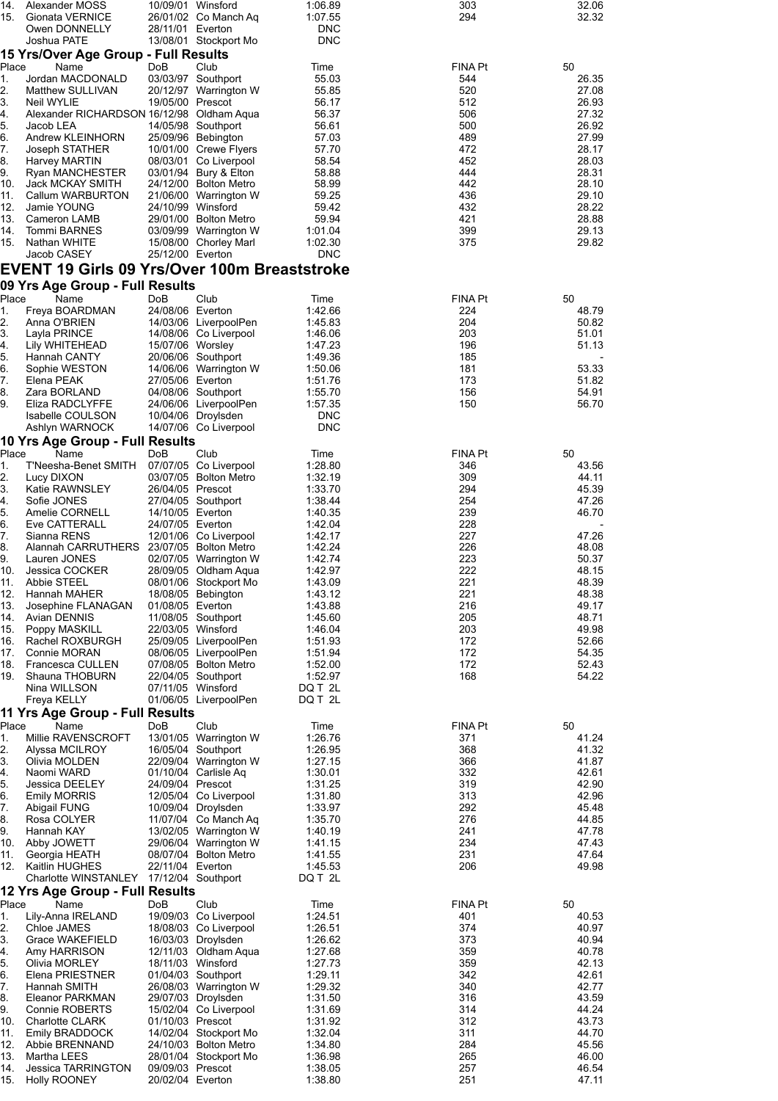| 14.<br>15. | Alexander MOSS<br>Gionata VERNICE                       |                                      | 10/09/01 Winsford<br>26/01/02 Co Manch Aq      | 1:06.89<br>1:07.55       | 303<br>294     | 32.06<br>32.32 |
|------------|---------------------------------------------------------|--------------------------------------|------------------------------------------------|--------------------------|----------------|----------------|
|            | Owen DONNELLY                                           | 28/11/01 Everton                     |                                                | <b>DNC</b>               |                |                |
|            | Joshua PATE                                             |                                      | 13/08/01 Stockport Mo                          | <b>DNC</b>               |                |                |
| Place      | 15 Yrs/Over Age Group - Full Results                    | <b>DoB</b>                           | Club                                           |                          | FINA Pt        | 50             |
| 1.         | Name<br>Jordan MACDONALD                                |                                      | 03/03/97 Southport                             | Time<br>55.03            | 544            | 26.35          |
| 2.         | Matthew SULLIVAN                                        |                                      | 20/12/97 Warrington W                          | 55.85                    | 520            | 27.08          |
| 3.<br>4.   | Neil WYLIE<br>Alexander RICHARDSON 16/12/98 Oldham Aqua | 19/05/00 Prescot                     |                                                | 56.17<br>56.37           | 512<br>506     | 26.93<br>27.32 |
| 5.         | Jacob LEA                                               |                                      | 14/05/98 Southport                             | 56.61                    | 500            | 26.92          |
| 6.         | Andrew KLEINHORN                                        |                                      | 25/09/96 Bebington                             | 57.03                    | 489            | 27.99          |
| 7.<br>8.   | Joseph STATHER<br>Harvey MARTIN                         |                                      | 10/01/00 Crewe Flyers<br>08/03/01 Co Liverpool | 57.70<br>58.54           | 472<br>452     | 28.17<br>28.03 |
| 9.         | Ryan MANCHESTER                                         |                                      | 03/01/94 Bury & Elton                          | 58.88                    | 444            | 28.31          |
| 10.        | Jack MCKAY SMITH                                        |                                      | 24/12/00 Bolton Metro                          | 58.99                    | 442            | 28.10          |
| 11.<br>12. | Callum WARBURTON<br>Jamie YOUNG                         |                                      | 21/06/00 Warrington W<br>24/10/99 Winsford     | 59.25<br>59.42           | 436<br>432     | 29.10<br>28.22 |
| 13.        | Cameron LAMB                                            |                                      | 29/01/00 Bolton Metro                          | 59.94                    | 421            | 28.88          |
| 14.        | <b>Tommi BARNES</b>                                     |                                      | 03/09/99 Warrington W                          | 1:01.04                  | 399            | 29.13          |
| 15.        | Nathan WHITE<br>Jacob CASEY                             | 25/12/00 Everton                     | 15/08/00 Chorley Marl                          | 1:02.30<br><b>DNC</b>    | 375            | 29.82          |
|            | EVENT 19 Girls 09 Yrs/Over 100m Breaststroke            |                                      |                                                |                          |                |                |
|            | 09 Yrs Age Group - Full Results                         |                                      |                                                |                          |                |                |
| Place      | Name                                                    | DoB                                  | Club                                           | Time                     | <b>FINA Pt</b> | 50             |
| 1.         | Freya BOARDMAN                                          | 24/08/06 Everton                     |                                                | 1:42.66                  | 224            | 48.79          |
| 2.<br>3.   | Anna O'BRIEN<br>Layla PRINCE                            |                                      | 14/03/06 LiverpoolPen<br>14/08/06 Co Liverpool | 1:45.83<br>1:46.06       | 204<br>203     | 50.82<br>51.01 |
| 4.         | Lily WHITEHEAD                                          | 15/07/06 Worsley                     |                                                | 1:47.23                  | 196            | 51.13          |
| 5.         | Hannah CANTY                                            |                                      | 20/06/06 Southport                             | 1:49.36                  | 185            |                |
| 6.<br>7.   | Sophie WESTON<br>Elena PEAK                             | 27/05/06 Everton                     | 14/06/06 Warrington W                          | 1:50.06<br>1:51.76       | 181<br>173     | 53.33<br>51.82 |
| 8.         | Zara BORLAND                                            |                                      | 04/08/06 Southport                             | 1:55.70                  | 156            | 54.91          |
| 9.         | Eliza RADCLYFFE                                         |                                      | 24/06/06 LiverpoolPen                          | 1:57.35                  | 150            | 56.70          |
|            | Isabelle COULSON<br>Ashlyn WARNOCK                      |                                      | 10/04/06 Droylsden<br>14/07/06 Co Liverpool    | <b>DNC</b><br><b>DNC</b> |                |                |
|            | 10 Yrs Age Group - Full Results                         |                                      |                                                |                          |                |                |
| Place      | Name                                                    | DoB                                  | Club                                           | Time                     | <b>FINA Pt</b> | 50             |
| 1.<br>2.   | T'Neesha-Benet SMITH<br>Lucy DIXON                      |                                      | 07/07/05 Co Liverpool<br>03/07/05 Bolton Metro | 1:28.80<br>1:32.19       | 346<br>309     | 43.56<br>44.11 |
| 3.         | Katie RAWNSLEY                                          | 26/04/05 Prescot                     |                                                | 1:33.70                  | 294            | 45.39          |
| 4.         | Sofie JONES                                             |                                      | 27/04/05 Southport                             | 1:38.44                  | 254            | 47.26          |
| 5.<br>6.   | Amelie CORNELL<br>Eve CATTERALL                         | 14/10/05 Everton<br>24/07/05 Everton |                                                | 1:40.35                  | 239<br>228     | 46.70          |
| 7.         | Sianna RENS                                             |                                      | 12/01/06 Co Liverpool                          | 1:42.04<br>1:42.17       | 227            | 47.26          |
| 8.         | Alannah CARRUTHERS 23/07/05 Bolton Metro                |                                      |                                                | 1:42.24                  | 226            | 48.08          |
| 9.<br>10.  | Lauren JONES                                            |                                      | 02/07/05 Warrington W                          | 1:42.74<br>1:42.97       | 223<br>222     | 50.37<br>48.15 |
| 11.        | Jessica COCKER<br>Abbie STEEL                           |                                      | 28/09/05 Oldham Aqua<br>08/01/06 Stockport Mo  | 1:43.09                  | 221            | 48.39          |
| 12.        | Hannah MAHER                                            |                                      | 18/08/05 Bebington                             | 1:43.12                  | 221            | 48.38          |
| 13.<br>14. | Josephine FLANAGAN<br>Avian DENNIS                      | 01/08/05 Everton                     | 11/08/05 Southport                             | 1:43.88<br>1:45.60       | 216<br>205     | 49.17<br>48.71 |
| 15.        | Poppy MASKILL                                           |                                      | 22/03/05 Winsford                              | 1:46.04                  | 203            | 49.98          |
| 16.        | Rachel ROXBURGH                                         |                                      | 25/09/05 LiverpoolPen                          | 1:51.93                  | 172            | 52.66          |
| 17.<br>18. | Connie MORAN<br><b>Francesca CULLEN</b>                 |                                      | 08/06/05 LiverpoolPen<br>07/08/05 Bolton Metro | 1:51.94<br>1:52.00       | 172<br>172     | 54.35<br>52.43 |
| 19.        | Shauna THOBURN                                          |                                      | 22/04/05 Southport                             | 1:52.97                  | 168            | 54.22          |
|            | Nina WILLSON                                            |                                      | 07/11/05 Winsford                              | DQ T 2L                  |                |                |
|            | Freya KELLY                                             |                                      | 01/06/05 LiverpoolPen                          | DQ T 2L                  |                |                |
| Place      | 11 Yrs Age Group - Full Results<br>Name                 | DoB                                  | Club                                           | Time                     | <b>FINA Pt</b> | 50             |
| 1.         | Millie RAVENSCROFT                                      |                                      | 13/01/05 Warrington W                          | 1:26.76                  | 371            | 41.24          |
| 2.         | Alyssa MCILROY                                          |                                      | 16/05/04 Southport                             | 1:26.95                  | 368            | 41.32          |
| 3.<br>4.   | Olivia MOLDEN<br>Naomi WARD                             |                                      | 22/09/04 Warrington W<br>01/10/04 Carlisle Aq  | 1:27.15<br>1:30.01       | 366<br>332     | 41.87<br>42.61 |
| 5.         | Jessica DEELEY                                          | 24/09/04 Prescot                     |                                                | 1:31.25                  | 319            | 42.90          |
| 6.         | <b>Emily MORRIS</b>                                     |                                      | 12/05/04 Co Liverpool                          | 1:31.80                  | 313            | 42.96          |
| 7.<br>8.   | Abigail FUNG<br>Rosa COLYER                             |                                      | 10/09/04 Droylsden<br>11/07/04 Co Manch Aq     | 1:33.97<br>1:35.70       | 292<br>276     | 45.48<br>44.85 |
| 9.         | Hannah KAY                                              |                                      | 13/02/05 Warrington W                          | 1:40.19                  | 241            | 47.78          |
| 10.        | Abby JOWETT                                             |                                      | 29/06/04 Warrington W                          | 1:41.15                  | 234            | 47.43          |
| 11.<br>12. | Georgia HEATH<br>Kaitlin HUGHES                         | 22/11/04 Everton                     | 08/07/04 Bolton Metro                          | 1:41.55<br>1:45.53       | 231<br>206     | 47.64<br>49.98 |
|            | Charlotte WINSTANLEY 17/12/04 Southport                 |                                      |                                                | DQ T 2L                  |                |                |
|            | 12 Yrs Age Group - Full Results                         |                                      |                                                |                          |                |                |
| Place      | Name                                                    | DoB                                  | Club                                           | Time                     | FINA Pt        | 50             |
| 1.<br>2.   | Lily-Anna IRELAND<br>Chloe JAMES                        |                                      | 19/09/03 Co Liverpool<br>18/08/03 Co Liverpool | 1:24.51<br>1:26.51       | 401<br>374     | 40.53<br>40.97 |
| 3.         | Grace WAKEFIELD                                         |                                      | 16/03/03 Droylsden                             | 1:26.62                  | 373            | 40.94          |
| 4.         | Amy HARRISON                                            |                                      | 12/11/03 Oldham Aqua                           | 1:27.68                  | 359            | 40.78          |
| 5.<br>6.   | Olivia MORLEY<br>Elena PRIESTNER                        |                                      | 18/11/03 Winsford<br>01/04/03 Southport        | 1:27.73<br>1:29.11       | 359<br>342     | 42.13<br>42.61 |
| 7.         | Hannah SMITH                                            |                                      | 26/08/03 Warrington W                          | 1:29.32                  | 340            | 42.77          |
| 8.         | Eleanor PARKMAN                                         |                                      | 29/07/03 Droylsden                             | 1:31.50                  | 316            | 43.59          |
| 9.<br>10.  | Connie ROBERTS<br><b>Charlotte CLARK</b>                | 01/10/03 Prescot                     | 15/02/04 Co Liverpool                          | 1:31.69<br>1:31.92       | 314<br>312     | 44.24<br>43.73 |
| 11.        | <b>Emily BRADDOCK</b>                                   |                                      | 14/02/04 Stockport Mo                          | 1:32.04                  | 311            | 44.70          |
| 12.        | Abbie BRENNAND                                          |                                      | 24/10/03 Bolton Metro                          | 1:34.80                  | 284            | 45.56          |
| 13.<br>14. | Martha LEES<br>Jessica TARRINGTON                       | 09/09/03 Prescot                     | 28/01/04 Stockport Mo                          | 1:36.98<br>1:38.05       | 265<br>257     | 46.00<br>46.54 |
| 15.        | Holly ROONEY                                            | 20/02/04 Everton                     |                                                | 1:38.80                  | 251            | 47.11          |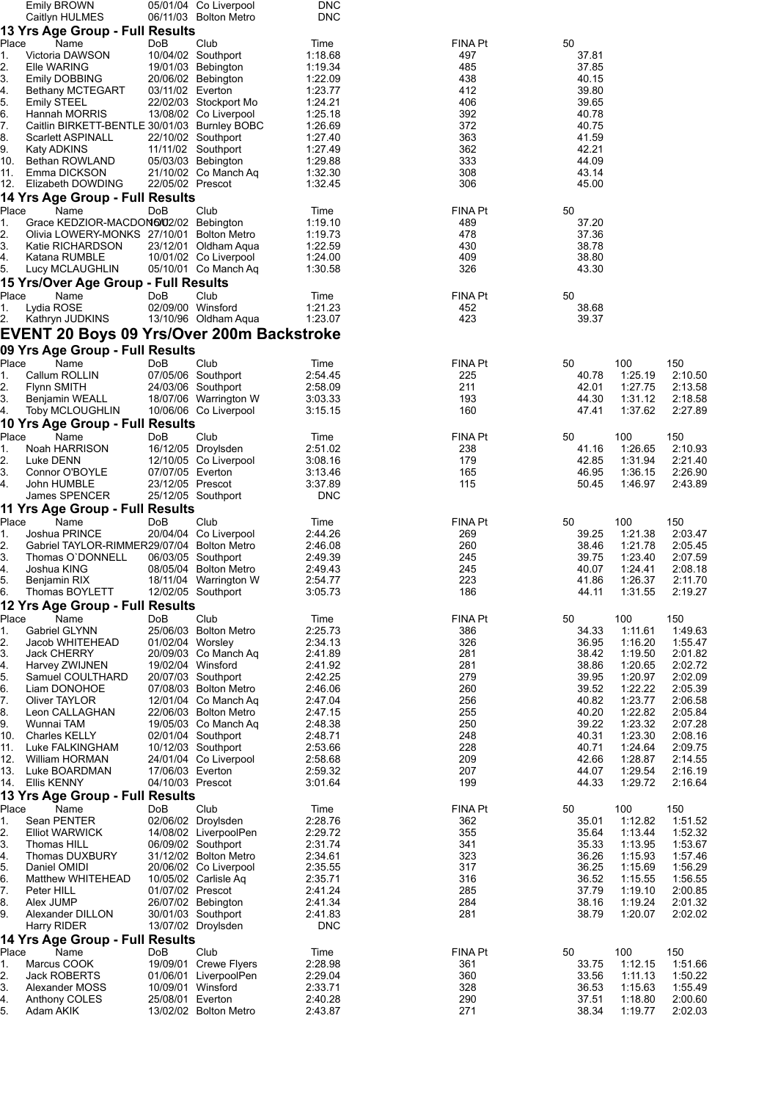|            | <b>Emily BROWN</b>                           |                   | 05/01/04 Co Liverpool                          | <b>DNC</b>         |            |                |                    |                    |
|------------|----------------------------------------------|-------------------|------------------------------------------------|--------------------|------------|----------------|--------------------|--------------------|
|            | Caitlyn HULMES                               |                   | 06/11/03 Bolton Metro                          | <b>DNC</b>         |            |                |                    |                    |
| Place      | 13 Yrs Age Group - Full Results<br>Name      | DoB               | Club                                           | Time               | FINA Pt    | 50             |                    |                    |
| 1.         | Victoria DAWSON                              |                   | 10/04/02 Southport                             | 1:18.68            | 497        | 37.81          |                    |                    |
| 2.         | Elle WARING                                  |                   | 19/01/03 Bebington                             | 1:19.34            | 485        | 37.85          |                    |                    |
| 3.         | <b>Emily DOBBING</b>                         |                   | 20/06/02 Bebington                             | 1:22.09            | 438        | 40.15          |                    |                    |
| 4.         | Bethany MCTEGART                             | 03/11/02 Everton  |                                                | 1:23.77            | 412        | 39.80          |                    |                    |
| 5.<br>6.   | <b>Emily STEEL</b><br>Hannah MORRIS          |                   | 22/02/03 Stockport Mo<br>13/08/02 Co Liverpool | 1:24.21<br>1:25.18 | 406<br>392 | 39.65<br>40.78 |                    |                    |
| 7.         | Caitlin BIRKETT-BENTLE 30/01/03 Burnley BOBC |                   |                                                | 1:26.69            | 372        | 40.75          |                    |                    |
| 8.         | <b>Scarlett ASPINALL</b>                     |                   | 22/10/02 Southport                             | 1:27.40            | 363        | 41.59          |                    |                    |
| 9.         | Katy ADKINS                                  |                   | 11/11/02 Southport                             | 1:27.49            | 362        | 42.21          |                    |                    |
| 10.        | Bethan ROWLAND                               |                   | 05/03/03 Bebington                             | 1:29.88            | 333        | 44.09          |                    |                    |
| 11.        | Emma DICKSON                                 |                   | 21/10/02 Co Manch Aq                           | 1:32.30            | 308        | 43.14          |                    |                    |
| 12.        | Elizabeth DOWDING                            | 22/05/02 Prescot  |                                                | 1:32.45            | 306        | 45.00          |                    |                    |
| Place      | 14 Yrs Age Group - Full Results<br>Name      |                   | Club                                           |                    | FINA Pt    |                |                    |                    |
| 1.         | Grace KEDZIOR-MACDON6/02/02 Bebington        | DoB               |                                                | Time<br>1:19.10    | 489        | 50<br>37.20    |                    |                    |
| 2.         | Olivia LOWERY-MONKS 27/10/01 Bolton Metro    |                   |                                                | 1:19.73            | 478        | 37.36          |                    |                    |
| 3.         | Katie RICHARDSON                             |                   | 23/12/01 Oldham Aqua                           | 1:22.59            | 430        | 38.78          |                    |                    |
| 4.         | Katana RUMBLE                                |                   | 10/01/02 Co Liverpool                          | 1:24.00            | 409        | 38.80          |                    |                    |
| 5.         | Lucy MCLAUGHLIN                              |                   | 05/10/01 Co Manch Aq                           | 1:30.58            | 326        | 43.30          |                    |                    |
|            | 15 Yrs/Over Age Group - Full Results         |                   |                                                |                    |            |                |                    |                    |
| Place      | Name                                         | DoB               | Club                                           | Time               | FINA Pt    | 50             |                    |                    |
| 1.         | Lydia ROSE                                   | 02/09/00 Winsford |                                                | 1:21.23            | 452        | 38.68          |                    |                    |
| 2.         | Kathryn JUDKINS                              |                   | 13/10/96 Oldham Aqua                           | 1:23.07            | 423        | 39.37          |                    |                    |
|            | EVENT 20 Boys 09 Yrs/Over 200m Backstroke    |                   |                                                |                    |            |                |                    |                    |
|            | 09 Yrs Age Group - Full Results              |                   |                                                |                    |            |                |                    |                    |
| Place      | Name                                         | DoB               | Club                                           | Time               | FINA Pt    | 50             | 100                | 150                |
| 1.<br>2.   | Callum ROLLIN<br>Flynn SMITH                 |                   | 07/05/06 Southport<br>24/03/06 Southport       | 2:54.45<br>2:58.09 | 225<br>211 | 40.78<br>42.01 | 1:25.19<br>1.27.75 | 2:10.50<br>2:13.58 |
| 3.         | Benjamin WEALL                               |                   | 18/07/06 Warrington W                          | 3:03.33            | 193        | 44.30          | 1:31.12            | 2:18.58            |
| 4.         | <b>Toby MCLOUGHLIN</b>                       |                   | 10/06/06 Co Liverpool                          | 3:15.15            | 160        | 47.41          | 1:37.62            | 2:27.89            |
|            | 10 Yrs Age Group - Full Results              |                   |                                                |                    |            |                |                    |                    |
| Place      | Name                                         | DoB               | Club                                           | Time               | FINA Pt    | 50             | 100                | 150                |
| 1.         | Noah HARRISON                                |                   | 16/12/05 Droylsden                             | 2:51.02            | 238        | 41.16          | 1:26.65            | 2:10.93            |
| 2.         | Luke DENN                                    |                   | 12/10/05 Co Liverpool                          | 3:08.16            | 179        | 42.85          | 1:31.94            | 2:21.40            |
| 3.         | Connor O'BOYLE                               | 07/07/05 Everton  |                                                | 3:13.46            | 165        | 46.95          | 1:36.15            | 2:26.90            |
| 4.         | John HUMBLE<br>James SPENCER                 | 23/12/05 Prescot  | 25/12/05 Southport                             | 3:37.89<br>DNC     | 115        | 50.45          | 1:46.97            | 2:43.89            |
|            | 11 Yrs Age Group - Full Results              |                   |                                                |                    |            |                |                    |                    |
| Place      | Name                                         | DoB               | Club                                           | Time               | FINA Pt    | 50             | 100                | 150                |
| 1.         | Joshua PRINCE                                |                   | 20/04/04 Co Liverpool                          | 2:44.26            | 269        | 39.25          | 1:21.38            | 2:03.47            |
| 2.         | Gabriel TAYLOR-RIMMER29/07/04 Bolton Metro   |                   |                                                | 2:46.08            | 260        | 38.46          | 1:21.78            | 2:05.45            |
| 3.         | Thomas O'DONNELL                             |                   | 06/03/05 Southport                             | 2:49.39            | 245        | 39.75          | 1:23.40            | 2:07.59            |
| 4.         | Joshua KING                                  |                   | 08/05/04 Bolton Metro                          | 2:49.43            | 245        | 40.07          | 1.24.41            | 2:08.18            |
| 5.<br>6.   | Benjamin RIX<br>Thomas BOYLETT               |                   | 18/11/04 Warrington W<br>12/02/05 Southport    | 2:54.77<br>3:05.73 | 223<br>186 | 41.86<br>44.11 | 1:26.37<br>1:31.55 | 2:11.70<br>2:19.27 |
|            | 12 Yrs Age Group - Full Results              |                   |                                                |                    |            |                |                    |                    |
| Place      | Name                                         | DoB               | Club                                           | Time               | FINA Pt    | 50             | 100                | 150                |
| 1.         | Gabriel GLYNN                                |                   | 25/06/03 Bolton Metro                          | 2:25.73            | 386        | 34.33          | 1:11.61            | 1:49.63            |
| 2.         | Jacob WHITEHEAD                              | 01/02/04 Worsley  |                                                | 2:34.13            | 326        | 36.95          | 1:16.20            | 1:55.47            |
| 3.         | Jack CHERRY                                  |                   | 20/09/03 Co Manch Aq                           | 2:41.89            | 281        | 38.42          | 1:19.50            | 2:01.82            |
| 4.         | Harvey ZWIJNEN                               | 19/02/04 Winsford |                                                | 2:41.92            | 281        | 38.86          | 1:20.65            | 2:02.72            |
| 5.<br>6.   | Samuel COULTHARD<br>Liam DONOHOE             |                   | 20/07/03 Southport<br>07/08/03 Bolton Metro    | 2:42.25<br>2:46.06 | 279<br>260 | 39.95<br>39.52 | 1:20.97<br>1:22.22 | 2:02.09<br>2:05.39 |
| 7.         | Oliver TAYLOR                                |                   | 12/01/04 Co Manch Aq                           | 2:47.04            | 256        | 40.82          | 1:23.77            | 2:06.58            |
| 8.         | Leon CALLAGHAN                               |                   | 22/06/03 Bolton Metro                          | 2:47.15            | 255        | 40.20          | 1:22.82            | 2:05.84            |
| 9.         | Wunnai TAM                                   |                   | 19/05/03 Co Manch Aq                           | 2:48.38            | 250        | 39.22          | 1:23.32            | 2:07.28            |
| 10.        | <b>Charles KELLY</b>                         |                   | 02/01/04 Southport                             | 2:48.71            | 248        | 40.31          | 1:23.30            | 2:08.16            |
| 11.        | Luke FALKINGHAM                              |                   | 10/12/03 Southport                             | 2:53.66            | 228        | 40.71          | 1:24.64            | 2:09.75            |
| 12.<br>13. | William HORMAN<br>Luke BOARDMAN              | 17/06/03 Everton  | 24/01/04 Co Liverpool                          | 2:58.68<br>2:59.32 | 209<br>207 | 42.66<br>44.07 | 1:28.87<br>1:29.54 | 2:14.55<br>2:16.19 |
| 14.        | Ellis KENNY                                  | 04/10/03 Prescot  |                                                | 3.01.64            | 199        | 44.33          | 1:29.72            | 2:16.64            |
|            | 13 Yrs Age Group - Full Results              |                   |                                                |                    |            |                |                    |                    |
| Place      | Name                                         | DoB               | Club                                           | Time               | FINA Pt    | 50             | 100                | 150                |
| 1.         | Sean PENTER                                  |                   | 02/06/02 Droylsden                             | 2:28.76            | 362        | 35.01          | 1:12.82            | 1:51.52            |
| 2.         | <b>Elliot WARWICK</b>                        |                   | 14/08/02 LiverpoolPen                          | 2:29.72            | 355        | 35.64          | 1:13.44            | 1:52.32            |
| 3.         | Thomas HILL                                  |                   | 06/09/02 Southport                             | 2:31.74            | 341        | 35.33          | 1:13.95            | 1:53.67            |
| 4.         | Thomas DUXBURY                               |                   | 31/12/02 Bolton Metro                          | 2:34.61            | 323        | 36.26          | 1:15.93            | 1:57.46            |
| 5.<br>6.   | Daniel OMIDI<br>Matthew WHITEHEAD            |                   | 20/06/02 Co Liverpool<br>10/05/02 Carlisle Aq  | 2:35.55<br>2:35.71 | 317<br>316 | 36.25<br>36.52 | 1:15.69<br>1:15.55 | 1:56.29<br>1:56.55 |
| 7.         | Peter HILL                                   | 01/07/02 Prescot  |                                                | 2:41.24            | 285        | 37.79          | 1:19.10            | 2:00.85            |
| 8.         | Alex JUMP                                    |                   | 26/07/02 Bebington                             | 2:41.34            | 284        | 38.16          | 1:19.24            | 2:01.32            |
| 9.         | Alexander DILLON                             |                   | 30/01/03 Southport                             | 2:41.83            | 281        | 38.79          | 1:20.07            | 2:02.02            |
|            | Harry RIDER                                  |                   | 13/07/02 Droylsden                             | DNC                |            |                |                    |                    |
|            | 14 Yrs Age Group - Full Results              |                   |                                                |                    |            |                |                    |                    |
| Place      | Name                                         | DoB               | Club                                           | Time               | FINA Pt    | 50             | 100                | 150                |
| 1.         | Marcus COOK                                  |                   | 19/09/01 Crewe Flyers                          | 2:28.98            | 361        | 33.75          | 1:12.15            | 1:51.66            |
| 2.<br>3.   | Jack ROBERTS<br>Alexander MOSS               | 10/09/01 Winsford | 01/06/01 LiverpoolPen                          | 2:29.04<br>2:33.71 | 360<br>328 | 33.56<br>36.53 | 1:11.13<br>1:15.63 | 1:50.22<br>1:55.49 |
| 4.         | Anthony COLES                                | 25/08/01 Everton  |                                                | 2:40.28            | 290        | 37.51          | 1:18.80            | 2:00.60            |
| 5.         | Adam AKIK                                    |                   | 13/02/02 Bolton Metro                          | 2:43.87            | 271        | 38.34          | 1:19.77            | 2:02.03            |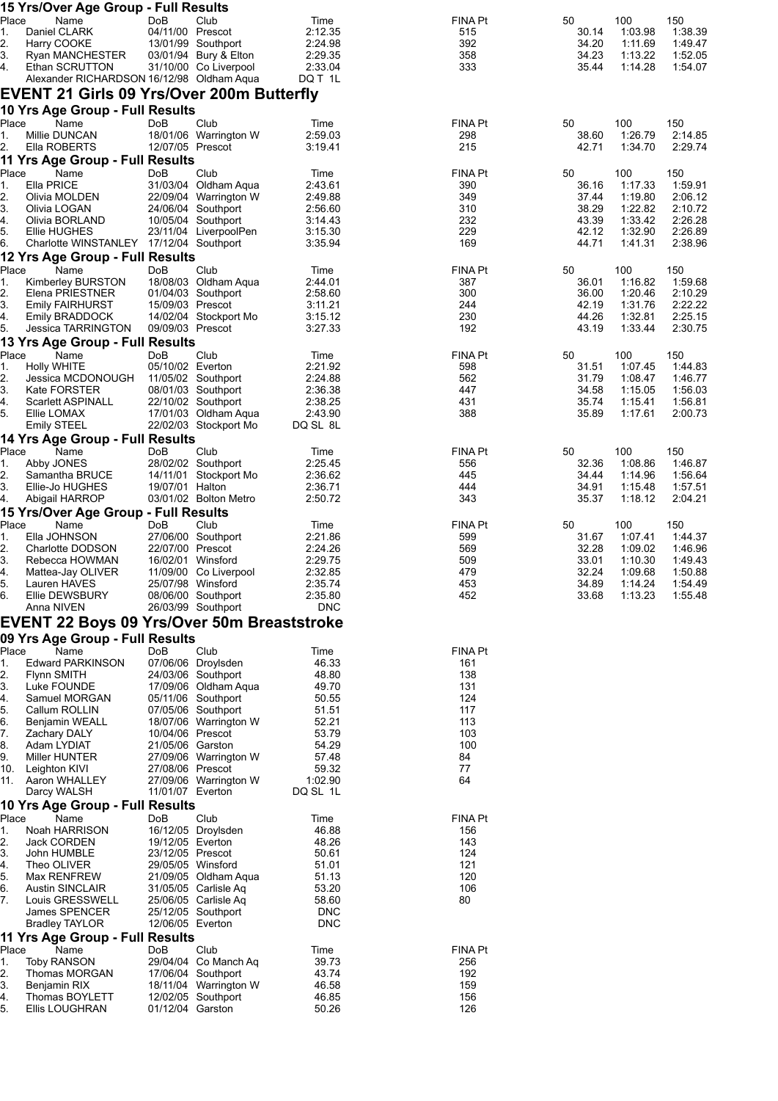| 15 Yrs/Over Age Group - Full Results                  |                                      |                                               |                          |                |                |                    |                    |
|-------------------------------------------------------|--------------------------------------|-----------------------------------------------|--------------------------|----------------|----------------|--------------------|--------------------|
| Place<br>Name<br>Daniel CLARK<br>1.                   | DoB<br>04/11/00 Prescot              | Club                                          | Time<br>2:12.35          | FINA Pt        | 50<br>30.14    | 100<br>1:03.98     | 150<br>1:38.39     |
| 2.<br>Harry COOKE                                     |                                      | 13/01/99 Southport                            | 2:24.98                  | 515<br>392     | 34.20          | 1:11.69            | 1:49.47            |
| 3.<br>Ryan MANCHESTER                                 |                                      | 03/01/94 Bury & Elton                         | 2:29.35                  | 358            | 34.23          | 1:13.22            | 1:52.05            |
| 4.<br>Ethan SCRUTTON                                  |                                      | 31/10/00 Co Liverpool                         | 2:33.04                  | 333            | 35.44          | 1:14.28            | 1:54.07            |
| Alexander RICHARDSON 16/12/98 Oldham Aqua             |                                      |                                               | DQ T 1L                  |                |                |                    |                    |
| <b>EVENT 21 Girls 09 Yrs/Over 200m Butterfly</b>      |                                      |                                               |                          |                |                |                    |                    |
| 10 Yrs Age Group - Full Results                       |                                      |                                               |                          |                |                |                    |                    |
| Place<br>Name                                         | DoB                                  | Club                                          | Time                     | FINA Pt        | 50             | 100                | 150                |
| Millie DUNCAN<br>1.                                   |                                      | 18/01/06 Warrington W                         | 2:59.03                  | 298            | 38.60          | 1:26.79            | 2:14.85            |
| 2.<br>Ella ROBERTS                                    | 12/07/05 Prescot                     |                                               | 3:19.41                  | 215            | 42.71          | 1:34.70            | 2:29.74            |
| 11 Yrs Age Group - Full Results                       |                                      |                                               |                          |                |                |                    |                    |
| Place<br>Name                                         | DoB                                  | Club                                          | Time                     | FINA Pt        | 50             | 100                | 150                |
| Ella PRICE<br>1.<br>2.<br>Olivia MOLDEN               |                                      | 31/03/04 Oldham Aqua<br>22/09/04 Warrington W | 2:43.61<br>2:49.88       | 390<br>349     | 36.16<br>37.44 | 1:17.33<br>1:19.80 | 1:59.91<br>2:06.12 |
| 3.<br>Olivia LOGAN                                    |                                      | 24/06/04 Southport                            | 2:56.60                  | 310            | 38.29          | 1:22.82            | 2:10.72            |
| 4.<br>Olivia BORLAND                                  |                                      | 10/05/04 Southport                            | 3:14.43                  | 232            | 43.39          | 1:33.42            | 2:26.28            |
| 5.<br>Ellie HUGHES                                    |                                      | 23/11/04 LiverpoolPen                         | 3:15.30                  | 229            | 42.12          | 1:32.90            | 2:26.89            |
| 6.<br>Charlotte WINSTANLEY 17/12/04 Southport         |                                      |                                               | 3:35.94                  | 169            | 44.71          | 1:41.31            | 2:38.96            |
| 12 Yrs Age Group - Full Results                       |                                      |                                               |                          |                |                |                    |                    |
| Place<br>Name                                         | DoB                                  | Club                                          | Time                     | FINA Pt        | 50             | 100                | 150                |
| Kimberley BURSTON<br>1.                               |                                      | 18/08/03 Oldham Aqua                          | 2:44.01                  | 387<br>300     | 36.01          | 1:16.82            | 1:59.68            |
| 2.<br>Elena PRIESTNER<br>3.<br><b>Emily FAIRHURST</b> | 15/09/03 Prescot                     | 01/04/03 Southport                            | 2:58.60<br>3:11.21       | 244            | 36.00<br>42.19 | 1:20.46<br>1:31.76 | 2:10.29<br>2:22.22 |
| <b>Emily BRADDOCK</b><br>4.                           |                                      | 14/02/04 Stockport Mo                         | 3:15.12                  | 230            | 44.26          | 1:32.81            | 2:25.15            |
| 5.<br>Jessica TARRINGTON                              | 09/09/03 Prescot                     |                                               | 3:27.33                  | 192            | 43.19          | 1.33.44            | 2:30.75            |
| 13 Yrs Age Group - Full Results                       |                                      |                                               |                          |                |                |                    |                    |
| Place<br>Name                                         | DoB                                  | Club                                          | Time                     | FINA Pt        | 50             | 100                | 150                |
| <b>Holly WHITE</b><br>1.                              | 05/10/02 Everton                     |                                               | 2:21.92                  | 598            | 31.51          | 1:07.45            | 1:44.83            |
| 2.<br>Jessica MCDONOUGH                               |                                      | 11/05/02 Southport                            | 2:24.88                  | 562            | 31.79          | 1:08.47            | 1:46.77            |
| 3.<br>Kate FORSTER<br>Scarlett ASPINALL<br>4.         |                                      | 08/01/03 Southport<br>22/10/02 Southport      | 2:36.38<br>2:38.25       | 447<br>431     | 34.58<br>35.74 | 1:15.05<br>1:15.41 | 1:56.03<br>1:56.81 |
| 5.<br>Ellie LOMAX                                     |                                      | 17/01/03 Oldham Aqua                          | 2:43.90                  | 388            | 35.89          | 1:17.61            | 2:00.73            |
| <b>Emily STEEL</b>                                    |                                      | 22/02/03 Stockport Mo                         | DQ SL 8L                 |                |                |                    |                    |
| 14 Yrs Age Group - Full Results                       |                                      |                                               |                          |                |                |                    |                    |
| Place<br>Name                                         | DoB                                  | Club                                          | Time                     | FINA Pt        | 50             | 100                | 150                |
| 1.<br>Abby JONES                                      |                                      | 28/02/02 Southport                            | 2:25.45                  | 556            | 32.36          | 1:08.86            | 1:46.87            |
| 2.<br>Samantha BRUCE                                  |                                      | 14/11/01 Stockport Mo                         | 2:36.62                  | 445            | 34.44          | 1:14.96            | 1:56.64            |
| 3.<br>Ellie-Jo HUGHES<br>4.<br>Abigail HARROP         | 19/07/01 Halton                      | 03/01/02 Bolton Metro                         | 2:36.71<br>2:50.72       | 444<br>343     | 34.91<br>35.37 | 1:15.48<br>1:18.12 | 1:57.51<br>2:04.21 |
| 15 Yrs/Over Age Group - Full Results                  |                                      |                                               |                          |                |                |                    |                    |
| Place<br>Name                                         | DoB                                  | Club                                          | Time                     | <b>FINA Pt</b> | 50             | 100                | 150                |
| Ella JOHNSON<br>1.                                    |                                      | 27/06/00 Southport                            | 2:21.86                  | 599            | 31.67          | 1:07.41            | 1:44.37            |
| 2.<br>Charlotte DODSON                                | 22/07/00 Prescot                     |                                               | 2:24.26                  | 569            | 32.28          | 1:09.02            | 1:46.96            |
| 3.<br>Rebecca HOWMAN                                  |                                      | 16/02/01 Winsford                             | 2:29.75                  | 509            | 33.01          | 1:10.30            | 1:49.43            |
| 4.<br>Mattea-Jay OLIVER                               |                                      | 11/09/00 Co Liverpool                         | 2:32.85                  | 479            | 32.24          | 1:09.68            | 1:50.88            |
| 5.<br>Lauren HAVES                                    |                                      | 25/07/98 Winsford                             | 2:35.74<br>2:35.80       | 453            | 34.89          | 1:14.24            | 1:54.49            |
| 6.<br>Ellie DEWSBURY<br>Anna NIVEN                    |                                      | 08/06/00 Southport<br>26/03/99 Southport      | <b>DNC</b>               | 452            | 33.68          | 1:13.23            | 1:55.48            |
|                                                       |                                      |                                               |                          |                |                |                    |                    |
| <b>EVENT 22 Boys 09 Yrs/Over 50m Breaststroke</b>     |                                      |                                               |                          |                |                |                    |                    |
| 09 Yrs Age Group - Full Results<br>Place<br>Name      | <b>DoB</b>                           | Club                                          | Time                     | FINA Pt        |                |                    |                    |
| <b>Edward PARKINSON</b><br>1.                         |                                      | 07/06/06 Droylsden                            | 46.33                    | 161            |                |                    |                    |
| 2.<br><b>Flynn SMITH</b>                              |                                      | 24/03/06 Southport                            | 48.80                    | 138            |                |                    |                    |
| З.<br>Luke FOUNDE                                     |                                      | 17/09/06 Oldham Aqua                          | 49.70                    | 131            |                |                    |                    |
| 4.<br>Samuel MORGAN                                   |                                      | 05/11/06 Southport                            | 50.55                    | 124            |                |                    |                    |
| 5.<br>Callum ROLLIN                                   |                                      | 07/05/06 Southport                            | 51.51                    | 117            |                |                    |                    |
| 6.<br><b>Benjamin WEALL</b>                           |                                      | 18/07/06 Warrington W                         | 52.21<br>53.79           | 113<br>103     |                |                    |                    |
| 7.<br><b>Zachary DALY</b><br>8.<br>Adam LYDIAT        | 10/04/06 Prescot<br>21/05/06 Garston |                                               | 54.29                    | 100            |                |                    |                    |
| Miller HUNTER<br>9.                                   |                                      | 27/09/06 Warrington W                         | 57.48                    | 84             |                |                    |                    |
| 10.<br>Leighton KIVI                                  | 27/08/06 Prescot                     |                                               | 59.32                    | 77             |                |                    |                    |
| 11.<br>Aaron WHALLEY                                  |                                      | 27/09/06 Warrington W                         | 1:02.90                  | 64             |                |                    |                    |
| Darcy WALSH                                           | 11/01/07 Everton                     |                                               | DQ SL 1L                 |                |                |                    |                    |
| 10 Yrs Age Group - Full Results                       |                                      |                                               |                          |                |                |                    |                    |
| Place<br>Name<br>Noah HARRISON                        | DoB                                  | Club                                          | Time<br>46.88            | FINA Pt        |                |                    |                    |
| 1.<br>2.<br>Jack CORDEN                               | 19/12/05 Everton                     | 16/12/05 Droylsden                            | 48.26                    | 156<br>143     |                |                    |                    |
| 3.<br>John HUMBLE                                     | 23/12/05 Prescot                     |                                               | 50.61                    | 124            |                |                    |                    |
| Theo OLIVER<br>4.                                     |                                      | 29/05/05 Winsford                             | 51.01                    | 121            |                |                    |                    |
| 5.<br>Max RENFREW                                     |                                      | 21/09/05 Oldham Aqua                          | 51.13                    | 120            |                |                    |                    |
| 6.<br><b>Austin SINCLAIR</b>                          |                                      | 31/05/05 Carlisle Aq                          | 53.20                    | 106            |                |                    |                    |
| 7.<br>Louis GRESSWELL                                 |                                      | 25/06/05 Carlisle Aq                          | 58.60                    | 80             |                |                    |                    |
| James SPENCER<br><b>Bradley TAYLOR</b>                | 12/06/05 Everton                     | 25/12/05 Southport                            | <b>DNC</b><br><b>DNC</b> |                |                |                    |                    |
| 11 Yrs Age Group - Full Results                       |                                      |                                               |                          |                |                |                    |                    |
| Place<br>Name                                         | DoB                                  | Club                                          | Time                     | <b>FINA Pt</b> |                |                    |                    |
| 1.<br><b>Toby RANSON</b>                              |                                      | 29/04/04 Co Manch Aq                          | 39.73                    | 256            |                |                    |                    |
| 2.<br>Thomas MORGAN                                   |                                      | 17/06/04 Southport                            | 43.74                    | 192            |                |                    |                    |
| 3.<br>Benjamin RIX                                    |                                      | 18/11/04 Warrington W                         | 46.58                    | 159            |                |                    |                    |
| Thomas BOYLETT<br>4.<br>5.<br>Ellis LOUGHRAN          | 01/12/04 Garston                     | 12/02/05 Southport                            | 46.85<br>50.26           | 156<br>126     |                |                    |                    |
|                                                       |                                      |                                               |                          |                |                |                    |                    |
|                                                       |                                      |                                               |                          |                |                |                    |                    |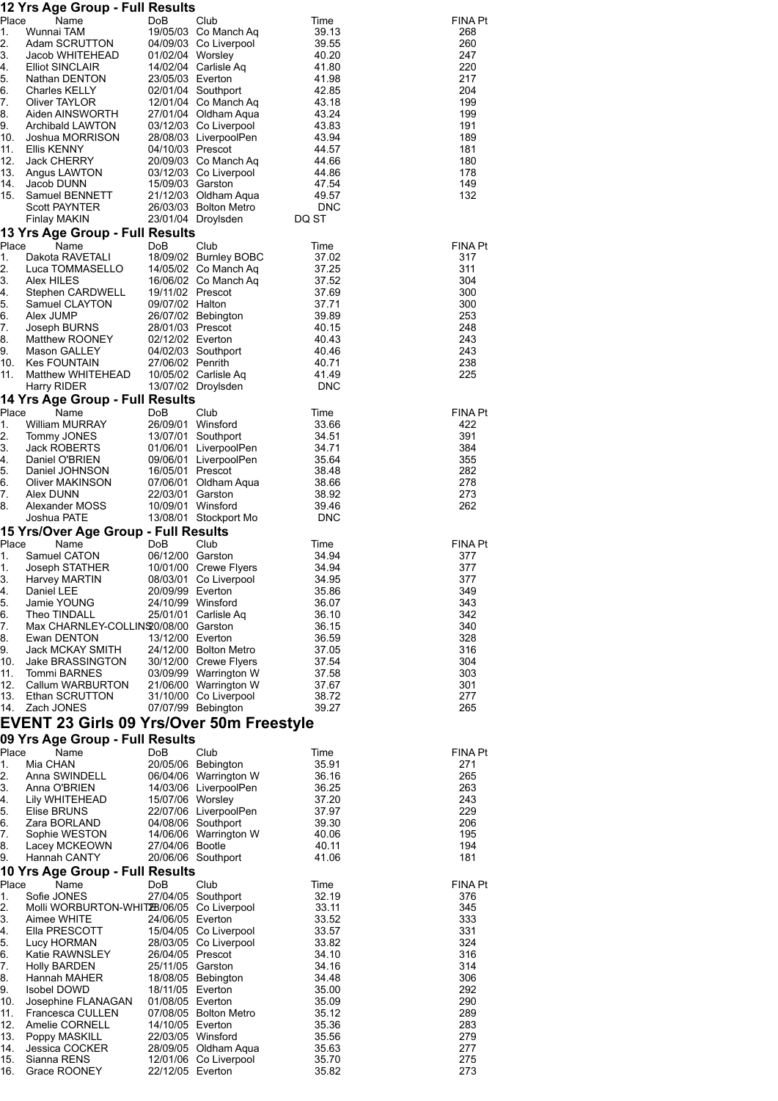|             | 12 Yrs Age Group - Full Results                          |                                     |                                                |                     |                       |
|-------------|----------------------------------------------------------|-------------------------------------|------------------------------------------------|---------------------|-----------------------|
| Place<br>1. | Name<br>Wunnai TAM                                       | DoB                                 | Club<br>19/05/03 Co Manch Aq                   | Time<br>39.13       | <b>FINA Pt</b><br>268 |
| 2.          | Adam SCRUTTON                                            |                                     | 04/09/03 Co Liverpool                          | 39.55               | 260                   |
| 3.          | Jacob WHITEHEAD                                          | 01/02/04 Worsley                    |                                                | 40.20               | 247                   |
| 4.<br>5.    | <b>Elliot SINCLAIR</b><br>Nathan DENTON                  |                                     | 14/02/04 Carlisle Aq                           | 41.80<br>41.98      | 220<br>217            |
| 6.          | Charles KELLY                                            | 23/05/03 Everton                    | 02/01/04 Southport                             | 42.85               | 204                   |
| 7.          | Oliver TAYLOR                                            |                                     | 12/01/04 Co Manch Aq                           | 43.18               | 199                   |
| 8.          | Aiden AINSWORTH                                          |                                     | 27/01/04 Oldham Aqua                           | 43.24               | 199                   |
| 9.<br>10.   | Archibald LAWTON<br>Joshua MORRISON                      |                                     | 03/12/03 Co Liverpool<br>28/08/03 LiverpoolPen | 43.83<br>43.94      | 191<br>189            |
| 11.         | <b>Ellis KENNY</b>                                       | 04/10/03 Prescot                    |                                                | 44.57               | 181                   |
| 12.         | Jack CHERRY                                              |                                     | 20/09/03 Co Manch Aq                           | 44.66               | 180                   |
| 13.         | Angus LAWTON                                             |                                     | 03/12/03 Co Liverpool                          | 44.86               | 178                   |
| 14.<br>15.  | Jacob DUNN<br>Samuel BENNETT                             | 15/09/03 Garston                    | 21/12/03 Oldham Aqua                           | 47.54<br>49.57      | 149<br>132            |
|             | <b>Scott PAYNTER</b>                                     |                                     | 26/03/03 Bolton Metro                          | <b>DNC</b>          |                       |
|             | Finlay MAKIN                                             |                                     | 23/01/04 Droylsden                             | DQ ST               |                       |
| Place       | 13 Yrs Age Group - Full Results<br>Name                  | DoB                                 | Club                                           | Time                | <b>FINA Pt</b>        |
| 1.          | Dakota RAVETALI                                          |                                     | 18/09/02 Burnley BOBC                          | 37.02               | 317                   |
| 2.          | Luca TOMMASELLO                                          |                                     | 14/05/02 Co Manch Ag                           | 37.25               | 311                   |
| 3.          | Alex HILES                                               |                                     | 16/06/02 Co Manch Aq                           | 37.52               | 304                   |
| 4.<br>5.    | Stephen CARDWELL<br>Samuel CLAYTON                       | 19/11/02 Prescot<br>09/07/02 Halton |                                                | 37.69<br>37.71      | 300<br>300            |
| 6.          | Alex JUMP                                                |                                     | 26/07/02 Bebington                             | 39.89               | 253                   |
| 7.          | Joseph BURNS                                             | 28/01/03 Prescot                    |                                                | 40.15               | 248                   |
| 8.          | Matthew ROONEY                                           | 02/12/02 Everton                    |                                                | 40.43               | 243                   |
| 9.<br>10.   | Mason GALLEY<br><b>Kes FOUNTAIN</b>                      | 27/06/02 Penrith                    | 04/02/03 Southport                             | 40.46<br>40.71      | 243<br>238            |
| 11.         | Matthew WHITEHEAD                                        |                                     | 10/05/02 Carlisle Aq                           | 41.49               | 225                   |
|             | Harry RIDER                                              |                                     | 13/07/02 Droylsden                             | <b>DNC</b>          |                       |
| Place       | 14 Yrs Age Group - Full Results<br>Name                  | DoB                                 | Club                                           | Time                | <b>FINA Pt</b>        |
| 1.          | <b>William MURRAY</b>                                    | 26/09/01 Winsford                   |                                                | 33.66               | 422                   |
| 2.          | Tommy JONES                                              |                                     | 13/07/01 Southport                             | 34.51               | 391                   |
| 3.          | Jack ROBERTS                                             |                                     | 01/06/01 LiverpoolPen                          | 34.71               | 384                   |
| 4.<br>5.    | Daniel O'BRIEN<br>Daniel JOHNSON                         | 16/05/01 Prescot                    | 09/06/01 LiverpoolPen                          | 35.64<br>38.48      | 355<br>282            |
| 6.          | Oliver MAKINSON                                          |                                     | 07/06/01 Oldham Aqua                           | 38.66               | 278                   |
| 7.          | Alex DUNN                                                | 22/03/01 Garston                    |                                                | 38.92               | 273                   |
| 8.          | Alexander MOSS<br>Joshua PATE                            | 10/09/01 Winsford                   | 13/08/01 Stockport Mo                          | 39.46<br><b>DNC</b> | 262                   |
|             | 15 Yrs/Over Age Group - Full Results                     |                                     |                                                |                     |                       |
| Place       | Name                                                     | DoB                                 | Club                                           | Time                | <b>FINA Pt</b>        |
| 1.          | Samuel CATON                                             | 06/12/00 Garston                    |                                                | 34.94               | 377                   |
| 1.<br>3.    | Joseph STATHER<br>Harvey MARTIN                          |                                     | 10/01/00 Crewe Flyers<br>08/03/01 Co Liverpool | 34.94<br>34.95      | 377<br>377            |
| 4.          | Daniel LEE                                               | 20/09/99 Everton                    |                                                | 35.86               | 349                   |
| 5.          | Jamie YOUNG                                              | 24/10/99 Winsford                   |                                                | 36.07               | 343                   |
| 6.<br>7.    | Theo TINDALL<br>Max CHARNLEY-COLLINS 0/08/00 Garston     |                                     | 25/01/01 Carlisle Aq                           | 36.10<br>36.15      | 342<br>340            |
| 8.          | Ewan DENTON                                              | 13/12/00 Everton                    |                                                | 36.59               | 328                   |
| 9.          | Jack MCKAY SMITH                                         |                                     | 24/12/00 Bolton Metro                          | 37.05               | 316                   |
| 10.         | <b>Jake BRASSINGTON</b>                                  |                                     | 30/12/00 Crewe Flyers                          | 37.54               | 304                   |
| 11.<br>12.  | <b>Tommi BARNES</b><br>Callum WARBURTON                  |                                     | 03/09/99 Warrington W<br>21/06/00 Warrington W | 37.58<br>37.67      | 303<br>301            |
| 13.         | Ethan SCRUTTON                                           |                                     | 31/10/00 Co Liverpool                          | 38.72               | 277                   |
| 14.         | Zach JONES                                               |                                     | 07/07/99 Bebington                             | 39.27               | 265                   |
|             | <b>EVENT 23 Girls 09 Yrs/Over 50m Freestyle</b>          |                                     |                                                |                     |                       |
|             | 09 Yrs Age Group - Full Results                          |                                     |                                                |                     |                       |
| Place<br>1. | Name<br>Mia CHAN                                         | DoB                                 | Club<br>20/05/06 Bebington                     | Time<br>35.91       | <b>FINA Pt</b><br>271 |
| 2.          | Anna SWINDELL                                            |                                     | 06/04/06 Warrington W                          | 36.16               | 265                   |
| 3.          | Anna O'BRIEN                                             |                                     | 14/03/06 LiverpoolPen                          | 36.25               | 263                   |
| 4.          | Lily WHITEHEAD<br>Elise BRUNS                            | 15/07/06 Worsley                    | 22/07/06 LiverpoolPen                          | 37.20<br>37.97      | 243<br>229            |
| 5.<br>6.    | Zara BORLAND                                             |                                     | 04/08/06 Southport                             | 39.30               | 206                   |
| 7.          | Sophie WESTON                                            |                                     | 14/06/06 Warrington W                          | 40.06               | 195                   |
| 8.          | Lacey MCKEOWN                                            | 27/04/06 Bootle                     |                                                | 40.11               | 194                   |
| 9.          | Hannah CANTY<br>10 Yrs Age Group - Full Results          |                                     | 20/06/06 Southport                             | 41.06               | 181                   |
| Place       | Name                                                     | DoB                                 | Club                                           | Time                | <b>FINA Pt</b>        |
| 1.          | Sofie JONES                                              | 27/04/05                            | Southport                                      | 32.19               | 376                   |
| 2.<br>3.    | Molli WORBURTON-WHIT2B/06/05 Co Liverpool<br>Aimee WHITE | 24/06/05 Everton                    |                                                | 33.11<br>33.52      | 345<br>333            |
| 4.          | Ella PRESCOTT                                            |                                     | 15/04/05 Co Liverpool                          | 33.57               | 331                   |
| 5.          | Lucy HORMAN                                              |                                     | 28/03/05 Co Liverpool                          | 33.82               | 324                   |
| 6.          | Katie RAWNSLEY                                           | 26/04/05 Prescot                    |                                                | 34.10               | 316                   |
| 7.<br>8.    | Holly BARDEN<br>Hannah MAHER                             | 25/11/05 Garston                    | 18/08/05 Bebington                             | 34.16<br>34.48      | 314<br>306            |
| 9.          | Isobel DOWD                                              | 18/11/05 Everton                    |                                                | 35.00               | 292                   |
| 10.         | Josephine FLANAGAN                                       | 01/08/05 Everton                    |                                                | 35.09               | 290                   |
| 11.<br>12.  | Francesca CULLEN<br>Amelie CORNELL                       | 14/10/05 Everton                    | 07/08/05 Bolton Metro                          | 35.12<br>35.36      | 289<br>283            |
| 13.         | Poppy MASKILL                                            | 22/03/05 Winsford                   |                                                | 35.56               | 279                   |
| 14.         | Jessica COCKER                                           |                                     | 28/09/05 Oldham Aqua                           | 35.63               | 277                   |

15. Sianna RENS 12/01/06 Co Liverpool 35.70 275 16. Grace ROONEY 22/12/05 Everton 35.82 273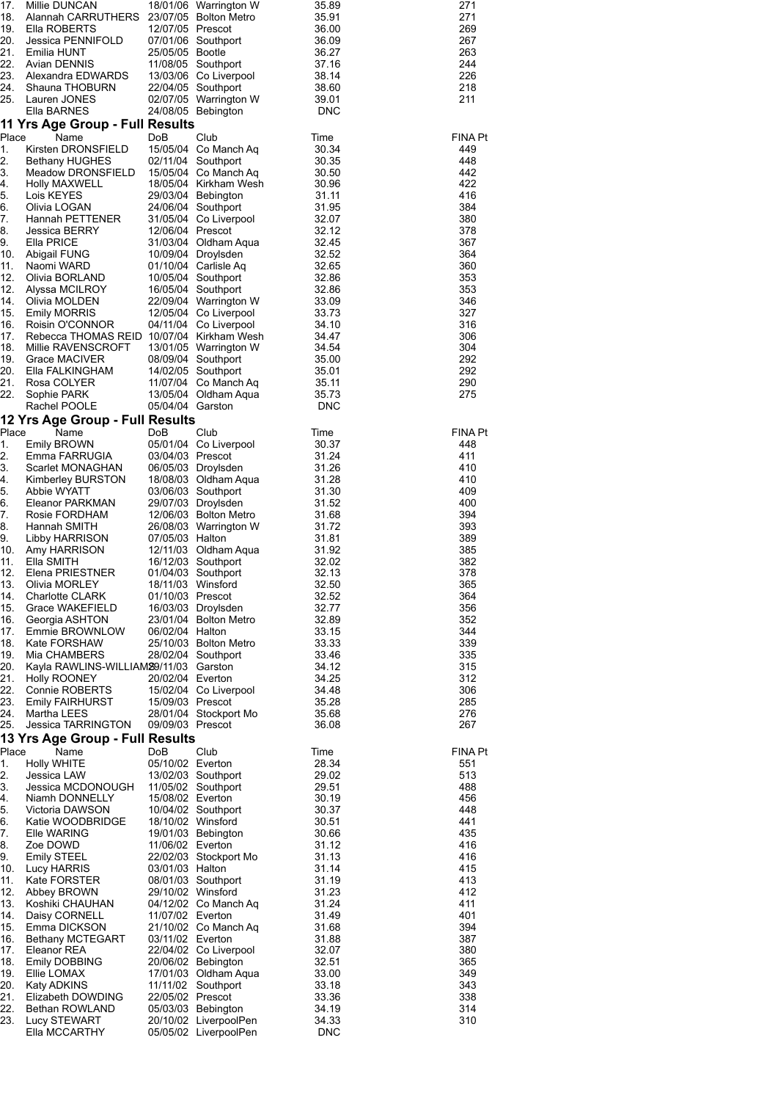| 271<br>271<br>269<br>267<br>263<br>244<br>226<br>218<br>211                                                                                                                                                      | <b>FINA Pt</b><br>449<br>448<br>442<br>422<br>416<br>384<br>380<br>378<br>367<br>364<br>360<br>353<br>353<br>346<br>327<br>316<br>306<br>304<br>292<br>292<br>290<br>275                                                                                                                                                                                                                                                                                        | <b>FINA Pt</b><br>448<br>411<br>410<br>410<br>409<br>400<br>394<br>393<br>389<br>385<br>382<br>378<br>365<br>364<br>356<br>352<br>344<br>339<br>335<br>315<br>312<br>306<br>285<br>276<br>267                                                                                                                                                                                                                                                                                                                                                                                       | FINA Pt<br>551<br>513<br>488<br>456<br>448<br>441<br>435<br>416<br>416<br>415<br>413<br>412<br>411<br>401<br>394<br>387<br>380<br>365<br>349<br>343<br>338<br>314<br>310                                                                                                                                                                                                                                                                    |
|------------------------------------------------------------------------------------------------------------------------------------------------------------------------------------------------------------------|-----------------------------------------------------------------------------------------------------------------------------------------------------------------------------------------------------------------------------------------------------------------------------------------------------------------------------------------------------------------------------------------------------------------------------------------------------------------|-------------------------------------------------------------------------------------------------------------------------------------------------------------------------------------------------------------------------------------------------------------------------------------------------------------------------------------------------------------------------------------------------------------------------------------------------------------------------------------------------------------------------------------------------------------------------------------|---------------------------------------------------------------------------------------------------------------------------------------------------------------------------------------------------------------------------------------------------------------------------------------------------------------------------------------------------------------------------------------------------------------------------------------------|
| 35.89<br>35.91<br>36.00<br>36.09<br>36.27<br>37.16<br>38.14<br>38.60<br>39.01<br>DNC                                                                                                                             | Time<br>30.34<br>30.35<br>30.50<br>30.96<br>31.11<br>31.95<br>32.07<br>32.12<br>32.45<br>32.52<br>32.65<br>32.86<br>32.86<br>33.09<br>33.73<br>34.10<br>34.47<br>34.54<br>35.00<br>35.01<br>35.11<br>35.73<br><b>DNC</b>                                                                                                                                                                                                                                        | Time<br>30.37<br>31.24<br>31.26<br>31.28<br>31.30<br>31.52<br>31.68<br>31.72<br>31.81<br>31.92<br>32.02<br>32.13<br>32.50<br>32.52<br>32.77<br>32.89<br>33.15<br>33.33<br>33.46<br>34.12<br>34.25<br>34.48<br>35.28<br>35.68<br>36.08                                                                                                                                                                                                                                                                                                                                               | Time<br>28.34<br>29.02<br>29.51<br>30.19<br>30.37<br>30.51<br>30.66<br>31.12<br>31.13<br>31.14<br>31.19<br>31.23<br>31.24<br>31.49<br>31.68<br>31.88<br>32.07<br>32.51<br>33.00<br>33.18<br>33.36<br>34.19<br>34.33<br><b>DNC</b>                                                                                                                                                                                                           |
| 18/01/06 Warrington W<br><b>Bolton Metro</b><br>07/01/06 Southport<br>11/08/05 Southport<br>13/03/06 Co Liverpool<br>22/04/05 Southport<br>02/07/05 Warrington W<br>24/08/05 Bebington                           | Club<br>15/05/04 Co Manch Aq<br>Southport<br>15/05/04 Co Manch Aq<br>18/05/04 Kirkham Wesh<br>29/03/04 Bebington<br>Southport<br>31/05/04 Co Liverpool<br>31/03/04 Oldham Aqua<br>10/09/04 Droylsden<br>01/10/04 Carlisle Aq<br>Southport<br>16/05/04 Southport<br>22/09/04 Warrington W<br>12/05/04 Co Liverpool<br>04/11/04 Co Liverpool<br>13/01/05 Warrington W<br>08/09/04 Southport<br>14/02/05 Southport<br>11/07/04 Co Manch Aq<br>13/05/04 Oldham Aqua | Club<br>05/01/04 Co Liverpool<br>06/05/03 Droylsden<br>18/08/03 Oldham Aqua<br>03/06/03 Southport<br>29/07/03 Droylsden<br>12/06/03 Bolton Metro<br>26/08/03 Warrington W<br>Oldham Aqua<br>16/12/03 Southport<br>01/04/03 Southport<br>16/03/03 Droylsden<br>23/01/04 Bolton Metro<br>25/10/03 Bolton Metro<br>28/02/04 Southport<br>15/02/04 Co Liverpool<br>28/01/04 Stockport Mo                                                                                                                                                                                                | Club<br>13/02/03 Southport<br>11/05/02 Southport<br>10/04/02 Southport<br>19/01/03 Bebington<br>22/02/03 Stockport Mo<br>08/01/03 Southport<br>04/12/02 Co Manch Aq<br>21/10/02 Co Manch Aq<br>22/04/02 Co Liverpool<br>20/06/02 Bebington<br>17/01/03 Oldham Aqua<br>11/11/02 Southport<br>05/03/03 Bebington<br>20/10/02 LiverpoolPen<br>05/05/02 LiverpoolPen                                                                            |
| 23/07/05<br>12/07/05 Prescot<br>25/05/05 Bootle                                                                                                                                                                  | DoB<br>02/11/04<br>24/06/04<br>12/06/04 Prescot<br>10/05/04<br>05/04/04 Garston                                                                                                                                                                                                                                                                                                                                                                                 | DoB<br>03/04/03 Prescot<br>07/05/03 Halton<br>12/11/03<br>18/11/03 Winsford<br>01/10/03 Prescot<br>06/02/04 Halton<br>20/02/04 Everton<br>15/09/03 Prescot<br>09/09/03 Prescot                                                                                                                                                                                                                                                                                                                                                                                                      | DoB<br>05/10/02 Everton<br>15/08/02 Everton<br>18/10/02 Winsford<br>11/06/02 Everton<br>03/01/03 Halton<br>29/10/02 Winsford<br>11/07/02 Everton<br>03/11/02 Everton<br>22/05/02 Prescot                                                                                                                                                                                                                                                    |
| Millie DUNCAN<br>Alannah CARRUTHERS<br>Ella ROBERTS<br>Jessica PENNIFOLD<br>Emilia HUNT<br>Avian DENNIS<br>Alexandra EDWARDS<br>Shauna THOBURN<br>Lauren JONES<br>Ella BARNES<br>11 Yrs Age Group - Full Results | Name<br>Kirsten DRONSFIELD<br><b>Bethany HUGHES</b><br>Meadow DRONSFIELD<br>Holly MAXWELL<br>Lois KEYES<br>Olivia LOGAN<br>Hannah PETTENER<br>Jessica BERRY<br>Ella PRICE<br>Abigail FUNG<br>Naomi WARD<br>Olivia BORLAND<br>Alyssa MCILROY<br>Olivia MOLDEN<br><b>Emily MORRIS</b><br>Roisin O'CONNOR<br>Rebecca THOMAS REID 10/07/04 Kirkham Wesh<br>Millie RAVENSCROFT<br>Grace MACIVER<br>Ella FALKINGHAM<br>Rosa COLYER<br>Sophie PARK<br>Rachel POOLE     | 12 Yrs Age Group - Full Results<br>Name<br><b>Emily BROWN</b><br>Emma FARRUGIA<br>Scarlet MONAGHAN<br>Kimberley BURSTON<br>Abbie WYATT<br>Eleanor PARKMAN<br>Rosie FORDHAM<br>Hannah SMITH<br>Libby HARRISON<br>Amy HARRISON<br>Ella SMITH<br>Elena PRIESTNER<br>Olivia MORLEY<br><b>Charlotte CLARK</b><br>Grace WAKEFIELD<br>Georgia ASHTON<br>Emmie BROWNLOW<br>Kate FORSHAW<br>Mia CHAMBERS<br>Kayla RAWLINS-WILLIAM29/11/03 Garston<br>Holly ROONEY<br>Connie ROBERTS<br><b>Emily FAIRHURST</b><br><b>Martha LEES</b><br>Jessica TARRINGTON<br>13 Yrs Age Group - Full Results | Name<br><b>Holly WHITE</b><br>Jessica LAW<br>Jessica MCDONOUGH<br>Niamh DONNELLY<br>Victoria DAWSON<br>Katie WOODBRIDGE<br>Elle WARING<br>Zoe DOWD<br><b>Emily STEEL</b><br>Lucy HARRIS<br>Kate FORSTER<br>Abbey BROWN<br>Koshiki CHAUHAN<br>Daisy CORNELL<br>Emma DICKSON<br>Bethany MCTEGART<br>Eleanor REA<br><b>Emily DOBBING</b><br>Ellie LOMAX<br>Katy ADKINS<br>Elizabeth DOWDING<br>Bethan ROWLAND<br>Lucy STEWART<br>Ella MCCARTHY |
| 17.<br>18.<br>19.<br>20.<br>21.<br>22.<br>23.<br>24.<br>25.                                                                                                                                                      | Place<br>1.<br>2.<br>3.<br>4.<br>5.<br>6.<br>7.<br>8.<br>9.<br>10.<br>11.<br>12.<br>12.<br>14.<br>15.<br>16.<br>17.<br>18.<br>19.<br>20.<br>21.<br>22.                                                                                                                                                                                                                                                                                                          | Place<br>1.<br>2.<br>3.<br>4.<br>5.<br>6.<br>7.<br>8.<br>9.<br>10.<br>11.<br>12.<br>13.<br>14.<br>15.<br>16.<br>17.<br>18.<br>19.<br>20.<br>21.<br>22.<br>23.<br>24.<br>25.                                                                                                                                                                                                                                                                                                                                                                                                         | Place<br>1.<br>2.<br>3.<br>4.<br>5.<br>6.<br>7.<br>8.<br>9.<br>10.<br>11.<br>12.<br>13.<br>14.<br>15.<br>16.<br>17.<br>18.<br>19.<br>20.<br>21.<br>22.<br>23.                                                                                                                                                                                                                                                                               |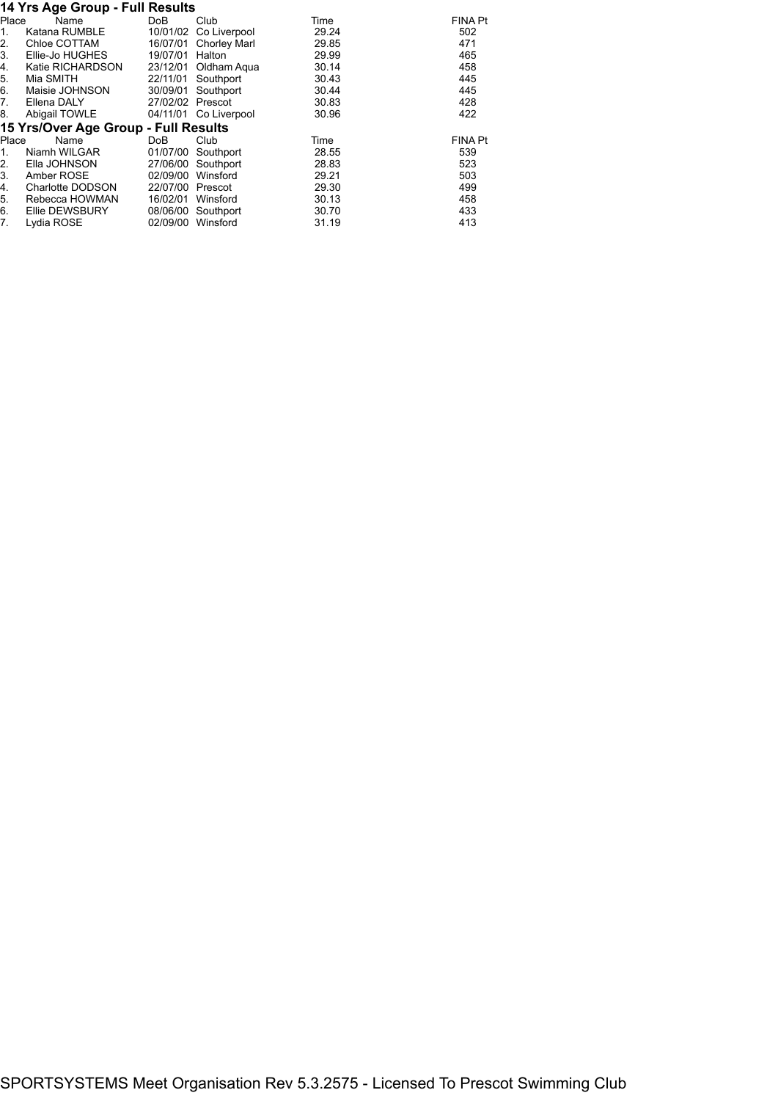#### **14 Yrs Age Group - Full Results**

|       | $17119$ $M99$ $M99$                  |                  |                       |       |                |
|-------|--------------------------------------|------------------|-----------------------|-------|----------------|
| Place | Name                                 | DoB              | Club                  | Time  | <b>FINA Pt</b> |
| 1.    | Katana RUMBLE                        | 10/01/02         | Co Liverpool          | 29.24 | 502            |
| 2.    | Chloe COTTAM                         | 16/07/01         | Chorley Marl          | 29.85 | 471            |
| 3.    | Ellie-Jo HUGHES                      | 19/07/01         | Halton                | 29.99 | 465            |
| 4.    | Katie RICHARDSON                     | 23/12/01         | Oldham Aqua           | 30.14 | 458            |
| 5.    | Mia SMITH                            | 22/11/01         | Southport             | 30.43 | 445            |
| 6.    | Maisie JOHNSON                       | 30/09/01         | Southport             | 30.44 | 445            |
| 7.    | Ellena DALY                          | 27/02/02 Prescot |                       | 30.83 | 428            |
| 8.    | Abigail TOWLE                        |                  | 04/11/01 Co Liverpool | 30.96 | 422            |
|       | 15 Yrs/Over Age Group - Full Results |                  |                       |       |                |
| Place | Name                                 | DoB              | Club                  | Time  | <b>FINA Pt</b> |
| 1.    | Niamh WILGAR                         | 01/07/00         | Southport             | 28.55 | 539            |
| 2.    | Ella JOHNSON                         | 27/06/00         | Southport             | 28.83 | 523            |
| 3.    | Amber ROSE                           | 02/09/00         | Winsford              | 29.21 | 503            |
| 4.    | Charlotte DODSON                     | 22/07/00         | Prescot               | 29.30 | 499            |
| 5.    | Rebecca HOWMAN                       | 16/02/01         | Winsford              | 30.13 | 458            |
| 6.    | Ellie DEWSBURY                       | 08/06/00         | Southport             | 30.70 | 433            |
| 7.    | Lydia ROSE                           | 02/09/00         | Winsford              | 31.19 | 413            |
|       |                                      |                  |                       |       |                |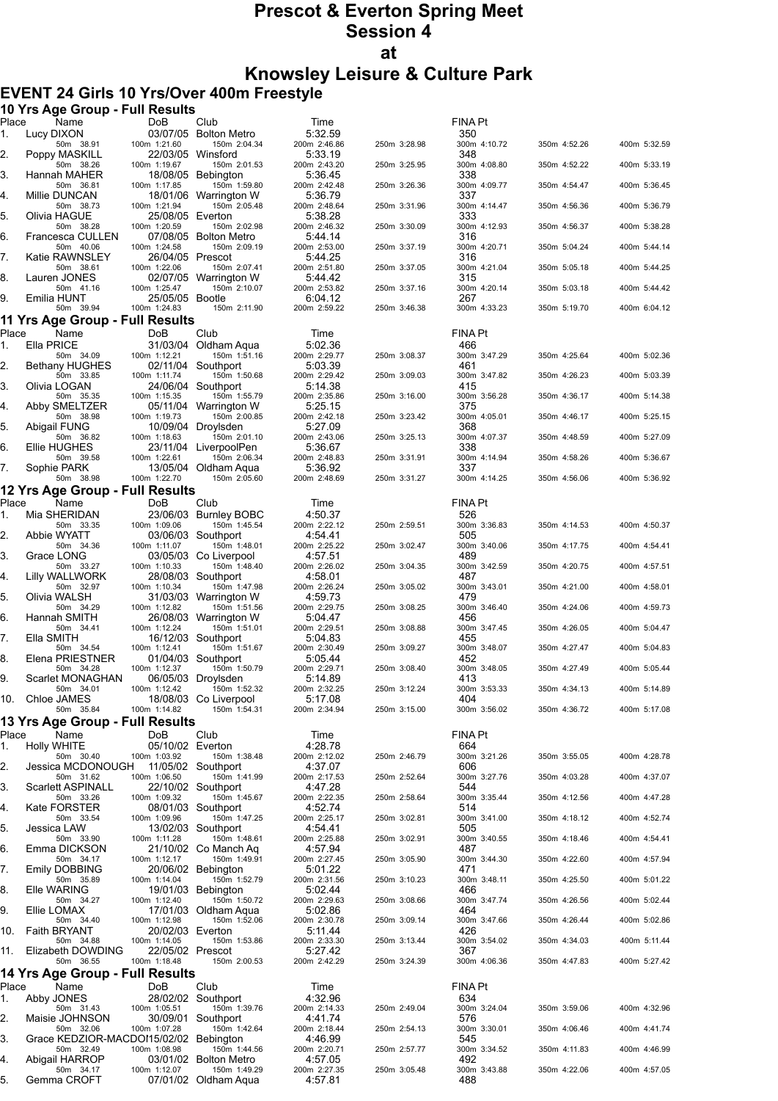# **Prescot & Everton Spring Meet Session 4 at**

**Knowsley Leisure & Culture Park**

### **EVENT 24 Girls 10 Yrs/Over 400m Freestyle**

|             | 10 Yrs Age Group - Full Results         |                                  |                                       |                         |              |                     |              |              |
|-------------|-----------------------------------------|----------------------------------|---------------------------------------|-------------------------|--------------|---------------------|--------------|--------------|
| Place<br>1. | Name<br>Lucy DIXON                      | <b>DoB</b>                       | Club<br>03/07/05 Bolton Metro         | Time<br>5:32.59         |              | FINA Pt<br>350      |              |              |
| 2.          | 50m 38.91                               | 100m 1:21.60                     | 150m 2:04.34<br>22/03/05 Winsford     | 200m 2:46.86<br>5:33.19 | 250m 3:28.98 | 300m 4:10.72<br>348 | 350m 4:52.26 | 400m 5:32.59 |
|             | Poppy MASKILL<br>50m 38.26              | 100m 1:19.67                     | 150m 2:01.53                          | 200m 2:43.20            | 250m 3:25.95 | 300m 4:08.80        | 350m 4:52.22 | 400m 5:33.19 |
| 3.          | Hannah MAHER<br>50m 36.81               | 100m 1:17.85                     | 18/08/05 Bebington<br>150m 1:59.80    | 5:36.45<br>200m 2:42.48 | 250m 3:26.36 | 338<br>300m 4:09.77 | 350m 4:54.47 | 400m 5:36.45 |
| 4.          | Millie DUNCAN<br>50m 38.73              | 100m 1:21.94                     | 18/01/06 Warrington W<br>150m 2:05.48 | 5:36.79<br>200m 2:48.64 | 250m 3:31.96 | 337<br>300m 4:14.47 | 350m 4:56.36 | 400m 5:36.79 |
| 5.          | Olivia HAGUE                            | 25/08/05 Everton                 |                                       | 5:38.28                 |              | 333                 |              |              |
| 6.          | 50m 38.28<br>Francesca CULLEN           | 100m 1:20.59<br>07/08/05         | 150m 2:02.98<br>Bolton Metro          | 200m 2:46.32<br>5:44.14 | 250m 3:30.09 | 300m 4:12.93<br>316 | 350m 4:56.37 | 400m 5:38.28 |
| 7.          | 50m 40.06<br>Katie RAWNSLEY             | 100m 1:24.58<br>26/04/05 Prescot | 150m 2:09.19                          | 200m 2:53.00<br>5:44.25 | 250m 3:37.19 | 300m 4:20.71<br>316 | 350m 5:04.24 | 400m 5:44.14 |
|             | 50m 38.61<br>Lauren JONES               | 100m 1:22.06                     | 150m 2:07.41                          | 200m 2:51.80<br>5:44.42 | 250m 3:37.05 | 300m 4:21.04<br>315 | 350m 5:05.18 | 400m 5:44.25 |
| 8.          | 50m 41.16                               | 100m 1:25.47                     | 02/07/05 Warrington W<br>150m 2:10.07 | 200m 2:53.82            | 250m 3:37.16 | 300m 4:20.14        | 350m 5:03.18 | 400m 5:44.42 |
| 9.          | Emilia HUNT<br>50m 39.94                | 25/05/05 Bootle<br>100m 1:24.83  | 150m 2:11.90                          | 6:04.12<br>200m 2:59.22 | 250m 3:46.38 | 267<br>300m 4:33.23 | 350m 5:19.70 | 400m 6:04.12 |
|             | 11 Yrs Age Group - Full Results         |                                  |                                       |                         |              |                     |              |              |
| Place<br>1. | Name<br>Ella PRICE                      | DoB                              | Club<br>31/03/04 Oldham Aqua          | Time<br>5:02.36         |              | FINA Pt<br>466      |              |              |
| 2.          | 50m 34.09<br><b>Bethany HUGHES</b>      | 100m 1:12.21                     | 150m 1:51.16<br>02/11/04 Southport    | 200m 2:29.77<br>5:03.39 | 250m 3:08.37 | 300m 3:47.29<br>461 | 350m 4:25.64 | 400m 5:02.36 |
|             | 50m 33.85                               | 100m 1:11.74                     | 150m 1:50.68                          | 200m 2:29.42            | 250m 3:09.03 | 300m 3:47.82        | 350m 4:26.23 | 400m 5:03.39 |
| 3.          | Olivia LOGAN<br>50m 35.35               | 100m 1:15.35                     | 24/06/04 Southport<br>150m 1:55.79    | 5:14.38<br>200m 2:35.86 | 250m 3:16.00 | 415<br>300m 3:56.28 | 350m 4:36.17 | 400m 5:14.38 |
| 4.          | Abby SMELTZER<br>50m 38.98              | 100m 1:19.73                     | 05/11/04 Warrington W<br>150m 2:00.85 | 5:25.15<br>200m 2:42.18 | 250m 3:23.42 | 375<br>300m 4:05.01 | 350m 4:46.17 | 400m 5:25.15 |
| 5.          | Abigail FUNG                            |                                  | 10/09/04 Drovlsden                    | 5:27.09                 |              | 368                 |              |              |
| 6.          | 50m 36.82<br>Ellie HUGHES               | 100m 1:18.63                     | 150m 2:01.10<br>23/11/04 LiverpoolPen | 200m 2:43.06<br>5:36.67 | 250m 3:25.13 | 300m 4:07.37<br>338 | 350m 4:48.59 | 400m 5:27.09 |
| 7.          | 50m 39.58<br>Sophie PARK                | 100m 1:22.61                     | 150m 2:06.34<br>13/05/04 Oldham Aqua  | 200m 2:48.83<br>5:36.92 | 250m 3:31.91 | 300m 4:14.94<br>337 | 350m 4:58.26 | 400m 5:36.67 |
|             | 50m 38.98                               | 100m 1:22.70                     | 150m 2:05.60                          | 200m 2:48.69            | 250m 3:31.27 | 300m 4:14.25        | 350m 4:56.06 | 400m 5:36.92 |
| Place       | 12 Yrs Age Group - Full Results<br>Name | DoB                              | Club                                  | Time                    |              | <b>FINA Pt</b>      |              |              |
| 1.          | Mia SHERIDAN                            |                                  | 23/06/03 Burnley BOBC                 | 4:50.37                 |              | 526                 |              |              |
| 2.          | 50m 33.35<br>Abbie WYATT                | 100m 1:09.06                     | 150m 1:45.54<br>03/06/03 Southport    | 200m 2:22.12<br>4:54.41 | 250m 2:59.51 | 300m 3:36.83<br>505 | 350m 4:14.53 | 400m 4:50.37 |
| 3.          | 50m 34.36<br>Grace LONG                 | 100m 1:11.07                     | 150m 1:48.01<br>03/05/03 Co Liverpool | 200m 2:25.22<br>4:57.51 | 250m 3:02.47 | 300m 3:40.06<br>489 | 350m 4:17.75 | 400m 4:54.41 |
|             | 50m 33.27                               | 100m 1:10.33                     | 150m 1:48.40                          | 200m 2:26.02            | 250m 3:04.35 | 300m 3:42.59        | 350m 4:20.75 | 400m 4:57.51 |
| 4.          | Lilly WALLWORK<br>50m 32.97             | 100m 1:10.34                     | 28/08/03 Southport<br>150m 1:47.98    | 4:58.01<br>200m 2:26.24 | 250m 3:05.02 | 487<br>300m 3:43.01 | 350m 4:21.00 | 400m 4:58.01 |
| 5.          | Olivia WALSH<br>50m 34.29               | 100m 1:12.82                     | 31/03/03 Warrington W<br>150m 1:51.56 | 4:59.73<br>200m 2:29.75 | 250m 3:08.25 | 479<br>300m 3:46.40 | 350m 4:24.06 | 400m 4:59.73 |
| 6.          | Hannah SMITH<br>50m 34.41               | 100m 1:12.24                     | 26/08/03 Warrington W<br>150m 1:51.01 | 5:04.47<br>200m 2:29.51 | 250m 3:08.88 | 456<br>300m 3:47.45 | 350m 4:26.05 | 400m 5:04.47 |
| 7.          | Ella SMITH                              |                                  | 16/12/03 Southport                    | 5:04.83                 |              | 455                 |              |              |
| 8.          | 50m 34.54<br>Elena PRIESTNER            | 100m 1:12.41                     | 150m 1:51.67<br>01/04/03 Southport    | 200m 2:30.49<br>5:05.44 | 250m 3:09.27 | 300m 3:48.07<br>452 |              | 400m 5:04.83 |
| 9.          | 50m 34.28<br>Scarlet MONAGHAN           | 100m 1:12.37                     | 150m 1:50.79<br>06/05/03 Droylsden    | 200m 2:29.71<br>5:14.89 | 250m 3:08.40 | 300m 3:48.05<br>413 | 350m 4:27.49 | 400m 5:05.44 |
|             | 50m 34.01                               | 100m 1:12.42                     | 150m 1:52.32                          | 200m 2:32.25            | 250m 3:12.24 | 300m 3:53.33        | 350m 4:34.13 | 400m 5:14.89 |
|             | 10. Chloe JAMES<br>50m 35.84            | 100m 1:14.82                     | 18/08/03 Co Liverpool<br>150m 1:54.31 | 5:17.08<br>200m 2:34.94 | 250m 3:15.00 | 404<br>300m 3:56.02 | 350m 4:36.72 | 400m 5:17.08 |
|             | 13 Yrs Age Group - Full Results         |                                  |                                       |                         |              |                     |              |              |
| Place<br>1. | Name<br><b>Holly WHITE</b>              | DoB<br>05/10/02 Everton          | Club                                  | Time<br>4:28.78         |              | FINA Pt<br>664      |              |              |
| 2.          | 50m 30.40<br>Jessica MCDONOUGH          | 100m 1:03.92                     | 150m 1:38.48<br>11/05/02 Southport    | 200m 2:12.02<br>4:37.07 | 250m 2:46.79 | 300m 3:21.26<br>606 | 350m 3:55.05 | 400m 4:28.78 |
|             | 50m 31.62                               | 100m 1:06.50                     | 150m 1:41.99                          | 200m 2:17.53            | 250m 2:52.64 | 300m 3:27.76        | 350m 4:03.28 | 400m 4:37.07 |
| 3.          | <b>Scarlett ASPINALL</b><br>50m 33.26   | 100m 1:09.32                     | 22/10/02 Southport<br>150m 1:45.67    | 4:47.28<br>200m 2:22.35 | 250m 2:58.64 | 544<br>300m 3:35.44 | 350m 4:12.56 | 400m 4:47.28 |
| 4.          | Kate FORSTER<br>50m 33.54               | 100m 1:09.96                     | 08/01/03 Southport<br>150m 1:47.25    | 4:52.74<br>200m 2:25.17 | 250m 3:02.81 | 514<br>300m 3:41.00 | 350m 4:18.12 | 400m 4:52.74 |
| 5.          | Jessica LAW<br>50m 33.90                | 100m 1:11.28                     | 13/02/03 Southport<br>150m 1:48.61    | 4:54.41<br>200m 2:25.88 | 250m 3:02.91 | 505<br>300m 3:40.55 | 350m 4:18.46 | 400m 4:54.41 |
| 6.          | Emma DICKSON                            |                                  | 21/10/02 Co Manch Ag                  | 4:57.94                 |              | 487                 |              |              |
| 7.          | 50m 34.17<br><b>Emily DOBBING</b>       | 100m 1:12.17                     | 150m 1:49.91<br>20/06/02 Bebington    | 200m 2:27.45<br>5:01.22 | 250m 3:05.90 | 300m 3:44.30<br>471 | 350m 4:22.60 | 400m 4:57.94 |
| 8.          | 50m 35.89<br>Elle WARING                | 100m 1:14.04                     | 150m 1:52.79<br>19/01/03 Bebington    | 200m 2:31.56<br>5:02.44 | 250m 3:10.23 | 300m 3:48.11<br>466 | 350m 4:25.50 | 400m 5:01.22 |
|             | 50m 34.27                               | 100m 1:12.40                     | 150m 1:50.72                          | 200m 2:29.63            | 250m 3:08.66 | 300m 3:47.74        | 350m 4:26.56 | 400m 5:02.44 |
| 9.          | Ellie LOMAX<br>50m 34.40                | 100m 1:12.98                     | 17/01/03 Oldham Aqua<br>150m 1:52.06  | 5:02.86<br>200m 2:30.78 | 250m 3:09.14 | 464<br>300m 3:47.66 | 350m 4:26.44 | 400m 5:02.86 |
| 10.         | Faith BRYANT<br>50m 34.88               | 20/02/03 Everton<br>100m 1:14.05 | 150m 1:53.86                          | 5:11.44<br>200m 2:33.30 | 250m 3:13.44 | 426<br>300m 3:54.02 | 350m 4:34.03 | 400m 5:11.44 |
| 11.         | Elizabeth DOWDING<br>50m 36.55          | 22/05/02 Prescot<br>100m 1:18.48 | 150m 2:00.53                          | 5:27.42<br>200m 2:42.29 | 250m 3:24.39 | 367<br>300m 4:06.36 | 350m 4:47.83 | 400m 5:27.42 |
|             | 14 Yrs Age Group - Full Results         |                                  |                                       |                         |              |                     |              |              |
| Place       | Name                                    | DoB                              | Club                                  | Time                    |              | FINA Pt             |              |              |
| 1.          | Abby JONES<br>50m 31.43                 | 100m 1:05.51                     | 28/02/02 Southport<br>150m 1:39.76    | 4:32.96<br>200m 2:14.33 | 250m 2:49.04 | 634<br>300m 3:24.04 | 350m 3:59.06 | 400m 4:32.96 |
| 2.          | Maisie JOHNSON<br>50m 32.06             | 100m 1:07.28                     | 30/09/01 Southport<br>150m 1:42.64    | 4:41.74<br>200m 2:18.44 | 250m 2:54.13 | 576<br>300m 3:30.01 | 350m 4:06.46 | 400m 4:41.74 |
| 3.          | Grace KEDZIOR-MACDOM5/02/02 Bebington   | 100m 1:08.98                     | 150m 1:44.56                          | 4 46 99                 |              | 545                 |              |              |
| 4.          | 50m 32.49<br>Abigail HARROP             |                                  | 03/01/02 Bolton Metro                 | 200m 2:20.71<br>4:57.05 | 250m 2:57.77 | 300m 3:34.52<br>492 | 350m 4:11.83 | 400m 4:46.99 |
| 5.          | 50m 34.17<br>Gemma CROFT                | 100m 1:12.07                     | 150m 1:49.29<br>07/01/02 Oldham Aqua  | 200m 2:27.35<br>4:57.81 | 250m 3:05.48 | 300m 3:43.88<br>488 | 350m 4:22.06 | 400m 4:57.05 |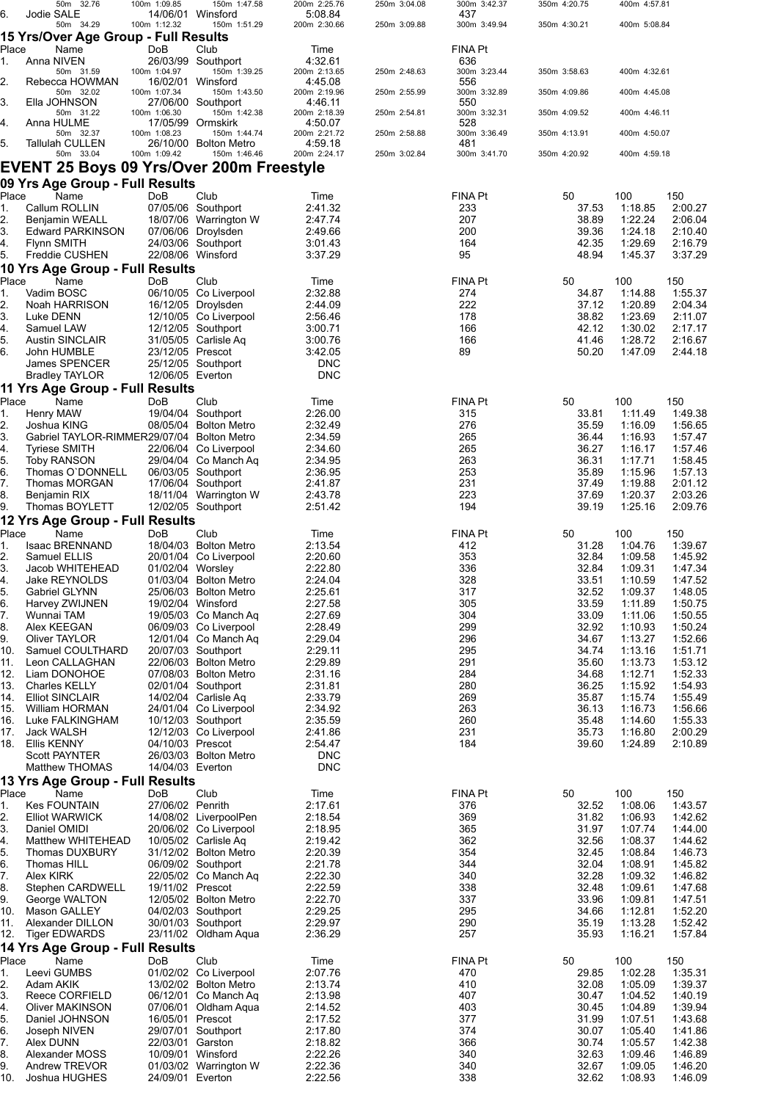|          | 50m 32.76                                         | 100m 1:09.85      | 150m 1:47.58                                  | 200m 2:25.76            | 250m 3:04.08 | 300m 3:42.37        | 350m 4:20.75   | 400m 4:57.81       |                    |
|----------|---------------------------------------------------|-------------------|-----------------------------------------------|-------------------------|--------------|---------------------|----------------|--------------------|--------------------|
| 6.       | Jodie SALE                                        | 14/06/01 Winsford |                                               | 5:08.84                 |              | 437                 |                |                    |                    |
|          | 50m 34.29<br>15 Yrs/Over Age Group - Full Results | 100m 1:12.32      | 150m 1:51.29                                  | 200m 2:30.66            | 250m 3:09.88 | 300m 3:49.94        | 350m 4:30.21   | 400m 5:08.84       |                    |
| Place    |                                                   | DoB               | Club                                          |                         |              |                     |                |                    |                    |
| 1.       | Name<br>Anna NIVEN                                |                   | 26/03/99 Southport                            | Time<br>4:32.61         |              | FINA Pt<br>636      |                |                    |                    |
|          | 50m 31.59                                         | 100m 1:04.97      | 150m 1:39.25                                  | 200m 2:13.65            | 250m 2:48.63 | 300m 3:23.44        | 350m 3:58.63   | 400m 4:32.61       |                    |
| 2.       | Rebecca HOWMAN                                    |                   | 16/02/01 Winsford                             | 4:45.08                 |              | 556                 |                |                    |                    |
|          | 50m 32.02                                         | 100m 1:07.34      | 150m 1:43.50                                  | 200m 2:19.96            | 250m 2:55.99 | 300m 3:32.89        | 350m 4:09.86   | 400m 4:45.08       |                    |
| 3.       | Ella JOHNSON<br>50m 31.22                         | 100m 1:06.30      | 27/06/00 Southport<br>150m 1:42.38            | 4:46.11<br>200m 2:18.39 | 250m 2:54.81 | 550<br>300m 3:32.31 | 350m 4:09.52   | 400m 4:46.11       |                    |
| 4.       | Anna HULME                                        |                   | 17/05/99 Ormskirk                             | 4:50.07                 |              | 528                 |                |                    |                    |
|          | 50m 32.37                                         | 100m 1:08.23      | 150m 1:44.74                                  | 200m 2:21.72            | 250m 2:58.88 | 300m 3:36.49        | 350m 4:13.91   | 400m 4:50.07       |                    |
| 5.       | Tallulah CULLEN                                   |                   | 26/10/00 Bolton Metro                         | 4:59.18                 |              | 481                 |                |                    |                    |
|          | 50m 33.04                                         | 100m 1:09.42      | 150m 1:46.46                                  | 200m 2:24.17            | 250m 3:02.84 | 300m 3:41.70        | 350m 4:20.92   | 400m 4:59.18       |                    |
|          | EVENT 25 Boys 09 Yrs/Over 200m Freestyle          |                   |                                               |                         |              |                     |                |                    |                    |
|          | 09 Yrs Age Group - Full Results                   |                   |                                               |                         |              |                     |                |                    |                    |
| Place    | Name                                              | DoB               | Club                                          | Time                    |              | <b>FINA Pt</b>      | 50             | 100                | 150                |
| 1.       | Callum ROLLIN                                     |                   | 07/05/06 Southport                            | 2:41.32                 |              | 233                 | 37.53          | 1:18.85            | 2:00.27            |
| 2.       | Benjamin WEALL                                    |                   | 18/07/06 Warrington W                         | 2:47.74                 |              | 207                 | 38.89          | 1:22.24            | 2:06.04            |
| 3.       | <b>Edward PARKINSON</b>                           |                   | 07/06/06 Droylsden                            | 2:49.66                 |              | 200                 | 39.36          | 1:24.18            | 2:10.40            |
| 4.       | Flynn SMITH                                       |                   | 24/03/06 Southport                            | 3:01.43                 |              | 164                 | 42.35          | 1:29.69            | 2:16.79            |
| 5.       | Freddie CUSHEN                                    | 22/08/06 Winsford |                                               | 3:37.29                 |              | 95                  | 48.94          | 1:45.37            | 3:37.29            |
|          | 10 Yrs Age Group - Full Results                   |                   |                                               |                         |              |                     |                |                    |                    |
| Place    | Name                                              | DoB               | Club                                          | Time                    |              | <b>FINA Pt</b>      | 50             | 100                | 150                |
| 1.       | Vadim BOSC                                        |                   | 06/10/05 Co Liverpool                         | 2:32.88                 |              | 274                 | 34.87          | 1:14.88            | 1:55.37            |
| 2.       | Noah HARRISON                                     |                   | 16/12/05 Droylsden                            | 2:44.09                 |              | 222                 | 37.12          | 1:20.89            | 2:04.34            |
| 3.       | Luke DENN                                         |                   | 12/10/05 Co Liverpool                         | 2:56.46                 |              | 178                 | 38.82          | 1:23.69            | 2:11.07            |
| 4.       | Samuel LAW                                        |                   | 12/12/05 Southport                            | 3:00.71                 |              | 166                 | 42.12          | 1:30.02            | 2:17.17            |
| 5.       | <b>Austin SINCLAIR</b>                            |                   | 31/05/05 Carlisle Aq                          | 3:00.76                 |              | 166                 | 41.46          | 1:28.72            | 2:16.67            |
| 6.       | John HUMBLE                                       | 23/12/05 Prescot  |                                               | 3:42.05                 |              | 89                  | 50.20          | 1:47.09            | 2:44.18            |
|          | James SPENCER                                     |                   | 25/12/05 Southport                            | <b>DNC</b>              |              |                     |                |                    |                    |
|          | <b>Bradley TAYLOR</b>                             | 12/06/05 Everton  |                                               | <b>DNC</b>              |              |                     |                |                    |                    |
|          | 11 Yrs Age Group - Full Results                   |                   |                                               |                         |              |                     |                |                    |                    |
| Place    | Name                                              | DoB               | Club                                          | Time                    |              | <b>FINA Pt</b>      | 50             | 100                | 150                |
| 1.       | Henry MAW                                         |                   | 19/04/04 Southport                            | 2:26.00                 |              | 315                 | 33.81          | 1:11.49            | 1.49.38            |
| 2.       | Joshua KING                                       |                   | 08/05/04 Bolton Metro                         | 2:32.49                 |              | 276                 | 35.59          | 1:16.09            | 1:56.65            |
| 3.       | Gabriel TAYLOR-RIMMER29/07/04 Bolton Metro        |                   |                                               | 2:34.59                 |              | 265                 | 36.44          | 1:16.93            | 1:57.47            |
| 4.       | <b>Tyriese SMITH</b>                              |                   | 22/06/04 Co Liverpool                         | 2:34.60                 |              | 265                 | 36.27          | 1:16.17            | 1:57.46            |
| 5.       | <b>Toby RANSON</b>                                |                   | 29/04/04 Co Manch Aq                          | 2:34.95                 |              | 263                 | 36.31          | 1:17.71            | 1:58.45            |
| 6.       | Thomas O'DONNELL                                  |                   | 06/03/05 Southport                            | 2:36.95                 |              | 253                 | 35.89          | 1:15.96            | 1:57.13            |
| 7.       | Thomas MORGAN                                     |                   | 17/06/04 Southport                            | 2:41.87                 |              | 231<br>223          | 37.49<br>37.69 | 1:19.88            | 2:01.12<br>2:03.26 |
| 8.<br>9. | Benjamin RIX<br>Thomas BOYLETT                    |                   | 18/11/04 Warrington W<br>12/02/05 Southport   | 2:43.78<br>2:51.42      |              | 194                 | 39.19          | 1:20.37<br>1:25.16 | 2:09.76            |
|          |                                                   |                   |                                               |                         |              |                     |                |                    |                    |
|          | 12 Yrs Age Group - Full Results                   |                   |                                               |                         |              |                     |                |                    |                    |
| Place    | Name                                              | DoB               | Club                                          | Time                    |              | FINA Pt             | 50             | 100                | 150                |
| 1.<br>2. | Isaac BRENNAND                                    |                   | 18/04/03 Bolton Metro                         | 2:13.54<br>2:20.60      |              | 412<br>353          | 31.28<br>32.84 | 1:04.76            | 1:39.67            |
| 3.       | Samuel ELLIS<br>Jacob WHITEHEAD                   | 01/02/04 Worsley  | 20/01/04 Co Liverpool                         | 2:22.80                 |              | 336                 | 32.84          | 1:09.58<br>1:09.31 | 1:45.92<br>1:47.34 |
| 4.       | Jake REYNOLDS                                     |                   | 01/03/04 Bolton Metro                         | 2:24.04                 |              | 328                 | 33.51          | 1:10.59            | 1:47.52            |
| 5.       | Gabriel GLYNN                                     |                   | 25/06/03 Bolton Metro                         | 2:25.61                 |              | 317                 | 32.52          | 1:09.37            | 1:48.05            |
| 6.       | Harvey ZWIJNEN                                    |                   | 19/02/04 Winsford                             | 2:27.58                 |              | 305                 | 33.59          | 1:11.89            | 1:50.75            |
| 7.       | Wunnai TAM                                        |                   | 19/05/03 Co Manch Aq                          | 2:27.69                 |              | 304                 | 33.09          | 1:11.06            | 1:50.55            |
| 8.       | Alex KEEGAN                                       |                   | 06/09/03 Co Liverpool                         | 2:28.49                 |              | 299                 | 32.92          | 1:10.93            | 1.50.24            |
| 9.       | Oliver TAYLOR                                     |                   | 12/01/04 Co Manch Aq                          | 2:29.04                 |              | 296                 | 34.67          | 1:13.27            | 1.52.66            |
| 10.      | Samuel COULTHARD                                  |                   | 20/07/03 Southport                            | 2:29.11                 |              | 295                 | 34.74          | 1:13.16            | 1:51.71            |
| 11.      | Leon CALLAGHAN                                    |                   | 22/06/03 Bolton Metro                         | 2:29.89                 |              | 291                 | 35.60          | 1:13.73            | 1:53.12            |
| 12.      | Liam DONOHOE                                      |                   | 07/08/03 Bolton Metro                         | 2:31.16                 |              | 284                 | 34.68          | 1:12.71            | 1:52.33            |
| 13.      | <b>Charles KELLY</b>                              |                   | 02/01/04 Southport                            | 2:31.81                 |              | 280                 | 36.25          | 1:15.92            | 1:54.93            |
| 14.      | <b>Elliot SINCLAIR</b>                            |                   | 14/02/04 Carlisle Aq                          | 2:33.79                 |              | 269                 | 35.87          | 1:15.74            | 1:55.49            |
| 15.      | William HORMAN                                    |                   | 24/01/04 Co Liverpool                         | 2:34.92                 |              | 263                 | 36.13          | 1:16.73            | 1:56.66            |
| 16.      | Luke FALKINGHAM                                   |                   | 10/12/03 Southport                            | 2:35.59                 |              | 260                 | 35.48          | 1:14.60            | 1:55.33            |
| 17.      | Jack WALSH                                        |                   | 12/12/03 Co Liverpool                         | 2:41.86                 |              | 231                 | 35.73          | 1:16.80            | 2:00.29            |
| 18.      | Ellis KENNY                                       | 04/10/03 Prescot  |                                               | 2:54.47                 |              | 184                 | 39.60          | 1:24.89            | 2:10.89            |
|          | <b>Scott PAYNTER</b>                              |                   | 26/03/03 Bolton Metro                         | <b>DNC</b>              |              |                     |                |                    |                    |
|          | Matthew THOMAS                                    | 14/04/03 Everton  |                                               | <b>DNC</b>              |              |                     |                |                    |                    |
|          | 13 Yrs Age Group - Full Results                   |                   |                                               |                         |              |                     |                |                    |                    |
| Place    | Name                                              | DoB               | Club                                          | Time                    |              | FINA Pt             | 50             | 100                | 150                |
| 1.       | <b>Kes FOUNTAIN</b>                               | 27/06/02 Penrith  |                                               | 2:17.61                 |              | 376                 | 32.52          | 1:08.06            | 1.43.57            |
| 2.       | <b>Elliot WARWICK</b>                             |                   | 14/08/02 LiverpoolPen                         | 2:18.54                 |              | 369                 | 31.82          | 1:06.93            | 1:42.62            |
| 3.<br>4. | Daniel OMIDI<br>Matthew WHITEHEAD                 |                   | 20/06/02 Co Liverpool<br>10/05/02 Carlisle Aq | 2:18.95<br>2:19.42      |              | 365<br>362          | 31.97<br>32.56 | 1:07.74<br>1:08.37 | 1:44.00<br>1:44.62 |
| 5.       | <b>Thomas DUXBURY</b>                             |                   | 31/12/02 Bolton Metro                         | 2:20.39                 |              | 354                 | 32.45          | 1:08.84            | 1:46.73            |
| 6.       | Thomas HILL                                       |                   | 06/09/02 Southport                            | 2:21.78                 |              | 344                 | 32.04          | 1:08.91            | 1:45.82            |
| 7.       | Alex KIRK                                         |                   | 22/05/02 Co Manch Aq                          | 2:22.30                 |              | 340                 | 32.28          | 1:09.32            | 1:46.82            |
| 8.       | Stephen CARDWELL                                  | 19/11/02 Prescot  |                                               | 2:22.59                 |              | 338                 | 32.48          | 1:09.61            | 1:47.68            |
| 9.       | George WALTON                                     |                   | 12/05/02 Bolton Metro                         | 2:22.70                 |              | 337                 | 33.96          | 1:09.81            | 1:47.51            |
| 10.      | Mason GALLEY                                      |                   | 04/02/03 Southport                            | 2:29.25                 |              | 295                 | 34.66          | 1:12.81            | 1:52.20            |
| 11.      | Alexander DILLON                                  |                   | 30/01/03 Southport                            | 2:29.97                 |              | 290                 | 35.19          | 1:13.28            | 1:52.42            |
| 12.      | <b>Tiger EDWARDS</b>                              |                   | 23/11/02 Oldham Aqua                          | 2:36.29                 |              | 257                 | 35.93          | 1:16.21            | 1.57.84            |
|          | 14 Yrs Age Group - Full Results                   |                   |                                               |                         |              |                     |                |                    |                    |
| Place    | Name                                              | DoB               | Club                                          | Time                    |              | FINA Pt             | 50             | 100                | 150                |
| 1.       | Leevi GUMBS                                       |                   | 01/02/02 Co Liverpool                         | 2:07.76                 |              | 470                 | 29.85          | 1:02.28            | 1:35.31            |
| 2.       | Adam AKIK                                         |                   | 13/02/02 Bolton Metro                         | 2:13.74                 |              | 410                 | 32.08          | 1:05.09            | 1:39.37            |
| 3.       | Reece CORFIELD                                    |                   | 06/12/01 Co Manch Aq                          | 2:13.98                 |              | 407                 | 30.47          | 1:04.52            | 1:40.19            |
| 4.       | Oliver MAKINSON                                   |                   | 07/06/01 Oldham Aqua                          | 2:14.52                 |              | 403                 | 30.45          | 1:04.89            | 1.39.94            |
| 5.       | Daniel JOHNSON                                    | 16/05/01 Prescot  |                                               | 2:17.52                 |              | 377                 | 31.99          | 1:07.51            | 1.43.68            |
| 6.       | Joseph NIVEN                                      |                   | 29/07/01 Southport                            | 2:17.80                 |              | 374                 | 30.07          | 1:05.40            | 1:41.86            |
| 7.       | Alex DUNN                                         | 22/03/01 Garston  |                                               | 2:18.82                 |              | 366                 | 30.74          | 1:05.57            | 1:42.38            |
| 8.       | Alexander MOSS                                    |                   | 10/09/01 Winsford                             | 2:22.26                 |              | 340                 | 32.63          | 1:09.46            | 1:46.89            |
| 9.       | Andrew TREVOR                                     |                   | 01/03/02 Warrington W                         | 2:22.36                 |              | 340                 | 32.67          | 1:09.05            | 1:46.20            |
| 10.      | Joshua HUGHES                                     | 24/09/01 Everton  |                                               | 2:22.56                 |              | 338                 | 32.62          | 1:08.93            | 1:46.09            |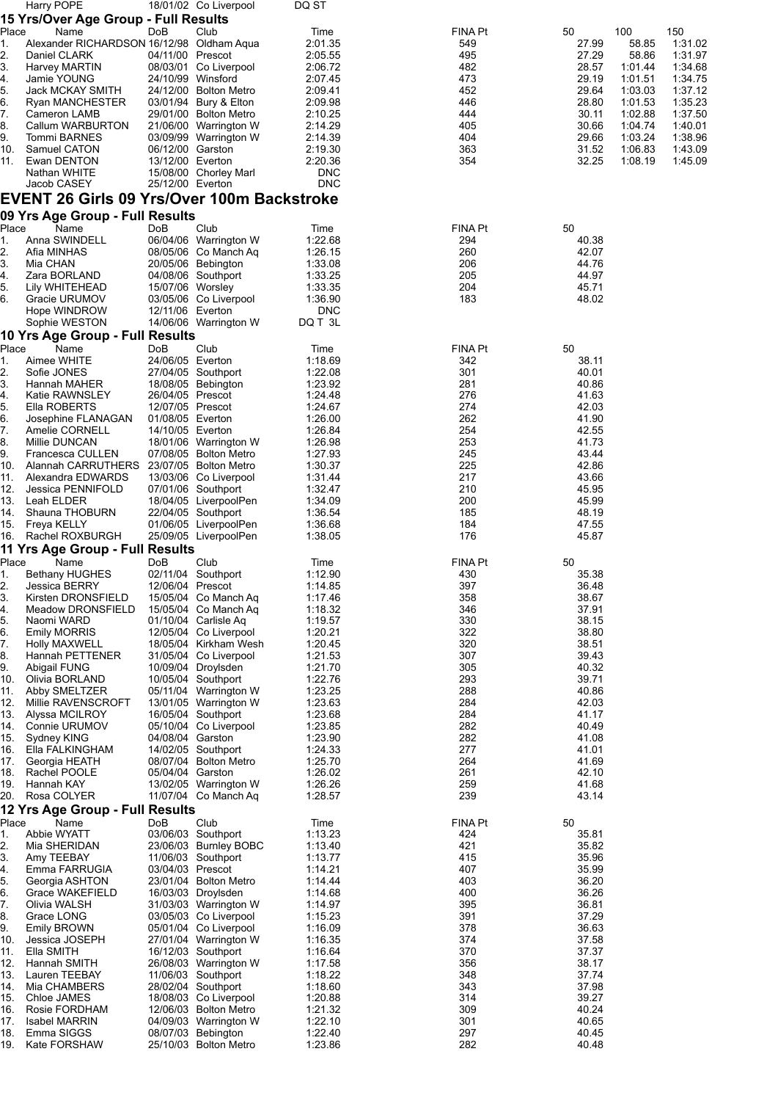|            | Harry POPE                                                |                   | 18/01/02 Co Liverpool                          | DQ ST              |                       |                |                    |                    |
|------------|-----------------------------------------------------------|-------------------|------------------------------------------------|--------------------|-----------------------|----------------|--------------------|--------------------|
|            | 15 Yrs/Over Age Group - Full Results                      |                   |                                                |                    |                       |                |                    |                    |
| Place      | Name                                                      | DoB               | Club                                           | Time               | FINA Pt               | 50             | 100                | 150                |
| 1.<br>2.   | Alexander RICHARDSON 16/12/98 Oldham Aqua<br>Daniel CLARK | 04/11/00 Prescot  |                                                | 2:01.35<br>2:05.55 | 549<br>495            | 27.99<br>27.29 | 58.85<br>58.86     | 1:31.02<br>1:31.97 |
| 3.         | <b>Harvey MARTIN</b>                                      |                   | 08/03/01 Co Liverpool                          | 2:06.72            | 482                   | 28.57          | 1:01.44            | 1:34.68            |
| 4.         | Jamie YOUNG                                               | 24/10/99 Winsford |                                                | 2:07.45            | 473                   | 29.19          | 1:01.51            | 1:34.75            |
| 5.         | Jack MCKAY SMITH                                          |                   | 24/12/00 Bolton Metro                          | 2:09.41            | 452                   | 29.64          | 1:03.03            | 1:37.12            |
| 6.         | Ryan MANCHESTER                                           |                   | 03/01/94 Bury & Elton                          | 2:09.98            | 446                   | 28.80          | 1:01.53            | 1:35.23            |
| 7.         | Cameron LAMB                                              |                   | 29/01/00 Bolton Metro                          | 2:10.25            | 444                   | 30.11          | 1:02.88            | 1:37.50            |
| 8.         | Callum WARBURTON                                          |                   | 21/06/00 Warrington W                          | 2:14.29            | 405<br>404            | 30.66<br>29.66 | 1:04.74            | 1:40.01<br>1:38.96 |
| 9.<br>10.  | Tommi BARNES<br>Samuel CATON                              | 06/12/00 Garston  | 03/09/99 Warrington W                          | 2:14.39<br>2:19.30 | 363                   | 31.52          | 1:03.24<br>1:06.83 | 1:43.09            |
| 11.        | Ewan DENTON                                               | 13/12/00 Everton  |                                                | 2:20.36            | 354                   | 32.25          | 1:08.19            | 1:45.09            |
|            | Nathan WHITE                                              |                   | 15/08/00 Chorley Marl                          | <b>DNC</b>         |                       |                |                    |                    |
|            | Jacob CASEY                                               | 25/12/00 Everton  |                                                | <b>DNC</b>         |                       |                |                    |                    |
|            | EVENT 26 Girls 09 Yrs/Over 100m Backstroke                |                   |                                                |                    |                       |                |                    |                    |
|            | 09 Yrs Age Group - Full Results                           |                   |                                                |                    |                       |                |                    |                    |
| Place      | Name                                                      | DoB               | Club                                           | Time               | FINA Pt               | 50             |                    |                    |
| 1.         | Anna SWINDELL                                             |                   | 06/04/06 Warrington W                          | 1:22.68            | 294                   | 40.38          |                    |                    |
| 2.         | Afia MINHAS                                               |                   | 08/05/06 Co Manch Aq                           | 1:26.15            | 260                   | 42.07          |                    |                    |
| 3.         | Mia CHAN                                                  |                   | 20/05/06 Bebington                             | 1:33.08            | 206                   | 44.76          |                    |                    |
| 4.         | Zara BORLAND                                              |                   | 04/08/06 Southport                             | 1:33.25            | 205                   | 44.97          |                    |                    |
| 5.         | Lily WHITEHEAD<br>Gracie URUMOV                           | 15/07/06 Worsley  | 03/05/06 Co Liverpool                          | 1:33.35<br>1:36.90 | 204<br>183            | 45.71<br>48.02 |                    |                    |
| 6.         | Hope WINDROW                                              | 12/11/06 Everton  |                                                | <b>DNC</b>         |                       |                |                    |                    |
|            | Sophie WESTON                                             |                   | 14/06/06 Warrington W                          | DQ T 3L            |                       |                |                    |                    |
|            | 10 Yrs Age Group - Full Results                           |                   |                                                |                    |                       |                |                    |                    |
| Place      | Name                                                      | DoB               | Club                                           | Time               | FINA Pt               | 50             |                    |                    |
| 1.         | Aimee WHITE                                               | 24/06/05 Everton  |                                                | 1:18.69            | 342                   | 38.11          |                    |                    |
| 2.         | Sofie JONES                                               |                   | 27/04/05 Southport                             | 1:22.08            | 301                   | 40.01          |                    |                    |
| 3.         | Hannah MAHER                                              |                   | 18/08/05 Bebington                             | 1:23.92            | 281                   | 40.86          |                    |                    |
| 4.         | Katie RAWNSLEY                                            | 26/04/05 Prescot  |                                                | 1:24.48            | 276                   | 41.63          |                    |                    |
| 5.         | Ella ROBERTS                                              | 12/07/05 Prescot  |                                                | 1:24.67            | 274                   | 42.03          |                    |                    |
| 6.         | Josephine FLANAGAN                                        | 01/08/05 Everton  |                                                | 1:26.00            | 262                   | 41.90          |                    |                    |
| 7.<br>8.   | Amelie CORNELL<br>Millie DUNCAN                           | 14/10/05 Everton  | 18/01/06 Warrington W                          | 1:26.84<br>1:26.98 | 254<br>253            | 42.55<br>41.73 |                    |                    |
| 9.         | Francesca CULLEN                                          |                   | 07/08/05 Bolton Metro                          | 1:27.93            | 245                   | 43.44          |                    |                    |
| 10.        | Alannah CARRUTHERS                                        |                   | 23/07/05 Bolton Metro                          | 1:30.37            | 225                   | 42.86          |                    |                    |
| 11.        | Alexandra EDWARDS                                         |                   | 13/03/06 Co Liverpool                          | 1:31.44            | 217                   | 43.66          |                    |                    |
| 12.        | Jessica PENNIFOLD                                         |                   | 07/01/06 Southport                             | 1:32.47            | 210                   | 45.95          |                    |                    |
| 13.        | Leah ELDER                                                |                   | 18/04/05 LiverpoolPen                          | 1:34.09            | 200                   | 45.99          |                    |                    |
| 14.        | Shauna THOBURN                                            |                   | 22/04/05 Southport                             | 1:36.54            | 185                   | 48.19          |                    |                    |
|            | 15. Freya KELLY                                           |                   | 01/06/05 LiverpoolPen                          | 1:36.68            | 184                   | 47.55          |                    |                    |
| 16.        | Rachel ROXBURGH                                           |                   | 25/09/05 LiverpoolPen                          | 1:38.05            | 176                   | 45.87          |                    |                    |
|            | 11 Yrs Age Group - Full Results                           |                   |                                                |                    |                       |                |                    |                    |
| Place      | Name                                                      | DoB               | Club<br>02/11/04 Southport                     | Time<br>1:12.90    | <b>FINA Pt</b><br>430 | 50             |                    |                    |
| 1.<br>2.   | Bethany HUGHES<br>Jessica BERRY                           | 12/06/04 Prescot  |                                                | 1:14.85            | 397                   | 35.38<br>36.48 |                    |                    |
| 3.         | Kirsten DRONSFIELD                                        |                   | 15/05/04 Co Manch Aq                           | 1:17.46            | 358                   | 38.67          |                    |                    |
| 4.         | Meadow DRONSFIELD                                         |                   | 15/05/04 Co Manch Aq                           | 1:18.32            | 346                   | 37.91          |                    |                    |
| 5.         | Naomi WARD                                                |                   | 01/10/04 Carlisle Aq                           | 1:19.57            | 330                   | 38.15          |                    |                    |
| 6.         | <b>Emily MORRIS</b>                                       |                   | 12/05/04 Co Liverpool                          | 1:20.21            | 322                   | 38.80          |                    |                    |
| 7.         | <b>Holly MAXWELL</b>                                      |                   | 18/05/04 Kirkham Wesh                          | 1:20.45            | 320                   | 38.51          |                    |                    |
| 8.         | Hannah PETTENER                                           |                   | 31/05/04 Co Liverpool                          | 1:21.53            | 307                   | 39.43          |                    |                    |
| 9.         | Abigail FUNG                                              |                   | 10/09/04 Droylsden                             | 1:21.70            | 305                   | 40.32          |                    |                    |
| 10.<br>11. | Olivia BORLAND<br>Abby SMELTZER                           |                   | 10/05/04 Southport<br>05/11/04 Warrington W    | 1:22.76<br>1:23.25 | 293<br>288            | 39.71<br>40.86 |                    |                    |
| 12.        | Millie RAVENSCROFT                                        |                   | 13/01/05 Warrington W                          | 1:23.63            | 284                   | 42.03          |                    |                    |
| 13.        | Alyssa MCILROY                                            |                   | 16/05/04 Southport                             | 1:23.68            | 284                   | 41.17          |                    |                    |
| 14.        | Connie URUMOV                                             |                   | 05/10/04 Co Liverpool                          | 1:23.85            | 282                   | 40.49          |                    |                    |
| 15.        | Sydney KING                                               | 04/08/04 Garston  |                                                | 1:23.90            | 282                   | 41.08          |                    |                    |
| 16.        | Ella FALKINGHAM                                           |                   | 14/02/05 Southport                             | 1:24.33            | 277                   | 41.01          |                    |                    |
| 17.        | Georgia HEATH                                             |                   | 08/07/04 Bolton Metro                          | 1:25.70            | 264                   | 41.69          |                    |                    |
| 18.        | Rachel POOLE                                              | 05/04/04 Garston  |                                                | 1:26.02            | 261                   | 42.10          |                    |                    |
| 19.<br>20. | Hannah KAY<br>Rosa COLYER                                 |                   | 13/02/05 Warrington W<br>11/07/04 Co Manch Aq  | 1:26.26<br>1:28.57 | 259<br>239            | 41.68<br>43.14 |                    |                    |
|            | 12 Yrs Age Group - Full Results                           |                   |                                                |                    |                       |                |                    |                    |
| Place      | Name                                                      | DoB               | Club                                           | Time               | FINA Pt               | 50             |                    |                    |
| 1.         | Abbie WYATT                                               |                   | 03/06/03 Southport                             | 1:13.23            | 424                   | 35.81          |                    |                    |
| 2.         | Mia SHERIDAN                                              |                   | 23/06/03 Burnley BOBC                          | 1:13.40            | 421                   | 35.82          |                    |                    |
| 3.         | Amy TEEBAY                                                |                   | 11/06/03 Southport                             | 1:13.77            | 415                   | 35.96          |                    |                    |
| 4.         | Emma FARRUGIA                                             | 03/04/03 Prescot  |                                                | 1:14.21            | 407                   | 35.99          |                    |                    |
| 5.         | Georgia ASHTON                                            |                   | 23/01/04 Bolton Metro                          | 1.14.44            | 403                   | 36.20          |                    |                    |
| 6.         | Grace WAKEFIELD                                           |                   | 16/03/03 Droylsden                             | 1:14.68            | 400                   | 36.26          |                    |                    |
| 7.         | Olivia WALSH                                              |                   | 31/03/03 Warrington W                          | 1:14.97            | 395                   | 36.81          |                    |                    |
| 8.         | Grace LONG                                                |                   | 03/05/03 Co Liverpool                          | 1:15.23            | 391<br>378            | 37.29          |                    |                    |
| 9.         | <b>Emily BROWN</b>                                        |                   | 05/01/04 Co Liverpool<br>27/01/04 Warrington W | 1:16.09<br>1:16.35 | 374                   | 36.63<br>37.58 |                    |                    |
|            |                                                           |                   |                                                |                    |                       |                |                    |                    |
| 10.        | Jessica JOSEPH                                            |                   |                                                |                    |                       |                |                    |                    |
| 11.<br>12. | Ella SMITH<br>Hannah SMITH                                |                   | 16/12/03 Southport<br>26/08/03 Warrington W    | 1:16.64<br>1:17.58 | 370<br>356            | 37.37<br>38.17 |                    |                    |
| 13.        | Lauren TEEBAY                                             |                   | 11/06/03 Southport                             | 1:18.22            | 348                   | 37.74          |                    |                    |
| 14.        | Mia CHAMBERS                                              |                   | 28/02/04 Southport                             | 1:18.60            | 343                   | 37.98          |                    |                    |
| 15.        | Chloe JAMES                                               |                   | 18/08/03 Co Liverpool                          | 1:20.88            | 314                   | 39.27          |                    |                    |
| 16.        | Rosie FORDHAM                                             |                   | 12/06/03 Bolton Metro                          | 1:21.32            | 309                   | 40.24          |                    |                    |
| 17.        | <b>Isabel MARRIN</b>                                      |                   | 04/09/03 Warrington W                          | 1:22.10            | 301                   | 40.65          |                    |                    |
| 18.<br>19. | Emma SIGGS<br>Kate FORSHAW                                |                   | 08/07/03 Bebington<br>25/10/03 Bolton Metro    | 1:22.40<br>1:23.86 | 297<br>282            | 40.45<br>40.48 |                    |                    |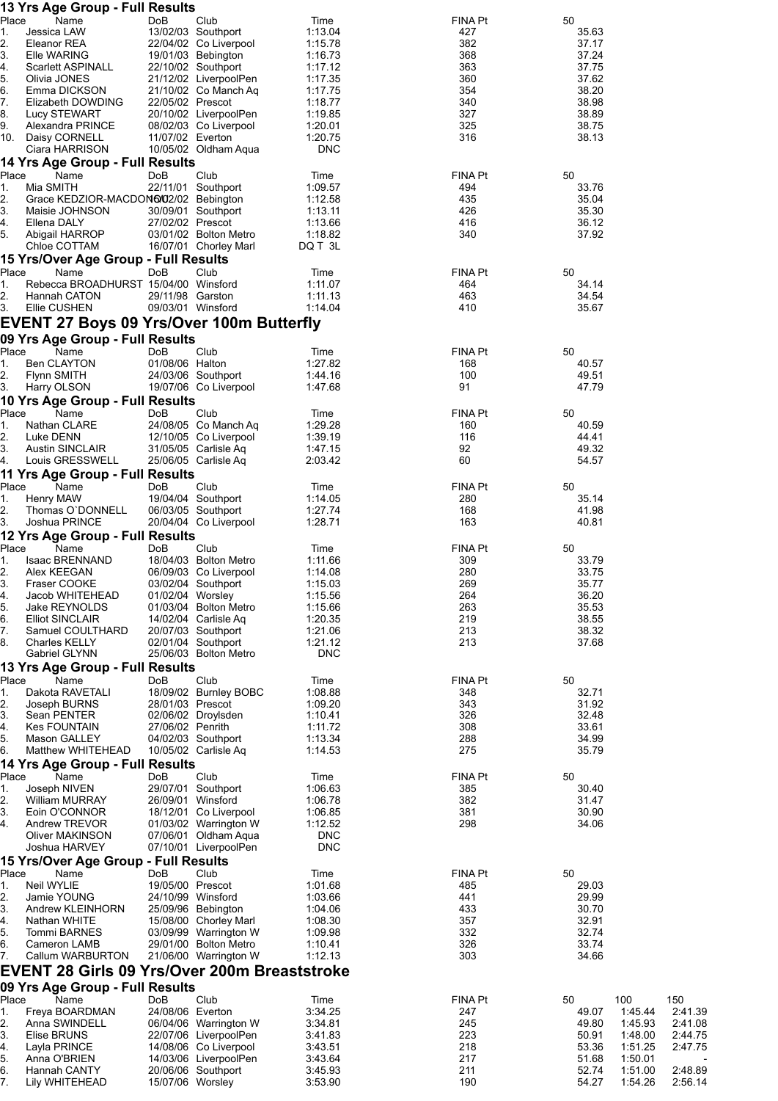|             | 13 Yrs Age Group - Full Results                      |                   |                                                |                          |                       |                |                                          |
|-------------|------------------------------------------------------|-------------------|------------------------------------------------|--------------------------|-----------------------|----------------|------------------------------------------|
| Place<br>1. | Name<br>Jessica LAW                                  | DoB               | Club<br>13/02/03 Southport                     | Time<br>1:13.04          | <b>FINA Pt</b><br>427 | 50<br>35.63    |                                          |
| 2.          | Eleanor REA                                          |                   | 22/04/02 Co Liverpool                          | 1:15.78                  | 382                   | 37.17          |                                          |
| 3.          | Elle WARING                                          |                   | 19/01/03 Bebington                             | 1:16.73                  | 368                   | 37.24          |                                          |
| 4.<br>5.    | <b>Scarlett ASPINALL</b><br>Olivia JONES             |                   | 22/10/02 Southport<br>21/12/02 LiverpoolPen    | 1:17.12<br>1:17.35       | 363<br>360            | 37.75<br>37.62 |                                          |
| 6.          | Emma DICKSON                                         |                   | 21/10/02 Co Manch Aq                           | 1:17.75                  | 354                   | 38.20          |                                          |
| 7.          | Elizabeth DOWDING                                    | 22/05/02 Prescot  |                                                | 1:18.77                  | 340                   | 38.98          |                                          |
| 8.          | Lucy STEWART                                         |                   | 20/10/02 LiverpoolPen                          | 1:19.85                  | 327                   | 38.89          |                                          |
| 9.          | Alexandra PRINCE<br>10. Daisy CORNELL                | 11/07/02 Everton  | 08/02/03 Co Liverpool                          | 1:20.01<br>1:20.75       | 325<br>316            | 38.75<br>38.13 |                                          |
|             | Ciara HARRISON                                       |                   | 10/05/02 Oldham Aqua                           | <b>DNC</b>               |                       |                |                                          |
|             | 14 Yrs Age Group - Full Results                      |                   |                                                |                          |                       |                |                                          |
| Place       | Name                                                 | DoB               | Club                                           | Time                     | <b>FINA Pt</b>        | 50             |                                          |
| 1.<br>2.    | Mia SMITH<br>Grace KEDZIOR-MACDON6/02/02 Bebington   |                   | 22/11/01 Southport                             | 1:09.57<br>1:12.58       | 494<br>435            | 33.76<br>35.04 |                                          |
| 3.          | Maisie JOHNSON                                       |                   | 30/09/01 Southport                             | 1:13.11                  | 426                   | 35.30          |                                          |
| 4.          | Ellena DALY                                          | 27/02/02 Prescot  |                                                | 1:13.66                  | 416                   | 36.12          |                                          |
| 5.          | Abigail HARROP                                       |                   | 03/01/02 Bolton Metro                          | 1:18.82                  | 340                   | 37.92          |                                          |
|             | Chloe COTTAM<br>15 Yrs/Over Age Group - Full Results |                   | 16/07/01 Chorley Marl                          | DQ T 3L                  |                       |                |                                          |
| Place       | Name                                                 | DoB               | Club                                           | Time                     | <b>FINA Pt</b>        | 50             |                                          |
| 1.          | Rebecca BROADHURST 15/04/00 Winsford                 |                   |                                                | 1:11.07                  | 464                   | 34.14          |                                          |
| 2.          | Hannah CATON                                         | 29/11/98 Garston  |                                                | 1:11.13                  | 463                   | 34.54          |                                          |
| 3.          | Ellie CUSHEN                                         | 09/03/01 Winsford |                                                | 1:14.04                  | 410                   | 35.67          |                                          |
|             | <b>EVENT 27 Boys 09 Yrs/Over 100m Butterfly</b>      |                   |                                                |                          |                       |                |                                          |
| Place       | 09 Yrs Age Group - Full Results<br>Name              | DoB               | Club                                           | Time                     | FINA Pt               | 50             |                                          |
| 1.          | Ben CLAYTON                                          | 01/08/06 Halton   |                                                | 1:27.82                  | 168                   | 40.57          |                                          |
| 2.          | Flynn SMITH                                          |                   | 24/03/06 Southport                             | 1:44.16                  | 100                   | 49.51          |                                          |
| 3.          | Harry OLSON                                          |                   | 19/07/06 Co Liverpool                          | 1:47.68                  | 91                    | 47.79          |                                          |
|             | 10 Yrs Age Group - Full Results                      |                   |                                                |                          |                       |                |                                          |
| Place<br>1. | Name<br>Nathan CLARE                                 | DoB               | Club<br>24/08/05 Co Manch Aq                   | Time<br>1:29.28          | <b>FINA Pt</b><br>160 | 50<br>40.59    |                                          |
| 2.          | Luke DENN                                            |                   | 12/10/05 Co Liverpool                          | 1:39.19                  | 116                   | 44.41          |                                          |
| 3.          | <b>Austin SINCLAIR</b>                               |                   | 31/05/05 Carlisle Aq                           | 1:47.15                  | 92                    | 49.32          |                                          |
| 4.          | Louis GRESSWELL                                      |                   | 25/06/05 Carlisle Aq                           | 2:03.42                  | 60                    | 54.57          |                                          |
| Place       | 11 Yrs Age Group - Full Results<br>Name              | DoB               | Club                                           | Time                     | FINA Pt               | 50             |                                          |
| 1.          | Henry MAW                                            |                   | 19/04/04 Southport                             | 1:14.05                  | 280                   | 35.14          |                                          |
| 2.          | Thomas O'DONNELL                                     |                   | 06/03/05 Southport                             | 1:27.74                  | 168                   | 41.98          |                                          |
| 3.          | Joshua PRINCE                                        |                   | 20/04/04 Co Liverpool                          | 1:28.71                  | 163                   | 40.81          |                                          |
|             | 12 Yrs Age Group - Full Results                      |                   |                                                |                          |                       |                |                                          |
| Place<br>1. | Name<br>Isaac BRENNAND                               | DoB               | Club<br>18/04/03 Bolton Metro                  | Time<br>1:11.66          | <b>FINA Pt</b><br>309 | 50<br>33.79    |                                          |
| 2.          | Alex KEEGAN                                          |                   | 06/09/03 Co Liverpool                          | 1:14.08                  | 280                   | 33.75          |                                          |
| 3.          | Fraser COOKE                                         |                   | 03/02/04 Southport                             | 1:15.03                  | 269                   | 35.77          |                                          |
| 4.<br>5.    | Jacob WHITEHEAD<br>Jake REYNOLDS                     | 01/02/04 Worsley  | 01/03/04 Bolton Metro                          | 1:15.56<br>1:15.66       | 264<br>263            | 36.20<br>35.53 |                                          |
| 6.          | <b>Elliot SINCLAIR</b>                               |                   | 14/02/04 Carlisle Aq                           | 1:20.35                  | 219                   | 38.55          |                                          |
| 7.          | Samuel COULTHARD                                     |                   | 20/07/03 Southport                             | 1.21.06                  | 213                   | 38.32          |                                          |
| 8.          | <b>Charles KELLY</b>                                 |                   | 02/01/04 Southport                             | 1:21.12                  | 213                   | 37.68          |                                          |
|             | Gabriel GLYNN<br>13 Yrs Age Group - Full Results     |                   | 25/06/03 Bolton Metro                          | <b>DNC</b>               |                       |                |                                          |
| Place       | Name                                                 | DoB               | Club                                           | Time                     | <b>FINA Pt</b>        | 50             |                                          |
| 1.          | Dakota RAVETALI                                      |                   | 18/09/02 Burnley BOBC                          | 1:08.88                  | 348                   | 32.71          |                                          |
| 2.          | Joseph BURNS                                         | 28/01/03 Prescot  |                                                | 1:09.20                  | 343                   | 31.92          |                                          |
| 3.<br>4.    | Sean PENTER<br><b>Kes FOUNTAIN</b>                   | 27/06/02 Penrith  | 02/06/02 Droylsden                             | 1:10.41<br>1:11.72       | 326<br>308            | 32.48<br>33.61 |                                          |
| 5.          | <b>Mason GALLEY</b>                                  |                   | 04/02/03 Southport                             | 1:13.34                  | 288                   | 34.99          |                                          |
| 6.          | Matthew WHITEHEAD                                    |                   | 10/05/02 Carlisle Aq                           | 1:14.53                  | 275                   | 35.79          |                                          |
|             | 14 Yrs Age Group - Full Results                      |                   |                                                |                          |                       |                |                                          |
| Place<br>1. | Name<br>Joseph NIVEN                                 | DoB               | Club<br>29/07/01 Southport                     | Time<br>1:06.63          | <b>FINA Pt</b><br>385 | 50<br>30.40    |                                          |
| 2.          | <b>William MURRAY</b>                                | 26/09/01 Winsford |                                                | 1:06.78                  | 382                   | 31.47          |                                          |
| 3.          | Eoin O'CONNOR                                        |                   | 18/12/01 Co Liverpool                          | 1:06.85                  | 381                   | 30.90          |                                          |
| 4.          | Andrew TREVOR                                        |                   | 01/03/02 Warrington W                          | 1:12.52                  | 298                   | 34.06          |                                          |
|             | Oliver MAKINSON<br>Joshua HARVEY                     |                   | 07/06/01 Oldham Aqua<br>07/10/01 LiverpoolPen  | <b>DNC</b><br><b>DNC</b> |                       |                |                                          |
|             | 15 Yrs/Over Age Group - Full Results                 |                   |                                                |                          |                       |                |                                          |
| Place       | Name                                                 | DoB               | Club                                           | Time                     | <b>FINA Pt</b>        | 50             |                                          |
| 1.          | Neil WYLIE                                           | 19/05/00 Prescot  |                                                | 1:01.68                  | 485                   | 29.03          |                                          |
| 2.<br>3.    | Jamie YOUNG<br>Andrew KLEINHORN                      | 24/10/99 Winsford | 25/09/96 Bebington                             | 1:03.66<br>1:04.06       | 441<br>433            | 29.99<br>30.70 |                                          |
| 4.          | Nathan WHITE                                         |                   | 15/08/00 Chorley Marl                          | 1:08.30                  | 357                   | 32.91          |                                          |
| 5.          | Tommi BARNES                                         |                   | 03/09/99 Warrington W                          | 1:09.98                  | 332                   | 32.74          |                                          |
| 6.          | Cameron LAMB                                         |                   | 29/01/00 Bolton Metro                          | 1:10.41                  | 326                   | 33.74          |                                          |
| 7.          | Callum WARBURTON                                     |                   | 21/06/00 Warrington W                          | 1:12.13                  | 303                   | 34.66          |                                          |
|             | <b>EVENT 28 Girls 09 Yrs/Over 200m Breaststroke</b>  |                   |                                                |                          |                       |                |                                          |
| Place       | 09 Yrs Age Group - Full Results<br>Name              | DoB               | Club                                           | Time                     | <b>FINA Pt</b>        | 50             | 100<br>150                               |
| 1.          | Freya BOARDMAN                                       | 24/08/06 Everton  |                                                | 3:34.25                  | 247                   | 49.07          | 1.45.44<br>2:41.39                       |
| 2.          | Anna SWINDELL                                        |                   | 06/04/06 Warrington W                          | 3:34.81                  | 245                   | 49.80          | 1:45.93<br>2:41.08                       |
| 3.          | Elise BRUNS<br>Layla PRINCE                          |                   | 22/07/06 LiverpoolPen<br>14/08/06 Co Liverpool | 3.41.83<br>3:43.51       | 223<br>218            | 50.91<br>53.36 | 1:48.00<br>2:44.75<br>1:51.25<br>2:47.75 |
| 4.<br>5.    | Anna O'BRIEN                                         |                   | 14/03/06 LiverpoolPen                          | 3:43.64                  | 217                   | 51.68          | 1:50.01                                  |
| 6.          | Hannah CANTY                                         |                   | 20/06/06 Southport                             | 3:45.93                  | 211                   | 52.74          | 2:48.89<br>1:51.00                       |
| 7.          | Lily WHITEHEAD                                       | 15/07/06 Worsley  |                                                | 3.53.90                  | 190                   | 54.27          | 1.54.26<br>2:56.14                       |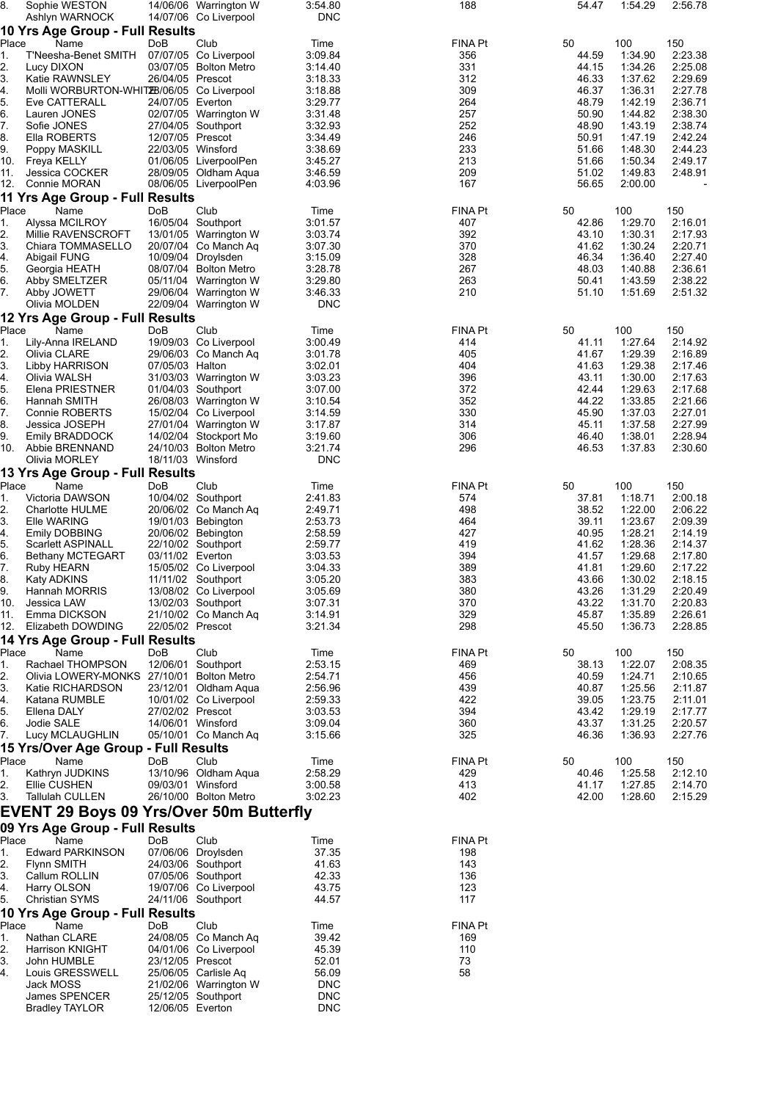| 8.               | Sophie WESTON                             |                   | 14/06/06 Warrington W                          | 3:54.80             | 188        | 54.47          | 1:54.29            | 2:56.78            |
|------------------|-------------------------------------------|-------------------|------------------------------------------------|---------------------|------------|----------------|--------------------|--------------------|
|                  | Ashlyn WARNOCK                            |                   | 14/07/06 Co Liverpool                          | <b>DNC</b>          |            |                |                    |                    |
|                  | 10 Yrs Age Group - Full Results           |                   |                                                |                     |            |                |                    |                    |
| Place            | Name                                      | DoB               | Club                                           | Time                | FINA Pt    | 50             | 100                | 150                |
| 1.<br>2.         | T'Neesha-Benet SMITH<br>Lucy DIXON        |                   | 07/07/05 Co Liverpool<br>03/07/05 Bolton Metro | 3:09.84<br>3:14.40  | 356<br>331 | 44.59<br>44.15 | 1:34.90<br>1:34.26 | 2:23.38<br>2:25.08 |
| 3.               | Katie RAWNSLEY                            | 26/04/05 Prescot  |                                                | 3:18.33             | 312        | 46.33          | 1:37.62            | 2:29.69            |
| 4.               | Molli WORBURTON-WHIT2B/06/05 Co Liverpool |                   |                                                | 3:18.88             | 309        | 46.37          | 1:36.31            | 2:27.78            |
| 5.               | Eve CATTERALL                             | 24/07/05 Everton  |                                                | 3:29.77             | 264        | 48.79          | 1:42.19            | 2:36.71            |
| 6.               | Lauren JONES                              |                   | 02/07/05 Warrington W                          | 3:31.48             | 257        | 50.90          | 1:44.82            | 2:38.30            |
| 7.               | Sofie JONES                               |                   | 27/04/05 Southport                             | 3:32.93             | 252        | 48.90          | 1:43.19            | 2:38.74            |
| 8.               | Ella ROBERTS                              | 12/07/05 Prescot  |                                                | 3:34.49             | 246        | 50.91          | 1:47.19            | 2:42.24            |
| 9.               | Poppy MASKILL                             | 22/03/05 Winsford |                                                | 3:38.69             | 233        | 51.66          | 1:48.30            | 2:44.23            |
| 10.              | Freya KELLY                               |                   | 01/06/05 LiverpoolPen<br>28/09/05 Oldham Aqua  | 3:45.27             | 213<br>209 | 51.66<br>51.02 | 1:50.34<br>1:49.83 | 2:49.17<br>2:48.91 |
| 11.<br>12.       | Jessica COCKER<br>Connie MORAN            |                   | 08/06/05 LiverpoolPen                          | 3:46.59<br>4:03.96  | 167        | 56.65          | 2:00.00            | $\overline{a}$     |
|                  |                                           |                   |                                                |                     |            |                |                    |                    |
| Place            | 11 Yrs Age Group - Full Results<br>Name   | <b>DoB</b>        | Club                                           | Time                | FINA Pt    | 50             | 100                | 150                |
| 1.               | Alyssa MCILROY                            |                   | 16/05/04 Southport                             | 3:01.57             | 407        | 42.86          | 1:29.70            | 2:16.01            |
| 2.               | Millie RAVENSCROFT                        |                   | 13/01/05 Warrington W                          | 3:03.74             | 392        | 43.10          | 1:30.31            | 2:17.93            |
| 3.               | Chiara TOMMASELLO                         |                   | 20/07/04 Co Manch Aq                           | 3:07.30             | 370        | 41.62          | 1:30.24            | 2:20.71            |
| 4.               | Abigail FUNG                              |                   | 10/09/04 Droylsden                             | 3:15.09             | 328        | 46.34          | 1:36.40            | 2:27.40            |
| 5.               | Georgia HEATH                             |                   | 08/07/04 Bolton Metro                          | 3:28.78             | 267        | 48.03          | 1:40.88            | 2:36.61            |
| 6.               | Abby SMELTZER                             |                   | 05/11/04 Warrington W                          | 3:29.80             | 263        | 50.41          | 1:43.59            | 2:38.22            |
| 7.               | Abby JOWETT                               |                   | 29/06/04 Warrington W                          | 3:46.33             | 210        | 51.10          | 1:51.69            | 2:51.32            |
|                  | Olivia MOLDEN                             |                   | 22/09/04 Warrington W                          | <b>DNC</b>          |            |                |                    |                    |
|                  | 12 Yrs Age Group - Full Results           |                   |                                                |                     |            |                |                    |                    |
| Place            | Name                                      | DoB               | Club                                           | Time                | FINA Pt    | 50             | 100                | 150                |
| 1.               | Lily-Anna IRELAND                         |                   | 19/09/03 Co Liverpool                          | 3:00.49             | 414        | 41.11          | 1:27.64            | 2:14.92            |
| 2.               | Olivia CLARE                              |                   | 29/06/03 Co Manch Aq                           | 3:01.78             | 405        | 41.67          | 1:29.39            | 2:16.89            |
| 3.               | Libby HARRISON                            | 07/05/03 Halton   |                                                | 3:02.01             | 404        | 41.63          | 1:29.38            | 2:17.46            |
| 4.               | Olivia WALSH                              |                   | 31/03/03 Warrington W                          | 3:03.23             | 396        | 43.11          | 1:30.00            | 2:17.63<br>2:17.68 |
| 15.              | Elena PRIESTNER<br>Hannah SMITH           |                   | 01/04/03 Southport<br>26/08/03 Warrington W    | 3:07.00             | 372<br>352 | 42.44<br>44.22 | 1:29.63<br>1:33.85 | 2:21.66            |
| 6.<br>7.         | Connie ROBERTS                            |                   | 15/02/04 Co Liverpool                          | 3:10.54<br>3:14.59  | 330        | 45.90          | 1:37.03            | 2:27.01            |
| 8.               | Jessica JOSEPH                            |                   | 27/01/04 Warrington W                          | 3:17.87             | 314        | 45.11          | 1:37.58            | 2:27.99            |
| 9.               | Emily BRADDOCK                            |                   | 14/02/04 Stockport Mo                          | 3:19.60             | 306        | 46.40          | 1:38.01            | 2:28.94            |
| 10.              | Abbie BRENNAND                            |                   | 24/10/03 Bolton Metro                          | 3:21.74             | 296        | 46.53          | 1:37.83            | 2:30.60            |
|                  | Olivia MORLEY                             | 18/11/03 Winsford |                                                | <b>DNC</b>          |            |                |                    |                    |
|                  | 13 Yrs Age Group - Full Results           |                   |                                                |                     |            |                |                    |                    |
| Place            | Name                                      | DoB               | Club                                           | Time                | FINA Pt    | 50             | 100                | 150                |
| 1.               | Victoria DAWSON                           |                   | 10/04/02 Southport                             | 2:41.83             | 574        | 37.81          | 1:18.71            | 2:00.18            |
| 2.               | Charlotte HULME                           |                   | 20/06/02 Co Manch Aq                           | 2:49.71             | 498        | 38.52          | 1:22.00            | 2:06.22            |
| 3.               | Elle WARING                               |                   | 19/01/03 Bebington                             | 2:53.73             | 464        | 39.11          | 1:23.67            | 2:09.39            |
| 4.               | <b>Emily DOBBING</b>                      |                   | 20/06/02 Bebington                             | 2:58.59             | 427        | 40.95          | 1:28.21            | 2:14.19            |
| 5.               | Scarlett ASPINALL                         |                   | 22/10/02 Southport                             | 2:59.77             | 419        | 41.62          | 1:28.36            | 2:14.37            |
| 6                | Bethany MCTEGART                          | 03/11/02 Everton  |                                                | 3:03.53             | 394        | 41.57          | 1:29.68            | 2:17.80            |
| 7.               | Ruby HEARN                                |                   | 15/05/02 Co Liverpool                          | 3:04.33             | 389        | 41.81          | 1:29.60            | 2:17.22            |
| 8.               | Katy ADKINS                               |                   | 11/11/02 Southport                             | 3:05.20             | 383        | 43.66          | 1:30.02            | 2:18.15            |
| 9.               | Hannah MORRIS                             |                   | 13/08/02 Co Liverpool                          | 3:05.69             | 380        | 43.26          | 1:31.29            | 2:20.49            |
| 10.<br>11.       | Jessica LAW<br>Emma DICKSON               |                   | 13/02/03 Southport<br>21/10/02 Co Manch Aq     | 3:07.31<br>3:14.91  | 370<br>329 | 43.22<br>45.87 | 1:31.70<br>1:35.89 | 2:20.83<br>2:26.61 |
| 12.              | Elizabeth DOWDING                         | 22/05/02 Prescot  |                                                | 3:21.34             | 298        | 45.50          | 1:36.73            | 2:28.85            |
|                  | 14 Yrs Age Group - Full Results           |                   |                                                |                     |            |                |                    |                    |
| Place            | Name                                      | DoB               | Club                                           | Time                | FINA Pt    | 50             | 100                | 150                |
| 1.               | Rachael THOMPSON                          |                   | 12/06/01 Southport                             | 2:53.15             | 469        | 38.13          | 1:22.07            | 2:08.35            |
|                  | Olivia LOWERY-MONKS 27/10/01 Bolton Metro |                   |                                                | 2:54.71             | 456        | 40.59          | 1:24.71            | 2:10.65            |
| $\frac{2}{3}$ .  | Katie RICHARDSON                          |                   | 23/12/01 Oldham Aqua                           | 2:56.96             | 439        | 40.87          | 1:25.56            | 2:11.87            |
| 4.               | Katana RUMBLE                             |                   | 10/01/02 Co Liverpool                          | 2:59.33             | 422        | 39.05          | 1:23.75            | 2:11.01            |
| $\overline{5}$ . | Ellena DALY                               | 27/02/02 Prescot  |                                                | 3:03.53             | 394        | 43.42          | 1:29.19            | 2:17.77            |
| 6.               | Jodie SALE                                | 14/06/01 Winsford |                                                | 3:09.04             | 360        | 43.37          | 1:31.25            | 2:20.57            |
| 7.               | Lucy MCLAUGHLIN                           |                   | 05/10/01 Co Manch Aq                           | 3:15.66             | 325        | 46.36          | 1:36.93            | 2:27.76            |
|                  | 15 Yrs/Over Age Group - Full Results      |                   |                                                |                     |            |                |                    |                    |
| Place            | Name                                      | DoB               | Club                                           | Time                | FINA Pt    | 50             | 100                | 150                |
| 1.               | Kathryn JUDKINS                           |                   | 13/10/96 Oldham Aqua                           | 2:58.29             | 429        | 40.46          | 1:25.58            | 2:12.10            |
| 2.               | Ellie CUSHEN                              | 09/03/01 Winsford |                                                | 3:00.58             | 413        | 41.17          | 1:27.85            | 2:14.70            |
| 3.               | <b>Tallulah CULLEN</b>                    |                   | 26/10/00 Bolton Metro                          | 3:02.23             | 402        | 42.00          | 1:28.60            | 2:15.29            |
|                  | EVENT 29 Boys 09 Yrs/Over 50m Butterfly   |                   |                                                |                     |            |                |                    |                    |
|                  | 09 Yrs Age Group - Full Results           |                   |                                                |                     |            |                |                    |                    |
| Place            | Name                                      | DoB               | Club                                           | Time                | FINA Pt    |                |                    |                    |
| 1.               | Edward PARKINSON                          |                   | 07/06/06 Droylsden                             | 37.35               | 198        |                |                    |                    |
| 2.               | Flynn SMITH                               |                   | 24/03/06 Southport                             | 41.63               | 143        |                |                    |                    |
| 3.               | Callum ROLLIN                             |                   | 07/05/06 Southport                             | 42.33               | 136        |                |                    |                    |
| 4.               | Harry OLSON                               |                   | 19/07/06 Co Liverpool                          | 43.75               | 123        |                |                    |                    |
| 5.               | Christian SYMS                            |                   | 24/11/06 Southport                             | 44.57               | 117        |                |                    |                    |
|                  | 10 Yrs Age Group - Full Results           |                   |                                                |                     |            |                |                    |                    |
| Place            | Name                                      | DoB               | Club                                           | Time                | FINA Pt    |                |                    |                    |
| 1.               | Nathan CLARE                              |                   | 24/08/05 Co Manch Aq                           | 39.42               | 169        |                |                    |                    |
| 2.               | Harrison KNIGHT                           |                   | 04/01/06 Co Liverpool                          | 45.39               | 110        |                |                    |                    |
| З.               | John HUMBLE                               | 23/12/05 Prescot  |                                                | 52.01               | 73<br>58   |                |                    |                    |
| 4.               | Louis GRESSWELL<br>Jack MOSS              |                   | 25/06/05 Carlisle Aq<br>21/02/06 Warrington W  | 56.09<br><b>DNC</b> |            |                |                    |                    |
|                  | James SPENCER                             |                   | 25/12/05 Southport                             | <b>DNC</b>          |            |                |                    |                    |
|                  | <b>Bradley TAYLOR</b>                     | 12/06/05 Everton  |                                                | <b>DNC</b>          |            |                |                    |                    |
|                  |                                           |                   |                                                |                     |            |                |                    |                    |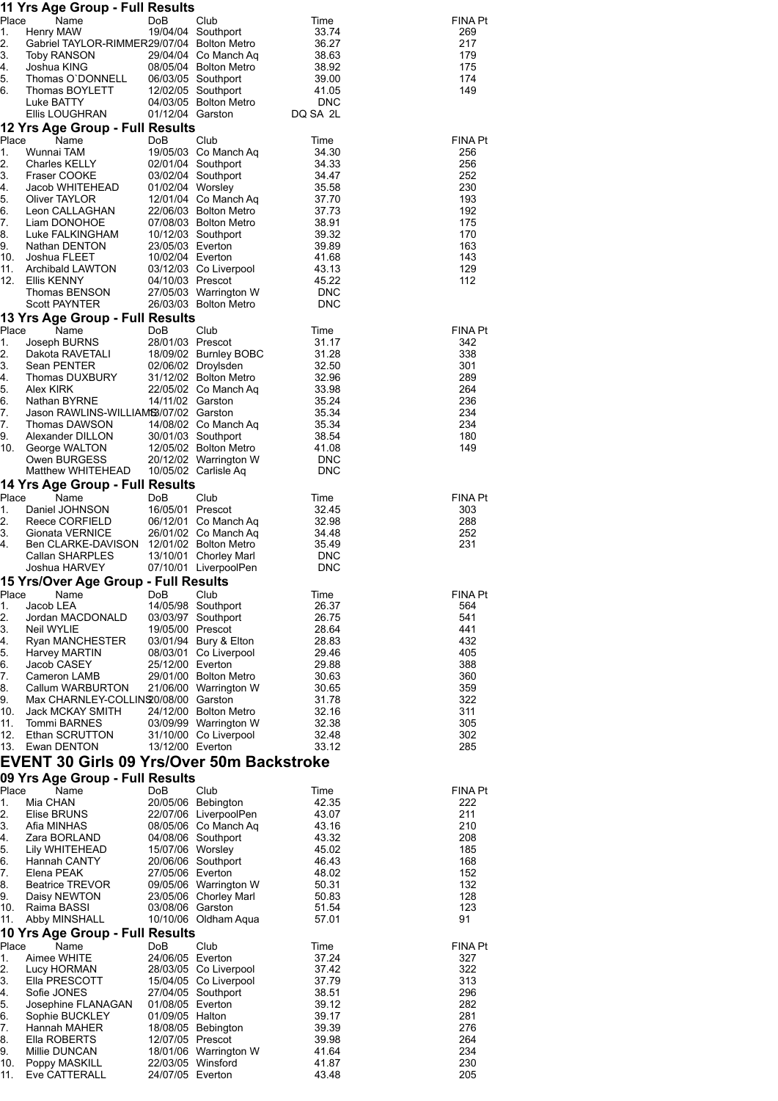|             | 11 Yrs Age Group - Full Results                        |                                       |                                                |                     |                |
|-------------|--------------------------------------------------------|---------------------------------------|------------------------------------------------|---------------------|----------------|
| Place<br>1. | Name<br>Henry MAW                                      | DoB                                   | Club<br>19/04/04 Southport                     | Time<br>33.74       | FINA Pt<br>269 |
| 2.          | Gabriel TAYLOR-RIMMER29/07/04 Bolton Metro             |                                       |                                                | 36.27               | 217            |
| 3.          | Toby RANSON                                            |                                       | 29/04/04 Co Manch Aq                           | 38.63               | 179            |
| 4.          | Joshua KING                                            |                                       | 08/05/04 Bolton Metro                          | 38.92               | 175            |
| 5.          | Thomas O'DONNELL                                       |                                       | 06/03/05 Southport                             | 39.00               | 174            |
| 6.          | Thomas BOYLETT<br>Luke BATTY                           |                                       | 12/02/05 Southport<br>04/03/05 Bolton Metro    | 41.05<br><b>DNC</b> | 149            |
|             | Ellis LOUGHRAN                                         | 01/12/04 Garston                      |                                                | DQ SA 2L            |                |
|             | 12 Yrs Age Group - Full Results                        |                                       |                                                |                     |                |
| Place       | Name                                                   | DoB                                   | Club                                           | Time                | <b>FINA Pt</b> |
| 1.          | Wunnai TAM                                             |                                       | 19/05/03 Co Manch Aq                           | 34.30               | 256            |
| 2.          | Charles KELLY                                          |                                       | 02/01/04 Southport                             | 34.33               | 256            |
| 3.<br>4.    | Fraser COOKE<br>Jacob WHITEHEAD                        | 01/02/04 Worsley                      | 03/02/04 Southport                             | 34.47<br>35.58      | 252<br>230     |
| 5.          | Oliver TAYLOR                                          |                                       | 12/01/04 Co Manch Aq                           | 37.70               | 193            |
| 6.          | Leon CALLAGHAN                                         |                                       | 22/06/03 Bolton Metro                          | 37.73               | 192            |
| 7.          | Liam DONOHOE                                           |                                       | 07/08/03 Bolton Metro                          | 38.91               | 175            |
| 8.          | Luke FALKINGHAM                                        |                                       | 10/12/03 Southport                             | 39.32               | 170            |
| 9.<br>10.   | Nathan DENTON<br>Joshua FLEET                          | 23/05/03 Everton<br>10/02/04 Everton  |                                                | 39.89<br>41.68      | 163<br>143     |
| 11.         | Archibald LAWTON                                       |                                       | 03/12/03 Co Liverpool                          | 43.13               | 129            |
| 12.         | Ellis KENNY                                            | 04/10/03 Prescot                      |                                                | 45.22               | 112            |
|             | Thomas BENSON                                          |                                       | 27/05/03 Warrington W                          | DNC                 |                |
|             | <b>Scott PAYNTER</b>                                   |                                       | 26/03/03 Bolton Metro                          | <b>DNC</b>          |                |
|             | 13 Yrs Age Group - Full Results                        |                                       |                                                |                     |                |
| Place       | Name                                                   | DoB                                   | Club                                           | Time                | <b>FINA Pt</b> |
| 1.<br>2.    | Joseph BURNS<br>Dakota RAVETALI                        | 28/01/03 Prescot                      | 18/09/02 Burnley BOBC                          | 31.17<br>31.28      | 342<br>338     |
| 3.          | Sean PENTER                                            |                                       | 02/06/02 Droylsden                             | 32.50               | 301            |
| 4.          | Thomas DUXBURY                                         |                                       | 31/12/02 Bolton Metro                          | 32.96               | 289            |
| 5.          | Alex KIRK                                              |                                       | 22/05/02 Co Manch Aq                           | 33.98               | 264            |
| 6.          | Nathan BYRNE                                           | 14/11/02 Garston                      |                                                | 35.24               | 236            |
| 7.<br>7.    | Jason RAWLINS-WILLIAMS3/07/02 Garston<br>Thomas DAWSON |                                       | 14/08/02 Co Manch Aq                           | 35.34<br>35.34      | 234<br>234     |
| 9.          | Alexander DILLON                                       |                                       | 30/01/03 Southport                             | 38.54               | 180            |
| 10.         | George WALTON                                          |                                       | 12/05/02 Bolton Metro                          | 41.08               | 149            |
|             | Owen BURGESS                                           |                                       | 20/12/02 Warrington W                          | DNC                 |                |
|             | Matthew WHITEHEAD                                      |                                       | 10/05/02 Carlisle Aq                           | <b>DNC</b>          |                |
|             | 14 Yrs Age Group - Full Results                        |                                       |                                                |                     |                |
| Place       | Name                                                   | DoB                                   | Club                                           | Time                | <b>FINA Pt</b> |
| 1.<br>2.    | Daniel JOHNSON<br>Reece CORFIELD                       | 16/05/01 Prescot                      | 06/12/01 Co Manch Aq                           | 32.45<br>32.98      | 303<br>288     |
| 3.          | Gionata VERNICE                                        |                                       | 26/01/02 Co Manch Aq                           | 34.48               | 252            |
| 4.          | Ben CLARKE-DAVISON 12/01/02 Bolton Metro               |                                       |                                                | 35.49               | 231            |
|             | Callan SHARPLES                                        |                                       | 13/10/01 Chorley Marl                          | <b>DNC</b>          |                |
|             | Joshua HARVEY                                          |                                       | 07/10/01 LiverpoolPen                          | <b>DNC</b>          |                |
|             | 15 Yrs/Over Age Group - Full Results                   |                                       |                                                |                     |                |
| Place       | Name                                                   | DoB                                   | Club                                           | Time                | <b>FINA Pt</b> |
| 1.<br>2.    | Jacob LEA<br>Jordan MACDONALD                          |                                       | 14/05/98 Southport<br>03/03/97 Southport       | 26.37<br>26.75      | 564<br>541     |
| 3.          | Neil WYLIE                                             | 19/05/00 Prescot                      |                                                | 28.64               | 441            |
| 4.          | Ryan MANCHESTER                                        |                                       | 03/01/94 Bury & Elton                          | 28.83               | 432            |
| 5.          | Harvey MARTIN                                          |                                       | 08/03/01 Co Liverpool                          | 29.46               | 405            |
| 6.          | Jacob CASEY                                            | 25/12/00 Everton                      |                                                | 29.88               | 388            |
| 7.<br>8.    | Cameron LAMB<br>Callum WARBURTON                       |                                       | 29/01/00 Bolton Metro<br>21/06/00 Warrington W | 30.63<br>30.65      | 360<br>359     |
| 9.          | Max CHARNLEY-COLLINS 0/08/00 Garston                   |                                       |                                                | 31.78               | 322            |
| 10.         | Jack MCKAY SMITH                                       |                                       | 24/12/00 Bolton Metro                          | 32.16               | 311            |
| 11.         | <b>Tommi BARNES</b>                                    |                                       | 03/09/99 Warrington W                          | 32.38               | 305            |
| 12.         | Ethan SCRUTTON                                         |                                       | 31/10/00 Co Liverpool                          | 32.48               | 302            |
| 13.         | Ewan DENTON                                            | 13/12/00 Everton                      |                                                | 33.12               | 285            |
|             | <b>EVENT 30 Girls 09 Yrs/Over 50m Backstroke</b>       |                                       |                                                |                     |                |
|             | 09 Yrs Age Group - Full Results                        |                                       |                                                |                     |                |
| Place       | Name                                                   | DoB                                   | Club                                           | Time                | FINA Pt        |
| 1.          | Mia CHAN                                               |                                       | 20/05/06 Bebington                             | 42.35               | 222            |
| 2.<br>3.    | Elise BRUNS<br>Afia MINHAS                             |                                       | 22/07/06 LiverpoolPen<br>08/05/06 Co Manch Aq  | 43.07<br>43.16      | 211<br>210     |
| 4.          | Zara BORLAND                                           |                                       | 04/08/06 Southport                             | 43.32               | 208            |
| 5.          | Lily WHITEHEAD                                         | 15/07/06 Worsley                      |                                                | 45.02               | 185            |
| 6.          | Hannah CANTY                                           |                                       | 20/06/06 Southport                             | 46.43               | 168            |
| 7.          | Elena PEAK                                             | 27/05/06 Everton                      |                                                | 48.02               | 152            |
| 8.<br>9.    | <b>Beatrice TREVOR</b><br>Daisy NEWTON                 |                                       | 09/05/06 Warrington W<br>23/05/06 Chorley Marl | 50.31<br>50.83      | 132<br>128     |
| 10.         | Raima BASSI                                            | 03/08/06 Garston                      |                                                | 51.54               | 123            |
| 11.         | Abby MINSHALL                                          |                                       | 10/10/06 Oldham Aqua                           | 57.01               | 91             |
|             | 10 Yrs Age Group - Full Results                        |                                       |                                                |                     |                |
| Place       | Name                                                   | DoB                                   | Club                                           | Time                | FINA Pt        |
| 1.          | Aimee WHITE                                            | 24/06/05 Everton                      |                                                | 37.24               | 327            |
| 2.          | Lucy HORMAN                                            |                                       | 28/03/05 Co Liverpool                          | 37.42               | 322            |
| 3.          | Ella PRESCOTT                                          |                                       | 15/04/05 Co Liverpool                          | 37.79               | 313            |
| 4.<br>5.    | Sofie JONES<br>Josephine FLANAGAN                      | 01/08/05 Everton                      | 27/04/05 Southport                             | 38.51<br>39.12      | 296<br>282     |
| 6.          | Sophie BUCKLEY                                         | 01/09/05 Halton                       |                                                | 39.17               | 281            |
| 7.          | Hannah MAHER                                           |                                       | 18/08/05 Bebington                             | 39.39               | 276            |
| 8.          | Ella ROBERTS                                           | 12/07/05 Prescot                      |                                                | 39.98               | 264            |
| 9.          | Millie DUNCAN                                          |                                       | 18/01/06 Warrington W                          | 41.64               | 234            |
| 10.<br>11.  | Poppy MASKILL<br>Eve CATTERALL                         | 22/03/05 Winsford<br>24/07/05 Everton |                                                | 41.87<br>43.48      | 230<br>205     |
|             |                                                        |                                       |                                                |                     |                |